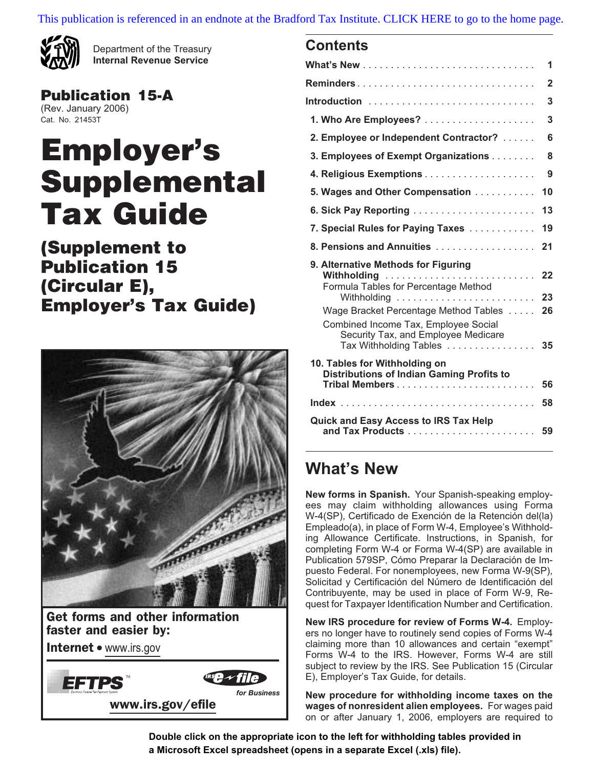[This publication is referenced in an endnote at the Bradford Tax Institute. CLICK HERE to go to the home page.](http://www.bradfordtaxinstitute.com/)



Department of the Treasury **Contents Internal Revenue Service** 

# **Employer's**  $Supplemental$ **Tax Guide**





| YA'A'JI<br>Internal Revenue Service            |                                                                                                                                                       |  |
|------------------------------------------------|-------------------------------------------------------------------------------------------------------------------------------------------------------|--|
|                                                |                                                                                                                                                       |  |
| <b>Publication 15-A</b><br>(Rev. January 2006) |                                                                                                                                                       |  |
| Cat. No. 21453T                                |                                                                                                                                                       |  |
|                                                | 2. Employee or Independent Contractor?  6                                                                                                             |  |
| <b>Employer's</b>                              | 3. Employees of Exempt Organizations 8                                                                                                                |  |
| <b>Supplemental</b>                            | 4. Religious Exemptions 9                                                                                                                             |  |
|                                                | 5. Wages and Other Compensation 10                                                                                                                    |  |
| <b>Tax Guide</b>                               | 6. Sick Pay Reporting  13                                                                                                                             |  |
|                                                | 7. Special Rules for Paying Taxes 19                                                                                                                  |  |
| (Supplement to                                 | 8. Pensions and Annuities  21                                                                                                                         |  |
| <b>Publication 15</b><br>(Circular E),         | 9. Alternative Methods for Figuring<br>Withholding  22<br>Formula Tables for Percentage Method                                                        |  |
|                                                | Withholding  23                                                                                                                                       |  |
| <b>Employer's Tax Guide)</b>                   | Wage Bracket Percentage Method Tables 26<br>Combined Income Tax, Employee Social<br>Security Tax, and Employee Medicare<br>Tax Withholding Tables  35 |  |
|                                                | 10. Tables for Withholding on<br><b>Distributions of Indian Gaming Profits to</b>                                                                     |  |
|                                                |                                                                                                                                                       |  |
|                                                | Quick and Easy Access to IRS Tax Help                                                                                                                 |  |

## **What's New**

**New forms in Spanish.** Your Spanish-speaking employees may claim withholding allowances using Forma W-4(SP), Certificado de Exención de la Retención del(la) Empleado(a), in place of Form W-4, Employee's Withholding Allowance Certificate. Instructions, in Spanish, for completing Form W-4 or Forma W-4(SP) are available in Publication 579SP, Cómo Preparar la Declaración de Impuesto Federal. For nonemployees, new Forma W-9(SP), Solicitad y Certificación del Número de Identificación del Contribuyente, may be used in place of Form W-9, Request for Taxpayer Identification Number and Certification.

Get forms and other information **New IRS procedure for review of Forms W-4.** Employ-<br> **New IRS procedure for review of Forms W-4.**<br> **Internet e** Will send that 10 allowances and certain "exempt" Internet • www.irs.gov **Internet • www.irs.gov Internet • www.irs.gov** Forms W-4 to the IRS. However, Forms W-4 are still subject to review by the IRS. See Publication 15 (Circular  $E \sim \mathbf{H}$  (e) E), Employer's Tax Guide, for details.

> *for Business* **New procedure for withholding income taxes on the** www.irs.gov/efile **wages of nonresident alien employees.** For wages paid on or after January 1, 2006, employers are required to

**Double click on the appropriate icon to the left for withholding tables provided in a Microsoft Excel spreadsheet (opens in a separate Excel (.xls) file).**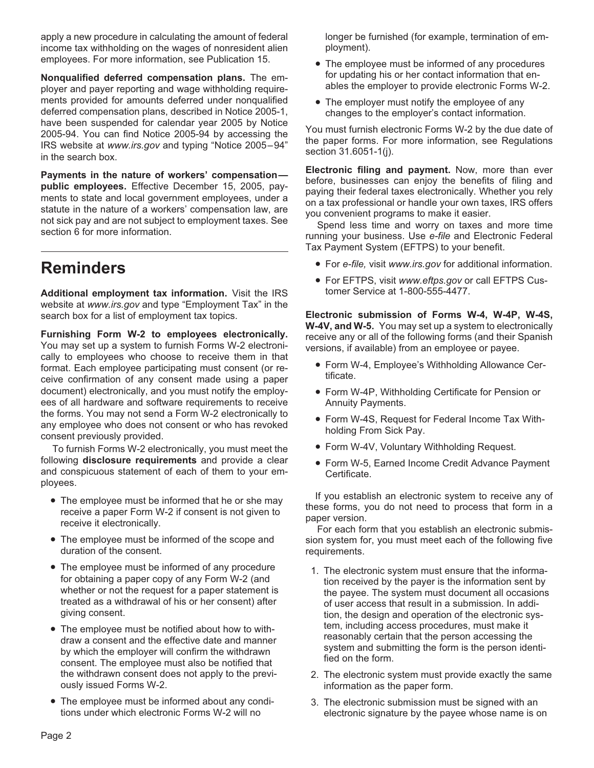apply a new procedure in calculating the amount of federal longer be furnished (for example, termination of emincome tax withholding on the wages of nonresident alien ployment).

**Nonqualified deferred compensation plans.** The em-<br>plover and payer reporting and wage withholding require, ables the employer to provide electronic Forms W-2. ployer and payer reporting and wage withholding requirements provided for amounts deferred under nonqualified • The employer must notify the employee of any deferred compensation plans, described in Notice 2005-1, deferred compensation plans, described in Notice 2005-1, have been suspended for calendar year 2005 by Notice 2005-94. You can find Notice 2005-94 by accessing the<br>IRS website at *www.irs.gov* and typing "Notice 2005-94" Tou must furnish electronic Forms W-2 by the due date of<br>in the search box.

**Payments in the nature of workers' compensation—**<br> **Subsetive December 15, 2005, pay-**<br>
ments to state and local government employees, under a<br>
statute in the nature of a workers' compensation law, are<br>
not sick pay and a

Additional employment tax information. Visit the IRS tomer Service at 1-800-555-4477. website at *www.irs.gov* and type "Employment Tax" in the

Furnishing Form W-2 to employees electronically.<br>You may set up a system to furnish Forms W-2 electroni-<br>cally to employees who choose to receive them in that cally to employee the choose to receive them in that **•** Form W-4, Employee's Withholding Allowance Cer-<br>format. Each employee participating must consent (or re-<br>ceive confirmation of any consent made using a paper<br>ificate document) electronically, and you must notify the employ- • Form W-4P, Withholding Certificate for Pension or ees of all hardware and software requirements to receive Annuity Payments.<br>the forms. You may not send a Form W-2 electronically to the forms. You may not send a Form W-2 electronically to example Form W-4S, Request for Federal Income Tax With-<br>any employee who does not consent or who has revoked<br>onsent previously provided.<br>To furnish Forms W-2 electro

To furnish Forms W-2 electronically, you must meet the following **disclosure requirements** and provide a clear • Form W-5, Earned Income Credit Advance Payment and conspicuous statement of each of them to your em-<br>Certificate. ployees.

- 
- duration of the consent. The consenter conservative conservative media requirements.
- The employee must be informed of any procedure<br>for obtaining a paper copy of any Form W-2 (and<br>whether or not the request for a paper statement is<br>treated as a withdrawal of his or her consent) after<br>giving consent.<br>tion
- by which the employer will confirm the withdrawn system and subh<br>consent. The employee must also be notified that fied on the form.
- 

- employees. For more information, see Publication 15.<br>
Nonqualified deferred compensation plans. The em-<br>
for updating his or her contact information that en-
	-

Tax Payment System (EFTPS) to your benefit.

- **Propertival For** *e-file*, visit *www.irs.gov* for additional information.<br>
 For EFTPS, visit *www.eftps.gov* or call EFTPS Cus-
	-

search box for a list of employment tax topics. **Electronic submission of Forms W-4, W-4P, W-4S,**

- 
- 
- 
- 
- 

• The employee must be informed that he or she may lif you establish an electronic system to receive any of these forms, you do not need to process that form in a paper version.<br>
For each form that you establish an electro

• The employee must be informed of the scope and sion system for, you must meet each of the following five

- tion, the design and operation of the electronic sys-<br>tem, including access procedures, must make it • The employee must be notified about how to with-<br>draw a consent and the effective date and manner<br>hy which the employer will confirm the withdrawn<br>system and submitting the form is the person identi
	- the withdrawn consent does not apply to the previ-<br>
	2. The electronic system must provide exactly the same<br>
	information as the paper form. information as the paper form.
- The employee must be informed about any condi-<br>tions under which electronic Forms W-2 will no<br>clectronic signature by the payee whose name is c electronic signature by the payee whose name is on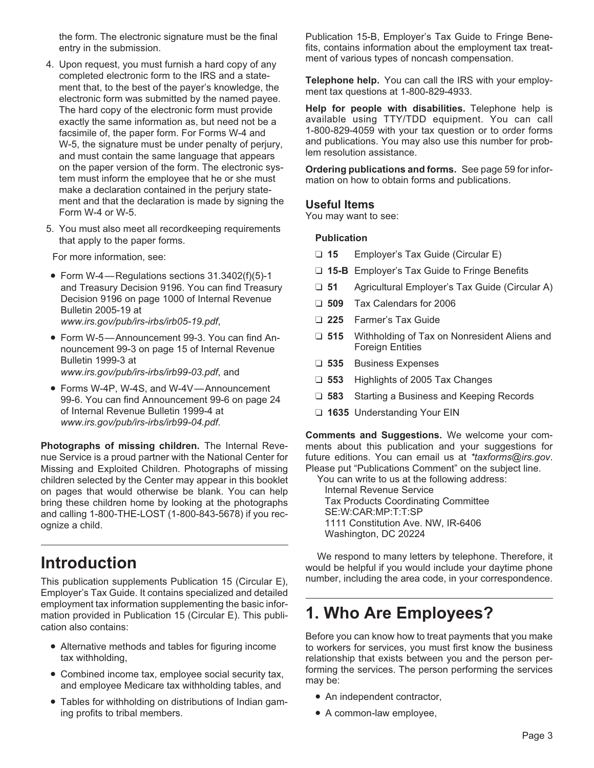- ment of various types of noncash compensation. 4. Upon request, you must furnish a hard copy of any completed electronic form to the IRS and a state-<br>ment that, to the best of the payer's knowledge, the<br>electronic form was submitted by the named payee.<br>electronic form was submitted by the named payee. exactly the same information as, but need not be a W-5, the signature must be under penalty of perjury, and publications. You may and must contain the same language that appears and must contain the same language that appears make a declaration contained in the perjury statement and that the declaration is made by signing the **Useful Items**<br>Form W-4 or W-5.
- 5. You must also meet all recordkeeping requirements that apply to the paper forms. **Publication**

- ❏ **15-B** Employer's Tax Guide to Fringe Benefits Form W-4—Regulations sections 31.3402(f)(5)-1 Decision 9196 on page 1000 of Internal Revenue **◯ 509** Tax Calendars for 2006<br>Bulletin 2005-19 at<br>www.irs.gov/pub/irs-irbs/irb05-19 pdf Q 225 Farmer's Tax Guide www.irs.gov/pub/irs-irbs/irb05-19.pdf,
- nouncement 99-3 on page 15 of Internal Revenue Bulletin 1999-3 at ❏ **<sup>535</sup>** Business Expenses *www.irs.gov/pub/irs-irbs/irb99-03.pdf*, and
- ❏ **<sup>553</sup>** Highlights of 2005 Tax Changes Forms W-4P, W-4S, and W-4V—Announcement 99-6. You can find Announcement 99-6 on page 24 of Internal Revenue Bulletin 1999-4 at ❏ **1635** Understanding Your EIN *www.irs.gov/pub/irs-irbs/irb99-04.pdf*.

**Photographs of missing children.** The Internal Reve- ments about this publication and your suggestions for nue Service is a proud partner with the National Center for future editions. You can email us at *\*taxforms@irs.gov*. Missing and Exploited Children. Photographs of missing Please put "Publications Comment" on the subject line.<br>
children selected by the Center may appear in this booklet You can write to us at the following address: children selected by the Center may appear in this booklet You can write to us at the for pages that would otherwise be blank. You can help Internal Revenue Service on pages that would otherwise be blank. You can help Internal Revenue Service<br>Internal Revenue Service on the protocome intervalsed and the service of the photocome intervals Tax Products Coordinating Committee bring these children home by looking at the photographs Tax Products Coordina<br>and calling 1-800-THE-LOST (1-800-843-5678) if you rec- SE:W:CAR:MP:T:T:SP and calling 1-800-THE-LOST (1-800-843-5678) if you recognize a child. **1111** Constitution Ave. NW, IR-6406

This publication supplements Publication 15 (Circular E), number, including the area code, in your correspondence. Employer's Tax Guide. It contains specialized and detailed employment tax information supplementing the basic information provided in Publication 15 (Circular E). This publi- **1. Who Are Employees?** cation also contains:

- 
- Combined income tax, employee social security tax, security tax, and employee Medicare tax withholding tables, and
- Tables for withholding on distributions of Indian gam-<br>• An independent contractor, ing profits to tribal members.  $\bullet$  A common-law employee,

the form. The electronic signature must be the final Publication 15-B, Employer's Tax Guide to Fringe Beneentry in the submission. The submission of the submission. The submission of the employment tax treat-

The hard copy of the electronic form must provide **Help for people with disabilities.** Telephone help is revertly the same information as but need not be a revertlable using TTY/TDD equipment. You can call facsimile of, the paper form. For Forms W-4 and 1-800-829-4059 with your tax question or to order forms forms<br>W-5 the signature must be under penalty of periury and publications. You may also use this number for prob-

on the paper version of the form. The electronic sys- **Ordering publications and forms.** See page 59 for information on how to obtain forms and publications.

You may want to see:

- For more information, see: ❏ **<sup>15</sup>** Employer's Tax Guide (Circular E)
	-
	- and Treasury Decision 9196. You can find Treasury ❏ **51** Agricultural Employer's Tax Guide (Circular A)
		-
		-
- Form W-5—Announcement 99-3. You can find An- ❏ **<sup>515</sup>** Withholding of Tax on Nonresident Aliens and
	-
	-
	-
	-

**Comments and Suggestions.** We welcome your com-

Washington, DC 20224

**Introduction**<br>**Introduction** We respond to many letters by telephone. Therefore, it would be helpful if you would include your daytime phone

Before you can know how to treat payments that you make • Alternative methods and tables for figuring income to workers for services, you must first know the business tax withholding, relationship that exists between you and the person per-<br>forming the services. The person performing the services

- 
-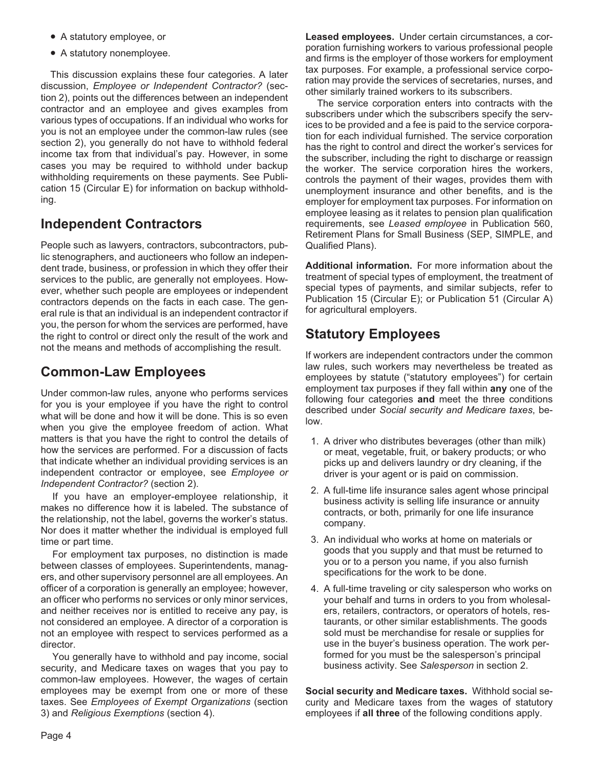- 
- 

This discussion explains these four categories. A later<br>discussion, *Employee or Independent Contractor?* (sec-<br>discussion, *Employee or Independent Contractor?* (sec-<br>traion 2), points out the differences between an inde

People such as lawyers, contractors, subcontractors, pub- Qualified Plans). lic stenographers, and auctioneers who follow an independent trade, business, or profession in which they offer their **Additional information**. For more information about the services to the public are generally not employees How-<br>services to the public are generally not employ services to the public, are generally not employees. How-<br>ever, whether such people are employees or independent<br>contractors depends on the facts in each case. The gen-<br>eral rule is that an individual is an independent con you, the person for whom the services are performed, have the right to control or direct only the result of the work and **Statutory Employees** not the means and methods of accomplishing the result. If workers are independent contractors under the common

Under common-law rules, anyone who performs services<br>for you is your employee if you have the right to control<br>what will be done and how it will be done. This is so even<br>when you give the employee freedom of action. What<br>w matters is that you have the right to control the details of 1. A driver who distributes beverages (other than milk)<br>how the services are performed. For a discussion of facts or meat, vegetable, fruit, or bakery products; that indicate whether an individual providing services is an picks up and delivers laundry or dry cleaning, if the independent contractor or employee, see *Employee or* driver is your agent or is paid on commission.

Independent Contractor? (section 2).<br>
If you have an employer-employee relationship, it<br>
makes no difference how it is labeled. The substance of<br>
the relationship, not the label, governs the worker's status.<br>
Nor does it m

officer of a corporation is generally an employee; however, 4. A full-time traveling or city salesperson who works on an officer who performs no services or only minor services, your behalf and turns in orders to you from wholesaland neither receives nor is entitled to receive any pay, is ers, retailers, contractors, or operators of hotels, resnot considered an employee. A director of a corporation is taurants, or other similar establishments. The goods not an employee with respect to services performed as a sold must be merchandise for resale or supplies for director. use in the buyer's business operation. The work per-

security, and Medicare taxes on wages that you pay to common-law employees. However, the wages of certain employees may be exempt from one or more of these **Social security and Medicare taxes.** Withhold social setaxes. See *Employees of Exempt Organizations* (section curity and Medicare taxes from the wages of statutory 3) and *Religious Exemptions* (section 4). employees if **all three** of the following conditions apply.

• A statutory employee, or **Leased employees.** Under certain circumstances, a corporation furnishing workers to various professional people • A statutory nonemployee. and firms is the employer of those workers for employment

employee leasing as it relates to pension plan qualification **Independent Contractors** requirements, see *Leased employee* in Publication 560, Retirement Plans for Small Business (SEP, SIMPLE, and

**Common-Law Employees** and a semployer the statute ("statutory employees") for certain common-Law Employees external employees by statute ("statutory employees") for certain

- 
- 
- time or part time.<br>
For employment tax purposes, no distinction is made<br>
between classes of employees. Superintendents, manag-<br>
ers, and other supervisory personnel are all employees. An<br>
ers, and other supervisory personn
	- You generally have to withhold and pay income, social formed for you must be the salesperson's principal<br>curity and Medicare taxes on wages that you pay to business activity. See Salesperson in section 2.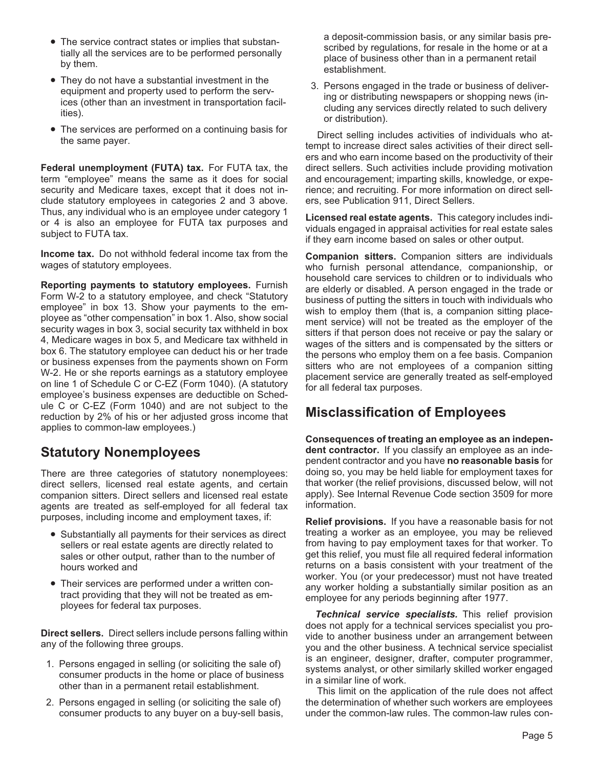- 
- They do not have a substantial investment in the equipment and property used to perform the serv-<br>ices (other than an investment in transportation facil-<br>ities).<br>Ities,
- 

**Federal unemployment (FUTA) tax.** For FUTA tax, the direct sellers. Such activities include providing motivation term "employee" means the same as it does for social and encouragement; imparting skills, knowledge, or expesecurity and Medicare taxes, except that it does not in- rience; and recruiting. For more information on direct sellclude statutory employees in categories 2 and 3 above. ers, see Publication 911, Direct Sellers. Thus, any individual who is an employee under category 1<br>or 4 is also an employee for FUTA tax purposes and<br>subject to FUTA tax.<br>if they earn income based on sales or other output.

**Income tax.** Do not withhold federal income tax from the **Companion sitters.** Companion sitters are individuals wages of statutory employees. who furnish personal attendance, companionship, or

**Reporting payments to statutory employees.** Furnish are elderly or disabled. A person engaged in the trade or<br>Form W-2 to a statutory employee, and check "Statutory<br>employee" in box 1. Show your payments to the em-<br>ploye ule C or C-EZ (Form 1040) and are not subject to the reduction by 2% of his or her adjusted gross income that **Misclassification of Employees** applies to common-law employees.)

direct sellers, licensed real estate agents, and certain that worker (the relief provisions, discussed below, will not companion sitters. Direct sellers and licensed real estate apply). See<br>Internal Revenue and Revenue Code section 310 for all federal tax information. agents are treated as self-employed for all federal tax purposes, including income and employment taxes, if: **Relief provisions.** If you have a reasonable basis for not

- 
- Their services are performed under a written con-<br>tract providing that they will not be treated as em-<br>ployees for federal tax purposes.<br>**Technical service specialists.** This relief provision

- 
- consumer products to any buyer on a buy-sell basis,

• The service contract states or implies that substantial substantially all the services are to be performed personally<br>by them.<br>• They do not have a substantial investment in the<br>
• They do not have a substantial investme

• The services are performed on a continuing basis for<br>the same payer. Direct selling includes activities of individuals who at-<br>tempt to increase direct sales activities of their direct sellers and who earn income based on the productivity of their

household care services to children or to individuals who

**Consequences of treating an employee as an indepen-Statutory Nonemployees dent contractor.** If you classify an employee as an independent contractor and you have **no reasonable basis** for There are three categories of statutory nonemployees: doing so, you may be held liable for employment taxes for<br>direct sellers, licensed real estate agents, and certain that worker (the relief provisions, discussed below,

• Substantially all payments for their services as direct treating a worker as an employee, you may be relieved sellers or real estate agents are directly related to from having to pay employment taxes for that worker. To sales or other output, rather than to the number of get this relief, you must file all required federal information hours worked and returns on a basis consistent with your treatment of the<br>morker. You (or your predecessor) must not have treated

-does not apply for a technical services specialist you pro-<br>Direct sellers. Direct sellers include persons falling within<br>
vide to another business under an arrangement between<br>
you and the other business. A technical ser 1. Persons engaged in selling (or soliciting the sale of) is an engineer, designer, drafter, computer programmer, consumer products in the home or place of business other similarly skilled worker engaged in a similar line

2. Persons engaged in selling (or soliciting the sale of) the determination of whether such workers are employees consumer products to any buver on a buv-sell basis. under the common-law rules. The common-law rules con-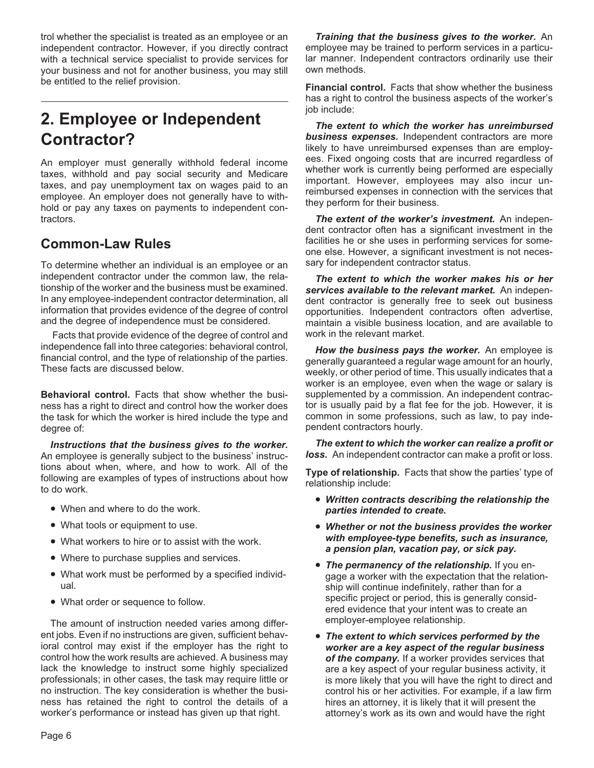trol whether the specialist is treated as an employee or an *Training that the business gives to the worker.* An independent contractor. However, if you directly contract employee may be trained to perform services in a particuwith a technical service specialist to provide services for lar manner. Independent contractors ordinarily use their<br>vour business and not for another business you may still own methods. your business and not for another business, you may still be entitled to the relief provision. **Financial control.** Facts that show whether the business

# job include: **2. Employee or Independent** *The extent to which the worker has unreimbursed*

An employer must generally withhold federal income<br>taxes, withhold and pay social security and Medicare<br>taxes, and pay unemployment tax on wages paid to an<br>employee. An employer does not generally have to with-<br>hold or pay tractors. *The extent of the worker's investment.* An indepen-

To determine whether an individual is an employee or an sary for independent contractor status. independent contractor under the common law, the rela-<br>tionship of the worker and the business must be examined.<br>**Services available to the relevant market**. An indepentionship of the worker and the business must be examined.<br>In any employee-independent contractor determination, all<br>information that provides evidence of the degree of control opportunities. Independent contractors often a

Facts that provide evidence of the degree of control and independence fall into three categories: behavioral control,<br>
financial control, and the type of relationship of the parties.<br>
These facts are discussed below.<br>
These facts are discussed below.<br>
These facts are discussed b

ness has a right to direct and control how the worker does the task for which the worker is hired include the type and common in some professions, such as law, to pay indedegree of: **pendent contractors hourly. pendent contractors hourly.** 

An employee is generally subject to the business' instructions about when, where, and how to work. All of the<br>following are examples of types of instructions about how relationship include:<br>to do work.

- 
- 
- 
- 
- 
- 

The amount of instruction needed varies among differ-<br>
Fig. bomployer-employee relationship. ent jobs. Even if no instructions are given, sufficient behav- • *The extent to which services performed by the* ioral control may exist if the employer has the right to *worker are a key aspect of the regular business*<br>control how the work results are achieved. A business may **of the company**. If a worker provides services that lack the knowledge to instruct some highly specialized are a key aspect of your regular business activity, it professionals; in other cases, the task may require little or is more likely that you will have the right to direct and no instruction. The key consideration is whether the busi- control his or her activities. For example, if a law firm ness has retained the right to control the details of a hires an attorney, it is likely that it will present the worker's performance or instead has given up that right. attorney's work as its own and would have the right

has a right to control the business aspects of the worker's

**Contractor?** *business expenses.* Independent contractors are more likely to have unreimbursed expenses than are employ-

dent contractor often has a significant investment in the **Common-Law Rules** *Common-Law* **Rules** *Common-Law* **Rules** *Common-Law* **Rules** one else. However, a significant investment is not neces-

maintain a visible business location, and are available to work in the relevant market.

worker is an employee, even when the wage or salary is **Behavioral control.** Facts that show whether the busi-<br>ness has a right to direct and control how the worker does tor is usually paid by a flat fee for the job. However, it is

*Instructions that the business gives to the worker. The extent to which the worker can realize a profit or*

- *Written contracts describing the relationship the* When and where to do the work. *parties intended to create.*
- What tools or equipment to use. *Whether or not the business provides the worker with employee-type benefits, such as insurance,* • What workers to hire or to assist with the work.
- Where to purchase supplies and services.<br>• What work must be performed by a specified individ-<br>ual.<br>enin will continue indefinitely rather than for a ship will continue indefinitely, rather than for a specific project or period, this is generally consid- • What order or sequence to follow. ered evidence that your intent was to create an
	- of the company. If a worker provides services that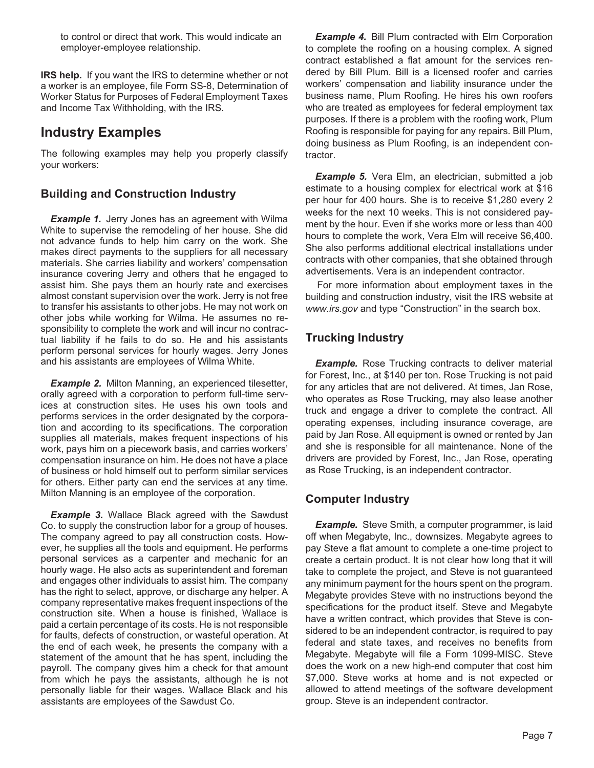a worker is an employee, file Form SS-8, Determination of burkers' compensation and Trability insurance under the<br>Worker Status for Purposes of Federal Employment Taxes business name, Plum Roofing. He hires his own roofers Worker Status for Purposes of Federal Employment Taxes and Income Tax Withholding, with the IRS. who are treated as employees for federal employment tax

The following examples may help you properly classify tractor. your workers:

materials. She carries liability and workers' compensation<br>insurance covering Jerry and others that he engaged to advertisements. Vera is an independent contractor. insurance covering Jerry and others that he engaged to assist him. She pays them an hourly rate and exercises For more information about employment taxes in the almost constant supervision over the work. Jerry is not free building and construction industry, visit the IRS website at to transfer his assistants to other jobs. He may not work on www irs gov and type "Construction" in to transfer his assistants to other jobs. He may not work on www.irs.gov and type "Construction" in the search box.<br>other jobs while working for Wilma. He assumes no responsibility to complete the work and will incur no contractual liability if he fails to do so. He and his assistants **Trucking Industry** perform personal services for hourly wages. Jerry Jones and his assistants are employees of Wilma White. *Example.* Rose Trucking contracts to deliver material

supplies all materials, makes frequent inspections of his paid by Jan Rose. All equipment is owned or rented by Jan<br>work, pays him on a piecework basis, and carries workers' and she is responsible for all maintenance. None compensation insurance on him. He does not have a place drivers are provided by Forest, Inc., Jan Rose, operating<br>of business or hold himself out to perform similar services as Rose Trucking, is an independent contractor. of business or hold himself out to perform similar services for others. Either party can end the services at any time. Milton Manning is an employee of the corporation. **Computer Industry**

*Example 3.* Wallace Black agreed with the Sawdust Co. to supply the construction labor for a group of houses. *Example.* Steve Smith, a computer programmer, is laid The company agreed to pay all construction costs. How- off when Megabyte, Inc., downsizes. Megabyte agrees to ever, he supplies all the tools and equipment. He performs pay Steve a flat amount to complete a one-time project to personal services as a carpenter and mechanic for an create a certain product. It is not clear how long that it will<br>hourly wage. He also acts as superintendent and foreman take to complete the project, and Steve is not qu hourly wage. He also acts as superintendent and foreman<br>and engages other individuals to assist him. The company<br>has the right to select, approve, or discharge any helper. A<br>company representative makes frequent inspection for faults, defects of construction, or wasteful operation. At sidered to be an independent contractor, is required to pay<br>the end of each week, he presents the company with a federal and state taxes, and receives no benef statement of the amount that he has spent, including the Megabyte. Megabyte will file a Form 1099-MISC. Steve payroll The company gives him a check for that amount does the work on a new high-end computer that cost him payroll. The company gives him a check for that amount does the work on a new high-end computer that cost him<br>from which he pays the assistants, although he is not \$7,000. Steve works at home and is not expected or from which he pays the assistants, although he is not personally liable for their wages. Wallace Black and his allowed to attend meetings of the software development assistants are employees of the Sawdust Co. group. Steve is an independent contractor.

to control or direct that work. This would indicate an *Example 4.* Bill Plum contracted with Elm Corporation employer-employee relationship. to complete the roofing on a housing complex. A signed contract established a flat amount for the services ren-IRS help. If you want the IRS to determine whether or not dered by Bill Plum. Bill is a licensed roofer and carries a worker is an employee file Form SS-8. Determination of workers' compensation and liability insurance und purposes. If there is a problem with the roofing work, Plum **Industry Examples**<br>**Industry Examples Industry Examples** doing business as Plum Roofing, is an independent con-

*Example 5.* Vera Elm, an electrician, submitted a job **Building and Construction Industry** estimate to a housing complex for electrical work at \$16<br>per hour for 400 hours. She is to receive \$1,280 every 2 **Example 1.** Jerry Jones has an agreement with Wilma<br>White to supervise the remodeling of her house. She did<br>not advance funds to help him carry on the work. She<br>makes direct payments to the suppliers for all necessary<br>mak

**Example 2.** Milton Manning, an experienced tilesetter,<br>
orally agreed with a corporation to perform full-time serv-<br>
ices at construction sites. He uses his own tools and<br>
performs services in the order designated by the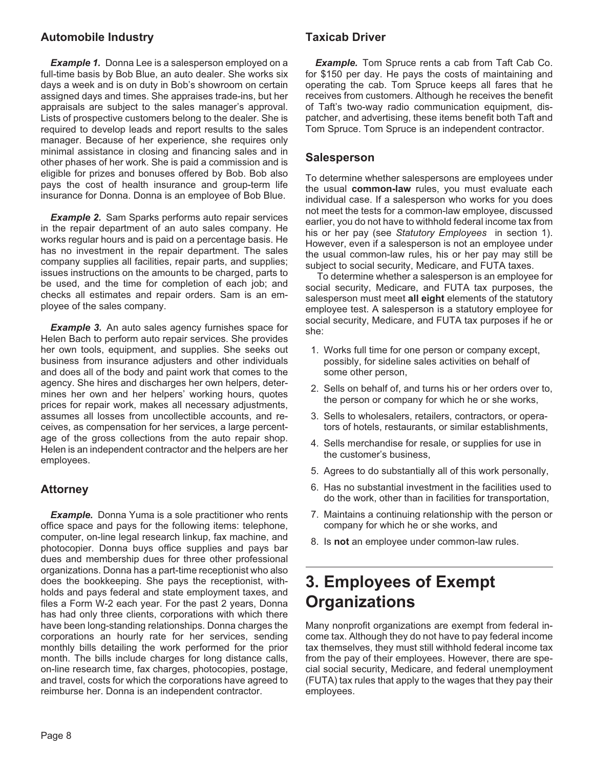## Automobile Industry **Taxicab Driver**

full-time basis by Bob Blue, an auto dealer. She works six for \$150 per day. He pays the costs of maintaining and<br>days a week and is on duty in Bob's showroom on certain operating the cab. Tom Spruce keeps all fares that h days a week and is on duty in Bob's showroom on certain operating the cab. Tom Spruce keeps all fares that he<br>assigned days and times. She appraises trade-ins, but her receives from customers. Although he receives the bene assigned days and times. She appraises trade-ins, but her appraisals are subject to the sales manager's approval. of Taft's two-way radio communication equipment, dis-<br>Lists of prospective customers belong to the dealer. She is patcher, and advertising, these items benefit both T Lists of prospective customers belong to the dealer. She is patcher, and advertising, these items benefit both Taft and report results to the sales Tom Spruce. Tom Spruce is an independent contractor. required to develop leads and report results to the sales manager. Because of her experience, she requires only minimal assistance in closing and financing sales and in<br>other phases of her work. She is paid a commission and is<br>**Salesperson** eligible for prizes and bonuses offered by Bob. Bob also<br>pays the cost of health insurance and group-term life<br>insurance for Donna. Donna is an employee of Bob Blue.<br>individual case. If a salesperson who works for you does

**Example 2.** Sam Sparks performs auto repair services<br>in the repair department of an auto sales company. He<br>works regular hours and is paid on a percentage basis. He<br>works regular hours and is paid on a percentage basis. H

Helen Bach to perform auto repair services. She provides her own tools, equipment, and supplies. She seeks out 1. Works full time for one person or company except, business from insurance adjusters and other individuals possibly, for sideline sales activities on behalf of and does all of the body and paint work that comes to the some other person, agency. She hires and discharges her own helpers, deterequally and the same discriming the own helpers, deter-<br>mines her own and her helpers' working hours, quotes<br>prices for repair work, makes all necessary adjustments,<br>the person or company for which he or she works, assumes all losses from uncollectible accounts, and re- 3. Sells to wholesalers, retailers, contractors, or operaceives, as compensation for her services, a large percent-<br>age of the gross collections from the auto repair shop.<br>An Oalla manufator for months frame in age of the gross collections from the auto repair shop.<br>
Helen is an independent contractor and the helpers are her the customer's business,<br>
the customer's business,

office space and pays for the following items: telephone, company for which he or she works, and computer, on-line legal research linkup, fax machine, and 8. Is **not** an employee under common-law rules. photocopier. Donna buys office supplies and pays bar dues and membership dues for three other professional organizations. Donna has a part-time receptionist who also does the bookkeeping. She pays the receptionist, with-<br>holds and pays federal and state employment taxes, and<br>files a Form W-2 each year. For the past 2 years, Donna **Organizations** files a Form W-2 each year. For the past 2 years, Donna has had only three clients, corporations with which there have been long-standing relationships. Donna charges the Many nonprofit organizations are exempt from federal incorporations an hourly rate for her services, sending come tax. Although they do not have to pay federal income monthly bills detailing the work performed for the prior tax themselves, they must still withhold federal income tax month. The bills include charges for long distance calls, from the pay of their employees. However, there are speon-line research time, fax charges, photocopies, postage, cial social security, Medicare, and federal unemployment and travel, costs for which the corporations have agreed to (FUTA) tax rules that apply to the wages that they pay their reimburse her. Donna is an independent contractor. employees.

**Example 1.** Donna Lee is a salesperson employed on a **Example.** Tom Spruce rents a cab from Taft Cab Co. **Example** 1. Julie 1. Tom Spruce rents a cab from Taft Cab Co.

social security, Medicare, and FUTA tax purposes if he or<br>*Example 3.* An auto sales agency furnishes space for she:

- 
- 
- 
- 
- 5. Agrees to do substantially all of this work personally,
- **Attorney** 6. Has no substantial investment in the facilities used to do the work, other than in facilities for transportation,
	- **Example.** Donna Yuma is a sole practitioner who rents 7. Maintains a continuing relationship with the person or
		-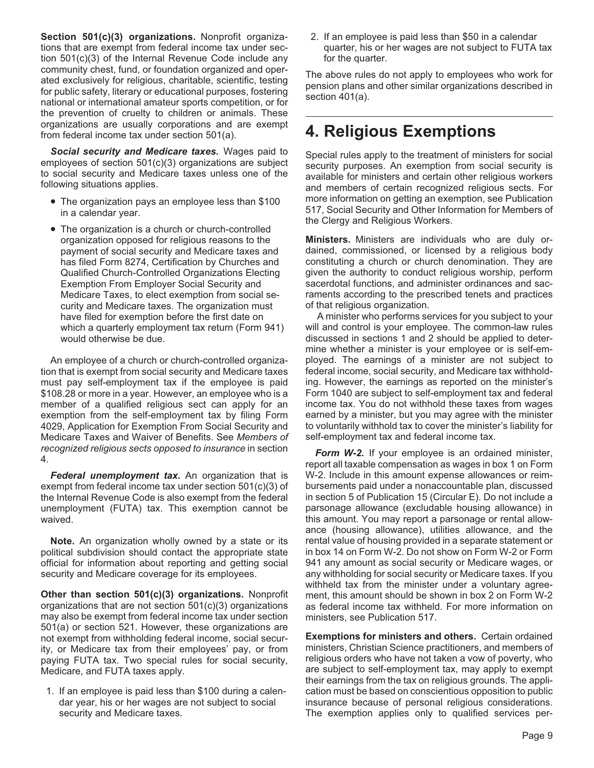**Section 501(c)(3) organizations.** Nonprofit organiza- 2. If an employee is paid less than \$50 in a calendar tions that are exempt from federal income tax under sec- quarter, his or her wages are not subject to FUTA tax tion  $501(c)(3)$  of the Internal Revenue Code include any for the quarter. community chest, fund, or foundation organized and oper-<br>ated exclusively for religious, charitable, scientific, testing<br>for public safety, literary or educational purposes, fostering<br>national or international amateur spor the prevention of cruelty to children or animals. These organizations are usually corporations and are exempt from federal income tax under section 501(a). **4. Religious Exemptions**

**Social security and Medicare taxes.** Wages paid to Special rules apply to the treatment of ministers for social employees of section 501(c)(3) organizations are subject to social security and Medicare taxes unless one of

- 
- Medicare Taxes, to elect exemption from social se-<br>curity and Medicare taxes. The organization must of that religious organization. curity and Medicare taxes. The organization must

tion that is exempt from social security and Medicare taxes federal income, social security, and Medicare tax withholdmust pay self-employment tax if the employee is paid ing. However, the earnings as reported on the minister's \$108.28 or more in a year. However, an employee who is a Form 1040 are subject to self-employment tax and federal member of a qualified religious sect can apply for an income tax. You do not withhold these taxes from wages exemption from the self-employment tax by filing Form earned by a minister, but you may agree with the minister<br>4029, Application for Exemption From Social Security and to voluntarily withhold tax to cover the minister's l 4029, Application for Exemption From Social Security and Medicare Taxes and Waiver of Benefits. See *Members of* self-employment tax and federal income tax.

exempt from federal income tax under section  $501(c)(3)$  of bursements paid under a nonaccountable plan, discussed the Internal Revenue Code is also exempt from the federal in section 5 of Publication 15 (Circular E). Do not include a unemployment (FUTA) tax. This exemption cannot be parsonage allowance (excludable housing allowance) in waived. this amount. You may report a parsonage or rental allow-

political subdivision should contact the appropriate state in box 14 on Form W-2. Do not show on Form W-2 or Form official for information about reporting and getting social 941 any amount as social security or Medicare wages, or security and Medicare coverage for its employees. The any withholding for social security or Medicare taxes. If you

**Other than section 501(c)(3) organizations.** Nonprofit ment, this amount should be shown in box 2 on Form W-2 organizations that are not section 501(c)(3) organizations as federal income tax withheld. For more information on may also be exempt from federal income tax under section ministers, see Publication 517. 501(a) or section 521. However, these organizations are not exempt from withholding federal income, social secur- **Exemptions for ministers and others.** Certain ordained ity, or Medicare tax from their employees' pay, or from ministers, Christian Science practitioners, and members of<br>paying FUTA tax. Two special rules for social security, religious orders who have not taken a vow of povert paying FUTA tax. Two special rules for social security, Medicare, and FUTA taxes apply. **At arror controlled are subject to self-employment tax**, may apply to exempt

• The organization pays an employee less than \$100 more information on getting an exemption, see Publication in a calendar year.<br>
• The organization is a church or church-controlled **and State Clergy and Religious Workers** 

organization opposed for religious reasons to the **Ministers.** Ministers are individuals who are duly orpayment of social security and Medicare taxes and dained, commissioned, or licensed by a religious body has filed Form 8274, Certification by Churches and constituting a church or church denomination. They are Qualified Church-Controlled Organizations Electing given the authority to conduct religious worship, perform Exemption From Employer Social Security and sacerdotal functions, and administer ordinances and sac-<br>Medicare Taxes, to elect exemption from social se-<br>mements according to the prescribed tenets and practices

have filed for exemption before the first date on A minister who performs services for you subject to your which a quarterly employment tax return (Form 941) will and control is your employee. The common-law rules would otherwise be due.  $\Box$  discussed in sections 1 and 2 should be applied to determine whether a minister is your employee or is self-em-An employee of a church or church-controlled organiza- ployed. The earnings of a minister are not subject to

*recognized religious sects opposed to insurance* in section *Form W-2.* If your employee is an ordained minister,<br>eport all taxable compensation as wages in box 1 on Form **Federal unemployment tax.** An organization that is W-2. Include in this amount expense allowances or reimance (housing allowance), utilities allowance, and the Note. An organization wholly owned by a state or its rental value of housing provided in a separate statement or withheld tax from the minister under a voluntary agree-

their earnings from the tax on religious grounds. The appli-1. If an employee is paid less than \$100 during a calen- cation must be based on conscientious opposition to public dar year, his or her wages are not subject to social insurance because of personal religious considerations. security and Medicare taxes. The exemption applies only to qualified services per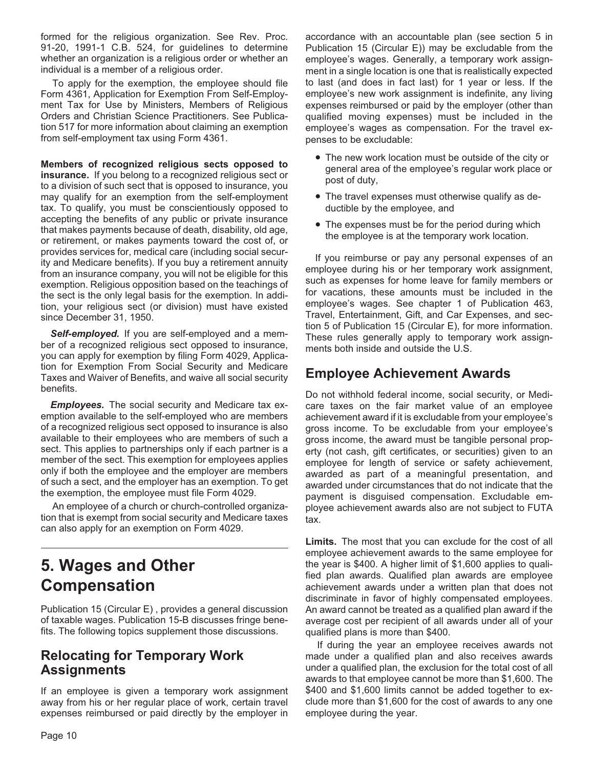formed for the religious organization. See Rev. Proc. accordance with an accountable plan (see section 5 in 91-20, 1991-1 C.B. 524, for guidelines to determine Publication 15 (Circular E)) may be excludable from the whether an organization is a religious order or whether an employee's wages. Generally, a temporary work assign-<br>ment in a single location is one that is realistically expected

Form 4361, Application for Exemption From Self-Employ- employee's new work assignment is indefinite, any living ment Tax for Use by Ministers, Members of Religious expenses reimbursed or paid by the employer (other than Orders and Christian Science Practitioners. See Publica-<br>
tion 517 for more information about claiming an exemption employee's wages as compensation. For the travel exfrom self-employment tax using Form 4361. penses to be excludable:

**Members of recognized religious sects opposed to**<br> **EXECUTE:** The new work location must be outside of the city or<br> **Insurance.** If you belong to a recognized religious sect or<br>
to a division of such sect that is opposed may qualify for an exemption from the self-employment tax. To qualify, you must be conscientiously opposed to ductible by the employee, and accepting the benefits of any public or private insurance<br>that makes payments because of death, disability, old age,<br>or retirement, or makes payments toward the cost of, or the employee is at the temporary work location. provides services for, medical care (including social secur-<br>ity and Medicare benefits). If you buy a retirement annuity<br>from an insurance company, you will not be eligible for this<br>exemption. Religious opposition based on

**Self-employed.** If you are self-employed and a mem-<br>ber of a recognized religious sect opposed to insurance,<br>you can apply for exemption by filing Form 4029, Application for Exemption From Social Security and Medicare Taxes and Waiver of Benefits, and waive all social security **Employee Achievement Awards**

emption available to the self-employed who are members achievement award if it is excludable from your employee's of a recognized religious sect opposed to insurance is also gross income. To be excludable from your employee's available to their employee's available to their employee's available to their employees who are members of such a<br>sect. This applies to partnerships only if each partner is a<br>member of the sect. This exemption for employees applies<br>only if both the employee and the employer are me

tion that is exempt from social security and Medicare taxes  $\epsilon_{\text{tax}}$ . can also apply for an exemption on Form 4029.

Publication 15 (Circular E), provides a general discussion An award cannot be treated as a qualified plan award if the<br>of taxable wages. Publication 15-B discusses fringe bene-<br>average cost per recipient of all awards unde fits. The following topics supplement those discussions. qualified plans is more than \$400.

If an employee is given a temporary work assignment \$400 and \$1,600 limits cannot be added together to ex-<br>away from his or her regular place of work, certain travel clude more than \$1,600 for the cost of awards to any one away from his or her regular place of work, certain travel expenses reimbursed or paid directly by the employer in employee during the year.

ment in a single location is one that is realistically expected. To apply for the exemption, the employee should file to last (and does in fact last) for 1 year or less. If the employee's wages as compensation. For the travel ex-

- 
- 
- 

benefits.<br>
Do not withhold federal income, social security, or Medi-*Employees.* The social security and Medicare tax ex- care taxes on the fair market value of an employee or such a sect, and the employer has an exemption. To get awarded under circumstances that do not indicate that the<br>the exemption, the employee must file Form 4029.<br>An employee of a church or church-controlled organiza-<br>pl ployee achievement awards also are not subject to FUTA

**Limits.** The most that you can exclude for the cost of all employee achievement awards to the same employee for **5. Wages and Other** the year is \$400. A higher limit of \$1,600 applies to qualified plan awards. Qualified plan awards are employee **Compensation** achievement awards under a written plan that does not discriminate in favor of highly compensated employees. average cost per recipient of all awards under all of your

If during the year an employee receives awards not **Relocating for Temporary Work** made under a qualified plan and also receives awards **Assignments** under a qualified plan, the exclusion for the total cost of all cost of all awards to that employee cannot be more than \$1,600. The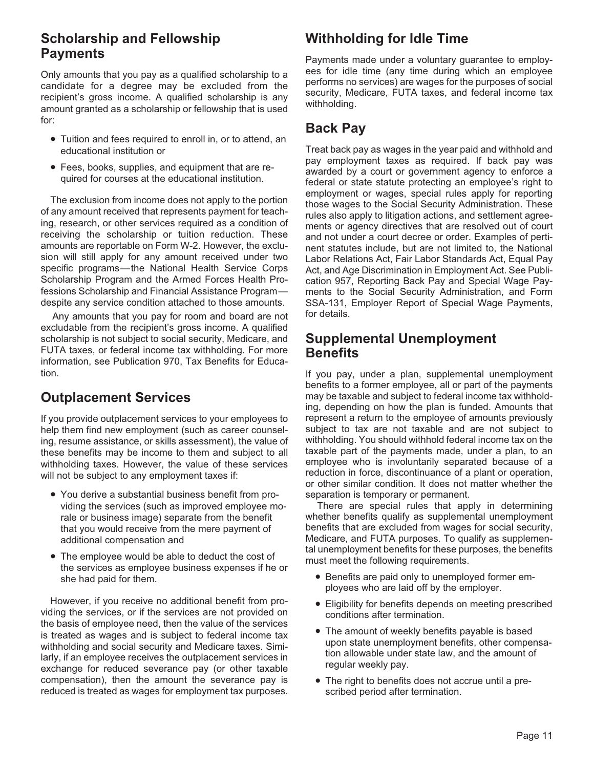## **Scholarship and Fellowship Withholding for Idle Time Payments Payments Payments Payments** made under a voluntary guarantee to employ-

Only amounts that you pay as a qualified scholarship to a<br>candidate for a degree may be excluded from the<br>recipient's gross income. A qualified scholarship is any<br>amount granted as a scholarship or fellowship that is used<br>

- for:<br>**Back Pay** Tuition and fees required to enroll in, or to attend, an
	-

sion will still apply for any amount received under two<br>specific programs—the National Health Service Corps Act and Age Discrimination in Employment Act See Publispecific programs—the National Health Service Corps Act, and Age Discrimination in Employment Act. See Publi-<br>Scholarship Program and the Armed Forces Health Pro- cation 957. Reporting Back Pay and Special Scholarship Program and the Armed Forces Health Pro-<br>
fessions Scholarship and Financial Assistance Program — ments to the Social Security Administration, and Form fessions Scholarship and Financial Assistance Program— ments to the Social Security Administration, and Form

Any amounts that you pay for room and board are not for details. excludable from the recipient's gross income. A qualified scholarship is not subject to social security, Medicare, and **Supplemental Unemployment** FUTA taxes, or federal income tax withholding. For more **Benefits** FUTA taxes, or federal income tax withholding. For more information, see Publication 970, Tax Benefits for Education. If you pay, under a plan, supplemental unemployment

If you provide outplacement services to your employees to represent a return to the employee of amounts previously<br>help them find new employment (such as career counsel-<br>subject to tax are not taxable and are not subject t help them find new employment (such as career counsel-<br>help them find new employment (such as career counsel-<br>withhold in axabile withhold federal income tax on the<br>the varient of the value of withholding. You should feder ing, resume assistance, or skills assessment), the value of withholding. You should withhold federal income tax on the<br>these benefits may be income to them and subject to all taxable part of the payments made, under a plan these benefits may be income to them and subject to all taxable part of the payments made, under a plan, to an<br>withholding taxes. However, the value of these services employee who is involuntarily separated because of a withholding taxes. However, the value of these services will not be subject to any employment taxes if: reduction in force, discontinuance of a plant or operation,

- You derive a substantial business benefit from pro- separation is temporary or permanent.
- The employee would be able to deduct the cost of<br>the services as employee business expenses if he or<br>she had paid for them.<br>She had paid for them.<br>She had paid for them.<br>She had paid for them.<br>She had paid for them.<br>She

However, if you receive no additional benefit from pro-<br>viding the services, or if the services are not provided on<br>the basis of employee need, then the value of the services is treated as wages and is subject to federal income tax<br>withholding and social security and Medicare taxes. Similarly, if an employee receives the outplacement services in<br>exchange for reduced severance pay (or other taxa compensation), then the amount the severance pay is • The right to benefits does not accrue until a prereduced is treated as wages for employment tax purposes. scribed period after termination.

educational institution or Treat back pay as wages in the year paid and withhold and<br>pay employment taxes as required. If back pay was • Fees, books, supplies, and equipment that are re-<br>quired for courses at the educational institution.<br>federal or state statute protecting an employee's right to The exclusion from income does not apply to the portion<br>of any amount received that represents payment for teach-<br>ing, research, or other services required as a condition of<br>receiving the scholarship or tuition reduction. SSA-131, Employer Report of Special Wage Payments,

benefits to a former employee, all or part of the payments **Outplacement Services** may be taxable and subject to federal income tax withholding, depending on how the plan is funded. Amounts that or other similar condition. It does not matter whether the

viding the services (such as improved employee mo- There are special rules that apply in determining rale or business image) separate from the benefit whether benefits qualify as supplemental unemployment that you would receive from the mere payment of benefits that are excluded from wages for social security, additional compensation and Medicare, and FUTA purposes. To qualify as supplemen-<br>all unemployment benefits for these purposes, the benefits

- 
- 
- 
-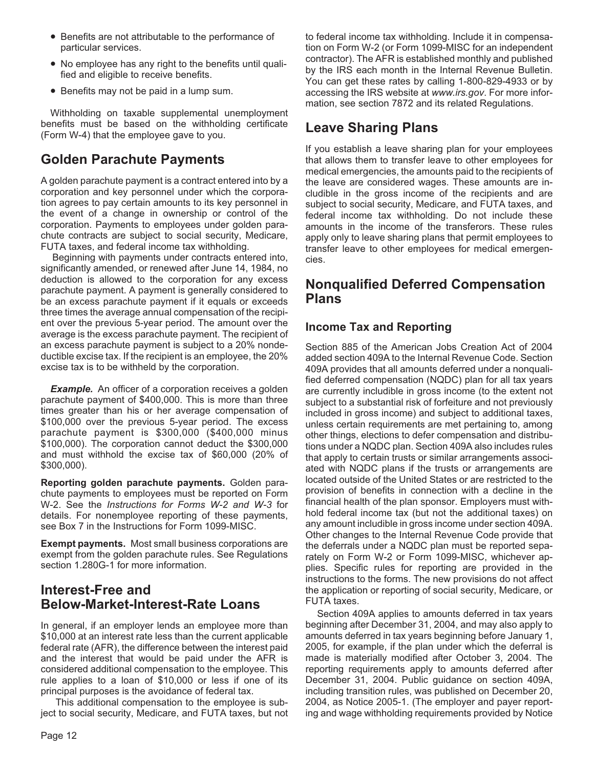- 
- 
- 

Withholding on taxable supplemental unemployment benefits must be based on the withholding certificate **Leave Sharing Plans** (Form W-4) that the employee gave to you.

A golden parachute payment is a contract entered into by a the leave are considered wages. These amounts are in-<br>corporation and key personnel under which the corpora-<br>cludible in the gross income of the recipients and are corporation and key personnel under which the corpora-<br>
tion agrees to pay certain amounts to its key personnel in<br>
subject to social security. Medicare, and FUTA taxes, and tion agrees to pay certain amounts to its key personnel in subject to social security, Medicare, and FUTA taxes, and<br>the event of a change in ownership or control of the federal income tax withholding. Do not include these the event of a change in ownership or control of the federal income tax withholding. Do not include these<br>corporation. Payments to employees under golden para-<br>amounts in the income of the transferors. These rules corporation. Payments to employees under golden para-<br>chute contracts are subject to social security, Medicare, apply only to leave sharing plans that permit employees to

significantly amended, or renewed after June 14, 1984, no deduction is allowed to the corporation for any excess **Nonqualified Deferred Compensation** parachute payment. A payment is generally considered to be an excess parachute payment if it equals or exceeds **Plans** three times the average annual compensation of the recipient over the previous 5-year period. The amount over the **Income Tax and Reporting** average is the excess parachute payment. The recipient of an excess parachute payment is subject to a 20% nonde-<br>ductible excise tax. If the recipient is an employee, the 20% added section 409A to the Internal Revenue Code, Section ductible excise tax. If the recipient is an employee, the 20% added section 409A to the Internal Revenue Code. Section<br>excise tax is to be withheld by the corporation. 409A provides that all amounts deferred under a nongua

chute payments to employees must be reported on Form brovision of benefits in connection with a decline in the<br>W-2. See the *Instructions for Forms W-2 and W-3* for financial health of the plan sponsor. Employers must with W-2. See the *Instructions for Forms W-2 and W-3* for innancial health of the plan sponsor. Employers must with-<br>details. For nonemployee reporting of these nayments bold federal income tax (but not the additional taxes) o

## **Below-Market-Interest-Rate Loans**

\$10,000 at an interest rate less than the current applicable amounts deferred in tax years beginning before January 1, federal rate (AFR), the difference between the interest paid 2005, for example, if the plan under which the deferral is and the interest that would be paid under the AFR is made is materially modified after October 3, 2004. The considered additional compensation to the employee. This reporting requirements apply to amounts deferred after rule applies to a loan of \$10,000 or less if one of its December 31, 2004. Public guidance on section 409A, principal purposes is the avoidance of federal tax. including transition rules, was published on December 20,

ject to social security, Medicare, and FUTA taxes, but not ing and wage withholding requirements provided by Notice

• Benefits are not attributable to the performance of to federal income tax withholding. Include it in compensaparticular services. tion on Form W-2 (or Form 1099-MISC for an independent • No employee has any right to the benefits until quali-<br>fied and eligible to receive benefits.<br>• Benefits may not be paid in a lump sum.<br>• Benefits may not be paid in a lump sum.<br>• All accessing the IRS website at www.irs accessing the IRS website at *www.irs.gov*. For more information, see section 7872 and its related Regulations.

If you establish a leave sharing plan for your employees **Golden Parachute Payments** that allows them to transfer leave to other employees for medical emergencies, the amounts paid to the recipients of chute contracts are subject to social security, Medicare, apply only to leave sharing plans that permit employees to<br>FUTA taxes, and federal income tax withholding.<br>Beginning with payments under contracts entered into, cie

409A provides that all amounts deferred under a nonquali-**Example.** An officer of a corporation receives a golden<br>parachute payment of \$400,000. This is more than three<br>times greater than his or her average compensation of<br>\$100,000 over the previous 5-year period. The excess<br>pa **Reporting golden parachute payments.** Golden para-<br>
chute payments to employees must be reported on Form provision of benefits in connection with a decline in the details. For nonemployee reporting of these payments, and rederal income tax (but not the additional taxes) on<br>see Box 7 in the Instructions for Form 1099-MISC. any amount includible in gross income under section 409A.<br>Oth **Exempt payments.** Most small business corporations are<br>exempt from the golden parachute rules. See Regulations<br>section 1.280G-1 for more information.<br>section 1.280G-1 for more information.<br>plies. Specific rules for report instructions to the forms. The new provisions do not affect **Interest-Free and** the application or reporting of social security, Medicare, or<br> **Relow-Market-Interest-Pate Loans**<br>
FUTA taxes.

Section 409A applies to amounts deferred in tax years In general, if an employer lends an employee more than beginning after December 31, 2004, and may also apply to This additional compensation to the employee is sub- 2004, as Notice 2005-1. (The employer and payer report-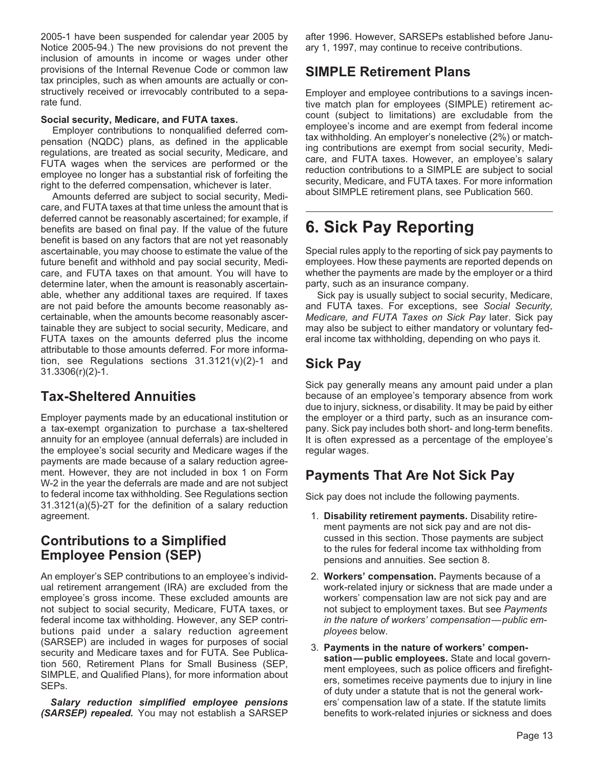2005-1 have been suspended for calendar year 2005 by after 1996. However, SARSEPs established before Janu-<br>Notice 2005-94.) The new provisions do not prevent the ary 1, 1997, may continue to receive contributions. Notice 2005-94.) The new provisions do not prevent the inclusion of amounts in income or wages under other provisions of the Internal Revenue Code or common law **SIMPLE Retirement Plans** tax principles, such as when amounts are actually or constructively received or irrevocably contributed to a sepa-<br>rate fund.<br>tive match plan for employees (SIMPLE) retirement ac-

care, and FUTA taxes at that time unless the amount that is deferred cannot be reasonably ascertained; for example, if benefits are based on final pay. If the value of the future **6. Sick Pay Reporting** benefit is based on any factors that are not yet reasonably ascertainable, you may choose to estimate the value of the Special rules apply to the reporting of sick pay payments to<br>future benefit and withhold and pay social security, Medi- employees. How these payments are reported future benefit and withhold and pay social security, Medicare, and FUTA taxes on that amount. You will have to whether the payments are made by the employer or a third determine later, when the amount is reasonably ascertain- party, such as an insurance company. able, whether any additional taxes are required. If taxes Sick pay is usually subject to social security, Medicare, are not paid before the amounts become reasonably as- and FUTA taxes. For exceptions, see *Social Security,* certainable, when the amounts become reasonably ascer- *Medicare, and FUTA Taxes on Sick Pay* later. Sick pay tainable they are subject to social security, Medicare, and may also be subject to either mandatory or voluntary fed-FUTA taxes on the amounts deferred plus the income eral income tax withholding, depending on who pays it. attributable to those amounts deferred. For more information, see Regulations sections 31.3121(v)(2)-1 and **Sick Pay** 31.3306(r)(2)-1.

Employer payments made by an educational institution or the employer or a third party, such as an insurance coma tax-exempt organization to purchase a tax-sheltered pany. Sick pay includes both short- and long-term benefits. annuity for an employee (annual deferrals) are included in It is often expressed as a percentage of the employee's the employee's social security and Medicare wages if the regular wages. payments are made because of a salary reduction agreement. However, they are not included in box 1 on Form **Payments That Are Not Sick Pay** W-2 in the year the deferrals are made and are not subject to federal income tax withholding. See Regulations section Sick pay does not include the following payments.  $31.3121(a)(5)$ -2T for the definition of a salary reduction agreement. 1. **Disability retirement payments.** Disability retire-

## **Contributions to a Simplified**

An employer's SEP contributions to an employee's individ- 2. **Workers' compensation.** Payments because of a ual retirement arrangement (IRA) are excluded from the work-related injury or sickness that are made under a employee's gross income. These excluded amounts are workers' compensation law are not sick pay and are not subject to social security, Medicare, FUTA taxes, or not subject to employment taxes. But see *Payments* federal income tax withholding. However, any SEP contri- *in the nature of workers' compensation—public em*butions paid under a salary reduction agreement *ployees* below. (SARSEP) are included in wages for purposes of social<br>security and Medicare taxes and for FUTA. See Publica-<br>tion 560, Retirement Plans for Small Business (SEP,<br>SIMPLE, and Qualified Plans), for more information about<br>SEPs

**Salary reduction simplified employee pensions** ers' compensation law of a state. If the statute limits *(SARSEP) repealed.* You may not establish a SARSEP benefits to work-related injuries or sickness and does

Social security, Medicare, and FUTA taxes.<br>
Employer contributions to nonqualified deferred com-<br>
pensation (NQDC) plans, as defined in the applicable<br>
regulations, are treated as social security, Medicare, and<br>
FUTA wages

Sick pay generally means any amount paid under a plan **Tax-Sheltered Annuities** because of an employee's temporary absence from work due to injury, sickness, or disability. It may be paid by either

- ment payments are not sick pay and are not dis-<br>cussed in this section. Those payments are subject to the rules for federal income tax withholding from **Employee Pension (SEP)** pensions and annuities. See section 8.
	-
	-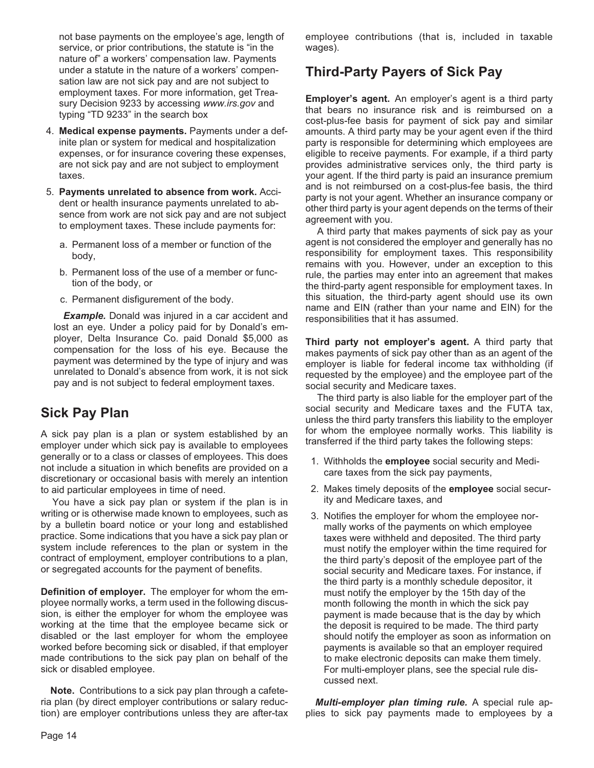service, or prior contributions, the statute is "in the wages). nature of" a workers' compensation law. Payments under a statute in the nature of a workers' compen-<br>sation law are not sick pay and are not subject to<br>

- 
- -
	-
	-

A sick pay plan is a plan or system established by an for whom the employee normally works. This liability is employer under which sick pay is available to employees transferred if the third party takes the following steps generally or to a class or classes of employees. This does<br>not include a situation in which benefits are provided on a<br>discretionary or occasional basis with merely an intention<br>to aid particular employees in time of need.

You have a sick pay plan or system if the plan is in writing or is otherwise made known to employees, such as<br>by a bulletin board notice or your long and established<br>practice. Some indications that you have a sick pay plan or<br>system include references to the plan or system i contract of employment, employer contributions to a plan, the third party's deposit of the employee part of the or segregated accounts for the payment of benefits.<br>
social security and Medicare taxes. For instance, if

**Definition of employer.** The employer for whom the em- must notify the employer by the 15th day of the ployee normally works, a term used in the following discus- month following the month in which the sick pay sion, is either the employer for whom the employee was payment is made because that is the day by which working at the time that the employee became sick or the deposit is required to be made. The third party disabled or the last employer for whom the employee should notify the employer as soon as information on worked before becoming sick or disabled, if that employer payments is available so that an employer required<br>made contributions to the sick pay plan on behalf of the to make electronic deposits can make them timely. sick or disabled employee. For multi-employer plans, see the special rule dis-

**Note.** Contributions to a sick pay plan through a cafeteria plan (by direct employer contributions or salary reduc- *Multi-employer plan timing rule.* A special rule aption) are employer contributions unless they are after-tax plies to sick pay payments made to employees by a

not base payments on the employee's age, length of employee contributions (that is, included in taxable

employment taxes. For more information, get Trea-<br>sury Decision 9233 by accessing www.irs.gov and<br>typing "TD 9233" in the search box that bears no insurance risk and is reimbursed on a<br>cost-plus-fee basis for payment of si 4. **Medical expense payments.** Payments under a def- amounts. A third party may be your agent even if the third inite plan or system for medical and hospitalization party is responsible for determining which employees are expenses, or for insurance covering these expenses, eligible to receive payments. For example, if a third party are not sick pay and are not subject to employment provides administrative services only, the third party is taxes. your agent. If the third party is paid an insurance premium 5. Payments unrelated to absence from work. Acci-<br>dent or health insurance payments unrelated to ab-<br>sence from work are not sick pay and are not subject<br>to employment taxes. These include payments for:<br>A third party that

a. Permanent loss of a member or function of the agent is not considered the employer and generally has no<br>responsibility for employment taxes. This responsibility body,<br>b. Permanent loss of the use of a member or func-<br>b. Permanent loss of the use of a member or func-<br>tion of the body, or<br>the third-party agent responsible for employment taxes. In c. Permanent disfigurement of the body.<br> **Example.** Donald was injured in a car accident and<br>
lost an eye. Under a policy paid for by Donald's em-<br>
lost an eye. Under a policy paid for by Donald's em-

ployer, Delta Insurance Co. paid Donald \$5,000 as<br>compensation for the loss of his eye. Because the<br>payment was determined by the type of injury and was<br>unrelated to Donald's absence from work, it is not sick<br>pay and is no

The third party is also liable for the employer part of the **Sick Pay Plan Sick Pay Plan Sick Pay Plan** unless the third party transfers this liability to the employer

- 
- 2. Makes timely deposits of the **employee** social secur-<br>ity and Medicare taxes, and
- must notify the employer within the time required for social security and Medicare taxes. For instance, if the third party is a monthly schedule depositor, it to make electronic deposits can make them timely. cussed next.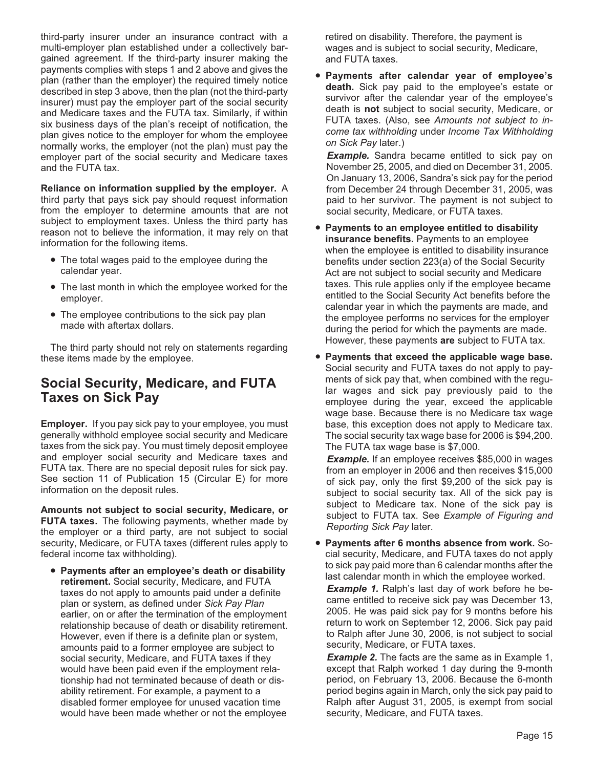third-party insurer under an insurance contract with a retired on disability. Therefore, the payment is multi-employer plan established under a collectively bar- wages and is subject to social security, Medicare, gained agreement. If the third-party insurer making the and FUTA taxes. plan (rather than the employer) the required timely notice<br>described in step 3 above, then the plan (not the third-party<br>insurer) must pay the employer part of the social security<br>insurer) must pay the employer part of the employer part of the social security and Medicare taxes *Example.* Sandra became entitled to sick pay on and the FUTA tax. November 25, 2005, and died on December 31, 2005.

**Reliance on information supplied by the employer.** A from December 24 through December 31, 2005, was third party that pays sick pay should request information paid to her survivor. The payment is not subject to from the employer to determine amounts that are not social security, Medicare, or FUTA taxes.<br>subject to employment taxes. Unless the third party has

- 
- 
- 

The third party should not rely on statements regarding<br>these payments are subject to FUTA tax.<br>**Payments that exceed the applicable wage base.**<br>**Payments that exceed the applicable wage base.** 

**Employer.** If you pay sick pay to your employee, you must base, this exception does not apply to Medicare tax. generally withhold employee social security and Medicare The social security tax wage base for 2006 is \$94,200. taxes from the sick pay. You must timely deposit employee The FUTA tax wage base is \$7,000.<br>and employer social security and Medicare taxes and **Example**. If an employee receives \$ and employer social security and Medicare taxes and<br>
FUTA tax. There are no special deposit rules for sick pay.<br>
See section 11 of Publication 15 (Circular E) for more<br>
information on the deposit rules.<br>
See section 11 of

**Amounts not subject to social security, Medicare, or** subject to Medicare tax. None of the sick pay is<br> **FUTA taxes.** The following payments, whether made by the employer or a third party, are not subject to social Report security, Medicare, or FUTA taxes (different rules apply to • **Payments after 6 months absence from work.** So-

• Payments after an employee's death or disability<br>
retirement. Social security, Medicare, and FUTA<br>
taxes do not apply to amounts paid under a definite<br>
plan or system, as defined under *Sick Pay Plan*<br>
earlier, on or aft relationship because of death or disability retirement.<br>However, even if there is a definite plan or system,<br>amounts paid to a former employee are subject to<br>security, Medicare, or FUTA taxes. amounts paid to a former employee are subject to security, Medicare, or FUTA taxes.<br>social security, Medicare, and FUTA taxes if they **Example 2.** The facts are the same as in Example 1, social security, Medicare, and FUTA taxes if they would have been paid even if the employment rela-<br>
except that Ralph worked 1 day during the 9-month tionship had not terminated because of death or dis- period, on February 13, 2006. Because the 6-month ability retirement. For example, a payment to a period begins again in March, only the sick pay paid to disabled former employee for unused vacation time Ralph after August 31, 2005, is exempt from social would have been made whether or not the employee security, Medicare, and FUTA taxes.

On January 13, 2006, Sandra's sick pay for the period

- subject to employment taxes. Unless the third party has<br>reason not to believe the information, it may rely on that<br>information for the following items.<br>The total wages paid to the employee during the<br>employee is entitled t calendar year. Act are not subject to social security and Medicare • The last month in which the employee worked for the taxes. This rule applies only if the employee became<br>
employer.<br>
• The employee contributions to the sick pay plan<br>
• The employee contributions to the sick pay plan<br>
•
- Social security and FUTA taxes do not apply to pay-**Social Security, Medicare, and FUTA** ments of sick pay that, when combined with the regu-<br>**Taxes on Sick Pay and FUTA** lar wages and sick pay previously paid to the *employee during the year, exceed the applicable* wage base. Because there is no Medicare tax wage

federal income tax withholding). cial security, Medicare, and FUTA taxes do not apply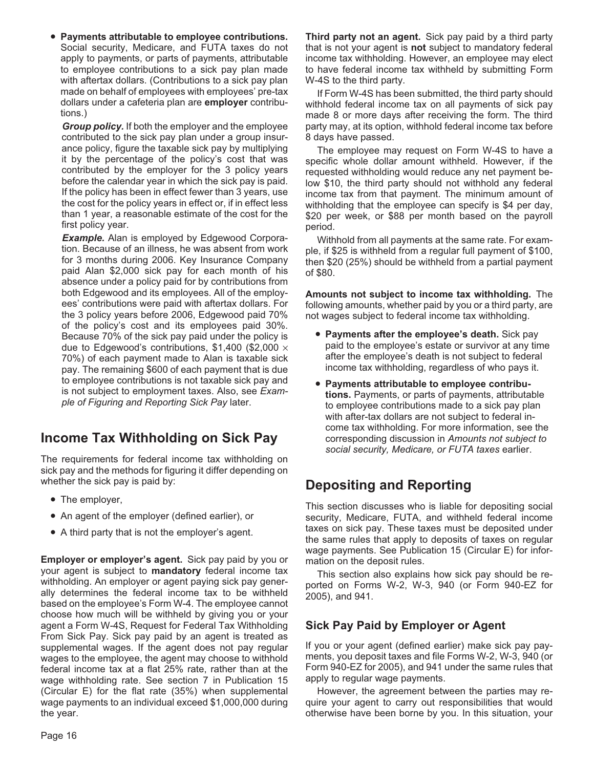with aftertax dollars. (Contributions to a sick pay plan W-4S to the third party.

contributed to the sick pay plan under a group insur- 8 days have passed.

absence under a policy paid for by contributions from the 3 policy years before 2006, Edgewood paid 70% not wages subject to federal income tax withholding. of the policy's cost and its employees paid 30%. Because 70% of the sick pay paid under the policy is • **Payments after the employee's death.** Sick pay 70%) of each payment made to Alan is taxable sick after the employee's death is not subject to federal pay. The remaining \$600 of each payment that is due income tax withholding, regardless of who pays it.

## **Income Tax Withholding on Sick Pay** corresponding discussion in *Amounts not subject to*

The requirements for federal income tax withholding on sick pay and the methods for figuring it differ depending on whether the sick pay is paid by: **Depositing and Reporting** 

- 
- 
- 

**Employer or employer's agent.** Sick pay paid by you or mation on the deposit rules.<br>your agent is subject to **mandatory** federal income tax This section also explain your agent is subject to **mandatory** rederal income tax<br>withholding. An employer or agent paying sick pay gener-<br>ally determines the federal income tax to be withheld<br>based on the employee's Form W-4. The employee cannot choose how much will be withheld by giving you or your agent a Form W-4S, Request for Federal Tax Withholding **Sick Pay Paid by Employer or Agent** From Sick Pay. Sick pay paid by an agent is treated as supplemental wages. If the agent does not pay regular If you or your agent (defined earlier) make sick pay pay-<br>wages to the employee, the agent may choose to withhold ments, you deposit taxes and file Forms W-2, W-3, 940 wages to the employee, the agent may choose to withhold federal income tax at a flat 25% rate, rather than at the Form 940-EZ for 2005), and 941 under the same rules that wage withholding rate. See section 7 in Publication 15 apply to regular wage payments. wage withholding rate. See section 7 in Publication 15 (Circular E) for the flat rate (35%) when supplemental However, the agreement between the parties may rewage payments to an individual exceed \$1,000,000 during quire your agent to carry out responsibilities that would the year. otherwise have been borne by you. In this situation, your

• **Payments attributable to employee contributions. Third party not an agent.** Sick pay paid by a third party Social security, Medicare, and FUTA taxes do not that is not your agent is **not** subject to mandatory federal apply to payments, or parts of payments, attributable income tax withholding. However, an employee may elect to employee contributions to a sick pay plan made to have federal income tax withheld by submitting Form

made on behalf of employees with employees' pre-tax If Form W-4S has been submitted, the third party should<br>dollars under a cafeteria plan are **employer** contribu-<br>tions.)<br>made 8 or more days after receiving the form. The *Group policy.* If both the employer and the employee party may, at its option, withhold federal income tax before

ance policy, figure the taxable sick pay by multiplying<br>it by the percentage of the policy's cost that was<br>contributed by the employer for the 3 policy years<br>before the calendar year in which the sick pay is paid.<br>If the p

**Example.** Alan is employed by Edgewood Corpora-<br>tion. Because of an illness, he was absent from work<br>for 3 months during 2006. Key Insurance Company<br>paid Alan \$2,000 sick pay for each month of his<br>of \$80.

both Edgewood and its employees. All of the employ- **Amounts not subject to income tax withholding.** The following amounts, whether paid by you or a third party, are

- due to Edgewood's contributions, \$1,400 (\$2,000  $\times$  paid to the employee's estate or survivor at any time
- to employee contributions is not taxable sick pay and<br>is not subject to employment taxes. Also, see Exam-<br>ple of Figuring and Reporting Sick Pay later.<br>to employee contributions made to a sick pay plan with after-tax dollars are not subject to federal income tax withholding. For more information, see the *social security, Medicare, or FUTA taxes* earlier.

• The employer, This section discusses who is liable for depositing social • An agent of the employer (defined earlier), or security, Medicare, FUTA, and withheld federal income • A third party that is not the employer's agent. the same rules that apply to deposits of taxes on regular the same rules that apply to deposits of taxes on regular wage payments. See Publication 15 (Circular E) for infor-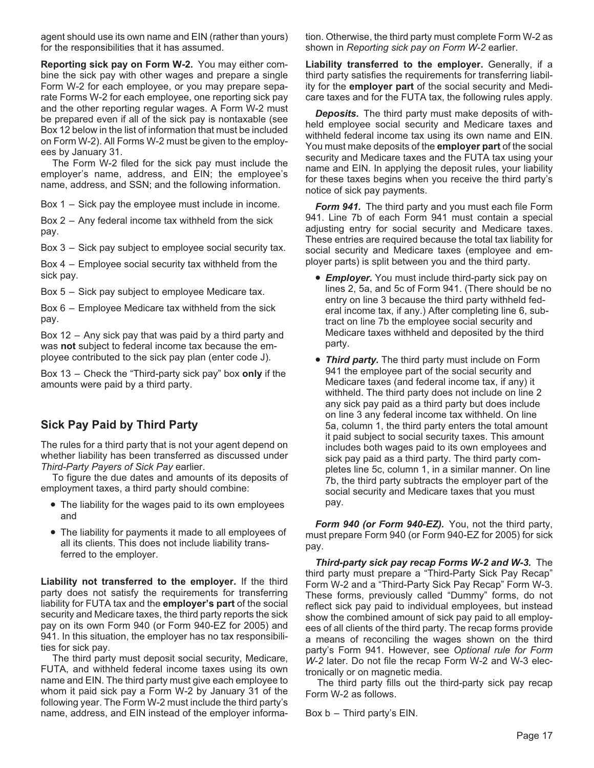agent should use its own name and EIN (rather than yours) tion. Otherwise, the third party must complete Form W-2 as<br>for the responsibilities that it has assumed.<br>Shown in Reporting sick pay on Form W-2 earlier.

**Reporting sick pay on Form W-2.** You may either com-<br>bine the sick pay with other wages and prepare a single third party satisfies the requirements for transferring liabilbine the sick pay with other wages and prepare a single Form W-2 for each employee, or you may prepare sepa- ity for the **employer part** of the social security and Medirate Forms W-2 for each employee, one reporting sick pay care taxes and for the FUTA tax, the following rules apply.

Box 4 – Employee social security tax withheld from the sick pay.<br>
• **Employer.** You must include third-party sick pay on

Box 6 – Employee Medicare tax withheld from the sick eral income tax, if any.) After completing line 6, sub-<br>pay.<br>tract on line 7b the employee social security and

was not subject to federal income tax because the employee contributed to the sick pay plan (enter code J). • *Third party.* The third party must include on Form

Box 13 – Check the "Third-party sick pay" box **only** if the 941 the employee part of the social security and amounts were paid by a third party.

- The liability for the wages paid to its own employees pay. and
- The liability for payments it made to all employees of **Form 940 (or Form 940-EZ).** You, not the third party,<br>all its clients. This does not include liability trans-<br>ferred to the employer.<br>**Third-party sick pay recap Fo**

following year. The Form W-2 must include the third party's name, address, and EIN instead of the employer informa- Box b – Third party's EIN.

shown in *Reporting sick pay on Form W-2* earlier.

and the other reporting regular wages. A Form W-2 must<br>be prepared even if all of the sick pay is nontaxable (see<br>Box 12 below in the list of information that must be included<br>on Form W-2). All Forms W-2 must be given to t

Box 1 – Sick pay the employee must include in income. *Form 941.* The third party and you must each file Form Box 2 – Any federal income tax withheld from the sick 941. Line 7b of each Form 941 must contain a special<br>adjusting entry for social security and Medicare taxes. adjusting entry for social security and medicale taxes.<br>
These entries are required because the total tax liability for<br>
Box 3 – Sick pay subject to employee social security tax.<br>
Box 4 – Employee social security tax withh

- Box 5 Sick pay subject to employee Medicare tax. lines 2, 5a, and 5c of Form 941. (There should be no<br>entry on line 3 because the third party withheld fedtract on line 7b the employee social security and Box 12 – Any sick pay that was paid by a third party and Medicare taxes withheld and deposited by the third was not subject to federal income tax because the em-<br>was **not** subject to federal income tax because the em-
- Medicare taxes (and federal income tax, if any) it withheld. The third party does not include on line 2 any sick pay paid as a third party but does include on line 3 any federal income tax withheld. On line **Sick Pay Paid by Third Party** 6 and 5a, column 1, the third party enters the total amount The rules for a third party that is not your agent depend on<br>whether liability has been transferred as discussed under<br>Third-Party Payers of Sick Pay earlier.<br>To figure the due dates and amounts of its deposits of<br>employme

Liability not transferred to the employer. If the third party must prepare a "Third-Party Sick Pay Recap"<br>party does not satisfy the requirements for transferring<br>liability for FUTA tax and the employer's part of the socia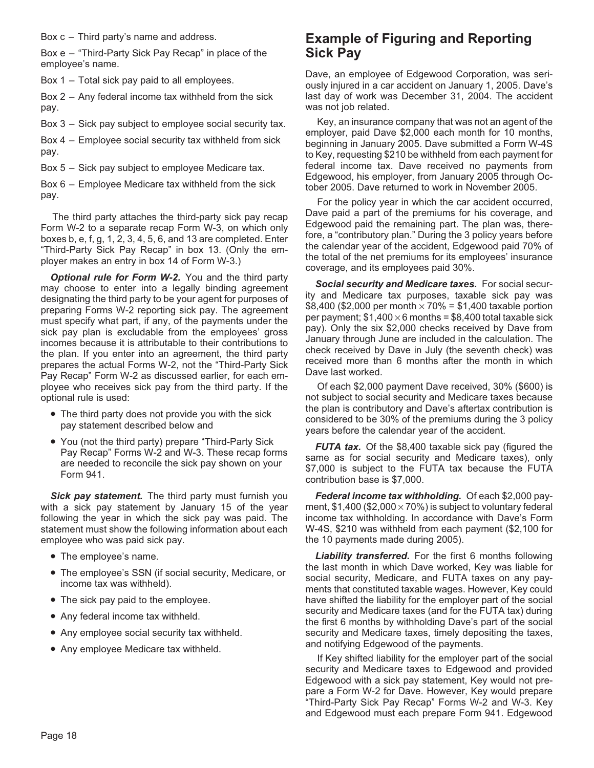Box e – "Third-Party Sick Pay Recap" in place of the **Sick Pay**<br>
employee's name.<br>
Dave, an employee of Edgewood Corporation, was seri-

pay. **pay. pay. pay. pay. pay. pay. pay. pay. pay. pay. pay. pay. pay. pay. pay. pay. pay. pay. pay. pay. pay. pay. pay. pay. pay. pay. pay. pay. pay. pay. pay.**

Box 6 – Employee Medicare tax withheld from the sick tober 2005. Dave returned to work in November 2005.<br>pay.

*Optional rule for Form W-2.* You and the third party may choose to enter into a legally binding agreement **Social security and Medicare taxes.** For social secur-<br>designating the third party to be your agent for purposes of ity and Medicare tax purposes, taxable sick pay was designating the third party to be your agent for purposes of the third medicare tax purposes, taxable sick pay was<br>preparing Forms W-2 reporting sick pay. The agreement  $$8,400$  (\$2,000 per month  $\times$  70% = \$1,400 taxable must specify what part, if any, of the payments under the sick pay plan is excludable from the employees' gross pay). Only the six \$2,000 checks received by Dave from incomes because it is attributable to their contributions to<br>the plan. If you enter into an agreement, the third party<br>prepares the actual Forms W-2, not the "Third-Party Sick<br>Pay Recap" Form W-2 as discussed earlier, for ployee who receives sick pay from the third party. If the Of each \$2,000 payment Dave received, 30% (\$600) is optional rule is used: not subject to social security and Medicare taxes because

- 
- 

with a sick pay statement by January 15 of the year ment,  $$1,400 ($2,000 \times 70\%)$  is subject to voluntary federal following the year in which the sick pay was paid. The income tax withholding. In accordance with Dave's Form statement must show the following information about each W-4S, \$210 was withheld from each payment (\$2,100 for employee who was paid sick pay. the 10 payments made during 2005).

- 
- 
- 
- 
- 
- 

## Box c – Third party's name and address. **Example of Figuring and Reporting**

Dave, an employee of Edgewood Corporation, was seri- Box 1 – Total sick pay paid to all employees. ously injured in a car accident on January 1, 2005. Dave's Box 2 – Any federal income tax withheld from the sick last day of work was December 31, 2004. The accident

Box 3 – Sick pay subject to employee social security tax. Key, an insurance company that was not an agent of the<br>
employer, paid Dave \$2,000 each month for 10 months. Box 4 – Employee social security tax withheld from sick<br>pay. beginning in January 2005. Dave submitted a Form W-4S<br>to Key requesting \$210 be withheld from each nayment for to Key, requesting \$210 be withheld from each payment for Box 5 – Sick pay subject to employee Medicare tax. federal income tax. Dave received no payments from<br>Edgewood, his employer, from January 2005 through Oc-

For the policy year in which the car accident occurred, The third party attaches the third-party sick pay recap<br>
Form W-2 to a separate recap Form W-3, on which only<br>
boxes b, e, f, g, 1, 2, 3, 4, 5, 6, and 13 are completed. Enter<br>
"Third-Party Sick Pay Recap" in box 13. (Only

• The third party does not provide you with the sick<br>pay statement described below and<br>years before the calendar year of the accident.

• You (not the third party) prepare "Third-Party Sick<br>Pay Recap" Forms W-2 and W-3. These recap forms<br>are as for social security and Medicare taxes), only<br>form 941.<br>Form 941.<br>Form 941.

*Sick pay statement.* The third party must furnish you *Federal income tax withholding.* Of each \$2,000 pay-

• The employee's name.<br>**Liability transferred.** For the first 6 months following<br>a The employee's CON (if assigle assembly Madiana assembly the last month in which Dave worked, Key was liable for • The employee's SSN (if social security, Medicare, or<br>income tax was withheld).<br>ments that constituted taxable wages. However, Key could • The sick pay paid to the employee. have shifted the liability for the employer part of the social ● Any federal income tax withheld. security and Medicare taxes (and for the FUTA tax) during<br>the first 6 months by withholding Dave's part of the social • Any employee social security tax withheld. Security and Medicare taxes, timely depositing the taxes,

and notifying Edgewood of the payments. • Any employee Medicare tax withheld. If Key shifted liability for the employer part of the social security and Medicare taxes to Edgewood and provided Edgewood with a sick pay statement, Key would not prepare a Form W-2 for Dave. However, Key would prepare "Third-Party Sick Pay Recap" Forms W-2 and W-3. Key and Edgewood must each prepare Form 941. Edgewood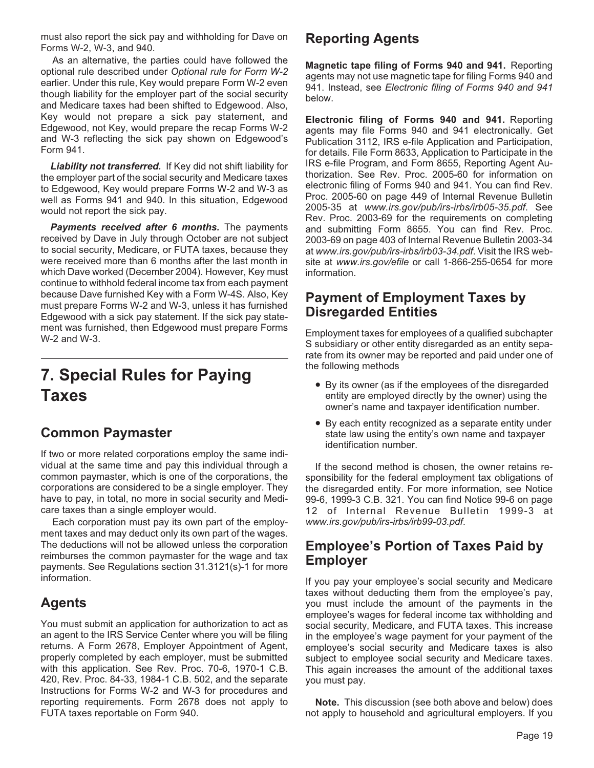must also report the sick pay and withholding for Dave on **Reporting Agents** Forms W-2, W-3, and 940.

As an alternative, the parties could have followed the<br>optional rule described under *Optional rule for Form W-2*<br>earlier. Under this rule, Key would prepare Form W-2 even<br>though liability for the employer part of the soci Key would not prepare a sick pay statement, and<br>Electronic filing of Forms 940 and 941. Reporting<br>Edgewood, not Key, would prepare the recap Forms W-2<br>and W-3 reflecting the sick pay shown on Edgewood's<br>Form 941.<br>Form 941.

**Payments received after 6 months.** The payments and submitting Form 8655. You can find Rev. Proc. received by Dave in July through October are not subject 2003-69 on page 403 of Internal Revenue Bulletin 2003-34 received by Dave in July through October are not subject 2003-69 on page 403 of Internal Revenue Bulletin 2003-34<br>to social security, Medicare, or FUTA taxes, because they at www.irs.gov/pub/irs-irbs/irb03-34.pdf. Visit th to social security, Medicare, or FUTA taxes, because they at *www.irs.gov/pub/irs-irbs/irb03-34.pdf*. Visit the IRS webwhich Dave worked (December 2004). However, Key must information. continue to withhold federal income tax from each payment because Dave furnished Key with a Form W-4S. Also, Key **Payment of Employment Taxes by** must prepare Forms W-2 and W-3, unless it has furnished Edgewood with a sick pay statement. If the sick pay statement was furnished, then Edgewood must prepare Forms<br>W-2 and W-3. S subsidiary or other entity disregarded as an entity sepa-

# **7. Special Rules for Paying**<br> **19. Taxes 19. In the following methods**<br> **19. Special Rules for Paying Carroll Community are employed directly by the owner) using the**

If two or more related corporations employ the same individual at the same time and pay this individual through a<br>common paymaster, which is one of the corporations, the sponsibility for the federal employment tax obligations of common paymaster, which is one of the corporations, the sponsibility for the federal employment tax obligations of corporations are considered to be a single employer. They the disregarded entity. For more information, see have to pay, in total, no more in social security and Medi-<br>
99-6, 1999-3 C.B. 321. You can find Notice 99-6 on page care taxes than a single employer would. 12 of Internal Revenue Bulletin 1999-3 at

Each corporation must pay its own part of the employ- *www.irs.gov/pub/irs-irbs/irb99-03.pdf*. ment taxes and may deduct only its own part of the wages. The deductions will not be allowed unless the corporation<br>reimburses the common paymaster for the wage and  $\tanctan$ <br>payments. See Regulations section 31.3121(s)-1 for more<br>Figure 10.14120.000 Employer

You must submit an application for authorization to act as social security, Medicare, and FUTA taxes. This increase an agent to the IRS Service Center where you will be filing in the employee's wage payment for your payment of the<br>returns. A Form 2678, Employer Appointment of Agent, employee's social security and Medicare taxes is also returns. A Form 2678, Employer Appointment of Agent, employee's social security and Medicare taxes is also properly completed by each employer, must be submitted subject to employee social security and Medicare taxes.<br>with this application. See Rev. Proc. 70-6, 1970-1 C.B. This again increases the amount of the additional taxes 420, Rev. Proc. 84-33, 1984-1 C.B. 502, and the separate you must pay. Instructions for Forms W-2 and W-3 for procedures and reporting requirements. Form 2678 does not apply to **Note.** This discussion (see both above and below) does FUTA taxes reportable on Form 940. The state of apply to household and agricultural employers. If you

**Liability not transferred.** If Key did not shift liability for<br>the employer part of the social security and Medicare taxes<br>to Edgewood, Key would prepare Forms W-2 and W-3 as<br>well as Forms 941 and 940. In this situation, site at *www.irs.gov/efile* or call 1-866-255-0654 for more

rate from its owner may be reported and paid under one of

- entity are employed directly by the owner) using the owner's name and taxpayer identification number.
- By each entity recognized as a separate entity under **Common Paymaster** State law using the entity's own name and taxpayer identification number.

the disregarded entity. For more information, see Notice.

information. taxes without deducting them from the employee's pay, **Agents Agents Agents Example 1** and **Agents Agents Example 1** and **Agents Example 1** and **Agents Example 1** and **EXA** and **EXA** and **EXA** and **EXA** and **EXA** and **EXA** and **EXA** and **EXA** and **EXA** and **EXA** employee's wages for federal income tax withholding and This again increases the amount of the additional taxes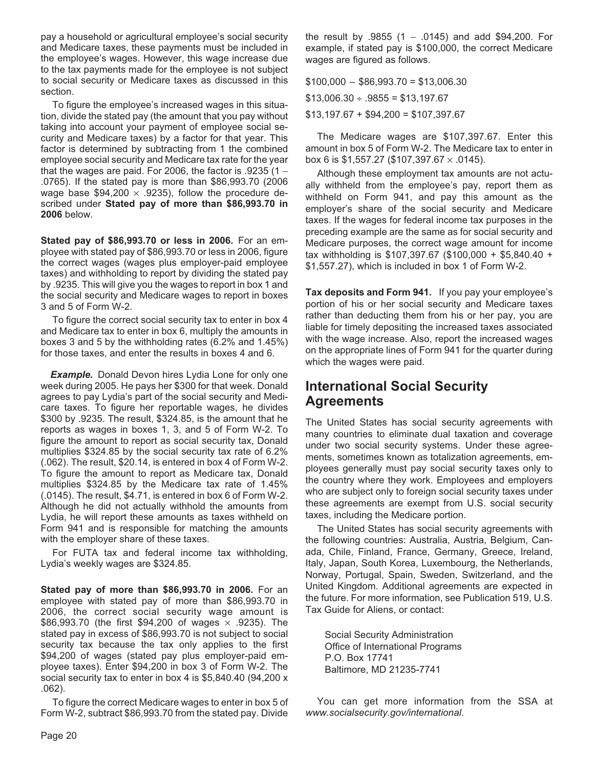pay a household or agricultural employee's social security the result by .9855 (1 − .0145) and add \$94,200. For and Medicare taxes, these payments must be included in example, if stated pay is \$100,000, the correct Medicare the employee's wages. However, this wage increase due wages are figured as follows. to the tax payments made for the employee is not subject to social security or Medicare taxes as discussed in this  $$100,000 - $86,993.70 = $13,006.30$ <br>section.

stion.<br>To figure the employee's increased wages in this situa- \$13,006.30 ÷ .9855 = \$13,197.67<br>n. divide the stated pay (the amount that you pay without \$13,197.67 + \$94,200 = \$107,397.67 tion, divide the stated pay (the amount that you pay without taking into account your payment of employee social security and Medicare taxes) by a factor for that year. This The Medicare wages are \$107,397.67. Enter this care form we have the medicare tax to enter in factor is determined by subtracting from 1 the combined amount in box 5 of Form W-2. The Medicare employee social security and Medicare tax rate for the year box 6 is \$1,557.27 (\$107,397.67  $\times$  .0145). employee social security and Medicare tax rate for the year

Stated pay of \$86,993.70 or less in 2006. For an em-<br>ployee with stated pay of \$86,993.70 or less in 2006, figure<br>the correct wages (wages plus employer-paid employee<br>taxes) and withholding to report by dividing the stated by .9235. This will give you the wages to report in box 1 and **Tax deposits and Form 941.** If you pay your employee's the social security and Medicare wages to report in boxes

*Example.* Donald Devon hires Lydia Lone for only one week during 2005. He pays her \$300 for that week. Donald **International Social Security**<br>agrees to pay Lydia's part of the social security and Medi-<br>care taxes. To figure her reportable wages, he divides **Agreements** \$300 by .9235. The result, \$324.85, is the amount that he<br>
figure the amount to report as social security tax, Donald<br>
figure the amount to report as social security tax, Donald<br>
many countries to eliminate dual taxation a (.0145). The result, \$4.71, is entered in box 6 of Form W-2. Who are subject only to foreign social security taxes under<br>Although he did not actually withhold the amounts from these agreements are exempt from U.S. social Lydia, he will report these amounts as taxes withheld on Form 941 and is responsible for matching the amounts The United States has social security agreements with

Lydia's weekly wages are \$324.85. Italy, Japan, South Korea, Luxembourg, the Netherlands,

employee with stated pay of more than \$86,993.70 in the future. For more information, see Publication 519.<br>2006, the correct social security wage amount is Tax Guide for Aliens, or contact: 2006, the correct social security wage amount is \$86,993.70 (the first \$94,200 of wages  $\times$  .9235). The stated pay in excess of \$86,993.70 is not subject to social Social Security Administration<br>security tax because the tax only applies to the first Cffice of International Program security tax because the tax only applies to the first Office of International Programs \$94,200 of wages (stated pay plus employer-paid em- P.O. Box 17741 ployee taxes). Enter \$94,200 in box 3 of Form W-2. The Raltimore MD ployee taxes). Enter \$94,200 in box 3 of Form W-2. The Baltimore, MD 21235-7741 social security tax to enter in box 4 is \$5,840.40 (94,200 x .062).

Form W-2, subtract \$86,993.70 from the stated pay. Divide *www.socialsecurity.gov/international*.

that the wages are paid. For 2006, the factor is .9235 (1 -<br>0765). If the stated pay is more than \$86,993.70 (2006<br>wage base \$94,200  $\times$  .9235), follow the procedure de-<br>scribed under **Stated pay of more than \$86,993.70** 

3 and 5 of Form W-2.<br>To figure the correct equiple accurity to the onter in hov 4 rather than deducting them from his or her pay, you are To figure the correct social security tax to enter in box 4<br>and Medicare tax to enter in box 6, multiply the amounts in<br>boxes 3 and 5 by the withholding rates (6.2% and 1.45%) with the wage increase. Also, report the incre which the wages were paid.

with the employer share of these taxes. The following countries: Australia, Austria, Belgium, Can-For FUTA tax and federal income tax withholding, ada, Chile, Finland, France, Germany, Greece, Ireland, Norway, Portugal, Spain, Sweden, Switzerland, and the Stated pay of more than \$86,993.70 in 2006. For an United Kingdom. Additional agreements are expected in employee with stated pay of more than \$86,993.70 in the future. For more information, see Publication 519, U.S.

To figure the correct Medicare wages to enter in box 5 of You can get more information from the SSA at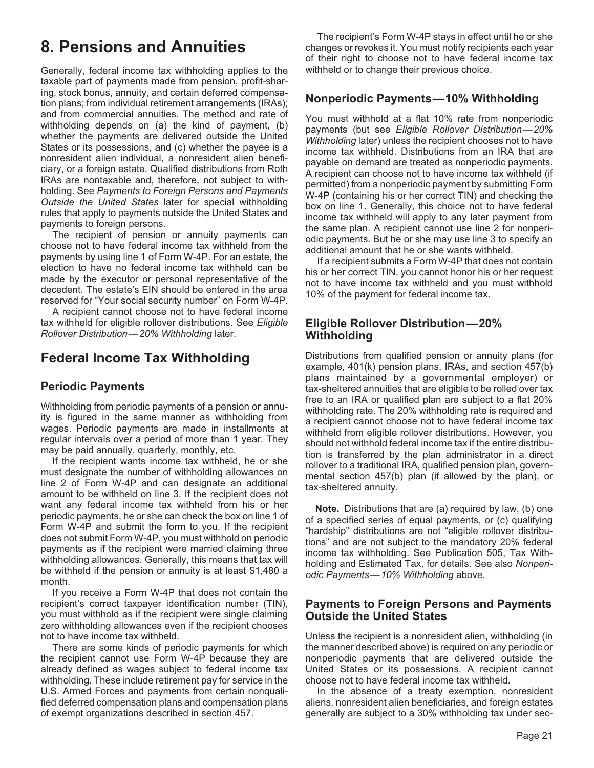Generally, federal income tax withholding applies to the withheld or to change their previous choice. taxable part of payments made from pension, profit-sharing, stock bonus, annuity, and certain deferred compensa-<br>tion plans; from individual retirement arrangements (IRAs);<br>**Nonperiodic Payments —10% Withholding** 

A recipient cannot choose not to have federal income tax withheld for eligible rollover distributions. See *Eligible* **Eligible Rollover Distribution—20%** *Rollover Distribution—20% Withholding* later. **Withholding**

want any federal income tax withheld from his or her<br>periodic payments, he or she can check the box on line 1 of<br>Form W-4P and submit the form to you. If the recipient<br>does not submit Form W-4P, you must withhold on period

If you receive a Form W-4P that does not contain the recipient's correct taxpayer identification number (TIN), **Payments to Foreign Persons and Payments** you must withhold as if the recipient were single claiming zero withholding allowances even if the recipient chooses not to have income tax withheld. The unit of the Unless the recipient is a nonresident alien, withholding (in

the recipient cannot use Form W-4P because they are nonperiodic payments that are delivered outside the already defined as wages subject to federal income tax United States or its possessions. A recipient cannot withholding. These include retirement pay for service in the choose not to have federal income tax withheld. U.S. Armed Forces and payments from certain nonquali- In the absence of a treaty exemption, nonresident fied deferred compensation plans and compensation plans aliens, nonresident alien beneficiaries, and foreign estates of exempt organizations described in section 457. generally are subject to a 30% withholding tax under sec-

The recipient's Form W-4P stays in effect until he or she **8. Pensions and Annuities** changes or revokes it. You must notify recipients each year of their right to choose not to have federal income tax

and from commercial annuities. The method and rate of<br>whelholding depends on (a) the kind of payments are delivered outside the United withholding later) unless the religible Rollover Distribution—20%<br>States or its posses

**Federal Income Tax Withholding** Distributions from qualified pension or annuity plans (for example, 401(k) pension plans, IRAs, and section 457(b) plans maintained by a governmental employer) or **Periodic Payments** tax-sheltered annuities that are eligible to be rolled over tax Withholding from periodic payments of a pension or annu-<br>
ity is figured in the same manner as withholding from<br>
wages. Periodic payments are made in installments at<br>
regular intervals over a period of more than 1 year. Th

There are some kinds of periodic payments for which the manner described above) is required on any periodic or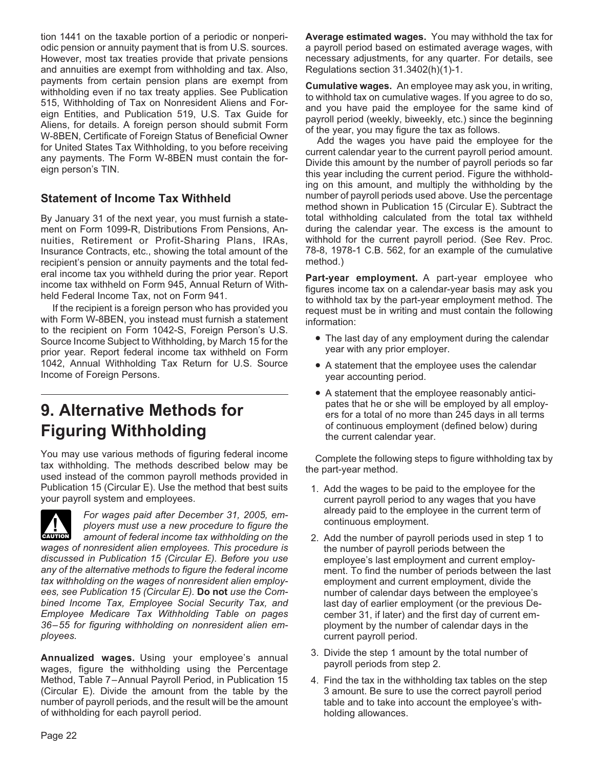tion 1441 on the taxable portion of a periodic or nonperi- **Average estimated wages.** You may withhold the tax for odic pension or annuity payment that is from U.S. sources. a payroll period based on estimated average wages, with However, most tax treaties provide that private pensions necessary adjustments, for any quarter. For details, see and annuities are exempt from withholding and tax. Also, Regulations section 31.3402(h)(1)-1. and annuities are exempt from withholding and tax. Also, mayments from certain pension plans are exempt from<br>withholding even if no tax treaty applies. See Publication<br>515, Withholding of Tax on Nonresident Aliens and For-<br>eign Entities, and Publication 519, U.S. Tax Guide for<br>A

ment on Form 1099-R, Distributions From Pensions, An- during the calendar year. The excess is the amount to nuities, Retirement or Profit-Sharing Plans, IRAs, withhold for the current payroll period. (See Rev. Proc. nuities, Retirement or Profit-Sharing Plans, IRAs, withhold for the current payroll period. (See Rev. Proc.<br>Insurance Contracts, etc., showing the total amount of the 78-8, 1978-1 C.B. 562, for an example of the cumulative Insurance Contracts, etc., showing the total amount of the 78-8, 197<br>recipient's pension or annuity payments and the total fed- method.) recipient's pension or annuity payments and the total fed-

to the recipient on Form 1042-S, Foreign Person's U.S. Source Income Subject to Withholding, by March 15 for the • The last day of any employment during the calendar<br>
right vear Report federal income tax withheld on Form vear with any prior employer. prior year. Report federal income tax withheld on Form 1042, Annual Withholding Tax Return for U.S. Source • A statement that the employee uses the calendar Income of Foreign Persons.

# **Figuring Withholding Figuring Withholding Figuring Mithholding Figurian Example 1 Example 1 Figuring 1 EXECUTE:**

You may use various methods of figuring federal income<br>tax withholding. The methods described below may be<br>used instead of the common payroll methods provided in<br>the part-year method. Publication 15 (Circular E). Use the method that best suits 1. Add the wages to be paid to the employee for the your payroll system and employees. The surrent payroll period to any wages that you have



*wages of nonresident alien employees. This procedure is* discussed in Publication 15 (Circular E). Before you use employee's last employment and current employ*tax withholding on the wages of nonresident alien employ-* employment and current employment, divide the *ees, see Publication 15 (Circular E).* **Do not** *use the Com-* number of calendar days between the employee's *bined Income Tax, Employee Social Security Tax, and* last day of earlier employment (or the previous De-*Employee Medicare Tax Withholding Table on pages* cember 31, if later) and the first day of current em-*36–55 for figuring withholding on nonresident alien em-* ployment by the number of calendar days in the *ployees.* current payroll period.

**Annualized wages.** Using your employee's annual and Divide the step 1 amount by the total number of wages, figure the withholding using the Percentage wages, figure the withholding using the Percentage Method, Table 7–Annual Payroll Period, in Publication 15 4. Find the tax in the withholding tax tables on the step (Circular E). Divide the amount from the table by the 3 amount. Be sure to use the correct payroll period number of payroll periods, and the result will be the amount table and to take into account the employee's withof withholding for each payroll period. holding allowances.

ing on this amount, and multiply the withholding by the **Statement of Income Tax Withheld** number of payroll periods used above. Use the percentage method shown in Publication 15 (Circular E). Subtract the By January 31 of the next year, you must furnish a state-<br>ment on Form 1099-R, Distributions From Pensions, An-<br>during the calendar year. The excess is the amount to

eral income tax you withheld during the prior year. Report<br>income tax withheld on Form 945, Annual Return of With-<br>held Federal Income Tax, not on Form 941.<br>If the recipient is a foreign person who has provided you<br>with he

- 
- 
- A statement that the employee reasonably antici-**9. Alternative Methods for** pates that he or she will be employed by all employ-<br>ers for a total of no more than 245 days in all terms<br>of continuous employment (defined below) during

- already paid to the employee in the current term of *For wages paid after December 31, 2005, em-* continuous employment. *ployers must use a new procedure to figure the*
- *amount of federal income tax withholding on the* 2. Add the number of payroll periods used in step 1 to *nonresident alien employees. This procedure is* the number of payroll periods between the *any of the alternative methods to figure the federal income* ment. To find the number of periods between the last
	-
	-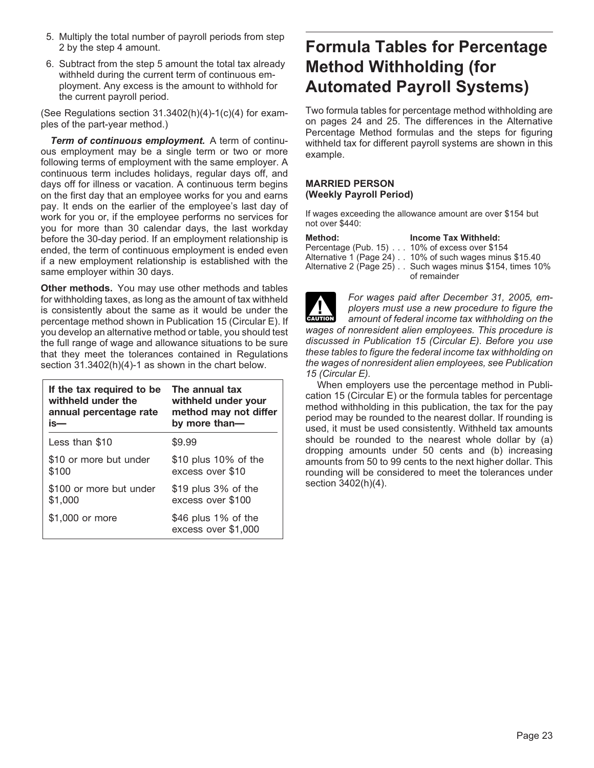- 5. Multiply the total number of payroll periods from step
- 6. Subtract from the step 5 amount the total tax already **Method Withholding (for** withheld during the current term of continuous employment. Any excess is the amount to withhold for **Automated Payroll Systems)** the current payroll period.

continuous term includes holidays, regular days off, and days off for illness or vacation. A continuous term begins **MARRIED PERSON** on the first day that an employee works for you and earns pay. It ends on the earlier of the employee's last day of<br>work for you or, if the employee performs no services for<br>you for more than 30 calendar days, the last workday<br>not over \$440: before the 30-day period. If an employment relationship is ended, the term of continuous employment is ended even<br>if a new employment relationship is established with the<br>same employer within 30 days.

**Other methods.** You may use other methods and tables<br>for withholding taxes, as long as the amount of tax withheld<br>is consistently about the same as it would be under the *reployers must use a new procedure to figure the* is consistently about the same as it would be under the *ployers must use a new procedure to figure the* percentage method shown in Publication 15 (Circular F) If **cauge a** mount of federal income tax withholding on the percentage method shown in Publication 15 (Circular E). If you develop an alternative method or table, you should test *wages of nonresident alien employees. This procedure is* the full range of wage and allowance situations to be sure *discussed in Publication 15 (Circular E). Before you use* that they meet the tolerances contained in Regulations *these tables to figure the federal income tax withholding on* section 31.3402(h)(4)-1 as shown in the chart below. *the wages of nonresident alien employees, see Publication*

| If the tax required to be | The annual tax                              |
|---------------------------|---------------------------------------------|
| withheld under the        | withheld under your                         |
| annual percentage rate    | method may not differ                       |
| <b>is—</b>                | by more than-                               |
| Less than \$10            | \$9.99                                      |
| \$10 or more but under    | \$10 plus 10% of the                        |
| \$100                     | excess over \$10                            |
| \$100 or more but under   | $$19$ plus 3% of the                        |
| \$1,000                   | excess over \$100                           |
| \$1,000 or more           | $$46$ plus 1% of the<br>excess over \$1,000 |

# 2 by the step 4 amount. **Formula Tables for Percentage**

(See Regulations section 31.3402(h)(4)-1(c)(4) for exam-<br>ples of the part-year method.)<br>**Term of continuous employment**. A term of continu-<br>ous employment may be a single term or two or more<br>following terms of employment

| Method:                                       | <b>Income Tax Withheld:</b>                               |
|-----------------------------------------------|-----------------------------------------------------------|
| Percentage (Pub. 15) 10% of excess over \$154 |                                                           |
|                                               | Alternative 1 (Page 24) 10% of such wages minus \$15.40   |
|                                               | Alternative 2 (Page 25) Such wages minus \$154, times 10% |
|                                               | of remainder                                              |



*15 (Circular E).*

When employers use the percentage method in Publication 15 (Circular E) or the formula tables for percentage method withholding in this publication, the tax for the pay period may be rounded to the nearest dollar. If rounding is used, it must be used consistently. Withheld tax amounts should be rounded to the nearest whole dollar by (a) dropping amounts under 50 cents and (b) increasing amounts from 50 to 99 cents to the next higher dollar. This rounding will be considered to meet the tolerances under section 3402(h)(4).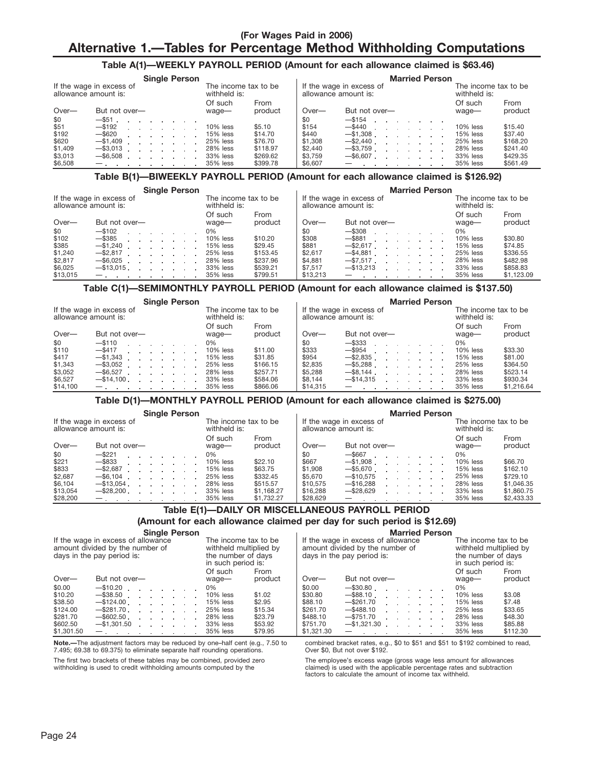## **(For Wages Paid in 2006) Alternative 1.—Tables for Percentage Method Withholding Computations**

## **Table A(1)—WEEKLY PAYROLL PERIOD (Amount for each allowance claimed is \$63.46)**

|                                                  |               |  |  |  |  | <b>Single Person</b>               |                                      |          |                      | <b>Married Person</b>                             |  |  |                                      |          |
|--------------------------------------------------|---------------|--|--|--|--|------------------------------------|--------------------------------------|----------|----------------------|---------------------------------------------------|--|--|--------------------------------------|----------|
| If the wage in excess of<br>allowance amount is: |               |  |  |  |  |                                    | The income tax to be<br>withheld is: |          | allowance amount is: | If the wage in excess of                          |  |  | The income tax to be<br>withheld is: |          |
|                                                  |               |  |  |  |  |                                    | Of such                              | From     |                      |                                                   |  |  | Of such                              | From     |
| $Over-$                                          | But not over- |  |  |  |  |                                    | wage-                                | product  | $Over-$              | But not over-                                     |  |  | wage-                                | product  |
| \$0                                              | $-$ \$51.     |  |  |  |  | the contract of the contract of    |                                      |          | \$0                  | $-$ \$154<br>the company of the company of the    |  |  |                                      |          |
| \$51                                             | $-$ \$192     |  |  |  |  | and the company of the company of  | $10\%$ less                          | \$5.10   | \$154                | $-$ \$440<br>the company of the company of        |  |  | $10\%$ less                          | \$15.40  |
| \$192                                            | $-$ \$620     |  |  |  |  |                                    | $15%$ less                           | \$14.70  | \$440                | $-$ \$1.308.<br>and the company of the company of |  |  | 15% less                             | \$37.40  |
| \$620                                            | $-$ \$1.409   |  |  |  |  | and a straight and a straight and  | 25% less                             | \$76.70  | \$1.308              | $-$ \$2,440<br>and the company of the company of  |  |  | 25% less                             | \$168.20 |
| \$1,409                                          | $-$ \$3.013   |  |  |  |  | design and a state of the state of | 28% less                             | \$118.97 | \$2.440              | $-$ \$3,759 $\ldots$                              |  |  | 28% less                             | \$241.40 |
| \$3,013                                          | $-$ \$6.508   |  |  |  |  |                                    | 33% less                             | \$269.62 | \$3.759              | $-$ \$6.607.<br>and the company of the state of   |  |  | 33% less                             | \$429.35 |
| \$6.508                                          |               |  |  |  |  |                                    | 35% less                             | \$399.78 | \$6.607              |                                                   |  |  | 35% less                             | \$561.49 |

## **Table B(1)—BIWEEKLY PAYROLL PERIOD (Amount for each allowance claimed is \$126.92)**

|                                                  |                                                  | <b>Single Person</b>           |  |  |  |                                      |                 |                      |                          |                                          |  | <b>Married Person</b> |                                      |                 |
|--------------------------------------------------|--------------------------------------------------|--------------------------------|--|--|--|--------------------------------------|-----------------|----------------------|--------------------------|------------------------------------------|--|-----------------------|--------------------------------------|-----------------|
| If the wage in excess of<br>allowance amount is: |                                                  |                                |  |  |  | The income tax to be<br>withheld is: |                 | allowance amount is: | If the wage in excess of |                                          |  |                       | The income tax to be<br>withheld is: |                 |
| Over-                                            | But not over-                                    |                                |  |  |  | Of such<br>wage-                     | From<br>product | Over—                | But not over-            |                                          |  |                       | Of such<br>wage-                     | From<br>product |
|                                                  |                                                  |                                |  |  |  |                                      |                 |                      |                          |                                          |  |                       |                                      |                 |
| \$0                                              | $-$ \$102<br>and the company of the company of   |                                |  |  |  | 0%                                   |                 | \$0                  | $-$ \$308                | and a strategic control of the strategic |  |                       | 0%                                   |                 |
| \$102                                            | $-$ \$385<br>the contract of the contract of the |                                |  |  |  | $10\%$ less                          | \$10.20         | \$308                | $-$ \$881, , , , , , ,   |                                          |  |                       | <b>10% less</b>                      | \$30.80         |
| \$385                                            | $-$ \$1.240                                      |                                |  |  |  | $15%$ less                           | \$29.45         | \$881                | $-$ \$2,617, , , , , ,   |                                          |  |                       | 15% less                             | \$74.85         |
| \$1,240                                          | $-$ \$2.817<br>and a strain and a strain and     |                                |  |  |  | 25% less                             | \$153.45        | \$2.617              | $-$ \$4,881              |                                          |  |                       | 25% less                             | \$336.55        |
| \$2,817                                          | $-$ \$6.025<br>and a strategic and a strategic   |                                |  |  |  | 28% less                             | \$237.96        | \$4.881              | $-$ \$7.517.             | and the company of the company           |  |                       | 28% less                             | \$482.98        |
| \$6,025                                          | $-$ \$13.015.                                    | and the company of the company |  |  |  | 33% less                             | \$539.21        | \$7.517              | $-$ \$13.213             |                                          |  |                       | 33% less                             | \$858.83        |
| \$13,015                                         | -                                                |                                |  |  |  | 35% less                             | \$799.51        | \$13,213             |                          |                                          |  |                       | 35% less                             | \$1,123.09      |

## **Table C(1)—SEMIMONTHLY PAYROLL PERIOD (Amount for each allowance claimed is \$137.50)**

|                                                  |                                                  |  | <b>Single Person</b>           |  |  |                                      |          |                      |                                                             |                                 |  |  | <b>Married Person</b> |                                      |            |
|--------------------------------------------------|--------------------------------------------------|--|--------------------------------|--|--|--------------------------------------|----------|----------------------|-------------------------------------------------------------|---------------------------------|--|--|-----------------------|--------------------------------------|------------|
| If the wage in excess of<br>allowance amount is: |                                                  |  |                                |  |  | The income tax to be<br>withheld is: |          | allowance amount is: | If the wage in excess of                                    |                                 |  |  |                       | The income tax to be<br>withheld is: |            |
|                                                  |                                                  |  |                                |  |  | Of such                              | From     |                      |                                                             |                                 |  |  |                       | Of such                              | From       |
| Over-                                            | But not over-                                    |  |                                |  |  | wage-                                | product  | $Over-$              | But not over-                                               |                                 |  |  |                       | wage-                                | product    |
| \$0                                              | $-$ \$110<br>and the company of the company      |  |                                |  |  | 0%                                   |          | \$0                  | $-$ \$333                                                   | and a strategic and a strategic |  |  |                       | 0%                                   |            |
| \$110                                            | $-$ \$417<br>and the company of the company of   |  |                                |  |  | $10\%$ less                          | \$11.00  | \$333                | $-$ \$954<br>the company of the company of                  |                                 |  |  |                       | $10%$ less                           | \$33.30    |
| \$417                                            | $-$ \$1.343<br>and a strain and a strain and     |  |                                |  |  | $15%$ less                           | \$31.85  | \$954                | $-$ \$2,835 $\cdot$ $\cdot$ $\cdot$ $\cdot$ $\cdot$ $\cdot$ |                                 |  |  |                       | $15%$ less                           | \$81.00    |
| \$1,343                                          | $-$ \$3.052<br>and a state of the state of the   |  |                                |  |  | 25% less                             | \$166.15 | \$2.835              | $-$ \$5,288 $\cdots$ $\cdots$                               |                                 |  |  |                       | 25% less                             | \$364.50   |
| \$3.052                                          | $-$ \$6.527<br>and the company of the company of |  |                                |  |  | 28% less                             | \$257.71 | \$5.288              | $-$ \$8,144, , , , , ,                                      |                                 |  |  |                       | 28% less                             | \$523.14   |
| \$6.527                                          | $-$ \$14.100                                     |  | and the company of the company |  |  | 33% less                             | \$584.06 | \$8.144              | $-$ \$14.315                                                | and a strategic and a           |  |  |                       | 33% less                             | \$930.34   |
| \$14,100                                         |                                                  |  |                                |  |  | 35% less                             | \$866.06 | \$14,315             | $\overline{\phantom{0}}$                                    |                                 |  |  |                       | 35% less                             | \$1.216.64 |

## **Table D(1)—MONTHLY PAYROLL PERIOD (Amount for each allowance claimed is \$275.00)**

|                      | <b>Single Person</b>                                                                                                                                                                                                                       |                                      |                 |                      | <b>Married Person</b>                             |                                      |
|----------------------|--------------------------------------------------------------------------------------------------------------------------------------------------------------------------------------------------------------------------------------------|--------------------------------------|-----------------|----------------------|---------------------------------------------------|--------------------------------------|
| allowance amount is: | If the wage in excess of                                                                                                                                                                                                                   | The income tax to be<br>withheld is: |                 | allowance amount is: | If the wage in excess of                          | The income tax to be<br>withheld is: |
| $Over-$              | But not over-                                                                                                                                                                                                                              | Of such<br>wage-                     | From<br>product | $Over-$              | But not over-                                     | Of such<br>From<br>product<br>wage-  |
| \$0                  | $-$ \$221<br>and the company of the company of                                                                                                                                                                                             | 0%                                   |                 | \$0                  | $-$ \$667                                         | 0%                                   |
| \$221                | $-$ \$833<br>and a strategic control of the state of the state of the state of the state of the state of the state of the state of the state of the state of the state of the state of the state of the state of the state of the state of | $10\%$ less                          | \$22.10         | \$667                | $-$ \$1.908.<br>the company of the company of     | \$66.70<br>$10\%$ less               |
| \$833                | $-$ \$2.687<br>and a straight and a straight                                                                                                                                                                                               | $15%$ less                           | \$63.75         | \$1.908              | $-$ \$5.670.<br>and the company of the company of | \$162.10<br>$15%$ less               |
| \$2.687              | $-$ \$6.104<br>and a straight and a straight and                                                                                                                                                                                           | 25% less                             | \$332.45        | \$5.670              | $-$ \$10.575<br>the company of the company of     | 25% less<br>\$729.10                 |
| \$6.104              | $-$ \$13.054.<br>and a strategic and a strategic                                                                                                                                                                                           | 28% less                             | \$515.57        | \$10.575             | $-$ \$16.288<br>and the company of the company of | \$1.046.35<br>28% less               |
| \$13.054             | $-$ \$28.200<br>and the state of the state of the                                                                                                                                                                                          | 33% less                             | \$1.168.27      | \$16,288             | $-$ \$28.629                                      | \$1,860.75<br>33% less               |
| \$28,200             | The contract of the contract of the contract of the contract of the contract of the contract of the contract of the contract of the contract of the contract of the contract of the contract of the contract of the contract o             | 35% less                             | \$1.732.27      | \$28.629             | The contract of the contract of the con-          | \$2,433,33<br>35% less               |

## **Table E(1)—DAILY OR MISCELLANEOUS PAYROLL PERIOD**

**(Amount for each allowance claimed per day for such period is \$12.69)**

|            | <b>Single Person</b>                                                                                                                                                                                                           |  |                                                                                            |         |            | <b>Married Person</b>                                                                               |                                                                                            |          |
|------------|--------------------------------------------------------------------------------------------------------------------------------------------------------------------------------------------------------------------------------|--|--------------------------------------------------------------------------------------------|---------|------------|-----------------------------------------------------------------------------------------------------|--------------------------------------------------------------------------------------------|----------|
|            | If the wage in excess of allowance<br>amount divided by the number of<br>days in the pay period is:                                                                                                                            |  | The income tax to be<br>withheld multiplied by<br>the number of days<br>in such period is: |         |            | If the wage in excess of allowance<br>amount divided by the number of<br>days in the pay period is: | The income tax to be<br>withheld multiplied by<br>the number of days<br>in such period is: |          |
|            |                                                                                                                                                                                                                                |  | Of such                                                                                    | From    |            |                                                                                                     | Of such                                                                                    | From     |
| $Over-$    | But not over-                                                                                                                                                                                                                  |  | wage-                                                                                      | product | $Over-$    | But not over-                                                                                       | wage-                                                                                      | product  |
| \$0.00     | $-$ \$10.20 $\cdot$ $\cdot$ $\cdot$ $\cdot$ $\cdot$ $\cdot$                                                                                                                                                                    |  | $0\%$                                                                                      |         | \$0.00     | $-$ \$30.80 $\cdots$ $\cdots$ $\cdots$                                                              | 0%                                                                                         |          |
| \$10.20    | $-$ \$38.50 $\cdots$ $\cdots$                                                                                                                                                                                                  |  | $10\%$ less                                                                                | \$1.02  | \$30.80    | $-$ \$88.10 $\ldots$ $\ldots$ $\ldots$                                                              | $10\%$ less                                                                                | \$3.08   |
| \$38.50    | $-$ \$124.00<br>the contract of the contract of                                                                                                                                                                                |  | $15%$ less                                                                                 | \$2.95  | \$88.10    | $-$ \$261.70<br>and a strategic control of the state of                                             | $15%$ less                                                                                 | \$7.48   |
| \$124.00   | $-$ \$281.70.<br>the company of the company of                                                                                                                                                                                 |  | 25% less                                                                                   | \$15.34 | \$261.70   | $-$ \$488.10<br>the company of the company of                                                       | 25% less                                                                                   | \$33.65  |
| \$281.70   | $-$ \$602.50.<br>the contract of the contract of                                                                                                                                                                               |  | 28% less                                                                                   | \$23.79 | \$488.10   | $-$ \$751.70<br>the company of the company of                                                       | 28% less                                                                                   | \$48.30  |
| \$602.50   | $-$ \$1.301.50<br>and a strain and a strain                                                                                                                                                                                    |  | 33% less                                                                                   | \$53.92 | \$751.70   | $-$ \$1,321.30 $\cdot$ $\cdot$ $\cdot$ $\cdot$ $\cdot$                                              | 33% less                                                                                   | \$85.88  |
| \$1,301.50 | the contract of the contract of the contract of the contract of the contract of the contract of the contract of the contract of the contract of the contract of the contract of the contract of the contract of the contract o |  | 35% less                                                                                   | \$79.95 | \$1,321.30 | the contract of the contract of the                                                                 | 35% less                                                                                   | \$112.30 |

**Note.—**The adjustment factors may be reduced by one–half cent (e.g., 7.50 to 7.495; 69.38 to 69.375) to eliminate separate half rounding operations.

The first two brackets of these tables may be combined, provided zero withholding is used to credit withholding amounts computed by the

combined bracket rates, e.g., \$0 to \$51 and \$51 to \$192 combined to read, Over \$0, But not over \$192.

The employee's excess wage (gross wage less amount for allowances claimed) is used with the applicable percentage rates and subtraction factors to calculate the amount of income tax withheld.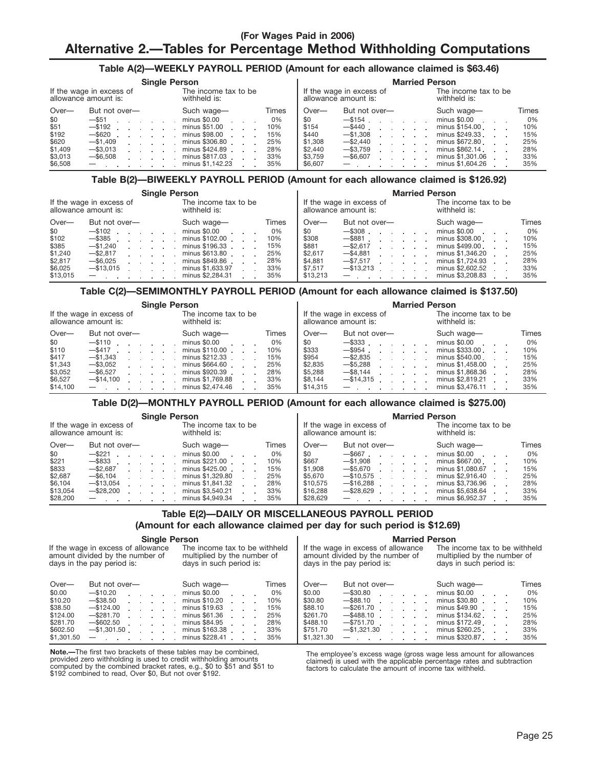## **(For Wages Paid in 2006) Alternative 2.—Tables for Percentage Method Withholding Computations**

## **Table A(2)—WEEKLY PAYROLL PERIOD (Amount for each allowance claimed is \$63.46)**

|         |                                                                                                                 |  |                                 | <b>Single Person</b>                 |  |       |         |                                                  |  |  | <b>Married Person</b>                |  |       |
|---------|-----------------------------------------------------------------------------------------------------------------|--|---------------------------------|--------------------------------------|--|-------|---------|--------------------------------------------------|--|--|--------------------------------------|--|-------|
|         | If the wage in excess of<br>allowance amount is:                                                                |  |                                 | The income tax to be<br>withheld is: |  |       |         | If the wage in excess of<br>allowance amount is: |  |  | The income tax to be<br>withheld is: |  |       |
| $Over-$ | But not over-                                                                                                   |  |                                 | Such wage-                           |  | Times | Over—   | But not over-                                    |  |  | Such wage-                           |  | Times |
| \$0     | $-$ \$51                                                                                                        |  |                                 | minus \$0.00                         |  | 0%    | \$0     | $-$ \$154.                                       |  |  | minus \$0.00                         |  | $0\%$ |
| \$51    | $-$ \$192                                                                                                       |  |                                 | minus \$51.00                        |  | 10%   | \$154   | $-$ \$440.                                       |  |  | minus \$154.00                       |  | 10%   |
| \$192   | $-$ \$620.                                                                                                      |  |                                 | minus \$98.00                        |  | 15%   | \$440   | $-$ \$1.308                                      |  |  | minus \$249.33                       |  | 15%   |
| \$620   | $-$ \$1.409                                                                                                     |  |                                 | minus \$306.80                       |  | 25%   | \$1,308 | $-$ \$2.440                                      |  |  | minus \$672.80                       |  | 25%   |
| \$1,409 | $-$ \$3.013                                                                                                     |  | and a state of the state of the | minus \$424.89                       |  | 28%   | \$2,440 | $-$ \$3.759                                      |  |  | minus \$862.14                       |  | 28%   |
| \$3,013 | $-$ \$6.508                                                                                                     |  |                                 | minus \$817.03                       |  | 33%   | \$3.759 | $-$ \$6.607                                      |  |  | minus \$1,301.06                     |  | 33%   |
| \$6.508 | the contract of the contract of the contract of the contract of the contract of the contract of the contract of |  |                                 | minus \$1.142.23                     |  | 35%   | \$6.607 | $-$                                              |  |  | minus \$1,604.26                     |  | 35%   |

## **Table B(2)—BIWEEKLY PAYROLL PERIOD (Amount for each allowance claimed is \$126.92)**

| <b>Single Person</b><br>If the wage in excess of<br>allowance amount is:                                                                                                           | The income tax to be<br>withheld is:                                                                                                                                                                | <b>Married Person</b><br>If the wage in excess of<br>allowance amount is:                                                                                                                             | The income tax to be<br>withheld is:                                                                                                                                                                     |
|------------------------------------------------------------------------------------------------------------------------------------------------------------------------------------|-----------------------------------------------------------------------------------------------------------------------------------------------------------------------------------------------------|-------------------------------------------------------------------------------------------------------------------------------------------------------------------------------------------------------|----------------------------------------------------------------------------------------------------------------------------------------------------------------------------------------------------------|
| But not over-<br>Over-<br>\$0<br>$-\$102$<br>\$102<br>$-$ \$385<br>\$385<br>$-$ \$1.240<br>\$1,240<br>$-$ \$2.817<br>\$2.817<br>$-$ \$6.025<br>\$6,025<br>$-$ \$13.015<br>\$13,015 | Times<br>Such wage-<br>minus \$0.00<br>0%<br>10%<br>minus \$102.00<br>minus \$196.33<br>15%<br>minus \$613.80<br>25%<br>28%<br>minus \$849.86<br>minus \$1,633.97<br>33%<br>minus \$2,284.31<br>35% | But not over-<br>Over—<br>$-$ \$308<br>\$0<br>and a state of<br>\$308<br>$-$ \$881<br>\$881<br>$-$ \$2.617<br>\$2.617<br>$-$ \$4.881<br>\$4,881<br>$-$ \$7.517<br>\$7.517<br>$-$ \$13.213<br>\$13,213 | Such wage-<br>Times<br>minus \$0.00<br>0%<br>10%<br>minus \$308.00.<br>minus \$499.00<br>15%<br>minus \$1,346.20<br>25%<br>28%<br>minus \$1.724.93<br>minus \$2,602.52<br>33%<br>minus \$3,208.83<br>35% |

## **Table C(2)—SEMIMONTHLY PAYROLL PERIOD (Amount for each allowance claimed is \$137.50)**

|          |                                                                                                                 |  |                               | <b>Single Person</b>                 |  |       |          |                                                                                                                 |  |  | <b>Married Person</b>                |                          |       |
|----------|-----------------------------------------------------------------------------------------------------------------|--|-------------------------------|--------------------------------------|--|-------|----------|-----------------------------------------------------------------------------------------------------------------|--|--|--------------------------------------|--------------------------|-------|
|          | If the wage in excess of<br>allowance amount is:                                                                |  |                               | The income tax to be<br>withheld is: |  |       |          | If the wage in excess of<br>allowance amount is:                                                                |  |  | The income tax to be<br>withheld is: |                          |       |
| Over-    | But not over-                                                                                                   |  |                               | Such wage-                           |  | Times | Over—    | But not over-                                                                                                   |  |  | Such wage-                           |                          | Times |
| \$0      | $-$ \$110 $\cdot$ $\cdot$ $\cdot$ $\cdot$ $\cdot$                                                               |  |                               | minus \$0.00                         |  | $0\%$ | \$0      | $-$ \$333.                                                                                                      |  |  | minus \$0.00                         |                          | 0%    |
| \$110    | $-$ \$417.                                                                                                      |  |                               | minus \$110.00 .                     |  | 10%   | \$333    | $-$ \$954                                                                                                       |  |  | minus \$333.00.                      | <b>College</b>           | 10%   |
| \$417    | $-$ \$1.343                                                                                                     |  |                               | minus \$212.33                       |  | 15%   | \$954    | $-$ \$2.835                                                                                                     |  |  | minus \$540.00                       | <b>Contract Contract</b> | 15%   |
| \$1,343  | $-$ \$3.052                                                                                                     |  |                               | minus \$664.60                       |  | 25%   | \$2.835  | $-$ \$5.288                                                                                                     |  |  | minus \$1.458.00                     |                          | 25%   |
| \$3.052  | $-$ \$6.527                                                                                                     |  | the company of the company of | minus \$920.39                       |  | 28%   | \$5.288  | $-$ \$8.144                                                                                                     |  |  | minus \$1,868.36                     |                          | 28%   |
| \$6.527  | $-$ \$14.100                                                                                                    |  |                               | minus \$1,769.88                     |  | 33%   | \$8.144  | $-$ \$14.315                                                                                                    |  |  | minus \$2.819.21                     |                          | 33%   |
| \$14,100 | the contract of the contract of the contract of the contract of the contract of the contract of the contract of |  |                               | minus \$2.474.46                     |  | 35%   | \$14,315 | the contract of the contract of the contract of the contract of the contract of the contract of the contract of |  |  | minus \$3,476.11                     |                          | 35%   |

## **Table D(2)—MONTHLY PAYROLL PERIOD (Amount for each allowance claimed is \$275.00)**

|                                                                                                                                                          |               |  |  | <b>Single Person</b>                                                                                                       |  |                                                |                                                                     |                                                                                                          |  |  | <b>Married Person</b>                                                                                                        |  |                                                |
|----------------------------------------------------------------------------------------------------------------------------------------------------------|---------------|--|--|----------------------------------------------------------------------------------------------------------------------------|--|------------------------------------------------|---------------------------------------------------------------------|----------------------------------------------------------------------------------------------------------|--|--|------------------------------------------------------------------------------------------------------------------------------|--|------------------------------------------------|
| If the wage in excess of<br>allowance amount is:                                                                                                         |               |  |  | The income tax to be<br>withheld is:                                                                                       |  |                                                |                                                                     | If the wage in excess of<br>allowance amount is:                                                         |  |  | The income tax to be<br>withheld is:                                                                                         |  |                                                |
| Over-<br>\$0<br>$-$ \$221<br>\$221<br>$-$ \$833<br>\$833<br>$-$ \$2.687<br>\$2.687<br>$-$ \$6.104<br>\$6.104<br>$-$ \$13.054<br>\$13,054<br>$-$ \$28.200 | But not over- |  |  | Such wage-<br>minus \$0.00<br>minus \$221.00<br>minus \$425.00<br>minus \$1,329.80<br>minus \$1,841,32<br>minus \$3,540.21 |  | Times<br>0%<br>10%<br>15%<br>25%<br>28%<br>33% | Over—<br>\$0<br>\$667<br>\$1,908<br>\$5.670<br>\$10.575<br>\$16,288 | But not over-<br>$-$ \$667<br>$-$ \$1.908<br>$-$ \$5.670<br>$-$ \$10.575<br>$-$ \$16.288<br>$-$ \$28.629 |  |  | Such wage-<br>minus \$0.00<br>minus \$667.00<br>minus \$1,080.67<br>minus \$2,916.40<br>minus \$3,736.96<br>minus \$5,638.64 |  | Times<br>0%<br>10%<br>15%<br>25%<br>28%<br>33% |
| \$28,200                                                                                                                                                 |               |  |  | minus \$4,949.34                                                                                                           |  | 35%                                            | \$28.629                                                            |                                                                                                          |  |  | minus \$6.952.37                                                                                                             |  | 35%                                            |

## **Table E(2)—DAILY OR MISCELLANEOUS PAYROLL PERIOD (Amount for each allowance claimed per day for such period is \$12.69)**

### **Single Person Married Person National Report Constructs I** and Married Person If the wage in excess of allowance amount divided by the number of days in the pay period is: If the wage in excess of allowance amount divided by the number of days in the pay period is: The income tax to be withheld multiplied by the number of days in such period is: The income tax to be withheld multiplied by the number of days in such period is: Over— But not over— Such wage— Times | Over— But not over— Such wage— Times 0% 15% 25% 28% 33% 35% 10% 0% 15% 25% 28% 33% 35% 10% \$0.00 —\$10.20 minus \$0.00 \$0.00 —\$30.80 minus \$0.00 \$10.20 —\$38.50 minus \$10.20 10% | \$30.80 —\$88.10 . minus \$30.80 \$38.50 —\$124.00 minus \$19.63 15% | \$88.10 —\$261.70 minus \$49.90 \$124.00 —\$281.70 minus \$61.36 \$261.70 —\$488.10 minus \$134.62 \$281.70 —\$602.50 minus \$84.95 \$488.10 —\$751.70 minus \$172.49 \$602.50 —\$1,301.50 minus \$163.38 \$751.70 —\$1,321.30 minus \$260.25 minus \$320.87

**Note.—**The first two brackets of these tables may be combined, provided zero withholding is used to credit withholding amounts computed by the combined bracket rates, e.g., \$0 to \$51 and \$51 to \$192 combined to read, Over \$0, But not over \$192.

The employee's excess wage (gross wage less amount for allowances claimed) is used with the applicable percentage rates and subtraction factors to calculate the amount of income tax withheld.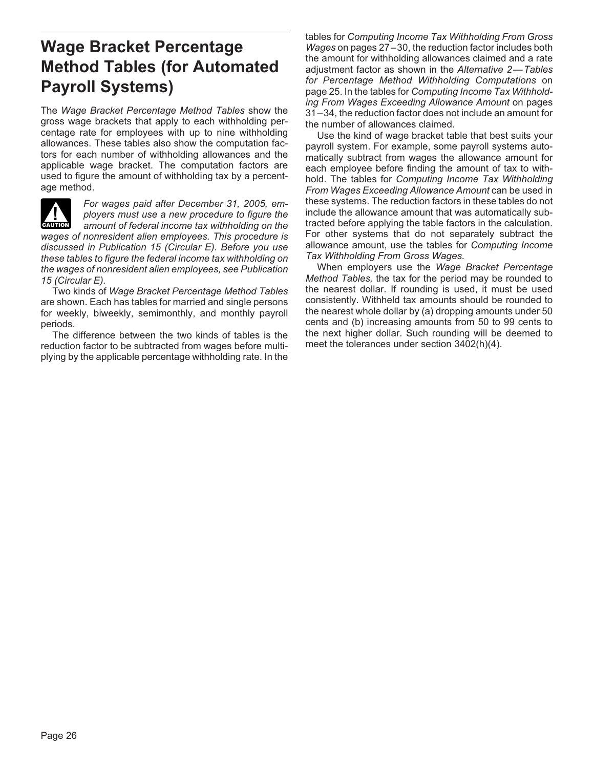The Wage Bracket Percentage Method Tables show the<br>gross wage brackets that apply to each withholding per-<br>centage rate for employees with up to nine withholding<br>lise the kind of wage bracket table that hest suits your



*discussed in Publication 15 (Circular E). Before you use* allowance amount, use the tables for *Computing Income Tax Withholding From Gross Wages. these tables to figure the federal income tax withholding on the wages of nonresident alien employees, see Publication* 

are shown. Each has tables for married and single persons consistently. Withheld tax amounts should be rounded to<br>for weekly, biweekly, semimonthly, and monthly payroll the nearest whole dollar by (a) dropping amounts unde for weekly, biweekly, semimonthly, and monthly payroll periods. Cents and (b) increasing amounts from 50 to 99 cents to

reduction factor to be subtracted from wages before multiplying by the applicable percentage withholding rate. In the

tables for *Computing Income Tax Withholding From Gross* **Wage Bracket Percentage** *Wages* on pages 27–30, the reduction factor includes both **Method Tables (for Automated** adjustment factor as shown in the *Alternative 2—Tables*<br>*for Percentage Method Withholding Computations* on **Payroll Systems)** *on Percentage Method Withholding Computations* on *page 25.* In the tables for *Computing Income Tax Withhold-*

centage rate for employees with up to nine withholding<br>allowances. These tables also show the computation fac-<br>tors for each number of withholding allowances and the<br>applicable wage bracket. The computation factors are<br>use *For wages paid after December 31, 2005, em-* these systems. The reduction factors in these tables do not *ployers must use a new procedure to figure the* include the allowance amount that was automatically subamount of federal income tax withholding on the tracted before applying the table factors in the calculation. *wages of nonresident alien employees. This procedure is* For other systems that do not separately subtract the

*15 (Circular E). Method Tables,* the tax for the period may be rounded to Two kinds of *Wage Bracket Percentage Method Tables* the nearest dollar. If rounding is used, it must be used The difference between the two kinds of tables is the the next higher dollar. Such rounding will be deemed to<br>Juction factor to be subtracted from wages before multi- meet the tolerances under section 3402(h)(4).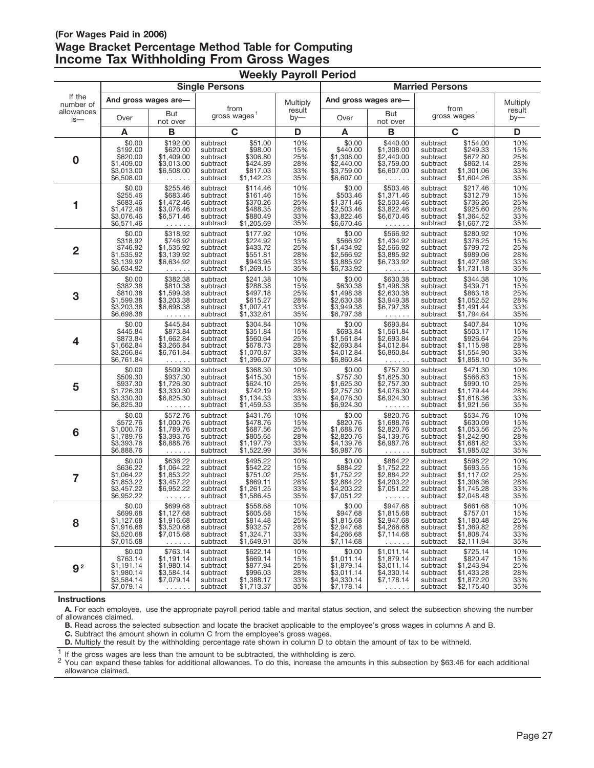|                     |                                                                            |                                                                                                                               |                                                                      |                                                                          | <b>Weekly Payroll Period</b>           |                                                                              |                                                                                                                            |                                                                      |                                                                              |                                        |
|---------------------|----------------------------------------------------------------------------|-------------------------------------------------------------------------------------------------------------------------------|----------------------------------------------------------------------|--------------------------------------------------------------------------|----------------------------------------|------------------------------------------------------------------------------|----------------------------------------------------------------------------------------------------------------------------|----------------------------------------------------------------------|------------------------------------------------------------------------------|----------------------------------------|
|                     |                                                                            |                                                                                                                               | <b>Single Persons</b>                                                |                                                                          |                                        |                                                                              |                                                                                                                            | <b>Married Persons</b>                                               |                                                                              |                                        |
| If the<br>number of | And gross wages are-                                                       |                                                                                                                               |                                                                      |                                                                          | Multiply                               | And gross wages are-                                                         |                                                                                                                            |                                                                      |                                                                              | Multiply                               |
| allowances<br>is—   | Over                                                                       | But<br>not over                                                                                                               |                                                                      | from<br>gross wages <sup>1</sup>                                         | result<br>$by-$                        | Over                                                                         | But<br>not over                                                                                                            |                                                                      | from<br>gross wages <sup>1</sup>                                             | result<br>by—                          |
|                     | A                                                                          | B                                                                                                                             |                                                                      | $\mathbf C$                                                              | D                                      | A                                                                            | B                                                                                                                          |                                                                      | $\mathbf C$                                                                  | D                                      |
| $\boldsymbol{0}$    | \$0.00<br>\$192.00<br>\$620.00<br>\$1,409.00<br>\$3,013.00<br>\$6,508.00   | \$192.00<br>\$620.00<br>\$1,409.00<br>\$3,013.00<br>\$6,508.00<br>.                                                           | subtract<br>subtract<br>subtract<br>subtract<br>subtract<br>subtract | \$51.00<br>\$98.00<br>\$306.80<br>\$424.89<br>\$817.03<br>\$1,142.23     | 10%<br>15%<br>25%<br>28%<br>33%<br>35% | \$0.00<br>\$440.00<br>\$1,308.00<br>\$2,440.00<br>\$3,759.00<br>\$6,607.00   | \$440.00<br>\$1,308.00<br>\$2,440.00<br>\$3,759.00<br>\$6,607.00<br>.                                                      | subtract<br>subtract<br>subtract<br>subtract<br>subtract<br>subtract | \$154.00<br>\$249.33<br>\$672.80<br>\$862.14<br>\$1,301.06<br>\$1,604.26     | 10%<br>15%<br>25%<br>28%<br>33%<br>35% |
| 1                   | \$0.00<br>\$255.46<br>\$683.46<br>\$1,472.46<br>\$3,076.46<br>\$6,571.46   | \$255.46<br>\$683.46<br>\$1,472.46<br>\$3,076.46<br>\$6,571.46<br>$\mathbb{R}^n$ . In the $\mathbb{R}^n$                      | subtract<br>subtract<br>subtract<br>subtract<br>subtract<br>subtract | \$114.46<br>\$161.46<br>\$370.26<br>\$488.35<br>\$880.49<br>\$1,205.69   | 10%<br>15%<br>25%<br>28%<br>33%<br>35% | \$0.00<br>\$503.46<br>\$1,371.46<br>\$2,503.46<br>\$3,822.46<br>\$6,670.46   | \$503.46<br>\$1,371.46<br>\$2,503.46<br>\$3,822.46<br>\$6,670.46<br>1.1.1.1.1                                              | subtract<br>subtract<br>subtract<br>subtract<br>subtract<br>subtract | \$217.46<br>\$312.79<br>\$736.26<br>\$925.60<br>\$1,364.52<br>\$1,667.72     | 10%<br>15%<br>25%<br>28%<br>33%<br>35% |
| $\overline{2}$      | \$0.00<br>\$318.92<br>\$746.92<br>\$1,535.92<br>\$3,139.92<br>\$6,634.92   | \$318.92<br>\$746.92<br>$$1,535.92$<br>$$3,139.92$<br>\$6,634.92<br>.                                                         | subtract<br>subtract<br>subtract<br>subtract<br>subtract<br>subtract | \$177.92<br>$$224.92 $433.72$<br>\$551.81<br>\$943.95<br>\$1,269.15      | 10%<br>15%<br>25%<br>28%<br>33%<br>35% | \$0.00<br>\$566.92<br>\$1,434.92<br>\$2,566.92<br>\$3,885.92<br>\$6,733.92   | \$566.92<br>\$1,434.92<br>\$2,566.92<br>\$3,885.92<br>\$6,733.92<br>.                                                      | subtract<br>subtract<br>subtract<br>subtract<br>subtract<br>subtract | \$280.92<br>\$376.25<br>\$799.72<br>\$989.06<br>\$1,427.98<br>\$1,731.18     | 10%<br>15%<br>25%<br>28%<br>33%<br>35% |
| 3                   | \$0.00<br>\$382.38<br>\$810.38<br>\$1,599.38<br>\$3,203.38<br>\$6,698.38   | \$382.38<br>\$810.38<br>\$1,599.38<br>\$3,203.38<br>\$6,698.38<br>.                                                           | subtract<br>subtract<br>subtract<br>subtract<br>subtract<br>subtract | \$241.38<br>\$288.38<br>\$497.18<br>\$615.27<br>\$1,007.41<br>\$1,332.61 | 10%<br>15%<br>25%<br>28%<br>33%<br>35% | \$0.00<br>\$630.38<br>\$1,498.38<br>\$2,630.38<br>\$3,949.38<br>\$6,797.38   | \$630.38<br>\$1,498.38<br>\$2,630.38<br>\$3,949.38<br>\$6.797.38<br>.                                                      | subtract<br>subtract<br>subtract<br>subtract<br>subtract<br>subtract | \$344.38<br>\$439.71<br>\$863.18<br>\$1,052.52<br>\$1,491.44<br>\$1,794.64   | 10%<br>15%<br>25%<br>28%<br>33%<br>35% |
| 4                   | \$0.00<br>\$445.84<br>\$873.84<br>\$1,662.84<br>\$3,266.84<br>\$6,761.84   | \$445.84<br>\$873.84<br>\$1,662.84<br>\$3,266.84<br>\$6,761.84<br>$\alpha$ , $\alpha$ , $\alpha$ , $\alpha$                   | subtract<br>subtract<br>subtract<br>subtract<br>subtract<br>subtract | \$304.84<br>\$351.84<br>\$560.64<br>\$678.73<br>\$1,070.87<br>\$1,396.07 | 10%<br>15%<br>25%<br>28%<br>33%<br>35% | \$0.00<br>\$693.84<br>\$1,561.84<br>\$2,693.84<br>\$4,012.84<br>\$6,860.84   | \$693.84<br>\$1,561.84<br>\$2,693.84<br>\$4,012.84<br>\$6,860.84<br>$\alpha$ , $\alpha$ , $\alpha$ , $\alpha$              | subtract<br>subtract<br>subtract<br>subtract<br>subtract<br>subtract | \$407.84<br>\$503.17<br>\$926.64<br>\$1,115.98<br>\$1,554.90<br>\$1,858.10   | 10%<br>15%<br>25%<br>28%<br>33%<br>35% |
| 5                   | \$0.00<br>\$509.30<br>\$937.30<br>\$1,726.30<br>\$3,330.30<br>\$6,825.30   | \$509.30<br>\$937.30<br>\$1,726.30<br>\$3,330.30<br>\$6,825.30<br>$\alpha$ , $\alpha$ , $\alpha$ , $\alpha$                   | subtract<br>subtract<br>subtract<br>subtract<br>subtract<br>subtract | \$368.30<br>\$415.30<br>\$624.10<br>\$742.19<br>\$1,134.33<br>\$1,459.53 | 10%<br>15%<br>25%<br>28%<br>33%<br>35% | \$0.00<br>\$757.30<br>\$1,625.30<br>\$2,757.30<br>\$4,076.30<br>\$6,924.30   | \$757.30<br>\$1,625.30<br>\$2,757.30<br>\$4,076.30<br>\$6,924.30<br>.                                                      | subtract<br>subtract<br>subtract<br>subtract<br>subtract<br>subtract | \$471.30<br>\$566.63<br>\$990.10<br>\$1,179.44<br>\$1,618.36<br>\$1,921.56   | 10%<br>15%<br>25%<br>28%<br>33%<br>35% |
| 6                   | \$0.00<br>\$572.76<br>\$1,000.76<br>\$1,789.76<br>\$3,393.76<br>\$6,888.76 | \$572.76<br>\$1,000.76<br>\$1,789.76<br>\$3,393.76<br>\$6,888.76<br>$\sim$ $\sim$ $\sim$<br>$\ldots$                          | subtract<br>subtract<br>subtract<br>subtract<br>subtract<br>subtract | \$431.76<br>\$478.76<br>\$687.56<br>\$805.65<br>\$1,197.79<br>\$1,522.99 | 10%<br>15%<br>25%<br>28%<br>33%<br>35% | \$0.00<br>\$820.76<br>\$1,688.76<br>\$2,820.76<br>\$4,139.76<br>\$6,987.76   | \$820.76<br>\$1,688.76<br>\$2,820.76<br>\$4,139.76<br>\$6,987.76<br>$\ldots$ .<br>$\ddotsc$                                | subtract<br>subtract<br>subtract<br>subtract<br>subtract<br>subtract | \$534.76<br>\$630.09<br>\$1,053.56<br>\$1,242.90<br>\$1,681.82<br>\$1,985.02 | 10%<br>15%<br>25%<br>28%<br>33%<br>35% |
| 7                   | \$0.00<br>\$636.22<br>\$1,064.22<br>\$1,853.22<br>\$3,457.22<br>\$6,952.22 | \$636.22<br>\$1,064.22<br>\$1,853.22<br>\$3,457.22<br>\$6,952.22<br>$\cdots$                                                  | subtract<br>subtract<br>subtract<br>subtract<br>subtract<br>subtract | \$495.22<br>\$542.22<br>\$751.02<br>\$869.11<br>\$1,261.25<br>\$1,586.45 | 10%<br>15%<br>25%<br>28%<br>33%<br>35% | \$0.00<br>\$884.22<br>\$1,752.22<br>\$2,884.22<br>\$4,203.22<br>\$7,051.22   | \$884.22<br>\$1,752.22<br>\$2,884.22<br>\$4,203.22<br>\$7,051.22<br>.                                                      | subtract<br>subtract<br>subtract<br>subtract<br>subtract<br>subtract | \$598.22<br>\$693.55<br>\$1,117.02<br>\$1,306.36<br>\$1,745.28<br>\$2,048.48 | 10%<br>15%<br>25%<br>28%<br>33%<br>35% |
| 8                   | \$0.00<br>\$699.68<br>\$1,127.68<br>\$1,916.68<br>\$3,520.68<br>\$7,015.68 | \$699.68<br>\$1,127.68<br>\$1,916.68<br>\$3,520.68<br>\$7,015.68<br>.                                                         | subtract<br>subtract<br>subtract<br>subtract<br>subtract<br>subtract | \$558.68<br>\$605.68<br>\$814.48<br>\$932.57<br>\$1,324.71<br>\$1,649.91 | 10%<br>15%<br>25%<br>28%<br>33%<br>35% | \$0.00<br>\$947.68<br>\$1,815.68<br>\$2,947.68<br>\$4,266.68<br>\$7,114.68   | \$947.68<br>\$1,815.68<br>\$2,947.68<br>\$4,266.68<br>\$7,114.68<br>.                                                      | subtract<br>subtract<br>subtract<br>subtract<br>subtract<br>subtract | \$661.68<br>\$757.01<br>\$1,180.48<br>\$1,369.82<br>\$1,808.74<br>\$2,111.94 | 10%<br>15%<br>25%<br>28%<br>33%<br>35% |
| 9 <sup>2</sup>      | \$0.00<br>\$763.14<br>\$1,191.14<br>\$1,980.14<br>\$3,584.14<br>\$7,079.14 | \$763.14<br>\$1,191.14<br>\$1,980.14<br>\$3,584.14<br>\$7,079.14<br>$\mathbf{r}$ , $\mathbf{r}$ , $\mathbf{r}$ , $\mathbf{r}$ | subtract<br>subtract<br>subtract<br>subtract<br>subtract<br>subtract | \$622.14<br>\$669.14<br>\$877.94<br>\$996.03<br>\$1,388.17<br>\$1,713.37 | 10%<br>15%<br>25%<br>28%<br>33%<br>35% | \$0.00<br>\$1,011.14<br>\$1,879.14<br>\$3,011.14<br>\$4,330.14<br>\$7,178.14 | \$1,011.14<br>\$1,879.14<br>\$3,011.14<br>\$4,330.14<br>\$7,178.14<br>$\alpha$ , $\alpha$ , $\alpha$ , $\alpha$ , $\alpha$ | subtract<br>subtract<br>subtract<br>subtract<br>subtract<br>subtract | \$725.14<br>\$820.47<br>\$1,243.94<br>\$1,433.28<br>\$1,872.20<br>\$2,175.40 | 10%<br>15%<br>25%<br>28%<br>33%<br>35% |

## **Instructions**

**A.** For each employee, use the appropriate payroll period table and marital status section, and select the subsection showing the number of allowances claimed.

**B.** Read across the selected subsection and locate the bracket applicable to the employee's gross wages in columns A and B.

**C.** Subtract the amount shown in column C from the employee's gross wages.

**D.** Multiply the result by the withholding percentage rate shown in column D to obtain the amount of tax to be withheld.

 $\frac{1}{2}$  If the gross wages are less than the amount to be subtracted, the withholding is zero.<br><sup>2</sup> You can expand these tables for additional allowances. To do this, increase the amounts in this subsection by \$63.46 for allowance claimed.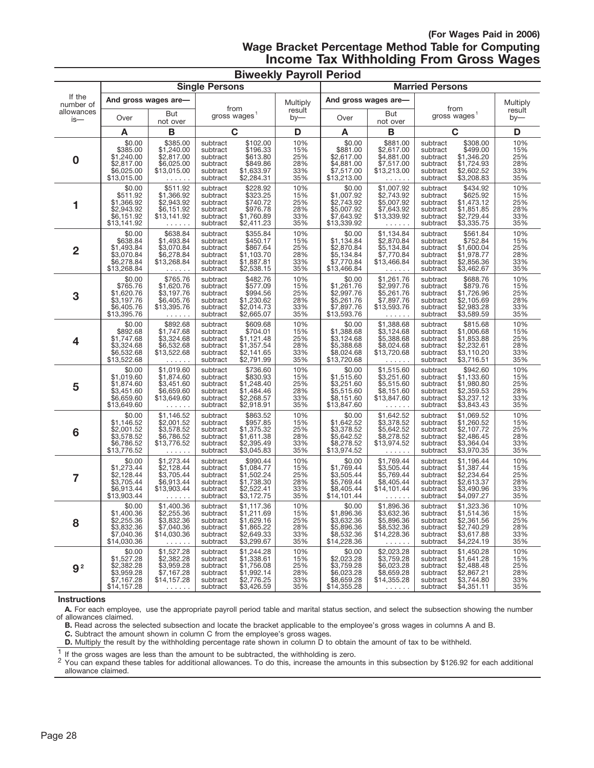|                     |                                                                               |                                                                                                                                  |                                                                      |                                                                                  | <b>Biweekly Payroll Period</b>         |                                                                                 |                                                                                                                  |                                                                      |                                                                                    |                                        |
|---------------------|-------------------------------------------------------------------------------|----------------------------------------------------------------------------------------------------------------------------------|----------------------------------------------------------------------|----------------------------------------------------------------------------------|----------------------------------------|---------------------------------------------------------------------------------|------------------------------------------------------------------------------------------------------------------|----------------------------------------------------------------------|------------------------------------------------------------------------------------|----------------------------------------|
|                     |                                                                               |                                                                                                                                  | <b>Single Persons</b>                                                |                                                                                  |                                        |                                                                                 |                                                                                                                  | <b>Married Persons</b>                                               |                                                                                    |                                        |
| If the<br>number of |                                                                               | And gross wages are-                                                                                                             |                                                                      |                                                                                  | Multiply                               |                                                                                 | And gross wages are-                                                                                             |                                                                      |                                                                                    | Multiply                               |
| allowances<br>is—   | Over                                                                          | But<br>not over                                                                                                                  |                                                                      | from<br>gross wages <sup>1</sup>                                                 | result<br>$by-$                        | Over                                                                            | But<br>not over                                                                                                  |                                                                      | from<br>gross wages $1$                                                            | result<br>$by-$                        |
|                     | A                                                                             | B                                                                                                                                |                                                                      | $\mathbf C$                                                                      | D                                      | A                                                                               | B                                                                                                                |                                                                      | $\mathbf C$                                                                        | D                                      |
| $\bf{0}$            | \$0.00<br>\$385.00<br>\$1,240.00<br>\$2,817.00<br>\$6,025.00<br>\$13,015.00   | \$385.00<br>\$1,240.00<br>\$2,817.00<br>\$6,025.00<br>\$13,015.00<br>.                                                           | subtract<br>subtract<br>subtract<br>subtract<br>subtract<br>subtract | \$102.00<br>\$196.33<br>\$613.80<br>\$849.86<br>\$1,633.97<br>\$2,284.31         | 10%<br>15%<br>25%<br>28%<br>33%<br>35% | \$0.00<br>\$881.00<br>\$2,617.00<br>$$4,881.00$<br>$$7,517.00$<br>\$13,213.00   | \$881.00<br>\$2,617.00<br>\$4,881.00<br>\$7,517.00<br>\$13,213.00<br>.                                           | subtract<br>subtract<br>subtract<br>subtract<br>subtract<br>subtract | \$308.00<br>\$499.00<br>\$1,346.20<br>\$1,724.93<br>\$2,602.52<br>\$3,208.83       | 10%<br>15%<br>25%<br>28%<br>33%<br>35% |
| 1                   | \$0.00<br>\$511.92<br>\$1,366.92<br>\$2,943.92<br>\$6,151.92<br>\$13,141.92   | \$511.92<br>\$1,366.92<br>\$2,943.92<br>\$6,151.92<br>\$13,141.92<br>$\ldots$                                                    | subtract<br>subtract<br>subtract<br>subtract<br>subtract<br>subtract | \$228.92<br>\$323.25<br>\$740.72<br>\$976.78<br>\$1,760.89<br>\$2,411.23         | 10%<br>15%<br>25%<br>28%<br>33%<br>35% | \$0.00<br>\$1,007.92<br>\$2,743.92<br>\$5,007.92<br>\$7,643.92<br>\$13,339.92   | \$1,007.92<br>$$2,743.92$<br>$$5,007.92$<br>$$7,643.92$<br>\$13,339.92<br>.                                      | subtract<br>subtract<br>subtract<br>subtract<br>subtract<br>subtract | \$434.92<br>\$625.92<br>\$1,473.12<br>\$1,851.85<br>\$2,729.44<br>\$3,335.75       | 10%<br>15%<br>25%<br>28%<br>33%<br>35% |
| $\overline{2}$      | \$0.00<br>\$638.84<br>\$1,493.84<br>\$3,070.84<br>\$6,278.84<br>\$13,268.84   | \$638.84<br>\$1,493.84<br>\$3,070.84<br>\$6,278.84<br>\$13,268.84<br>1.1.1.1.1                                                   | subtract<br>subtract<br>subtract<br>subtract<br>subtract<br>subtract | \$355.84<br>\$450.17<br>\$867.64<br>\$1,103.70<br>\$1,887.81<br>\$2,538.15       | 10%<br>15%<br>25%<br>28%<br>33%<br>35% | \$0.00<br>\$1,134.84<br>\$2,870.84<br>\$5,134.84<br>\$7,770.84<br>\$13,466.84   | \$1,134.84<br>\$2,870.84<br>\$5,134.84<br>\$7,770.84<br>\$13,466.84<br>.                                         | subtract<br>subtract<br>subtract<br>subtract<br>subtract<br>subtract | \$561.84<br>\$752.84<br>\$1,600.04<br>\$1,978.77<br>\$2,856.36<br>\$3,462.67       | 10%<br>15%<br>25%<br>28%<br>33%<br>35% |
| 3                   | \$0.00<br>\$765.76<br>\$1,620.76<br>\$3,197.76<br>\$6,405.76<br>\$13,395.76   | \$765.76<br>\$1,620.76<br>\$3,197.76<br>\$6,405.76<br>\$13,395.76<br>1.1.1.1.1                                                   | subtract<br>subtract<br>subtract<br>subtract<br>subtract<br>subtract | \$482.76<br>\$577.09<br>\$994.56<br>\$1,230.62<br>\$2,014.73<br>\$2,665.07       | 10%<br>15%<br>25%<br>28%<br>33%<br>35% | \$0.00<br>$$1,261.76$<br>$$2,997.76$<br>\$5,261.76<br>\$7,897.76<br>\$13,593.76 | \$1,261.76<br>\$2,997.76<br>\$5,261.76<br>\$7,897.76<br>\$13,593.76<br>.                                         | subtract<br>subtract<br>subtract<br>subtract<br>subtract<br>subtract | \$688.76<br>\$879.76<br>\$1,726.96<br>\$2,105.69<br>\$2,983.28<br>\$3,589.59       | 10%<br>15%<br>25%<br>28%<br>33%<br>35% |
| 4                   | \$0.00<br>\$892.68<br>\$1,747.68<br>\$3,324.68<br>\$6,532.68<br>\$13,522.68   | \$892.68<br>\$1,747.68<br>\$3,324.68<br>\$6,532.68<br>\$13,522.68<br>$\alpha$ , $\alpha$ , $\alpha$ , $\alpha$                   | subtract<br>subtract<br>subtract<br>subtract<br>subtract<br>subtract | \$609.68<br>\$704.01<br>\$1,121.48<br>\$1,357.54<br>\$2,141.65<br>\$2,791.99     | 10%<br>15%<br>25%<br>28%<br>33%<br>35% | 0.00\$<br>\$1,388.68<br>\$3,124.68<br>\$5,388.68<br>\$8,024.68<br>\$13,720.68   | \$1,388.68<br>\$3,124.68<br>\$5,388.68<br>\$8,024.68<br>\$13,720.68<br>.                                         | subtract<br>subtract<br>subtract<br>subtract<br>subtract<br>subtract | \$815.68<br>\$1,006.68<br>\$1,853.88<br>\$2,232.61<br>\$3,110.20<br>\$3,716.51     | 10%<br>15%<br>25%<br>28%<br>33%<br>35% |
| 5                   | \$0.00<br>\$1,019.60<br>\$1,874.60<br>\$3,451.60<br>\$6,659.60<br>\$13,649.60 | \$1,019.60<br>\$1,874.60<br>\$3,451.60<br>\$6,659.60<br>\$13,649.60<br>.                                                         | subtract<br>subtract<br>subtract<br>subtract<br>subtract<br>subtract | \$736.60<br>\$830.93<br>\$1,248.40<br>\$1,484.46<br>\$2,268.57<br>\$2,918.91     | 10%<br>15%<br>25%<br>28%<br>33%<br>35% | \$0.00<br>\$1,515.60<br>\$3,251.60<br>\$5,515.60<br>\$8,151.60<br>\$13,847.60   | \$1,515.60<br>\$3,251.60<br>\$5,515.60<br>\$8,151.60<br>\$13,847.60                                              | subtract<br>subtract<br>subtract<br>subtract<br>subtract<br>subtract | \$942.60<br>$$1,133.60$<br>$$1,980.80$<br>\$2,359.53<br>\$3,237.12<br>\$3,843.43   | 10%<br>15%<br>25%<br>28%<br>33%<br>35% |
| 6                   | \$0.00<br>\$1,146.52<br>\$2,001.52<br>\$3,578.52<br>\$6,786.52<br>\$13,776.52 | \$1,146.52<br>\$2,001.52<br>\$3,578.52<br>\$6,786.52<br>\$13,776.52<br>.                                                         | subtract<br>subtract<br>subtract<br>subtract<br>subtract<br>subtract | \$863.52<br>\$957.85<br>\$1,375.32<br>\$1,611.38<br>\$2,395.49<br>\$3,045.83     | 10%<br>15%<br>25%<br>28%<br>33%<br>35% | \$0.00<br>\$1,642.52<br>\$3,378.52<br>\$5,642.52<br>\$8,278.52<br>\$13,974.52   | \$1,642.52<br>\$3,378.52<br>\$5,642.52<br>\$8,278.52<br>\$13,974.52<br>.                                         | subtract<br>subtract<br>subtract<br>subtract<br>subtract<br>subtract | \$1,069.52<br>\$1,260.52<br>$$2,107.72$<br>$$2,486.45$<br>\$3,364.04<br>\$3,970.35 | 10%<br>15%<br>25%<br>28%<br>33%<br>35% |
| 7                   | \$0.00<br>\$1,273.44<br>\$2,128.44<br>\$3,705.44<br>\$6,913.44<br>\$13,903.44 | \$1,273.44<br>\$2,128.44<br>\$3,705.44<br>\$6,913.44<br>\$13,903.44<br>.                                                         | subtract<br>subtract<br>subtract<br>subtract<br>subtract<br>subtract | \$990.44<br>\$1,084.77<br>\$1,502.24<br>\$1,738.30<br>\$2,522.41<br>\$3,172.75   | 10%<br>15%<br>25%<br>28%<br>33%<br>35% | \$0.00<br>\$1,769.44<br>\$3,505.44<br>\$5,769.44<br>\$8,405.44<br>\$14,101.44   | \$1,769.44<br>\$3,505.44<br>\$5,769.44<br>\$8,405.44<br>\$14,101.44<br>.                                         | subtract<br>subtract<br>subtract<br>subtract<br>subtract<br>subtract | \$1,196.44<br>$$1,387.44$<br>$$2,234.64$<br>\$2,613.37<br>\$3,490.96<br>\$4,097.27 | 10%<br>15%<br>25%<br>28%<br>33%<br>35% |
| 8                   | \$0.00<br>\$1,400.36<br>\$2,255.36<br>\$3,832.36<br>\$7,040.36<br>\$14,030.36 | $\overline{\$1,400.36}$<br>\$2,255.36<br>\$3,832.36<br>\$7,040.36<br>\$14,030.36<br>.                                            | subtract<br>subtract<br>subtract<br>subtract<br>subtract<br>subtract | \$1,117.36<br>\$1,211.69<br>\$1,629.16<br>\$1,865.22<br>\$2,649.33<br>\$3,299.67 | 10%<br>15%<br>25%<br>28%<br>33%<br>35% | \$0.00<br>\$1,896.36<br>\$3,632.36<br>\$5,896.36<br>\$8,532.36<br>\$14,228.36   | \$1,896.36<br>\$3,632.36<br>$$5,896.36$<br>$$8,532.36$<br>\$14,228.36<br>.                                       | subtract<br>subtract<br>subtract<br>subtract<br>subtract<br>subtract | \$1,323.36<br>\$1,514.36<br>\$2,361.56<br>\$2,740.29<br>\$3,617.88<br>\$4,224.19   | 10%<br>15%<br>25%<br>28%<br>33%<br>35% |
| 9 <sup>2</sup>      | \$0.00<br>\$1,527.28<br>\$2,382.28<br>\$3,959.28<br>\$7,167.28<br>\$14,157.28 | \$1,527.28<br>\$2,382.28<br>\$3,959.28<br>\$7,167.28<br>\$14,157.28<br>$\mathbf{r}$ , $\mathbf{r}$ , $\mathbf{r}$ , $\mathbf{r}$ | subtract<br>subtract<br>subtract<br>subtract<br>subtract<br>subtract | \$1,244.28<br>\$1,338.61<br>\$1,756.08<br>\$1,992.14<br>\$2,776.25<br>\$3,426.59 | 10%<br>15%<br>25%<br>28%<br>33%<br>35% | \$0.00<br>\$2,023.28<br>\$3,759.28<br>\$6,023.28<br>\$8,659.28<br>\$14,355.28   | \$2,023.28<br>\$3,759.28<br>\$6,023.28<br>\$8,659.28<br>\$14,355.28<br>$\alpha$ , $\alpha$ , $\alpha$ , $\alpha$ | subtract<br>subtract<br>subtract<br>subtract<br>subtract<br>subtract | \$1,450.28<br>\$1,641.28<br>\$2,488.48<br>\$2,867.21<br>\$3,744.80<br>\$4,351.11   | 10%<br>15%<br>25%<br>28%<br>33%<br>35% |

## **Instructions**

**A.** For each employee, use the appropriate payroll period table and marital status section, and select the subsection showing the number of allowances claimed.

**B.** Read across the selected subsection and locate the bracket applicable to the employee's gross wages in columns A and B.

**C.** Subtract the amount shown in column C from the employee's gross wages.

**D.** Multiply the result by the withholding percentage rate shown in column D to obtain the amount of tax to be withheld.

<sup>1</sup> If the gross wages are less than the amount to be subtracted, the withholding is zero.<br><sup>2</sup> You can expand these tables for additional allowances. To do this, increase the amounts in this subsection by \$126.92 for each allowance claimed.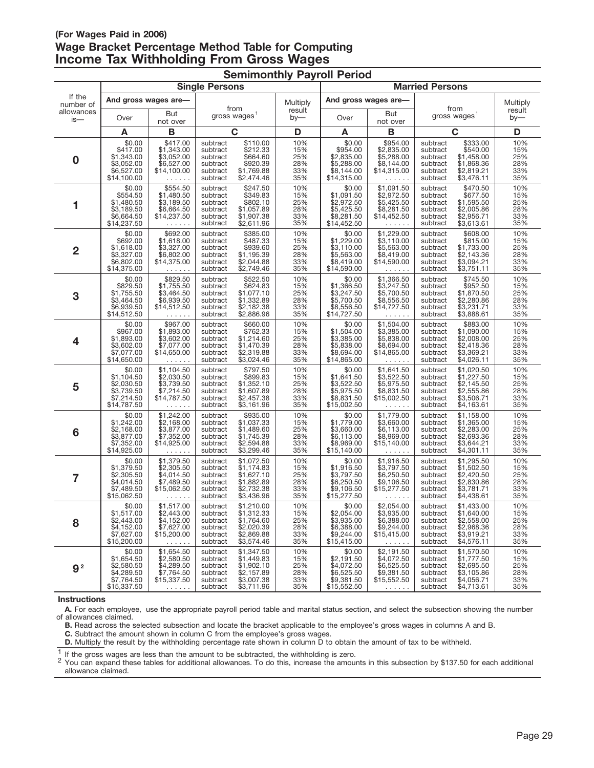|                     |                                                                               |                                                                                                                                    |                                                                                 |                                                                                  |                                        | <b>Semimonthly Payroll Period</b>                                               |                                                                                                                             |                                                                      |                                                                                     |                                                        |
|---------------------|-------------------------------------------------------------------------------|------------------------------------------------------------------------------------------------------------------------------------|---------------------------------------------------------------------------------|----------------------------------------------------------------------------------|----------------------------------------|---------------------------------------------------------------------------------|-----------------------------------------------------------------------------------------------------------------------------|----------------------------------------------------------------------|-------------------------------------------------------------------------------------|--------------------------------------------------------|
|                     |                                                                               |                                                                                                                                    | <b>Single Persons</b>                                                           |                                                                                  |                                        |                                                                                 |                                                                                                                             | <b>Married Persons</b>                                               |                                                                                     |                                                        |
| If the<br>number of |                                                                               | And gross wages are-                                                                                                               | from                                                                            |                                                                                  | Multiply                               | And gross wages are-                                                            |                                                                                                                             |                                                                      | from                                                                                | Multiply                                               |
| allowances<br>is—   | Over                                                                          | But<br>not over                                                                                                                    | gross wages <sup>1</sup>                                                        |                                                                                  | result<br>$by-$                        | Over                                                                            | But<br>not over                                                                                                             |                                                                      | gross wages <sup>1</sup>                                                            | result<br>$by-$                                        |
|                     | A                                                                             | B                                                                                                                                  | $\mathbf C$                                                                     |                                                                                  | D                                      | A                                                                               | B                                                                                                                           |                                                                      | $\mathbf C$                                                                         | D                                                      |
| $\boldsymbol{0}$    | \$0.00<br>\$417.00<br>\$1,343.00<br>\$3,052.00<br>\$6,527.00<br>\$14,100.00   | \$417.00<br>\$1,343.00<br>\$3,052.00<br>\$6,527.00<br>\$14,100.00<br>.                                                             | subtract<br>subtract<br>subtract<br>subtract<br>subtract<br>subtract            | \$110.00<br>\$212.33<br>\$664.60<br>\$920.39<br>\$1,769.88<br>\$2,474.46         | 10%<br>15%<br>25%<br>28%<br>33%<br>35% | \$0.00<br>\$954.00<br>\$2,835.00<br>\$5,288.00<br>\$8,144.00<br>\$14,315.00     | \$954.00<br>\$2,835.00<br>\$5,288.00<br>\$8,144.00<br>\$14,315.00<br>.                                                      | subtract<br>subtract<br>subtract<br>subtract<br>subtract<br>subtract | \$333.00<br>\$540.00<br>\$1,458.00<br>\$1,868.36<br>\$2,819.21<br>\$3,476.11        | 10%<br>15%<br>25%<br>28%<br>33%<br>35%                 |
| 1                   | \$0.00<br>\$554.50<br>\$1,480.50<br>\$3,189.50<br>\$6,664.50<br>\$14,237.50   | \$554.50<br>\$1,480.50<br>\$3,189.50<br>\$6,664.50<br>\$14,237.50<br>$\ldots$                                                      | subtract<br>subtract<br>subtract<br>subtract<br>subtract<br>subtract            | \$247.50<br>\$349.83<br>\$802.10<br>\$1,057.89<br>\$1,907.38<br>\$2,611.96       | 10%<br>15%<br>25%<br>28%<br>33%<br>35% | \$0.00<br>\$1,091.50<br>\$2,972.50<br>\$5,425.50<br>\$8,281.50<br>\$14,452.50   | \$1,091.50<br>$$2,972.50$<br>$$5,425.50$<br>\$8,281.50<br>\$14,452.50<br>.                                                  | subtract<br>subtract<br>subtract<br>subtract<br>subtract<br>subtract | \$470.50<br>\$677.50<br>\$1,595.50<br>\$2,005.86<br>\$2,956.71<br>\$3,613.61        | 10%<br>15%<br>25%<br>28%<br>33%<br>35%                 |
| $\overline{2}$      | \$0.00<br>\$692.00<br>\$1,618.00<br>\$3,327.00<br>\$6,802.00<br>\$14,375.00   | \$692.00<br>\$1,618.00<br>\$3,327.00<br>\$6,802.00<br>\$14,375.00<br>$\mathbb{Z}^2$ . The set of $\mathbb{Z}^2$                    | subtract<br>subtract<br>subtract<br>subtract<br>subtract<br>subtract            | \$385.00<br>\$487.33<br>\$939.60<br>\$1,195.39<br>\$2,044.88<br>\$2,749.46       | 10%<br>15%<br>25%<br>28%<br>33%<br>35% | \$0.00<br>\$1,229.00<br>\$3,110.00<br>\$5,563.00<br>\$8,419.00<br>\$14,590.00   | \$1,229.00<br>\$3,110.00<br>$$5,563.00$<br>$$8,419.00$<br>\$14,590.00<br>1.1.1.1.1                                          | subtract<br>subtract<br>subtract<br>subtract<br>subtract<br>subtract | \$608.00<br>\$815.00<br>\$1,733.00<br>\$2,143.36<br>\$3,094.21<br>\$3,751.11        | 10%<br>15%<br>25%<br>28%<br>33%<br>35%                 |
| 3                   | \$0.00<br>\$829.50<br>\$1,755.50<br>\$3,464.50<br>\$6,939.50<br>\$14,512.50   | \$829.50<br>\$1,755.50<br>\$3,464.50<br>\$6,939.50<br>\$14,512.50<br>1.1.1.1.1                                                     | subtract<br>subtract<br>subtract<br>subtract<br>subtract<br>subtract            | \$522.50<br>\$624.83<br>\$1,077.10<br>\$1,332.89<br>\$2,182.38<br>\$2,886.96     | 10%<br>15%<br>25%<br>28%<br>33%<br>35% | \$0.00<br>\$1,366.50<br>\$3,247.50<br>\$5,700.50<br>\$8,556.50<br>\$14,727.50   | \$1,366.50<br>\$3,247.50<br>$$5,700.50$<br>$$8,556.50$<br>\$14,727.50<br>.                                                  | subtract<br>subtract<br>subtract<br>subtract<br>subtract<br>subtract | \$745.50<br>\$952.50<br>\$1,870.50<br>\$2,280.86<br>\$3,231.71<br>\$3,888.61        | 10%<br>15%<br>25%<br>28%<br>33%<br>35%                 |
| 4                   | \$0.00<br>\$967.00<br>\$1,893.00<br>\$3,602.00<br>\$7,077.00<br>\$14,650.00   | \$967.00<br>\$1,893.00<br>\$3,602.00<br>\$7,077.00<br>\$14,650.00<br>$\alpha$ , $\alpha$ , $\alpha$ , $\alpha$                     | subtract<br>subtract<br>subtract<br>subtract<br>subtract<br>subtract            | \$660.00<br>\$762.33<br>\$1,214.60<br>\$1,470.39<br>\$2,319.88<br>\$3,024.46     | 10%<br>15%<br>25%<br>28%<br>33%<br>35% | \$0.00<br>\$1,504.00<br>\$3,385.00<br>\$5,838.00<br>\$8,694.00<br>\$14,865.00   | \$1,504.00<br>\$3,385.00<br>\$5,838.00<br>\$8,694.00<br>\$14,865.00<br>.                                                    | subtract<br>subtract<br>subtract<br>subtract<br>subtract<br>subtract | \$883.00<br>\$1,090.00<br>\$2,008.00<br>\$2,418.36<br>\$3,369.21<br>\$4,026.11      | 10%<br>15%<br>25%<br>28%<br>33%<br>35%                 |
| 5                   | \$0.00<br>\$1,104.50<br>\$2,030.50<br>\$3,739.50<br>\$7,214.50<br>\$14,787.50 | \$1,104.50<br>\$2,030.50<br>\$3,739.50<br>\$7,214.50<br>\$14,787.50<br>.                                                           | subtract<br>subtract<br>subtract<br>subtract<br>subtract<br>subtract            | \$797.50<br>\$899.83<br>\$1,352.10<br>\$1,607.89<br>\$2,457.38<br>\$3,161.96     | 10%<br>15%<br>25%<br>28%<br>33%<br>35% | \$0.00<br>\$1,641.50<br>\$3,522.50<br>\$5,975.50<br>\$8,831.50<br>\$15,002.50   | \$1,641.50<br>\$3,522.50<br>\$5,975.50<br>\$8,831.50<br>\$15,002.50<br>.                                                    | subtract<br>subtract<br>subtract<br>subtract<br>subtract<br>subtract | \$1,020.50<br>\$1,227.50<br>\$2,145.50<br>\$2,555.86<br>\$3,506.71<br>\$4,163.61    | 10%<br>$\frac{15\%}{25\%}$<br>25%<br>28%<br>33%<br>35% |
| 6                   | \$0.00<br>\$1,242.00<br>\$2,168.00<br>\$3,877.00<br>\$7,352.00<br>\$14,925.00 | \$1,242.00<br>\$2,168.00<br>\$3,877.00<br>\$7,352.00<br>\$14,925.00<br>.                                                           | subtract<br>subtract<br>subtract<br>subtract<br>subtract<br>subtract            | \$935.00<br>\$1,037.33<br>\$1,489.60<br>\$1,745.39<br>\$2,594.88<br>\$3,299.46   | 10%<br>15%<br>25%<br>28%<br>33%<br>35% | $$0.00$<br>\$1,779.00<br>\$3,660.00<br>\$6,113.00<br>\$8,969.00<br>\$15,140.00  | \$1,779.00<br>\$3,660.00<br>\$6,113.00<br>\$8,969.00<br>\$15,140.00<br>.                                                    | subtract<br>subtract<br>subtract<br>subtract<br>subtract<br>subtract | \$1,158.00<br>$$1,365.00$<br>$$2,283.00$<br>$$2,693.36$<br>\$3,644.21<br>\$4,301.11 | 10%<br>15%<br>25%<br>28%<br>33%<br>35%                 |
| 7                   | \$0.00<br>\$1,379.50<br>\$2,305.50<br>\$4,014.50<br>\$7,489.50<br>\$15,062.50 | \$1,379.50<br>\$2,305.50<br>\$4,014.50<br>\$7,489.50<br>\$15,062.50<br>.                                                           | subtract<br>subtract<br>subtract<br>subtract<br>subtract<br>subtract            | \$1,072.50<br>\$1,174.83<br>\$1,627.10<br>\$1,882.89<br>\$2,732.38<br>\$3,436.96 | 10%<br>15%<br>25%<br>28%<br>33%<br>35% | \$0.00<br>$$1,916.50$<br>$$3,797.50$<br>\$6,250.50<br>\$9,106.50<br>\$15,277.50 | \$1,916.50<br>\$3,797.50<br>\$6,250.50<br>\$9,106.50<br>\$15,277.50<br>.                                                    | subtract<br>subtract<br>subtract<br>subtract<br>subtract<br>subtract | \$1,295.50<br>\$1,502.50<br>\$2,420.50<br>\$2,830.86<br>\$3,781.71<br>\$4,438.61    | 10%<br>15%<br>25%<br>28%<br>33%<br>35%                 |
| 8                   | \$0.00<br>\$1,517.00<br>\$2,443.00<br>\$4,152.00<br>\$7,627.00<br>\$15,200.00 | \$1,517.00<br>\$2,443.00<br>$$4,152.00$<br>$$7,627.00$<br>\$15,200.00<br>.                                                         | subtract \$1,210.00<br>subtract<br>subtract<br>subtract<br>subtract<br>subtract | \$1,312.33<br>\$1,764.60<br>\$2,020.39<br>\$2,869.88<br>\$3,574.46               | 10%<br>15%<br>25%<br>28%<br>33%<br>35% | \$0.00<br>\$2,054.00<br>\$3,935.00<br>\$6,388.00<br>\$9,244.00<br>\$15,415.00   | \$2,054.00<br>\$3,935.00<br>\$6,388.00<br>\$9,244.00<br>\$15,415.00<br>.                                                    | subtract<br>subtract<br>subtract<br>subtract<br>subtract<br>subtract | \$1,433.00<br>\$1,640.00<br>\$2,558.00<br>\$2,968.36<br>\$3,919.21<br>\$4,576.11    | 10%<br>15%<br>25%<br>28%<br>33%<br>35%                 |
| 9 <sup>2</sup>      | \$0.00<br>\$1,654.50<br>\$2,580.50<br>\$4,289.50<br>\$7,764.50<br>\$15,337.50 | \$1,654.50<br>\$2,580.50<br>\$4,289.50<br>\$7,764.50<br>\$15,337.50<br>$\mathbf{r}$ , $\mathbf{r}$ , $\mathbf{r}$ , $\mathbf{r}$ , | subtract<br>subtract<br>subtract<br>subtract<br>subtract<br>subtract            | \$1,347.50<br>\$1,449.83<br>\$1,902.10<br>\$2,157.89<br>\$3,007.38<br>\$3,711.96 | 10%<br>15%<br>25%<br>28%<br>33%<br>35% | \$0.00<br>\$2,191.50<br>\$4,072.50<br>\$6,525.50<br>\$9,381.50<br>\$15,552.50   | \$2,191.50<br>\$4,072.50<br>\$6,525.50<br>\$9,381.50<br>\$15,552.50<br>$\alpha$ , $\alpha$ , $\alpha$ , $\alpha$ , $\alpha$ | subtract<br>subtract<br>subtract<br>subtract<br>subtract<br>subtract | \$1,570.50<br>\$1,777.50<br>\$2,695.50<br>\$3,105.86<br>\$4,056.71<br>\$4,713.61    | 10%<br>15%<br>25%<br>28%<br>33%<br>35%                 |

## **Instructions**

**A.** For each employee, use the appropriate payroll period table and marital status section, and select the subsection showing the number of allowances claimed.

**B.** Read across the selected subsection and locate the bracket applicable to the employee's gross wages in columns A and B.

**C.** Subtract the amount shown in column C from the employee's gross wages.

**D.** Multiply the result by the withholding percentage rate shown in column D to obtain the amount of tax to be withheld.

<sup>1</sup> If the gross wages are less than the amount to be subtracted, the withholding is zero.<br><sup>2</sup> You can expand these tables for additional allowances. To do this, increase the amounts in this subsection by \$137.50 for each allowance claimed.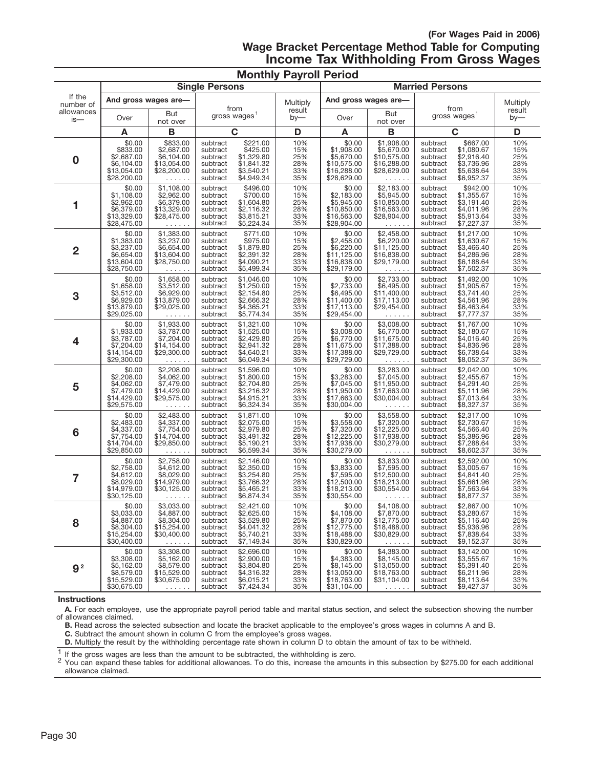|                     |                                                                                |                                                                                                                   |                                                                      |                                                                                  | <b>Monthly Payroll Period</b>          |                                                                                    |                                                                                      |                                                                      |                                                                                              |                                        |
|---------------------|--------------------------------------------------------------------------------|-------------------------------------------------------------------------------------------------------------------|----------------------------------------------------------------------|----------------------------------------------------------------------------------|----------------------------------------|------------------------------------------------------------------------------------|--------------------------------------------------------------------------------------|----------------------------------------------------------------------|----------------------------------------------------------------------------------------------|----------------------------------------|
|                     |                                                                                |                                                                                                                   | <b>Single Persons</b>                                                |                                                                                  |                                        |                                                                                    |                                                                                      | <b>Married Persons</b>                                               |                                                                                              |                                        |
| If the<br>number of |                                                                                | And gross wages are-                                                                                              |                                                                      | from                                                                             | Multiply                               |                                                                                    | And gross wages are-                                                                 |                                                                      | from                                                                                         | Multiply                               |
| allowances<br>is—   | Over                                                                           | But<br>not over                                                                                                   |                                                                      | gross wages <sup>1</sup>                                                         | result<br>$by-$                        | Over                                                                               | But<br>not over                                                                      |                                                                      | gross wages <sup>1</sup>                                                                     | result<br>$by-$                        |
|                     | A                                                                              | B                                                                                                                 |                                                                      | $\mathbf C$                                                                      | D                                      | A                                                                                  | B                                                                                    |                                                                      | $\mathbf C$                                                                                  | D                                      |
| $\bf{0}$            | \$0.00<br>\$833.00<br>\$2,687.00<br>\$6,104.00<br>\$13,054.00<br>\$28,200.00   | \$833.00<br>\$2,687.00<br>\$6,104.00<br>\$13,054.00<br>\$28,200.00<br>$\ldots$                                    | subtract<br>subtract<br>subtract<br>subtract<br>subtract<br>subtract | \$221.00<br>\$425.00<br>\$1,329.80<br>\$1,841.32<br>\$3,540.21<br>\$4,949.34     | 10%<br>15%<br>25%<br>28%<br>33%<br>35% | \$0.00<br>\$1,908.00<br>\$5,670.00<br>\$10,575.00<br>\$16,288.00<br>\$28,629.00    | \$1,908.00<br>\$5,670.00<br>\$10,575.00<br>\$16,288.00<br>\$28,629.00<br>.           | subtract<br>subtract<br>subtract<br>subtract<br>subtract<br>subtract | \$667.00<br>\$1,080.67<br>\$2,916.40<br>\$3,736.96<br>\$5,638.64<br>\$6,952.37               | 10%<br>15%<br>25%<br>28%<br>33%<br>35% |
| 1                   | \$0.00<br>\$1,108.00<br>\$2,962.00<br>\$6,379.00<br>\$13,329.00<br>\$28,475.00 | \$1,108.00<br>\$2,962.00<br>\$6,379.00<br>\$13,329.00<br>\$28,475.00<br>$\ldots$                                  | subtract<br>subtract<br>subtract<br>subtract<br>subtract<br>subtract | \$496.00<br>\$700.00<br>\$1,604.80<br>\$2,116.32<br>\$3,815.21<br>\$5,224.34     | 10%<br>15%<br>25%<br>28%<br>33%<br>35% | \$0.00<br>\$2,183.00<br>\$5,945.00<br>\$10,850.00<br>\$16,563.00<br>\$28,904.00    | \$2,183.00<br>\$5,945.00<br>\$10,850.00<br>\$16,563.00<br>\$28,904.00<br>.           | subtract<br>subtract<br>subtract<br>subtract<br>subtract<br>subtract | \$942.00<br>\$1,355.67<br>\$3,191.40<br>\$4,011.96<br>\$5,913.64<br>\$7,227.37               | 10%<br>15%<br>25%<br>28%<br>33%<br>35% |
| $\overline{2}$      | \$0.00<br>\$1,383.00<br>\$3,237.00<br>\$6,654.00<br>\$13,604.00<br>\$28,750.00 | \$1,383.00<br>\$3,237.00<br>\$6,654.00<br>\$13,604.00<br>\$28,750.00<br>.                                         | subtract<br>subtract<br>subtract<br>subtract<br>subtract<br>subtract | \$771.00<br>\$975.00<br>\$1,879.80<br>\$2,391.32<br>\$4,090.21<br>\$5,499.34     | 10%<br>15%<br>25%<br>28%<br>33%<br>35% | \$0.00<br>\$2,458.00<br>\$6,220.00<br>\$11,125.00<br>\$16,838.00<br>\$29,179.00    | \$2,458.00<br>\$6,220.00<br>\$11,125.00<br>\$16,838.00<br>\$29,179.00<br>.           | subtract<br>subtract<br>subtract<br>subtract<br>subtract<br>subtract | \$1,217.00<br>\$1,630.67<br>\$3,466.40<br>\$4,286.96<br>\$6,188.64<br>\$7,502.37             | 10%<br>15%<br>25%<br>28%<br>33%<br>35% |
| 3                   | \$0.00<br>\$1,658.00<br>\$3,512.00<br>\$6,929.00<br>\$13,879.00<br>\$29,025.00 | \$1,658.00<br>\$3,512.00<br>\$6,929.00<br>\$13,879.00<br>\$29,025.00<br>$\alpha$ , $\alpha$ , $\alpha$ , $\alpha$ | subtract<br>subtract<br>subtract<br>subtract<br>subtract<br>subtract | \$1,046.00<br>\$1,250.00<br>\$2,154.80<br>\$2,666.32<br>\$4,365.21<br>\$5,774.34 | 10%<br>15%<br>25%<br>28%<br>33%<br>35% | \$0.00<br>\$2,733.00<br>\$6,495.00<br>\$11,400.00<br>\$17,113.00<br>\$29,454.00    | \$2,733.00<br>\$6,495.00<br>\$11,400.00<br>\$17,113.00<br>\$29,454.00<br>.           | subtract<br>subtract<br>subtract<br>subtract<br>subtract<br>subtract | \$1,492.00<br>\$1,905.67<br>\$3,741.40<br>\$4,561.96<br>\$6,463.64<br>\$7,777.37             | 10%<br>15%<br>25%<br>28%<br>33%<br>35% |
| 4                   | \$0.00<br>\$1,933.00<br>\$3,787.00<br>\$7,204.00<br>\$14,154.00<br>\$29,300.00 | \$1,933.00<br>\$3,787.00<br>\$7,204.00<br>\$14,154.00<br>\$29,300.00<br>$\alpha$ , $\alpha$ , $\alpha$ , $\alpha$ | subtract<br>subtract<br>subtract<br>subtract<br>subtract<br>subtract | \$1,321.00<br>\$1,525.00<br>\$2,429.80<br>\$2,941.32<br>\$4,640.21<br>\$6,049.34 | 10%<br>15%<br>25%<br>28%<br>33%<br>35% | \$0.00<br>\$3,008.00<br>\$6,770.00<br>\$11,675.00<br>\$17,388.00<br>\$29,729.00    | \$3,008.00<br>\$6,770.00<br>\$11,675.00<br>\$17,388.00<br>\$29,729.00                | subtract<br>subtract<br>subtract<br>subtract<br>subtract<br>subtract | \$1,767.00<br>\$2,180.67<br>\$4,016.40<br>\$4,836.96<br>\$6,738.64<br>\$8,052.37             | 10%<br>15%<br>25%<br>28%<br>33%<br>35% |
| 5                   | \$0.00<br>\$2,208.00<br>\$4,062.00<br>\$7,479.00<br>\$14,429.00<br>\$29,575.00 | \$2,208.00<br>\$4,062.00<br>\$7,479.00<br>\$14,429.00<br>\$29,575.00<br>.                                         | subtract<br>subtract<br>subtract<br>subtract<br>subtract<br>subtract | \$1,596.00<br>\$1,800.00<br>\$2,704.80<br>\$3,216.32<br>\$4,915.21<br>\$6,324.34 | 10%<br>15%<br>25%<br>28%<br>33%<br>35% | $$0.00$<br>$$3,283.00$<br>$$7,045.00$<br>\$11,950.00<br>\$17,663.00<br>\$30,004.00 | \$3,283.00<br>$$7,045.00$<br>\$11,950.00<br>\$17,663.00<br>\$30,004.00<br>.          | subtract<br>subtract<br>subtract<br>subtract<br>subtract<br>subtract | \$2,042.00<br>\$2,455.67<br>\$4,291.40<br>\$5,111.96<br>\$7,013.64<br>\$8,327.37             | 10%<br>15%<br>25%<br>28%<br>33%<br>35% |
| 6                   | \$0.00<br>\$2,483.00<br>\$4,337.00<br>\$7,754.00<br>\$14,704.00<br>\$29,850.00 | \$2,483.00<br>\$4,337.00<br>\$7,754.00<br>\$14,704.00<br>\$29,850.00<br>.                                         | subtract<br>subtract<br>subtract<br>subtract<br>subtract<br>subtract | \$1,871.00<br>\$2,075.00<br>\$2,979.80<br>\$3,491.32<br>\$5,190.21<br>\$6,599.34 | 10%<br>15%<br>25%<br>28%<br>33%<br>35% | \$0.00<br>\$3,558.00<br>\$7,320.00<br>\$12,225.00<br>\$17,938.00<br>\$30,279.00    | \$3,558.00<br>$$7,320.00$<br>$$12,225.00$<br>$$17,938.00$<br>\$30,279.00<br>.        | subtract<br>subtract<br>subtract<br>subtract<br>subtract<br>subtract | \$2,317.00<br>\$2,730.67<br>\$4,566.40<br>\$5,386.96<br>\$7,288.64<br>\$8,602.37             | 10%<br>15%<br>25%<br>28%<br>33%<br>35% |
| 7                   | \$0.00<br>\$2,758.00<br>\$4,612.00<br>\$8,029.00<br>\$14,979.00<br>\$30,125.00 | \$2,758.00<br>\$4,612.00<br>\$8,029.00<br>\$14,979.00<br>\$30,125.00<br>.                                         | subtract<br>subtract<br>subtract<br>subtract<br>subtract<br>subtract | \$2,146.00<br>\$2,350.00<br>\$3,254.80<br>\$3.766.32<br>\$5,465.21<br>\$6,874.34 | 10%<br>15%<br>25%<br>28%<br>33%<br>35% | \$0.00<br>\$3,833.00<br>\$7,595.00<br>\$12,500.00<br>\$18,213.00<br>\$30,554.00    | \$3,833.00<br>\$7,595.00<br>\$12,500.00<br>\$18,213.00<br>\$30,554.00<br>1.1.1.1.1.1 | subtract<br>subtract<br>subtract<br>subtract<br>subtract<br>subtract | \$2,592.00<br>\$3,005.67<br>\$4,841.40<br>\$5,661.96<br>\$7,563.64<br>\$8,877.37             | 10%<br>15%<br>25%<br>28%<br>33%<br>35% |
| 8                   | \$0.00<br>\$3,033.00<br>\$4,887.00<br>\$8,304.00<br>\$15,254.00<br>\$30,400.00 | \$3,033.00<br>\$4,887.00<br>\$8,304.00<br>\$15,254.00<br>\$30,400.00<br>.                                         | subtract<br>subtract<br>subtract<br>subtract<br>subtract<br>subtract | \$2,421.00<br>\$2,625.00<br>\$3,529.80<br>\$4,041.32<br>\$5,740.21<br>\$7,149.34 | 10%<br>15%<br>25%<br>28%<br>33%<br>35% | \$0.00<br>\$4,108.00<br>\$7,870.00<br>\$12,775.00<br>\$18,488.00<br>\$30,829.00    | \$4,108.00<br>\$7,870.00<br>\$12,775.00<br>\$18,488.00<br>\$30,829.00<br>.           | subtract<br>subtract<br>subtract<br>subtract<br>subtract<br>subtract | $\overline{$2,867.00}$<br>\$3,280.67<br>\$5,116.40<br>\$5,936.96<br>\$7,838.64<br>\$9,152.37 | 10%<br>15%<br>25%<br>28%<br>33%<br>35% |
| 9 <sup>2</sup>      | \$0.00<br>\$3,308.00<br>\$5,162.00<br>\$8,579.00<br>\$15,529.00<br>\$30,675.00 | \$3,308.00<br>\$5,162.00<br>\$8,579.00<br>\$15,529.00<br>\$30,675.00<br>$\alpha$ , $\alpha$ , $\alpha$ , $\alpha$ | subtract<br>subtract<br>subtract<br>subtract<br>subtract<br>subtract | \$2,696.00<br>\$2,900.00<br>\$3,804.80<br>\$4,316.32<br>\$6,015.21<br>\$7,424.34 | 10%<br>15%<br>25%<br>28%<br>33%<br>35% | \$0.00<br>\$4,383.00<br>\$8,145.00<br>\$13,050.00<br>\$18,763.00<br>\$31,104.00    | \$4,383.00<br>\$8,145.00<br>\$13,050.00<br>\$18,763.00<br>\$31,104.00<br>1.1.1.1.1.1 | subtract<br>subtract<br>subtract<br>subtract<br>subtract<br>subtract | \$3,142.00<br>\$3,555.67<br>\$5,391.40<br>\$6,211.96<br>\$8,113.64<br>\$9,427.37             | 10%<br>15%<br>25%<br>28%<br>33%<br>35% |

## **Instructions**

**A.** For each employee, use the appropriate payroll period table and marital status section, and select the subsection showing the number of allowances claimed.

**B.** Read across the selected subsection and locate the bracket applicable to the employee's gross wages in columns A and B.

**C.** Subtract the amount shown in column C from the employee's gross wages.

**D.** Multiply the result by the withholding percentage rate shown in column D to obtain the amount of tax to be withheld.

 $\frac{1}{2}$  If the gross wages are less than the amount to be subtracted, the withholding is zero.<br><sup>2</sup> You can expand these tables for additional allowances. To do this, increase the amounts in this subsection by \$275.00 fo allowance claimed.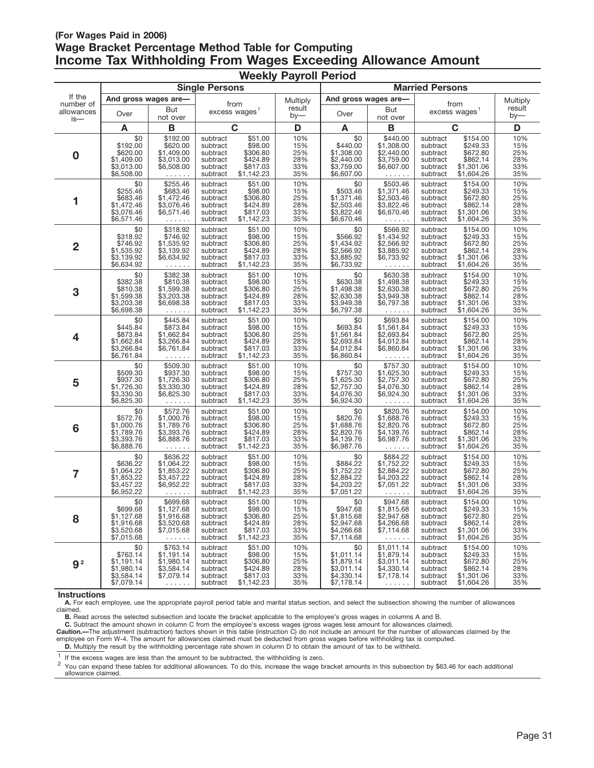|                     |                                                                         |                                                                                                             |                                                                      | <b>Weekly Payroll Period</b>                                         |                                        |                                                                           |                                                                                                               |                                                                      |                                                                          |                                        |
|---------------------|-------------------------------------------------------------------------|-------------------------------------------------------------------------------------------------------------|----------------------------------------------------------------------|----------------------------------------------------------------------|----------------------------------------|---------------------------------------------------------------------------|---------------------------------------------------------------------------------------------------------------|----------------------------------------------------------------------|--------------------------------------------------------------------------|----------------------------------------|
|                     |                                                                         |                                                                                                             | <b>Single Persons</b>                                                |                                                                      |                                        |                                                                           |                                                                                                               | <b>Married Persons</b>                                               |                                                                          |                                        |
| If the<br>number of | And gross wages are-                                                    |                                                                                                             |                                                                      | from                                                                 | Multiply                               | And gross wages are-                                                      |                                                                                                               |                                                                      | from                                                                     | Multiply                               |
| allowances          | Over                                                                    | But<br>not over                                                                                             |                                                                      | excess wages <sup>1</sup>                                            | result<br>$by-$                        | Over                                                                      | But<br>not over                                                                                               |                                                                      | excess wages <sup>1</sup>                                                | result<br>$by-$                        |
| is—                 | A                                                                       | B                                                                                                           |                                                                      | $\mathbf C$                                                          | D                                      | A                                                                         | B                                                                                                             |                                                                      | $\mathbf C$                                                              | D                                      |
| $\bf{0}$            | \$0<br>\$192.00<br>\$620.00<br>\$1,409.00<br>\$3,013.00<br>\$6,508.00   | \$192.00<br>\$620.00<br>\$1,409.00<br>\$3,013.00<br>\$6,508.00<br>$\ldots$ .                                | subtract<br>subtract<br>subtract<br>subtract<br>subtract<br>subtract | \$51.00<br>\$98.00<br>\$306.80<br>\$424.89<br>\$817.03<br>\$1,142.23 | 10%<br>15%<br>25%<br>28%<br>33%<br>35% | \$0<br>\$440.00<br>$$1,308.00$<br>$$2,440.00$<br>\$3,759.00<br>\$6,607.00 | \$440.00<br>\$1,308.00<br>\$2,440.00<br>\$3,759.00<br>\$6,607.00<br>.                                         | subtract<br>subtract<br>subtract<br>subtract<br>subtract<br>subtract | \$154.00<br>\$249.33<br>\$672.80<br>\$862.14<br>\$1,301.06<br>\$1,604.26 | 10%<br>15%<br>25%<br>28%<br>33%<br>35% |
| 1                   | \$0<br>\$255.46<br>\$683.46<br>\$1,472.46<br>\$3,076.46<br>\$6,571.46   | \$255.46<br>\$683.46<br>\$1,472.46<br>\$3,076.46<br>\$6,571.46                                              | subtract<br>subtract<br>subtract<br>subtract<br>subtract<br>subtract | \$51.00<br>\$98.00<br>\$306.80<br>\$424.89<br>\$817.03<br>\$1,142.23 | 10%<br>15%<br>25%<br>28%<br>33%<br>35% | \$0<br>\$503.46<br>\$1,371.46<br>\$2,503.46<br>\$3,822.46<br>\$6,670.46   | \$503.46<br>\$1,371.46<br>\$2,503.46<br>\$3,822.46<br>\$6,670.46                                              | subtract<br>subtract<br>subtract<br>subtract<br>subtract<br>subtract | \$154.00<br>\$249.33<br>\$672.80<br>\$862.14<br>\$1,301.06<br>\$1,604.26 | 10%<br>15%<br>25%<br>28%<br>33%<br>35% |
| $\overline{2}$      | \$0<br>\$318.92<br>\$746.92<br>\$1,535.92<br>\$3,139.92<br>\$6,634.92   | \$318.92<br>\$746.92<br>\$1,535.92<br>\$3,139.92<br>\$6,634.92<br>.                                         | subtract<br>subtract<br>subtract<br>subtract<br>subtract<br>subtract | \$51.00<br>\$98.00<br>\$306.80<br>\$424.89<br>\$817.03<br>\$1,142.23 | 10%<br>15%<br>25%<br>28%<br>33%<br>35% | \$0<br>\$566.92<br>\$1,434.92<br>\$2,566.92<br>\$3,885.92<br>\$6,733.92   | \$566.92<br>\$1,434.92<br>\$2,566.92<br>\$3,885.92<br>\$6,733.92<br>.                                         | subtract<br>subtract<br>subtract<br>subtract<br>subtract<br>subtract | \$154.00<br>\$249.33<br>\$672.80<br>\$862.14<br>\$1,301.06<br>\$1,604.26 | 10%<br>15%<br>25%<br>28%<br>33%<br>35% |
| 3                   | \$0<br>\$382.38<br>\$810.38<br>\$1,599.38<br>\$3,203.38<br>\$6,698.38   | \$382.38<br>\$810.38<br>\$1,599.38<br>\$3,203.38<br>\$6,698.38                                              | subtract<br>subtract<br>subtract<br>subtract<br>subtract<br>subtract | \$51.00<br>\$98.00<br>\$306.80<br>\$424.89<br>\$817.03<br>\$1,142.23 | 10%<br>15%<br>25%<br>28%<br>33%<br>35% | \$0<br>\$630.38<br>\$1,498.38<br>\$2,630.38<br>\$3,949.38<br>\$6,797.38   | \$630.38<br>\$1,498.38<br>\$2,630.38<br>\$3,949.38<br>\$6,797.38                                              | subtract<br>subtract<br>subtract<br>subtract<br>subtract<br>subtract | \$154.00<br>\$249.33<br>\$672.80<br>\$862.14<br>\$1,301.06<br>\$1,604.26 | 10%<br>15%<br>25%<br>28%<br>33%<br>35% |
| 4                   | \$0<br>\$445.84<br>\$873.84<br>\$1,662.84<br>\$3,266.84<br>\$6,761.84   | \$445.84<br>\$873.84<br>\$1,662.84<br>\$3,266.84<br>\$6,761.84<br>$\alpha$ , $\alpha$ , $\alpha$ , $\alpha$ | subtract<br>subtract<br>subtract<br>subtract<br>subtract<br>subtract | \$51.00<br>\$98.00<br>\$306.80<br>\$424.89<br>\$817.03<br>\$1,142.23 | 10%<br>15%<br>25%<br>28%<br>33%<br>35% | \$0<br>\$693.84<br>\$1,561.84<br>\$2,693.84<br>\$4,012.84<br>\$6,860.84   | \$693.84<br>\$1,561.84<br>\$2,693.84<br>\$4,012.84<br>\$6,860.84<br>$\alpha$ , $\alpha$ , $\alpha$ , $\alpha$ | subtract<br>subtract<br>subtract<br>subtract<br>subtract<br>subtract | \$154.00<br>\$249.33<br>\$672.80<br>\$862.14<br>\$1,301.06<br>\$1,604.26 | 10%<br>15%<br>25%<br>28%<br>33%<br>35% |
| 5                   | \$0<br>\$509.30<br>\$937.30<br>\$1,726.30<br>\$3,330.30<br>\$6,825.30   | \$509.30<br>\$937.30<br>\$1,726.30<br>\$3,330.30<br>\$6,825.30<br>$\ldots$ .                                | subtract<br>subtract<br>subtract<br>subtract<br>subtract<br>subtract | \$51.00<br>\$98.00<br>\$306.80<br>\$424.89<br>\$817.03<br>\$1,142.23 | 10%<br>15%<br>25%<br>28%<br>33%<br>35% | \$0<br>\$757.30<br>\$1,625.30<br>\$2,757.30<br>\$4,076.30<br>\$6,924.30   | \$757.30<br>\$1,625.30<br>\$2,757.30<br>\$4,076.30<br>\$6,924.30                                              | subtract<br>subtract<br>subtract<br>subtract<br>subtract<br>subtract | \$154.00<br>\$249.33<br>\$672.80<br>\$862.14<br>\$1,301.06<br>\$1,604.26 | 10%<br>15%<br>25%<br>28%<br>33%<br>35% |
| $6\phantom{1}6$     | \$0<br>\$572.76<br>\$1,000.76<br>\$1,789.76<br>\$3,393.76<br>\$6,888.76 | \$572.76<br>\$1,000.76<br>\$1,789.76<br>\$3,393.76<br>\$6,888.76<br>.                                       | subtract<br>subtract<br>subtract<br>subtract<br>subtract<br>subtract | \$51.00<br>\$98.00<br>\$306.80<br>\$424.89<br>\$817.03<br>\$1,142.23 | 10%<br>15%<br>25%<br>28%<br>33%<br>35% | \$0<br>\$820.76<br>\$1,688.76<br>\$2,820.76<br>\$4,139.76<br>\$6,987.76   | \$820.76<br>\$1,688.76<br>\$2,820.76<br>\$4,139.76<br>\$6,987.76                                              | subtract<br>subtract<br>subtract<br>subtract<br>subtract<br>subtract | \$154.00<br>\$249.33<br>\$672.80<br>\$862.14<br>\$1,301.06<br>\$1,604.26 | 10%<br>15%<br>25%<br>28%<br>33%<br>35% |
| 7                   | \$0<br>\$636.22<br>\$1,064.22<br>\$1,853.22<br>\$3,457.22<br>\$6,952.22 | \$636.22<br>\$1,064.22<br>\$1,853.22<br>\$3,457.22<br>\$6,952.22<br>.                                       | subtract<br>subtract<br>subtract<br>subtract<br>subtract<br>subtract | \$51.00<br>\$98.00<br>\$306.80<br>\$424.89<br>\$817.03<br>\$1,142.23 | 10%<br>15%<br>25%<br>28%<br>33%<br>35% | \$0<br>\$884.22<br>\$1,752.22<br>\$2,884.22<br>\$4,203.22<br>\$7,051.22   | \$884.22<br>\$1,752.22<br>\$2,884.22<br>\$4,203.22<br>\$7,051.22<br>.                                         | subtract<br>subtract<br>subtract<br>subtract<br>subtract<br>subtract | \$154.00<br>\$249.33<br>\$672.80<br>\$862.14<br>\$1,301.06<br>\$1,604.26 | 10%<br>15%<br>25%<br>28%<br>33%<br>35% |
| 8                   | \$0<br>\$699.68<br>\$1,127.68<br>\$1,916.68<br>\$3,520.68<br>\$7,015.68 | \$699.68<br>\$1,127.68<br>\$1,916.68<br>\$3,520.68<br>\$7,015.68<br>.                                       | subtract<br>subtract<br>subtract<br>subtract<br>subtract<br>subtract | \$51.00<br>\$98.00<br>\$306.80<br>\$424.89<br>\$817.03<br>\$1,142.23 | 10%<br>15%<br>25%<br>28%<br>33%<br>35% | \$0<br>\$947.68<br>\$1,815.68<br>\$2,947.68<br>\$4,266.68<br>\$7,114.68   | \$947.68<br>\$1,815.68<br>\$2,947.68<br>\$4,266.68<br>\$7,114.68<br>.                                         | subtract<br>subtract<br>subtract<br>subtract<br>subtract<br>subtract | \$154.00<br>\$249.33<br>\$672.80<br>\$862.14<br>\$1,301.06<br>\$1,604.26 | 10%<br>15%<br>25%<br>28%<br>33%<br>35% |
| 9 <sup>2</sup>      | \$0<br>\$763.14<br>\$1,191.14<br>\$1,980.14<br>\$3,584.14<br>\$7,079.14 | \$763.14<br>\$1,191.14<br>\$1,980.14<br>\$3,584.14<br>\$7,079.14                                            | subtract<br>subtract<br>subtract<br>subtract<br>subtract<br>subtract | \$51.00<br>\$98.00<br>\$306.80<br>\$424.89<br>\$817.03<br>\$1,142.23 | 10%<br>15%<br>25%<br>28%<br>33%<br>35% | \$0<br>\$1,011.14<br>\$1,879.14<br>\$3,011.14<br>\$4,330.14<br>\$7,178.14 | \$1,011.14<br>\$1,879.14<br>\$3,011.14<br>\$4,330.14<br>\$7,178.14                                            | subtract<br>subtract<br>subtract<br>subtract<br>subtract<br>subtract | \$154.00<br>\$249.33<br>\$672.80<br>\$862.14<br>\$1,301.06<br>\$1,604.26 | 10%<br>15%<br>25%<br>28%<br>33%<br>35% |

## **Instructions**

A. For each employee, use the appropriate payroll period table and marital status section, and select the subsection showing the number of allowances<br>claimed.

**B.** Read across the selected subsection and locate the bracket applicable to the employee's gross wages in columns A and B.

**C.** Subtract the amount shown in column C from the employee's excess wages (gross wages less amount for allowances claimed).

**Caution.—**The adjustment (subtraction) factors shown in this table (instruction C) do not include an amount for the number of allowances claimed by the employee on Form W-4. The amount for allowances claimed must be deducted from gross wages before withholding tax is computed.

**D.** Multiply the result by the withholding percentage rate shown in column D to obtain the amount of tax to be withheld.

 $\frac{1}{1}$  If the excess wages are less than the amount to be subtracted, the withholding is zero.<br><sup>2</sup> You can expand these tables for additional allowances. To do this, increase the wage bracket amounts in this subsection allowance claimed.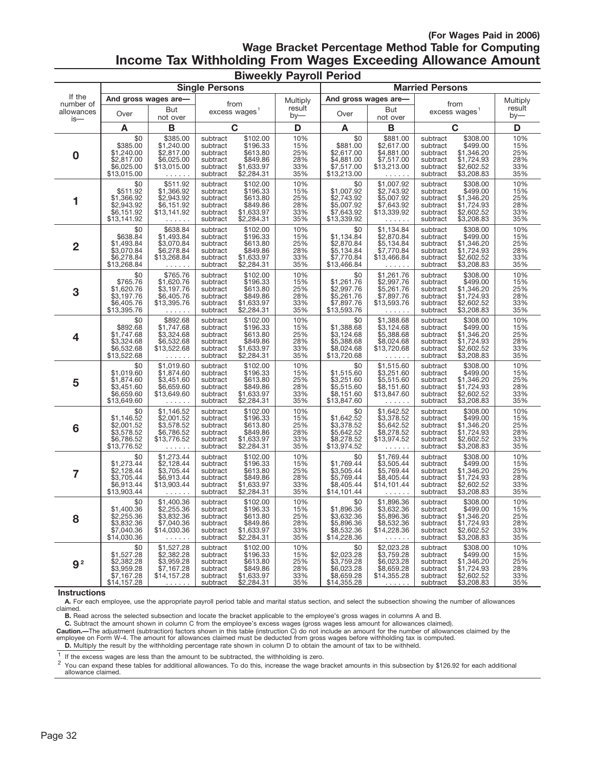|                     |                                                                            |                                                                          |                                                                      |                                                                          | <b>Biweekly Payroll Period</b>                         |                                                                            |                                                                                   |                                                                      |                                                                                |                                               |
|---------------------|----------------------------------------------------------------------------|--------------------------------------------------------------------------|----------------------------------------------------------------------|--------------------------------------------------------------------------|--------------------------------------------------------|----------------------------------------------------------------------------|-----------------------------------------------------------------------------------|----------------------------------------------------------------------|--------------------------------------------------------------------------------|-----------------------------------------------|
|                     |                                                                            |                                                                          | <b>Single Persons</b>                                                |                                                                          |                                                        |                                                                            |                                                                                   | <b>Married Persons</b>                                               |                                                                                |                                               |
| If the<br>number of | And gross wages are-<br>But                                                |                                                                          |                                                                      | from                                                                     | Multiply                                               | And gross wages are-                                                       |                                                                                   |                                                                      | from                                                                           | Multiply                                      |
| allowances<br>is—   | Over                                                                       | not over                                                                 |                                                                      | excess wages <sup>1</sup>                                                | result<br>$by-$                                        | Over                                                                       | But<br>not over                                                                   |                                                                      | excess wages <sup>1</sup>                                                      | result<br>$by-$                               |
|                     | A                                                                          | B                                                                        |                                                                      | $\mathbf C$                                                              | D                                                      | A                                                                          | B                                                                                 |                                                                      | $\mathbf C$                                                                    | D                                             |
| $\bf{0}$            | \$0<br>\$385.00<br>\$1,240.00<br>\$2,817.00<br>\$6,025.00<br>\$13,015.00   | \$385.00<br>\$1,240.00<br>\$2,817.00<br>\$6,025.00<br>\$13,015.00<br>.   | subtract<br>subtract<br>subtract<br>subtract<br>subtract<br>subtract | \$102.00<br>\$196.33<br>\$613.80<br>\$849.86<br>\$1,633.97<br>\$2,284.31 | 10%<br>$\frac{15\%}{25\%}$<br>25%<br>28%<br>33%<br>35% | \$0<br>\$881.00<br>\$2,617.00<br>\$4,881.00<br>\$7,517.00<br>\$13,213.00   | \$881.00<br>\$2,617.00<br>\$4,881.00<br>\$7,517.00<br>\$13,213.00<br>.            | subtract<br>subtract<br>subtract<br>subtract<br>subtract<br>subtract | \$308.00<br>\$499.00<br>\$1,346.20<br>$$1,724.93$<br>$$2,602.52$<br>\$3,208.83 | 10%<br>15%<br>25%<br>28%<br>33%<br>35%        |
| 1                   | \$0<br>\$511.92<br>\$1,366.92<br>\$2,943.92<br>\$6,151.92<br>\$13,141.92   | \$511.92<br>\$1,366.92<br>\$2,943.92<br>\$6,151.92<br>\$13,141.92        | subtract<br>subtract<br>subtract<br>subtract<br>subtract<br>subtract | \$102.00<br>\$196.33<br>\$613.80<br>\$849.86<br>\$1,633.97<br>\$2,284.31 | 10%<br>15%<br>25%<br>28%<br>33%<br>35%                 | \$0<br>\$1,007.92<br>\$2,743.92<br>\$5,007.92<br>\$7,643.92<br>\$13,339.92 | \$1,007.92<br>\$2,743.92<br>\$5,007.92<br>\$7,643.92<br>\$13,339.92<br>.          | subtract<br>subtract<br>subtract<br>subtract<br>subtract<br>subtract | \$308.00<br>\$499.00<br>\$1,346.20<br>\$1,724.93<br>\$2,602.52<br>\$3,208.83   | 10%<br>15%<br>25%<br>28%<br>33%<br>35%        |
| $\overline{2}$      | \$0<br>\$638.84<br>\$1,493.84<br>\$3,070.84<br>\$6,278.84<br>\$13,268.84   | \$638.84<br>\$1,493.84<br>\$3,070.84<br>\$6,278.84<br>\$13,268.84<br>.   | subtract<br>subtract<br>subtract<br>subtract<br>subtract<br>subtract | \$102.00<br>\$196.33<br>\$613.80<br>\$849.86<br>\$1,633.97<br>\$2,284.31 | 10%<br>15%<br>25%<br>28%<br>33%<br>35%                 | \$0<br>\$1,134.84<br>\$2,870.84<br>\$5,134.84<br>\$7,770.84<br>\$13,466.84 | \$1,134.84<br>\$2,870.84<br>\$5,134.84<br>\$7,770.84<br>\$13,466.84<br>.          | subtract<br>subtract<br>subtract<br>subtract<br>subtract<br>subtract | \$308.00<br>\$499.00<br>\$1,346.20<br>\$1,724.93<br>\$2,602.52<br>\$3,208.83   | 10%<br>15%<br>25%<br>28%<br>33%<br>35%        |
| 3                   | \$0<br>\$765.76<br>\$1,620.76<br>\$3,197.76<br>\$6,405.76<br>\$13,395.76   | \$765.76<br>\$1,620.76<br>\$3,197.76<br>\$6,405.76<br>\$13,395.76        | subtract<br>subtract<br>subtract<br>subtract<br>subtract<br>subtract | \$102.00<br>\$196.33<br>\$613.80<br>\$849.86<br>\$1,633.97<br>\$2,284.31 | 10%<br>15%<br>25%<br>28%<br>33%<br>35%                 | \$0<br>\$1,261.76<br>\$2,997.76<br>\$5,261.76<br>\$7,897.76<br>\$13,593.76 | \$1,261.76<br>$$2,997.76$<br>$$5,261.76$<br>$$7,897.76$<br>\$13,593.76<br>.       | subtract<br>subtract<br>subtract<br>subtract<br>subtract<br>subtract | \$308.00<br>\$499.00<br>\$1,346.20<br>\$1,724.93<br>\$2,602.52<br>\$3,208.83   | 10%<br>15%<br>25%<br>28%<br>33%<br>35%        |
| 4                   | \$0<br>\$892.68<br>\$1,747.68<br>\$3,324.68<br>\$6,532.68<br>\$13,522.68   | \$892.68<br>\$1,747.68<br>\$3,324.68<br>\$6,532.68<br>\$13,522.68<br>.   | subtract<br>subtract<br>subtract<br>subtract<br>subtract<br>subtract | \$102.00<br>\$196.33<br>\$613.80<br>\$849.86<br>\$1,633.97<br>\$2,284.31 | 10%<br>15%<br>25%<br>28%<br>33%<br>35%                 | \$0<br>\$1,388.68<br>\$3,124.68<br>\$5,388.68<br>\$8,024.68<br>\$13,720.68 | \$1,388.68<br>\$3,124.68<br>\$5,388.68<br>\$8,024.68<br>\$13,720.68<br>.          | subtract<br>subtract<br>subtract<br>subtract<br>subtract<br>subtract | \$308.00<br>\$499.00<br>\$1,346.20<br>$$1,724.93$<br>$$2,602.52$<br>\$3,208.83 | 10%<br>15%<br>25%<br>28%<br>33%<br>35%        |
| 5                   | \$0<br>\$1,019.60<br>\$1,874.60<br>\$3,451.60<br>\$6,659.60<br>\$13,649.60 | \$1,019.60<br>\$1,874.60<br>\$3,451.60<br>\$6,659.60<br>\$13,649.60<br>. | subtract<br>subtract<br>subtract<br>subtract<br>subtract<br>subtract | \$102.00<br>\$196.33<br>\$613.80<br>\$849.86<br>\$1,633.97<br>\$2,284.31 | 10%<br>15%<br>25%<br>28%<br>33%<br>35%                 | \$0<br>\$1,515.60<br>\$3,251.60<br>\$5,515.60<br>\$8,151.60<br>\$13,847.60 | \$1,515.60<br>\$3,251.60<br>\$5,515.60<br>\$8,151.60<br>\$13,847.60<br>.          | subtract<br>subtract<br>subtract<br>subtract<br>subtract<br>subtract | \$308.00<br>\$499.00<br>\$1,346.20<br>$$1,724.93$<br>$$2,602.52$<br>\$3,208.83 | 10%<br>15%<br>15%<br>25%<br>28%<br>33%<br>35% |
| $6\phantom{1}6$     | \$0<br>\$1,146.52<br>\$2,001.52<br>\$3,578.52<br>\$6,786.52<br>\$13,776.52 | \$1,146.52<br>\$2,001.52<br>\$3,578.52<br>\$6,786.52<br>\$13,776.52      | subtract<br>subtract<br>subtract<br>subtract<br>subtract<br>subtract | \$102.00<br>\$196.33<br>\$613.80<br>\$849.86<br>\$1,633.97<br>\$2,284.31 | 10%<br>15%<br>25%<br>28%<br>33%<br>35%                 | \$0<br>\$1,642.52<br>\$3,378.52<br>\$5,642.52<br>\$8,278.52<br>\$13,974.52 | \$1,642.52<br>\$3,378.52<br>\$5,642.52<br>\$8,278.52<br>\$13,974.52<br>$\ldots$ . | subtract<br>subtract<br>subtract<br>subtract<br>subtract<br>subtract | \$308.00<br>\$499.00<br>\$1,346.20<br>\$1,724.93<br>\$2,602.52<br>\$3,208.83   | 10%<br>15%<br>25%<br>28%<br>33%<br>35%        |
| 7                   | \$0<br>\$1,273.44<br>\$2,128.44<br>\$3,705.44<br>\$6,913.44<br>\$13,903.44 | \$1,273.44<br>\$2,128.44<br>\$3,705.44<br>\$6,913.44<br>\$13,903.44<br>. | subtract<br>subtract<br>subtract<br>subtract<br>subtract<br>subtract | \$102.00<br>\$196.33<br>\$613.80<br>\$849.86<br>\$1,633.97<br>\$2,284.31 | 10%<br>15%<br>25%<br>28%<br>33%<br>35%                 | \$0<br>\$1,769.44<br>\$3,505.44<br>\$5,769.44<br>\$8,405.44<br>\$14,101.44 | \$1,769.44<br>\$3,505.44<br>\$5,769.44<br>\$8,405.44<br>\$14,101.44<br>.          | subtract<br>subtract<br>subtract<br>subtract<br>subtract<br>subtract | \$308.00<br>\$499.00<br>\$1,346.20<br>\$1,724.93<br>\$2,602.52<br>\$3,208.83   | 10%<br>15%<br>25%<br>28%<br>33%<br>35%        |
| 8                   | \$0<br>\$1,400.36<br>\$2,255.36<br>\$3,832.36<br>\$7,040.36<br>\$14,030.36 | \$1,400.36<br>\$2,255.36<br>\$3,832.36<br>\$7,040.36<br>\$14,030.36<br>. | subtract<br>subtract<br>subtract<br>subtract<br>subtract<br>subtract | \$102.00<br>\$196.33<br>\$613.80<br>\$849.86<br>\$1,633.97<br>\$2,284.31 | 10%<br>15%<br>25%<br>28%<br>33%<br>35%                 | \$0<br>\$1,896.36<br>\$3,632.36<br>\$5,896.36<br>\$8,532.36<br>\$14,228.36 | \$1,896.36<br>\$3,632.36<br>\$5,896.36<br>\$8,532.36<br>\$14,228.36<br>.          | subtract<br>subtract<br>subtract<br>subtract<br>subtract<br>subtract | \$308.00<br>\$499.00<br>\$1,346.20<br>\$1,724.93<br>\$2,602.52<br>\$3,208.83   | 10%<br>15%<br>25%<br>28%<br>33%<br>35%        |
| 9 <sup>2</sup>      | \$0<br>\$1,527.28<br>\$2,382.28<br>\$3,959.28<br>\$7,167.28<br>\$14,157.28 | \$1,527.28<br>\$2,382.28<br>\$3,959.28<br>\$7,167.28<br>\$14,157.28      | subtract<br>subtract<br>subtract<br>subtract<br>subtract<br>subtract | \$102.00<br>\$196.33<br>\$613.80<br>\$849.86<br>\$1,633.97<br>\$2,284.31 | 10%<br>15%<br>25%<br>28%<br>33%<br>35%                 | \$0<br>\$2,023.28<br>\$3,759.28<br>\$6,023.28<br>\$8,659.28<br>\$14,355.28 | \$2,023.28<br>\$3,759.28<br>\$6,023.28<br>\$8,659.28<br>\$14,355.28               | subtract<br>subtract<br>subtract<br>subtract<br>subtract<br>subtract | \$308.00<br>\$499.00<br>\$1,346.20<br>\$1,724.93<br>\$2,602.52<br>\$3,208.83   | 10%<br>15%<br>25%<br>28%<br>33%<br>35%        |

## **Instructions**

**A.** For each employee, use the appropriate payroll period table and marital status section, and select the subsection showing the number of allowances claimed.

**B.** Read across the selected subsection and locate the bracket applicable to the employee's gross wages in columns A and B.

**C.** Subtract the amount shown in column C from the employee's excess wages (gross wages less amount for allowances claimed).

Caution.—The adjustment (subtraction) factors shown in this table (instruction C) do not include an amount for the number of allowances claimed by the<br>employee on Form W-4. The amount for allowances claimed must be deducte

**D.** Multiply the result by the withholding percentage rate shown in column D to obtain the amount of tax to be withheld.

<sup>1</sup> If the excess wages are less than the amount to be subtracted, the withholding is zero.<br><sup>2</sup> You can expand these tables for additional allowances. To do this, increase the wage bracket amounts in this subsection by \$1 allowance claimed.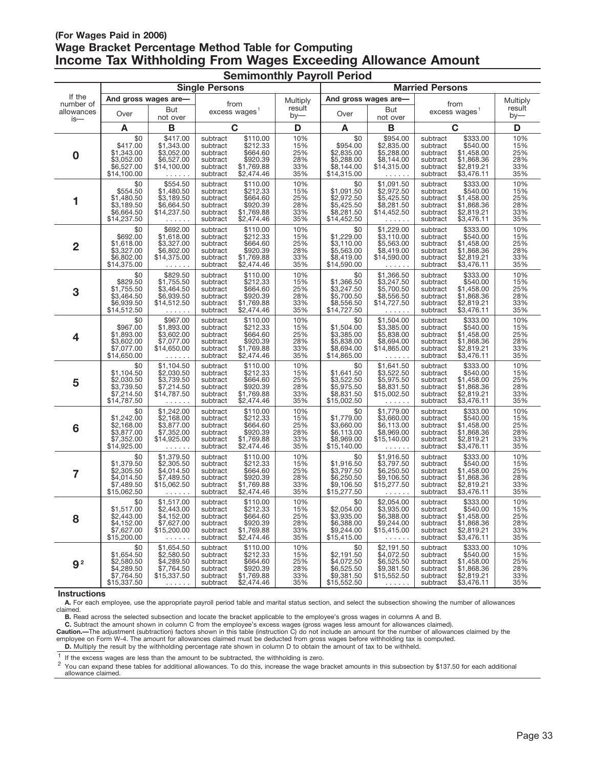|                     |                                                                            |                                                                          |                                                                      |                                                                           |                                        | <b>Semimonthly Payroll Period</b>                                                       |                                                                                   |                                                                      |                                                                              |                                                    |
|---------------------|----------------------------------------------------------------------------|--------------------------------------------------------------------------|----------------------------------------------------------------------|---------------------------------------------------------------------------|----------------------------------------|-----------------------------------------------------------------------------------------|-----------------------------------------------------------------------------------|----------------------------------------------------------------------|------------------------------------------------------------------------------|----------------------------------------------------|
|                     |                                                                            |                                                                          | <b>Single Persons</b>                                                |                                                                           |                                        |                                                                                         |                                                                                   | <b>Married Persons</b>                                               |                                                                              |                                                    |
| If the<br>number of | And gross wages are-                                                       |                                                                          |                                                                      | from                                                                      | Multiply                               | And gross wages are-                                                                    |                                                                                   |                                                                      | from                                                                         | Multiply                                           |
| allowances<br>is—   | Over                                                                       | But<br>not over                                                          |                                                                      | excess wages <sup>1</sup>                                                 | result<br>$by-$                        | Over                                                                                    | But<br>not over                                                                   |                                                                      | excess wages <sup>1</sup>                                                    | result<br>$by-$                                    |
|                     | A                                                                          | B                                                                        |                                                                      | $\mathbf C$                                                               | D                                      | A                                                                                       | B                                                                                 |                                                                      | $\mathbf C$                                                                  | D                                                  |
| $\bf{0}$            | $$0$ \$417.00<br>\$1,343.00<br>\$3,052.00<br>\$6,527.00<br>\$14,100.00     | \$417.00<br>\$1,343.00<br>$$3,052.00$<br>$$6,527.00$<br>\$14,100.00<br>. | subtract<br>subtract<br>subtract<br>subtract<br>subtract<br>subtract | \$110.00<br>\$212.33<br>\$664.60<br>\$920.39<br>\$1,769.88<br>\$2,474.46  | 10%<br>15%<br>25%<br>28%<br>33%<br>35% | \$0<br>\$954.00<br>\$2,835.00<br>\$5,288.00<br>\$8,144.00<br>\$14,315.00                | \$954.00<br>\$2,835.00<br>\$5,288.00<br>\$8,144.00<br>\$14,315.00<br>.            | subtract<br>subtract<br>subtract<br>subtract<br>subtract<br>subtract | \$333.00<br>\$540.00<br>\$1,458.00<br>\$1,868.36<br>\$2,819.21<br>\$3,476.11 | 10%<br>15%<br>25%<br>28%<br>33%<br>35%             |
| 1                   | \$0<br>\$554.50<br>\$1,480.50<br>\$3,189.50<br>\$6,664.50<br>\$14,237.50   | \$554.50<br>\$1,480.50<br>\$3,189.50<br>\$6,664.50<br>\$14,237.50        | subtract<br>subtract<br>subtract<br>subtract<br>subtract<br>subtract | \$110.00<br>\$212.33<br>\$664.60<br>\$920.39<br>\$1,769.88<br>\$2,474.46  | 10%<br>15%<br>25%<br>28%<br>33%<br>35% | \$0<br>\$1,091.50<br>\$2,972.50<br>\$5,425.50<br>\$8,281.50<br>\$14,452.50              | \$1,091.50<br>\$2,972.50<br>\$5,425.50<br>\$8,281.50<br>\$14,452.50<br>$\ldots$ . | subtract<br>subtract<br>subtract<br>subtract<br>subtract<br>subtract | \$333.00<br>\$540.00<br>\$1,458.00<br>\$1,868.36<br>\$2,819.21<br>\$3,476.11 | 10%<br>15%<br>25%<br>28%<br>33%<br>35%             |
| $\overline{2}$      | \$0<br>\$692.00<br>\$1,618.00<br>\$3,327.00<br>\$6,802.00<br>\$14,375.00   | \$692.00<br>\$1,618.00<br>\$3,327.00<br>\$6,802.00<br>\$14,375.00<br>.   | subtract<br>subtract<br>subtract<br>subtract<br>subtract<br>subtract | \$110.00<br>\$212.33<br>\$664.60<br>\$920.39<br>\$1,769.88<br>\$2,474.46  | 10%<br>15%<br>25%<br>28%<br>33%<br>35% | \$0<br>\$1,229.00<br>\$3,110.00<br>\$5,563.00<br>\$8,419.00<br>\$14,590.00              | \$1,229.00<br>\$3,110.00<br>\$5,563.00<br>\$8,419.00<br>\$14,590.00<br>.          | subtract<br>subtract<br>subtract<br>subtract<br>subtract<br>subtract | \$333.00<br>\$540.00<br>\$1,458.00<br>\$1,868.36<br>\$2,819.21<br>\$3,476.11 | 10%<br>15%<br>25%<br>28%<br>33%<br>35%             |
| 3                   | \$0<br>\$829.50<br>\$1,755.50<br>\$3,464.50<br>\$6,939.50<br>\$14,512.50   | \$829.50<br>\$1,755.50<br>\$3,464.50<br>\$6,939.50<br>\$14,512.50        | subtract<br>subtract<br>subtract<br>subtract<br>subtract<br>subtract | \$110.00<br>\$212.33<br>\$664.60<br>\$920.39<br>\$1,769.88<br>\$2,474.46  | 10%<br>15%<br>25%<br>28%<br>33%<br>35% | \$0<br>\$1,366.50<br>\$3,247.50<br>\$5,700.50<br>\$8,556.50<br>\$14,727.50              | \$1,366.50<br>$$3,247.50$<br>$$5,700.50$<br>\$8,556.50<br>\$14,727.50             | subtract<br>subtract<br>subtract<br>subtract<br>subtract<br>subtract | \$333.00<br>\$540.00<br>\$1,458.00<br>\$1,868.36<br>\$2,819.21<br>\$3,476.11 | 10%<br>15%<br>25%<br>28%<br>33%<br>35%             |
| 4                   | \$0<br>\$967.00<br>\$1,893.00<br>\$3,602.00<br>\$7,077.00<br>\$14,650.00   | \$967.00<br>\$1,893.00<br>\$3,602.00<br>\$7,077.00<br>\$14,650.00<br>.   | subtract<br>subtract<br>subtract<br>subtract<br>subtract<br>subtract | \$110.00<br>\$212.33<br>\$664.60<br>\$920.39<br>\$1,769.88<br>\$2,474.46  | 10%<br>15%<br>25%<br>28%<br>33%<br>35% | \$0<br>\$1,504.00<br>\$3,385.00<br>\$5,838.00<br>\$8,694.00<br>\$14,865.00              | \$1,504.00<br>\$3,385.00<br>\$5,838.00<br>\$8,694.00<br>\$14,865.00<br>.          | subtract<br>subtract<br>subtract<br>subtract<br>subtract<br>subtract | \$333.00<br>\$540.00<br>\$1,458.00<br>\$1,868.36<br>\$2,819.21<br>\$3,476.11 | 10%<br>15%<br>15%<br>25%<br>28%<br>33%<br>35%      |
| 5                   | \$0<br>\$1,104.50<br>\$2,030.50<br>\$3,739.50<br>\$7,214.50<br>\$14,787.50 | \$1,104.50<br>\$2,030.50<br>\$3,739.50<br>\$7,214.50<br>\$14,787.50<br>. | subtract<br>subtract<br>subtract<br>subtract<br>subtract<br>subtract | \$110.00<br>\$212.33<br>\$664.60<br>$$920.39$<br>\$1,769.88<br>\$2,474.46 | 10%<br>15%<br>25%<br>28%<br>33%<br>35% | \$0<br>$$1,641.\overline{50}$<br>$$3,522.50$<br>\$5,975.50<br>\$8,831.50<br>\$15,002.50 | \$1,641.50<br>\$3,522.50<br>\$5,975.50<br>\$8,831.50<br>\$15,002.50<br>.          | subtract<br>subtract<br>subtract<br>subtract<br>subtract<br>subtract | \$333.00<br>\$540.00<br>\$1,458.00<br>\$1,868.36<br>\$2,819.21<br>\$3,476.11 | 10%<br>$15\%$<br>$25\%$<br>$28\%$<br>$33\%$<br>35% |
| 6                   | \$0<br>\$1,242.00<br>\$2,168.00<br>\$3,877.00<br>\$7,352.00<br>\$14,925.00 | \$1,242.00<br>\$2,168.00<br>\$3,877.00<br>\$7,352.00<br>\$14,925.00<br>. | subtract<br>subtract<br>subtract<br>subtract<br>subtract<br>subtract | \$110.00<br>\$212.33<br>\$664.60<br>\$920.39<br>\$1,769.88<br>\$2,474.46  | 10%<br>15%<br>25%<br>28%<br>33%<br>35% | \$0<br>\$1,779.00<br>\$3,660.00<br>\$6,113.00<br>\$8,969.00<br>\$15,140.00              | \$1,779.00<br>\$3,660.00<br>\$6,113.00<br>\$8,969.00<br>\$15,140.00<br>.          | subtract<br>subtract<br>subtract<br>subtract<br>subtract<br>subtract | \$333.00<br>\$540.00<br>\$1,458.00<br>\$1,868.36<br>\$2,819.21<br>\$3,476.11 | 10%<br>15%<br>25%<br>28%<br>33%<br>35%             |
| 7                   | \$0<br>\$1,379.50<br>\$2,305.50<br>\$4,014.50<br>\$7,489.50<br>\$15,062.50 | \$1,379.50<br>\$2,305.50<br>\$4,014.50<br>\$7,489.50<br>\$15,062.50<br>. | subtract<br>subtract<br>subtract<br>subtract<br>subtract<br>subtract | \$110.00<br>\$212.33<br>\$664.60<br>\$920.39<br>\$1,769.88<br>\$2,474.46  | 10%<br>15%<br>25%<br>28%<br>33%<br>35% | \$0<br>\$1,916.50<br>\$3,797.50<br>\$6,250.50<br>\$9,106.50<br>\$15,277.50              | \$1,916.50<br>\$3,797.50<br>\$6,250.50<br>\$9,106.50<br>\$15,277.50<br>.          | subtract<br>subtract<br>subtract<br>subtract<br>subtract<br>subtract | \$333.00<br>\$540.00<br>\$1,458.00<br>\$1,868.36<br>\$2,819.21<br>\$3,476.11 | 10%<br>15%<br>25%<br>28%<br>33%<br>35%             |
| 8                   | \$0<br>\$1,517.00<br>\$2,443.00<br>\$4,152.00<br>\$7,627.00<br>\$15,200.00 | \$1,517.00<br>\$2,443.00<br>\$4,152.00<br>\$7,627.00<br>\$15,200.00<br>. | subtract<br>subtract<br>subtract<br>subtract<br>subtract<br>subtract | \$110.00<br>\$212.33<br>\$664.60<br>\$920.39<br>\$1,769.88<br>\$2,474.46  | 10%<br>15%<br>25%<br>28%<br>33%<br>35% | \$0<br>\$2,054.00<br>\$3,935.00<br>\$6,388.00<br>\$9,244.00<br>\$15,415.00              | \$2,054.00<br>\$3,935.00<br>\$6,388.00<br>\$9,244.00<br>\$15,415.00<br>.          | subtract<br>subtract<br>subtract<br>subtract<br>subtract<br>subtract | \$333.00<br>\$540.00<br>\$1,458.00<br>\$1,868.36<br>\$2,819.21<br>\$3,476.11 | 10%<br>15%<br>25%<br>28%<br>33%<br>35%             |
| 9 <sup>2</sup>      | \$0<br>\$1,654.50<br>\$2,580.50<br>\$4,289.50<br>\$7,764.50<br>\$15,337.50 | \$1,654.50<br>\$2,580.50<br>\$4,289.50<br>\$7,764.50<br>\$15,337.50      | subtract<br>subtract<br>subtract<br>subtract<br>subtract<br>subtract | \$110.00<br>\$212.33<br>\$664.60<br>\$920.39<br>\$1,769.88<br>\$2,474.46  | 10%<br>15%<br>25%<br>28%<br>33%<br>35% | \$0<br>\$2,191.50<br>\$4,072.50<br>\$6,525.50<br>\$9,381.50<br>\$15,552.50              | \$2,191.50<br>\$4,072.50<br>\$6,525.50<br>\$9,381.50<br>\$15,552.50<br>.          | subtract<br>subtract<br>subtract<br>subtract<br>subtract<br>subtract | \$333.00<br>\$540.00<br>\$1,458.00<br>\$1,868.36<br>\$2,819.21<br>\$3,476.11 | 10%<br>15%<br>25%<br>28%<br>33%<br>35%             |

### **Instructions**

A. For each employee, use the appropriate payroll period table and marital status section, and select the subsection showing the number of allowances<br>claimed.

**B.** Read across the selected subsection and locate the bracket applicable to the employee's gross wages in columns A and B.

**C.** Subtract the amount shown in column C from the employee's excess wages (gross wages less amount for allowances claimed).

**Caution.—**The adjustment (subtraction) factors shown in this table (instruction C) do not include an amount for the number of allowances claimed by the employee on Form W-4. The amount for allowances claimed must be deducted from gross wages before withholding tax is computed.

**D.** Multiply the result by the withholding percentage rate shown in column D to obtain the amount of tax to be withheld.

 $\frac{1}{1}$  If the excess wages are less than the amount to be subtracted, the withholding is zero.<br>
<sup>2</sup> You can expand these tables for additional allowances. To do this, increase the wage bracket amounts in this subsectio allowance claimed.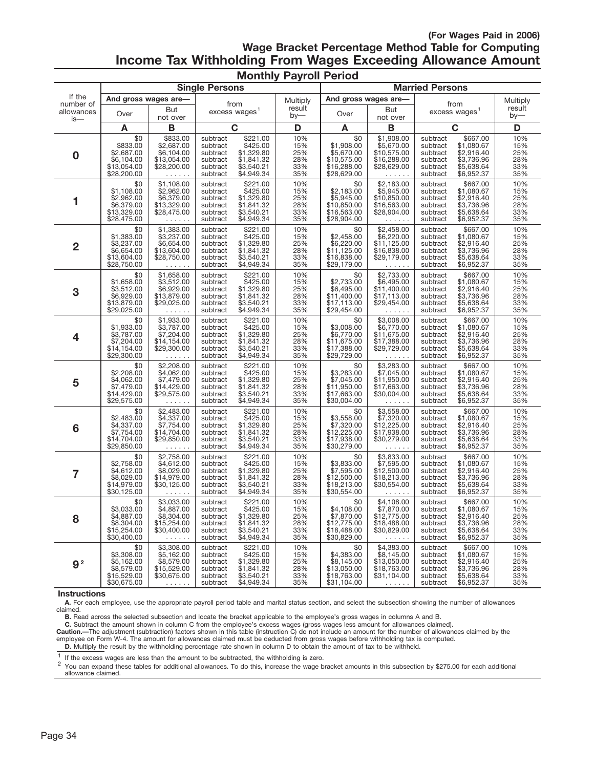|                     |                                                                             |                                                                                  |                                                                      |                                                                                 | <b>Monthly Payroll Period</b>          |                                                                              |                                                                               |                                                                      |                                                                                |                                                 |
|---------------------|-----------------------------------------------------------------------------|----------------------------------------------------------------------------------|----------------------------------------------------------------------|---------------------------------------------------------------------------------|----------------------------------------|------------------------------------------------------------------------------|-------------------------------------------------------------------------------|----------------------------------------------------------------------|--------------------------------------------------------------------------------|-------------------------------------------------|
|                     |                                                                             |                                                                                  | <b>Single Persons</b>                                                |                                                                                 |                                        |                                                                              |                                                                               | <b>Married Persons</b>                                               |                                                                                |                                                 |
| If the<br>number of | And gross wages are-                                                        |                                                                                  |                                                                      | from                                                                            | Multiply                               | And gross wages are-                                                         |                                                                               |                                                                      | from                                                                           | Multiply                                        |
| allowances<br>is—   | Over                                                                        | But<br>not over                                                                  |                                                                      | excess wages <sup>1</sup>                                                       | result<br>$by-$                        | Over                                                                         | But<br>not over                                                               |                                                                      | excess wages <sup>1</sup>                                                      | result<br>$by-$                                 |
|                     | A                                                                           | B                                                                                |                                                                      | $\mathbf C$                                                                     | D                                      | A                                                                            | B                                                                             |                                                                      | $\mathbf C$                                                                    | D                                               |
| $\bf{0}$            | \$0<br>\$833.00<br>\$2,687.00<br>\$6,104.00<br>\$13,054.00<br>\$28,200.00   | \$833.00<br>\$2,687.00<br>\$6,104.00<br>\$13,054.00<br>\$28,200.00<br>.          | subtract<br>subtract<br>subtract<br>subtract<br>subtract<br>subtract | \$221.00<br>$$425.00$<br>\$1,329.80<br>\$1,841.32<br>\$3,540.21<br>\$4,949.34   | 10%<br>15%<br>25%<br>28%<br>33%<br>35% | \$0<br>\$1,908.00<br>\$5,670.00<br>\$10,575.00<br>\$16,288.00<br>\$28,629.00 | \$1,908.00<br>\$5,670.00<br>\$10,575.00<br>\$16,288.00<br>\$28,629.00<br>.    | subtract<br>subtract<br>subtract<br>subtract<br>subtract<br>subtract | \$667.00<br>\$1,080.67<br>\$2,916.40<br>\$3,736.96<br>\$5,638.64<br>\$6,952.37 | 10%<br>15%<br>25%<br>28%<br>33%<br>35%          |
| 1                   | \$0<br>\$1,108.00<br>\$2,962.00<br>\$6,379.00<br>\$13,329.00<br>\$28,475.00 | \$1,108.00<br>\$2,962.00<br>\$6,379.00<br>\$13,329.00<br>\$28,475.00<br>.        | subtract<br>subtract<br>subtract<br>subtract<br>subtract<br>subtract | \$221.00<br>\$425.00<br>\$1,329.80<br>\$1,841.32<br>\$3,540.21<br>\$4,949.34    | 10%<br>15%<br>25%<br>28%<br>33%<br>35% | \$0<br>\$2,183.00<br>\$5,945.00<br>\$10,850.00<br>\$16,563.00<br>\$28,904.00 | \$2,183.00<br>$$5,945.00$<br>$$10,850.00$<br>$$16,563.00$<br>\$28,904.00<br>. | subtract<br>subtract<br>subtract<br>subtract<br>subtract<br>subtract | \$667.00<br>\$1,080.67<br>\$2,916.40<br>\$3,736.96<br>\$5,638.64<br>\$6,952.37 | 10%<br>15%<br>25%<br>28%<br>33%<br>35%          |
| $\overline{2}$      | \$0<br>\$1,383.00<br>\$3,237.00<br>\$6,654.00<br>\$13,604.00<br>\$28,750.00 | \$1,383.00<br>\$3,237.00<br>\$6,654.00<br>\$13,604.00<br>\$28,750.00<br>.        | subtract<br>subtract<br>subtract<br>subtract<br>subtract<br>subtract | \$221.00<br>\$425.00<br>\$1,329.80<br>\$1,841.32<br>\$3,540.21<br>\$4,949.34    | 10%<br>15%<br>25%<br>28%<br>33%<br>35% | \$0<br>\$2,458.00<br>\$6,220.00<br>\$11,125.00<br>\$16,838.00<br>\$29,179.00 | \$2,458.00<br>$$6,220.00$<br>\$11,125.00<br>\$16,838.00<br>\$29,179.00<br>.   | subtract<br>subtract<br>subtract<br>subtract<br>subtract<br>subtract | \$667.00<br>\$1,080.67<br>\$2,916.40<br>\$3,736.96<br>\$5,638.64<br>\$6,952.37 | 10%<br>15%<br>25%<br>28%<br>33%<br>35%          |
| 3                   | \$0<br>\$1,658.00<br>\$3,512.00<br>\$6,929.00<br>\$13,879.00<br>\$29,025.00 | \$1,658.00<br>\$3,512.00<br>\$6,929.00<br>\$13,879.00<br>\$29,025.00<br>.        | subtract<br>subtract<br>subtract<br>subtract<br>subtract<br>subtract | \$221.00<br>$$425.00$<br>$$1,329.80$<br>$$1,841.32$<br>\$3,540.21<br>\$4,949.34 | 10%<br>15%<br>25%<br>28%<br>33%<br>35% | \$0<br>\$2,733.00<br>\$6,495.00<br>\$11,400.00<br>\$17,113.00<br>\$29,454.00 | \$2,733.00<br>\$6,495.00<br>\$11,400.00<br>\$17,113.00<br>\$29,454.00         | subtract<br>subtract<br>subtract<br>subtract<br>subtract<br>subtract | \$667.00<br>\$1,080.67<br>\$2,916.40<br>\$3,736.96<br>\$5,638.64<br>\$6,952.37 | 10%<br>15%<br>25%<br>28%<br>33%<br>35%          |
| 4                   | \$0<br>\$1,933.00<br>\$3,787.00<br>\$7,204.00<br>\$14,154.00<br>\$29,300.00 | \$1,933.00<br>\$3,787.00<br>\$7,204.00<br>\$14,154.00<br>\$29,300.00<br>$\ldots$ | subtract<br>subtract<br>subtract<br>subtract<br>subtract<br>subtract | \$221.00<br>\$425.00<br>$$1,329.80$<br>$$1,841.32$<br>\$3,540.21<br>\$4,949.34  | 10%<br>15%<br>25%<br>28%<br>33%<br>35% | \$0<br>\$3,008.00<br>\$6,770.00<br>\$11,675.00<br>\$17,388.00<br>\$29,729.00 | \$3,008.00<br>\$6,770.00<br>\$11,675.00<br>\$17,388.00<br>\$29,729.00<br>.    | subtract<br>subtract<br>subtract<br>subtract<br>subtract<br>subtract | \$667.00<br>\$1,080.67<br>\$2,916.40<br>\$3,736.96<br>\$5,638.64<br>\$6,952.37 | 10%<br>15%<br>25%<br>28%<br>33%<br>35%          |
| 5                   | \$0<br>\$2,208.00<br>\$4,062.00<br>\$7,479.00<br>\$14,429.00<br>\$29,575.00 | \$2,208.00<br>\$4,062.00<br>\$7,479.00<br>\$14,429.00<br>\$29,575.00<br>.        | subtract<br>subtract<br>subtract<br>subtract<br>subtract<br>subtract | \$221.00<br>\$425.00<br>\$1,329.80<br>\$1,841.32<br>\$3,540.21<br>\$4,949.34    | 10%<br>15%<br>25%<br>28%<br>33%<br>35% | \$0<br>\$3,283.00<br>\$7,045.00<br>\$11,950.00<br>\$17,663.00<br>\$30,004.00 | \$3,283.00<br>\$7,045.00<br>\$11,950.00<br>\$17,663.00<br>\$30,004.00<br>.    | subtract<br>subtract<br>subtract<br>subtract<br>subtract<br>subtract | \$667.00<br>\$1,080.67<br>\$2,916.40<br>\$3,736.96<br>\$5,638.64<br>\$6,952.37 | 10%<br>$\frac{15\%}{25\%}$<br>28%<br>33%<br>35% |
| $6\phantom{1}6$     | \$0<br>\$2,483.00<br>\$4,337.00<br>\$7,754.00<br>\$14,704.00<br>\$29,850.00 | \$2,483.00<br>\$4,337.00<br>\$7,754.00<br>\$14,704.00<br>\$29,850.00<br>.        | subtract<br>subtract<br>subtract<br>subtract<br>subtract<br>subtract | \$221.00<br>\$425.00<br>\$1,329.80<br>\$1,841.32<br>\$3,540.21<br>\$4,949.34    | 10%<br>15%<br>25%<br>28%<br>33%<br>35% | \$0<br>\$3,558.00<br>\$7,320.00<br>\$12,225.00<br>\$17,938.00<br>\$30,279.00 | \$3,558.00<br>\$7,320.00<br>\$12,225.00<br>\$17,938.00<br>\$30,279.00<br>.    | subtract<br>subtract<br>subtract<br>subtract<br>subtract<br>subtract | \$667.00<br>\$1,080.67<br>\$2,916.40<br>\$3,736.96<br>\$5,638.64<br>\$6,952.37 | 10%<br>15%<br>25%<br>28%<br>33%<br>35%          |
| 7                   | \$0<br>\$2,758.00<br>\$4,612.00<br>\$8,029.00<br>\$14,979.00<br>\$30,125.00 | \$2,758.00<br>\$4,612.00<br>\$8,029.00<br>\$14,979.00<br>\$30,125.00<br>.        | subtract<br>subtract<br>subtract<br>subtract<br>subtract<br>subtract | \$221.00<br>\$425.00<br>\$1,329.80<br>\$1,841.32<br>\$3,540.21<br>\$4,949.34    | 10%<br>15%<br>25%<br>28%<br>33%<br>35% | \$0<br>\$3,833.00<br>\$7,595.00<br>\$12,500.00<br>\$18,213.00<br>\$30,554.00 | \$3,833.00<br>\$7,595.00<br>\$12,500.00<br>\$18,213.00<br>\$30,554.00<br>.    | subtract<br>subtract<br>subtract<br>subtract<br>subtract<br>subtract | \$667.00<br>\$1,080.67<br>\$2,916.40<br>\$3,736.96<br>\$5,638.64<br>\$6,952.37 | 10%<br>15%<br>25%<br>28%<br>33%<br>35%          |
| 8                   | \$0<br>\$3,033.00<br>\$4,887.00<br>\$8,304.00<br>\$15,254.00<br>\$30,400.00 | \$3,033.00<br>\$4,887.00<br>\$8,304.00<br>\$15,254.00<br>\$30,400.00<br>.        | subtract<br>subtract<br>subtract<br>subtract<br>subtract<br>subtract | \$221.00<br>\$425.00<br>\$1,329.80<br>\$1,841.32<br>\$3,540.21<br>\$4,949.34    | 10%<br>15%<br>25%<br>28%<br>33%<br>35% | \$0<br>\$4,108.00<br>\$7,870.00<br>\$12,775.00<br>\$18,488.00<br>\$30,829.00 | \$4.108.00<br>\$7,870.00<br>\$12,775.00<br>\$18,488.00<br>\$30,829.00<br>.    | subtract<br>subtract<br>subtract<br>subtract<br>subtract<br>subtract | \$667.00<br>\$1,080.67<br>\$2,916.40<br>\$3,736.96<br>\$5,638.64<br>\$6,952.37 | 10%<br>15%<br>25%<br>28%<br>33%<br>35%          |
| 9 <sup>2</sup>      | \$0<br>\$3,308.00<br>\$5,162.00<br>\$8,579.00<br>\$15,529.00<br>\$30,675.00 | \$3,308.00<br>\$5,162.00<br>\$8,579.00<br>\$15,529.00<br>\$30,675.00<br>.        | subtract<br>subtract<br>subtract<br>subtract<br>subtract<br>subtract | \$221.00<br>\$425.00<br>\$1,329.80<br>\$1,841.32<br>\$3,540.21<br>\$4,949.34    | 10%<br>15%<br>25%<br>28%<br>33%<br>35% | \$0<br>\$4,383.00<br>\$8,145.00<br>\$13,050.00<br>\$18,763.00<br>\$31,104.00 | \$4,383.00<br>\$8,145.00<br>\$13,050.00<br>\$18,763.00<br>\$31,104.00<br>.    | subtract<br>subtract<br>subtract<br>subtract<br>subtract<br>subtract | \$667.00<br>\$1,080.67<br>\$2,916.40<br>\$3,736.96<br>\$5,638.64<br>\$6,952.37 | 10%<br>15%<br>25%<br>28%<br>33%<br>35%          |

## **Instructions**

A. For each employee, use the appropriate payroll period table and marital status section, and select the subsection showing the number of allowances<br>claimed.

**B.** Read across the selected subsection and locate the bracket applicable to the employee's gross wages in columns A and B.

**C.** Subtract the amount shown in column C from the employee's excess wages (gross wages less amount for allowances claimed).

**Caution.—**The adjustment (subtraction) factors shown in this table (instruction C) do not include an amount for the number of allowances claimed by the employee on Form W-4. The amount for allowances claimed must be deducted from gross wages before withholding tax is computed.

**D.** Multiply the result by the withholding percentage rate shown in column D to obtain the amount of tax to be withheld.

 $\frac{1}{1}$  If the excess wages are less than the amount to be subtracted, the withholding is zero.<br>
<sup>2</sup> You can expand these tables for additional allowances. To do this, increase the wage bracket amounts in this subsectio allowance claimed.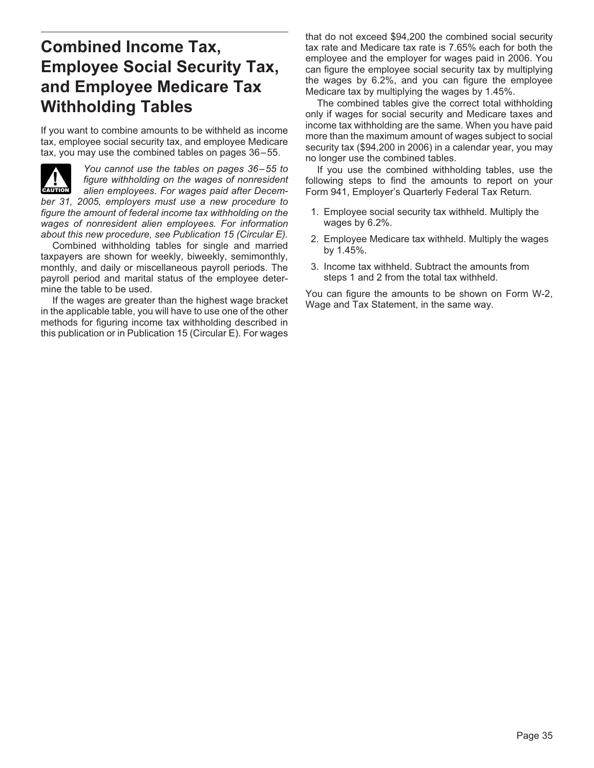# and Employee Medicare Tax Medicare tax by multiplying the wages by 1.45%.

**CAUTION** *ber 31, 2005, employers must use a new procedure to wages of nonresident alien employees. For information about this new procedure, see Publication 15 (Circular E).* 

about this new procedure, see Publication 15 (Circular E).<br>
Combined withholding tables for single and married<br>
taxpayers are shown for weekly, biweekly, semimonthly,<br>
monthly, and daily or miscellaneous payroll periods. T monthly, and daily or miscellaneous payroll periods. The 3. Income tax withheld. Subtract the amoun payroll period and marital status of the employee deter-<br>steps 1 and 2 from the total tax withheld. payroll period and marital status of the employee deter-

methods for figuring income tax withholding described in this publication or in Publication 15 (Circular E). For wages

that do not exceed \$94,200 the combined social security tax rate and Medicare tax rate is 7.65% each for both the **Combined Income Tax,** tax rate and Medicare tax rate is 7.65% each for both the employee and the employee and the employee for wages paid in 2006. You **Employee Social Security Tax,** can figure the employee social security tax by multiplying and **Free propose** social security tax by multiplying

**Withholding Tables** The combined tables give the correct total withholding The Combined tables give the correct total withholding only if wages for social security and Medicare taxes and If you want to combine amounts to be withheld as income<br>tax, employee social security tax, and employee Medicare<br>tax, you may use the combined tables on pages  $36-55$ .<br>https://www.molongeruse the combined tables.<br>tax, you

*You cannot use the tables on pages 36–55 to* If you use the combined withholding tables, use the *figure withholding on the wages of nonresident* following steps to find the amounts to report on your *Form 941, Employer's Quarterly Federal Tax Return.* 

- *figure the amount of federal income tax withholding on the* 1. Employee social security tax withheld. Multiply the
	-
	-

mine the table to be used.<br>If the wages are greater than the highest wage bracket<br>in the applicable table, you will have to use one of the other<br>In the applicable table, you will have to use one of the other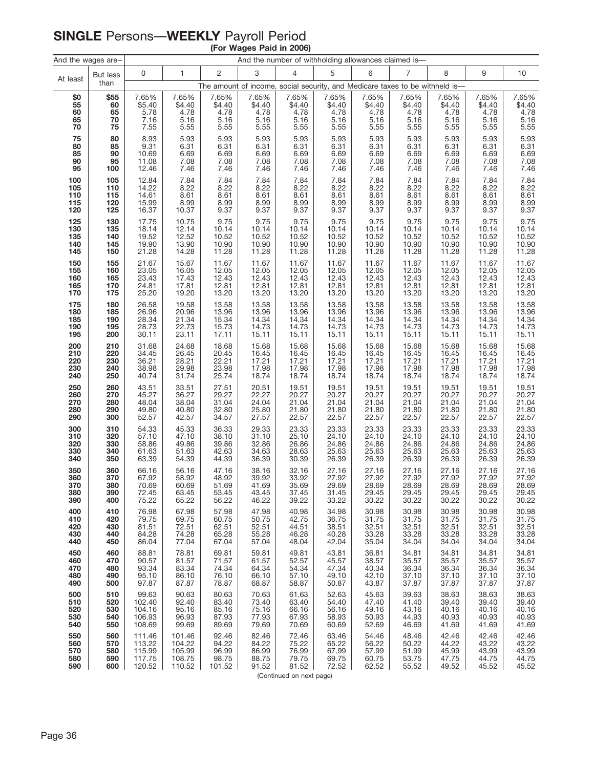## **SINGLE** Persons—**WEEKLY** Payroll Period **(For Wages Paid in 2006)**

| And the wages are-                     |                                          |                                                |                                                |                                                                              |                                                                 |                                                                         |                                                                                 | And the number of withholding allowances claimed is-                             |                                                                                  |                                                  |                                               |                                                |
|----------------------------------------|------------------------------------------|------------------------------------------------|------------------------------------------------|------------------------------------------------------------------------------|-----------------------------------------------------------------|-------------------------------------------------------------------------|---------------------------------------------------------------------------------|----------------------------------------------------------------------------------|----------------------------------------------------------------------------------|--------------------------------------------------|-----------------------------------------------|------------------------------------------------|
| At least                               | But less                                 | 0                                              | 1                                              | $\overline{\mathbf{c}}$                                                      | 3                                                               | $\overline{4}$                                                          | 5                                                                               | 6                                                                                | $\overline{7}$                                                                   | 8                                                | 9                                             | 10                                             |
|                                        | than                                     |                                                |                                                | The amount of income, social security, and Medicare taxes to be withheld is- |                                                                 |                                                                         |                                                                                 |                                                                                  |                                                                                  |                                                  |                                               |                                                |
| \$0<br>55<br>60<br>65<br>70            | \$55<br>60<br>65<br>70<br>75             | 7.65%<br>\$5.40<br>5.78<br>7.16<br>7.55        | 7.65%<br>\$4.40<br>4.78<br>5.16<br>5.55        | 7.65%<br>$$4.40$<br>$4.78$<br>5.16<br>5.55                                   | 7.65%<br>\$4.40<br>4.78<br>5.16<br>5.55                         | 7.65%<br>\$4.40<br>4.78<br>5.16<br>5.55                                 | 7.65%<br>\$4.40<br>4.78<br>5.16<br>5.55                                         | 7.65%<br>\$4.40<br>4.78<br>5.16<br>5.55                                          | 7.65%<br>$$4.40$<br>$4.78$<br>5.16<br>5.55                                       | 7.65%<br>$$4.40$<br>$4.78$<br>5.16<br>5.55       | 7.65%<br>\$4.40<br>4.78<br>$5.16$<br>$5.55$   | 7.65%<br>$$4.40$<br>$4.78$<br>$5.16$<br>$5.55$ |
| 75<br>80<br>85<br>90<br>95             | 80<br>85<br>$\overline{90}$<br>95<br>100 | 8.93<br>9.31<br>10.69<br>11.08<br>12.46        | 5.93<br>6.31<br>6.69<br>$7.08$<br>$7.46$       | 5.93<br>6.31<br>6.69<br>$7.08$<br>$7.46$                                     | 5.93<br>6.31<br>6.69<br>7.08<br>7.46                            | 5.93<br>6.31<br>6.69<br>7.08<br>7.46                                    | 5.93<br>6.31<br>6.69<br>7.08<br>7.46                                            | 5.93<br>6.31<br>6.69<br>7.08<br>7.46                                             | 5.93<br>6.31<br>6.69<br>7.08<br>7.46                                             | 5.93<br>6.31<br>6.69<br>7.08<br>7.46             | 5.93<br>6.31<br>6.69<br>7.08<br>7.46          | 5.93<br>6.31<br>6.69<br>7.08<br>7.46           |
| $\frac{100}{105}$<br>115<br>120        | 105<br>110<br>115<br>120<br>125          | $12.84$<br>$14.22$<br>14.61<br>15.99<br>16.37  | 7.84<br>8.22<br>8.61<br>$8.99$<br>10.37        | 7.84<br>8.22<br>8.61<br>8.99<br>9.37                                         | 7.84<br>$8.22$<br>$8.61$<br>8.99<br>9.37                        | 7.84<br>8.22<br>8.61<br>8.99<br>9.37                                    | 7.84<br>8.22<br>8.61<br>$8.99$<br>$9.37$                                        | 7.84<br>8.22<br>8.61<br>8.99<br>9.37                                             | 7.84<br>8.22<br>8.61<br>8.99<br>9.37                                             | 7.84<br>8.22<br>8.61<br>8.99<br>9.37             | 7.84<br>8.22<br>8.61<br>8.99<br>9.37          | 7.84<br>8.22<br>8.61<br>8.99<br>9.37           |
| 125<br>130<br>135<br>140<br>145        | 130<br>135<br>140<br>145<br>150          | 17.75<br>18.14<br>19.52<br>19.90<br>21.28      | 10.75<br>12.14<br>12.52<br>13.90               | 9.75<br>10.14<br>10.52<br>10.90<br>11.28                                     | 9.75<br>10.14<br>$10.52$<br>10.90<br>11.28                      | 9.75<br>$\begin{array}{c} 10.14 \\ 10.52 \\ 10.90 \\ 11.28 \end{array}$ | 9.75<br>$\begin{array}{c} 0.76 \\ 10.14 \\ 10.52 \\ 10.90 \\ 11.28 \end{array}$ | 9.75<br>10.14<br>$\begin{array}{c} 10.14 \\ 10.52 \\ 10.90 \\ 11.28 \end{array}$ | 9.75<br>$\begin{array}{c} 10.14 \\ 10.52 \\ 10.90 \\ 11.99 \end{array}$<br>11.28 | 9.75<br>10.14<br>10.52<br>10.90<br>11.28         | 9.75<br>$10.14$<br>10.52<br>10.90<br>11.28    | 9.75<br>10.14<br>10.52<br>10.90<br>11.28       |
| 150<br>$\frac{155}{160}$<br>165<br>170 | 155<br>160<br>165<br>170<br>175          | 21.67<br>23.05<br>23.43<br>24.81<br>25.20      | 15.67<br>16.05<br>17.43<br>17.81<br>19.20      | 11.67<br>12.05<br>12.43<br>12.81<br>13.20                                    | 11.67<br>$12.05$<br>12.43<br>12.81<br>13.20                     | 11.67<br>12.05<br>12.43<br>12.81<br>13.20                               | 11.67<br>$12.05$<br>12.43<br>12.81<br>13.20                                     | 11.67<br>12.05<br>12.43<br>12.81<br>13.20                                        | $11.67$<br>$12.05$<br>$12.43$<br>$\frac{12.81}{13.20}$                           | $11.67$<br>$12.05$<br>$12.43$<br>12.81<br>13.20  | 11.67<br>12.05<br>12.43<br>12.81<br>13.20     | 11.67<br>12.05<br>12.43<br>12.81<br>13.20      |
| 175<br>180<br>185<br>190<br>195        | 180<br>185<br>190<br>195<br>200          | 26.58<br>26.96<br>28.34<br>28.73<br>30.11      | 19.58<br>20.96<br>21.34<br>22.73<br>23.11      | 13.58<br>13.96<br>15.34<br>15.73<br>17.11                                    | 13.58<br>$\frac{13.96}{14.34}$<br>$\frac{14.73}{1.73}$<br>15.11 | 13.58<br>13.96<br>14.34<br>14.73<br>15.11                               | 13.58<br>13.96<br>14.34<br>14.73<br>15.11                                       | 13.58<br>13.96<br>14.34<br>14.73<br>15.11                                        | 13.58<br>13.96<br>14.34<br>14.73<br>15.11                                        | 13.58<br>13.96<br>14.34<br>14.73<br>15.11        | 13.58<br>13.96<br>14.34<br>14.73<br>15.11     | 13.58<br>13.96<br>14.34<br>14.73<br>15.11      |
| 200<br>210<br>220<br>230<br>240        | 210<br>220<br>230<br>240<br>250          | 31.68<br>34.45<br>36.21<br>38.98<br>40.74      | 24.68<br>26.45<br>28.21<br>29.98<br>31.74      | 18.68<br>20.45<br>22.21<br>23.98<br>25.74                                    | 15.68<br>16.45<br>17.21<br>17.98<br>18.74                       | 15.68<br>16.45<br>17.21<br>17.98<br>18.74                               | 15.68<br>16.45<br>17.21<br>$17.98$<br>$18.74$                                   | 15.68<br>16.45<br>17.21<br>$\frac{17.98}{18.74}$                                 | 15.68<br>16.45<br>17.21<br>$\frac{17.98}{18.74}$                                 | 15.68<br>16.45<br>17.21<br>$\frac{17.98}{18.74}$ | 15.68<br>16.45<br>17.21<br>17.98<br>18.74     | 15.68<br>16.45<br>17.21<br>17.98<br>18.74      |
| 250<br>260<br>270<br>280<br>290        | 260<br>270<br>280<br>290<br>300          | 43.51<br>45.27<br>48.04<br>49.80<br>52.57      | 33.51<br>36.27<br>38.04<br>40.80<br>42.57      | 27.51<br>29.27<br>31.04<br>32.80<br>34.57                                    | 20.51<br>22.27<br>24.04<br>25.80<br>27.57                       | 19.51<br>20.27<br>21.04<br>21.80<br>22.57                               | 19.51<br>20.27<br>21.04<br>21.80<br>22.57                                       | $\begin{array}{c} 19.51 \\ 20.27 \\ 21.04 \end{array}$<br>$21.80$<br>$22.57$     | 19.51<br>20.27<br>21.04<br>21.80<br>22.57                                        | 19.51<br>20.27<br>21.04<br>$21.80$<br>$22.57$    | 19.51<br>20.27<br>21.04<br>$21.80$<br>$22.57$ | 19.51<br>20.27<br>21.04<br>21.80<br>22.57      |
| 300<br>310<br>320<br>330<br>340        | 310<br>320<br>330<br>340<br>350          | 54.33<br>57.10<br>58.86<br>61.63<br>63.39      | 45.33<br>47.10<br>49.86<br>51.63<br>54.39      | 36.33<br>38.10<br>39.86<br>42.63<br>44.39                                    | 29.33<br>31.10<br>32.86<br>34.63<br>36.39                       | 23.33<br>25.10<br>26.86<br>28.63<br>30.39                               | 23.33<br>24.10<br>24.86<br>25.63<br>26.39                                       | 23.33<br>24.10<br>24.86<br>25.63<br>26.39                                        | 23.33<br>24.10<br>24.86<br>25.63<br>26.39                                        | 23.33<br>24.10<br>24.86<br>25.63<br>26.39        | 23.33<br>24.10<br>24.86<br>25.63<br>26.39     | 23.33<br>24.10<br>24.86<br>25.63<br>26.39      |
| 350<br>360<br>370<br>380<br>390        | 360<br>370<br>380<br>390<br>400          | 66.16<br>67.92<br>70.69<br>72.45<br>75.22      | 56.16<br>58.92<br>60.69<br>63.45<br>65.22      | 47.16<br>48.92<br>51.69<br>53.45<br>56.22                                    | 38.16<br>39.92<br>41.69<br>43.45<br>46.22                       | 32.16<br>33.92<br>35.69<br>37.45<br>39.22                               | 27.16<br>27.92<br>29.69<br>31.45<br>33.22                                       | 27.16<br>27.92<br>28.69<br>29.45<br>30.22                                        | 27.16<br>27.92<br>28.69<br>29.45<br>30.22                                        | 27.16<br>27.92<br>28.69<br>29.45<br>30.22        | 27.16<br>27.92<br>28.69<br>29.45<br>30.22     | 27.16<br>27.92<br>28.69<br>29.45<br>30.22      |
| 400<br>410<br>420<br>430<br>440        | 410<br>420<br>430<br>440<br>450          | 76.98<br>79.75<br>81.51<br>84.28<br>86.04      | 67.98<br>69.75<br>72.51<br>74.28<br>77.04      | 57.98<br>60.75<br>62.51<br>65.28<br>67.04                                    | 47.98<br>50.75<br>52.51<br>55.28<br>57.04                       | 40.98<br>42.75<br>44.51<br>46.28<br>48.04                               | 34.98<br>36.75<br>38.51<br>40.28<br>42.04                                       | 30.98<br>31.75<br>32.51<br>33.28<br>35.04                                        | 30.98<br>31.75<br>32.51<br>33.28<br>34.04                                        | 30.98<br>31.75<br>32.51<br>33.28<br>34.04        | 30.98<br>31.75<br>32.51<br>33.28<br>34.04     | 30.98<br>$31.75$<br>$32.51$<br>33.28<br>34.04  |
| 450<br>460<br>470<br>480<br>490        | 460<br>470<br>480<br>490<br>500          | 88.81<br>90.57<br>93.34<br>95.10<br>97.87      | 78.81<br>81.57<br>83.34<br>86.10<br>87.87      | 69.81<br>71.57<br>74.34<br>76.10<br>78.87                                    | 59.81<br>61.57<br>64.34<br>66.10<br>68.87                       | 49.81<br>52.57<br>54.34<br>57.10<br>58.87                               | 43.81<br>45.57<br>47.34<br>49.10<br>50.87                                       | 36.81<br>38.57<br>40.34<br>42.10<br>43.87                                        | 34.81<br>35.57<br>36.34<br>37.10<br>37.87                                        | 34.81<br>35.57<br>36.34<br>37.10<br>37.87        | 34.81<br>35.57<br>36.34<br>37.10<br>37.87     | 34.81<br>35.57<br>36.34<br>37.10<br>37.87      |
| 500<br>510<br>520<br>530<br>540        | 510<br>520<br>530<br>540<br>550          | 99.63<br>102.40<br>104.16<br>106.93<br>108.69  | 90.63<br>92.40<br>95.16<br>96.93<br>99.69      | 80.63<br>83.40<br>85.16<br>87.93<br>89.69                                    | 70.63<br>73.40<br>75.16<br>77.93<br>79.69                       | 61.63<br>63.40<br>66.16<br>67.93<br>70.69                               | 52.63<br>54.40<br>56.16<br>58.93<br>60.69                                       | 45.63<br>47.40<br>49.16<br>50.93<br>52.69                                        | 39.63<br>41.40<br>43.16<br>44.93<br>46.69                                        | 38.63<br>39.40<br>40.16<br>40.93<br>41.69        | 38.63<br>39.40<br>40.16<br>40.93<br>41.69     | 38.63<br>39.40<br>40.16<br>40.93<br>41.69      |
| 550<br>560<br>570<br>580<br>590        | 560<br>570<br>580<br>590<br>600          | 111.46<br>113.22<br>115.99<br>117.75<br>120.52 | 101.46<br>104.22<br>105.99<br>108.75<br>110.52 | 92.46<br>94.22<br>96.99<br>98.75<br>101.52                                   | 82.46<br>84.22<br>86.99<br>88.75<br>91.52                       | 72.46<br>75.22<br>76.99<br>79.75<br>81.52                               | 63.46<br>65.22<br>67.99<br>69.75<br>72.52                                       | 54.46<br>56.22<br>57.99<br>60.75<br>62.52                                        | 48.46<br>50.22<br>51.99<br>53.75<br>55.52                                        | 42.46<br>44.22<br>45.99<br>47.75<br>49.52        | 42.46<br>43.22<br>43.99<br>44.75<br>45.52     | 42.46<br>43.22<br>43.99<br>44.75<br>45.52      |

(Continued on next page)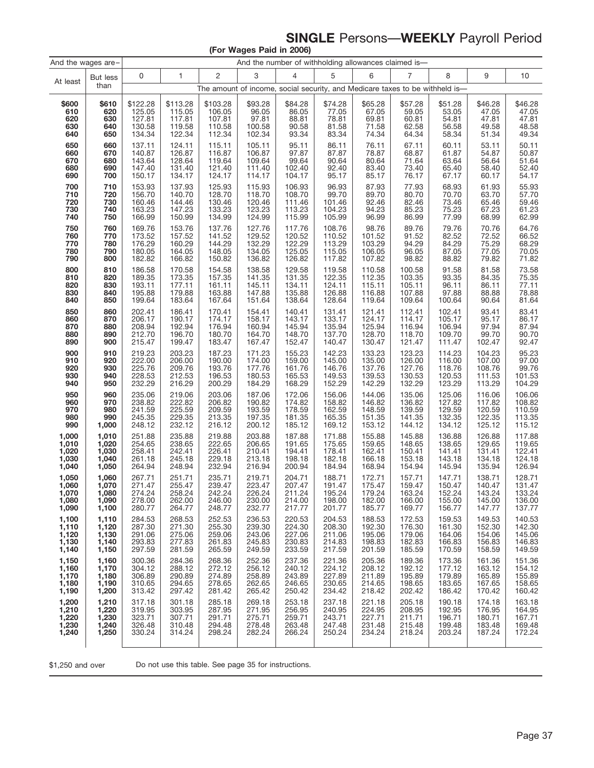## **SINGLE** Persons—**WEEKLY** Payroll Period

**(For Wages Paid in 2006)**

| And the wages are-                        |                                           |                                                |                                                |                                                |                                                |                                                |                                                | And the number of withholding allowances claimed is-                                    |                                                |                                                |                                                |                                                |
|-------------------------------------------|-------------------------------------------|------------------------------------------------|------------------------------------------------|------------------------------------------------|------------------------------------------------|------------------------------------------------|------------------------------------------------|-----------------------------------------------------------------------------------------|------------------------------------------------|------------------------------------------------|------------------------------------------------|------------------------------------------------|
| At least                                  | <b>But less</b><br>than                   | 0                                              | 1                                              | $\overline{2}$                                 | 3                                              | 4                                              | 5                                              | 6                                                                                       | $\overline{7}$                                 | 8                                              | 9                                              | 10                                             |
| \$600                                     | \$610                                     | \$122.28                                       | \$113.28                                       | \$103.28                                       | \$93.28                                        | \$84.28                                        | \$74.28                                        | The amount of income, social security, and Medicare taxes to be withheld is-<br>\$65.28 | \$57.28                                        | \$51.28                                        | \$46.28                                        | \$46.28                                        |
| 610<br>620<br>630<br>640                  | 620<br>630<br>640<br>650                  | 125.05<br>127.81<br>130.58<br>134.34           | 115.05<br>117.81<br>119.58<br>122.34           | 106.05<br>107.81<br>110.58<br>112.34           | 96.05<br>97.81<br>100.58<br>102.34             | 86.05<br>88.81<br>90.58<br>93.34               | 77.05<br>78.81<br>81.58<br>83.34               | 67.05<br>69.81<br>71.58<br>74.34                                                        | 59.05<br>60.81<br>62.58<br>64.34               | 53.05<br>54.81<br>56.58<br>58.34               | 47.05<br>47.81<br>49.58<br>51.34               | 47.05<br>47.81<br>48.58<br>49.34               |
| 650<br>660<br>670<br>680<br>690           | 660<br>670<br>680<br>690<br>700           | 137.11<br>140.87<br>143.64<br>147.40<br>150.17 | 124.11<br>126.87<br>128.64<br>131.40<br>134.17 | 115.11<br>116.87<br>119.64<br>121.40<br>124.17 | 105.11<br>106.87<br>109.64<br>111.40<br>114.17 | 95.11<br>97.87<br>99.64<br>102.40<br>104.17    | 86.11<br>$87.87$<br>90.64<br>92.40<br>95.17    | 76.11<br>78.87<br>80.64<br>83.40<br>85.17                                               | 67.11<br>68.87<br>71.64<br>73.40<br>76.17      | 60.11<br>61.87<br>63.64<br>65.40<br>67.17      | 53.11<br>54.87<br>56.64<br>58.40<br>60.17      | 50.11<br>$50.87$<br>$51.64$<br>52.40<br>54.17  |
| 700<br>710<br>720<br>730<br>740           | 710<br>720<br>730<br>740<br>750           | 153.93<br>156.70<br>160.46<br>163.23<br>166.99 | 137.93<br>140.70<br>144.46<br>147.23<br>150.99 | 125.93<br>128.70<br>130.46<br>133.23<br>134.99 | 115.93<br>118.70<br>120.46<br>123.23<br>124.99 | 106.93<br>108.70<br>111.46<br>113.23<br>115.99 | 96.93<br>99.70<br>101.46<br>104.23<br>105.99   | 87.93<br>89.70<br>92.46<br>94.23<br>96.99                                               | 77.93<br>80.70<br>82.46<br>85.23<br>86.99      | 68.93<br>70.70<br>73.46<br>75.23<br>77.99      | 61.93<br>63.70<br>65.46<br>67.23<br>68.99      | 55.93<br>57.70<br>59.46<br>61.23<br>62.99      |
| 750<br>760<br>770<br>780<br>790           | 760<br>770<br>780<br>790<br>800           | 169.76<br>173.52<br>176.29<br>180.05<br>182.82 | 153.76<br>157.52<br>160.29<br>164.05<br>166.82 | 137.76<br>141.52<br>144.29<br>148.05<br>150.82 | 127.76<br>129.52<br>132.29<br>134.05<br>136.82 | 117.76<br>120.52<br>122.29<br>125.05<br>126.82 | 108.76<br>110.52<br>113.29<br>115.05<br>117.82 | 98.76<br>101.52<br>103.29<br>106.05<br>107.82                                           | 89.76<br>91.52<br>94.29<br>96.05<br>98.82      | 79.76<br>82.52<br>84.29<br>87.05<br>88.82      | 70.76<br>72.52<br>75.29<br>77.05<br>79.82      | 64.76<br>66.52<br>68.29<br>70.05<br>71.82      |
| 800<br>810<br>820<br>830<br>840           | 810<br>820<br>830<br>840<br>850           | 186.58<br>189.35<br>193.11<br>195.88<br>199.64 | 170.58<br>173.35<br>177.11<br>179.88<br>183.64 | 154.58<br>157.35<br>161.11<br>163.88<br>167.64 | 138.58<br>141.35<br>145.11<br>147.88<br>151.64 | 129.58<br>131.35<br>134.11<br>135.88<br>138.64 | 119.58<br>122.35<br>124.11<br>126.88<br>128.64 | 110.58<br>112.35<br>115.11<br>116.88<br>119.64                                          | 100.58<br>103.35<br>105.11<br>107.88<br>109.64 | 91.58<br>93.35<br>96.11<br>97.88<br>100.64     | 81.58<br>84.35<br>86.11<br>88.88<br>90.64      | 73.58<br>75.35<br>77.11<br>78.88<br>81.64      |
| 850<br>860<br>870<br>880<br>890           | 860<br>870<br>880<br>890<br>900           | 202.41<br>206.17<br>208.94<br>212.70<br>215.47 | 186.41<br>190.17<br>192.94<br>196.70<br>199.47 | 170.41<br>174.17<br>176.94<br>180.70<br>183.47 | 154.41<br>158.17<br>160.94<br>164.70<br>167.47 | 140.41<br>143.17<br>145.94<br>148.70<br>152.47 | 131.41<br>133.17<br>135.94<br>137.70<br>140.47 | 121.41<br>124.17<br>125.94<br>128.70<br>130.47                                          | 112.41<br>114.17<br>116.94<br>118.70<br>121.47 | 102.41<br>105.17<br>106.94<br>109.70<br>111.47 | 93.41<br>95.17<br>97.94<br>99.70<br>102.47     | 83.41<br>86.17<br>87.94<br>90.70<br>92.47      |
| 900<br>910<br>920<br>930<br>940           | 910<br>920<br>930<br>940<br>950           | 219.23<br>222.00<br>225.76<br>228.53<br>232.29 | 203.23<br>206.00<br>209.76<br>212.53<br>216.29 | 187.23<br>190.00<br>193.76<br>196.53<br>200.29 | 171.23<br>174.00<br>177.76<br>180.53<br>184.29 | 155.23<br>159.00<br>161.76<br>165.53<br>168.29 | 142.23<br>145.00<br>146.76<br>149.53<br>152.29 | 133.23<br>135.00<br>137.76<br>139.53<br>142.29                                          | 123.23<br>126.00<br>127.76<br>130.53<br>132.29 | 114.23<br>116.00<br>118.76<br>120.53<br>123.29 | 104.23<br>107.00<br>108.76<br>111.53<br>113.29 | 95.23<br>97.00<br>99.76<br>101.53<br>104.29    |
| 950<br>960<br>970<br>980<br>990           | 960<br>970<br>980<br>990<br>1,000         | 235.06<br>238.82<br>241.59<br>245.35<br>248.12 | 219.06<br>222.82<br>225.59<br>229.35<br>232.12 | 203.06<br>206.82<br>209.59<br>213.35<br>216.12 | 187.06<br>190.82<br>193.59<br>197.35<br>200.12 | 172.06<br>174.82<br>178.59<br>181.35<br>185.12 | 156.06<br>158.82<br>162.59<br>165.35<br>169.12 | 144.06<br>146.82<br>148.59<br>151.35<br>153.12                                          | 135.06<br>136.82<br>139.59<br>141.35<br>144.12 | 125.06<br>127.82<br>129.59<br>132.35<br>134.12 | 116.06<br>117.82<br>120.59<br>122.35<br>125.12 | 106.06<br>108.82<br>110.59<br>113.35<br>115.12 |
| 1,000<br>1,010<br>1,020<br>1,030<br>1,040 | 1,010<br>1,020<br>1,030<br>1,040<br>1,050 | 251.88<br>254.65<br>258.41<br>261.18<br>264.94 | 235.88<br>238.65<br>242.41<br>245.18<br>248.94 | 219.88<br>222.65<br>226.41<br>229.18<br>232.94 | 203.88<br>206.65<br>210.41<br>213.18<br>216.94 | 187.88<br>191.65<br>194.41<br>198.18<br>200.94 | 171.88<br>175.65<br>178.41<br>182.18<br>184.94 | 155.88<br>159.65<br>162.41<br>166.18<br>168.94                                          | 145.88<br>148.65<br>150.41<br>153.18<br>154.94 | 136.88<br>138.65<br>141.41<br>143.18<br>145.94 | 126.88<br>129.65<br>131.41<br>134.18<br>135.94 | 117.88<br>119.65<br>122.41<br>124.18<br>126.94 |
| 1,050<br>1,060<br>1,070<br>1,080<br>1,090 | 1,060<br>1,070<br>1,080<br>1,090<br>1,100 | 267.71<br>271.47<br>274.24<br>278.00<br>280.77 | 251.71<br>255.47<br>258.24<br>262.00<br>264.77 | 235.71<br>239.47<br>242.24<br>246.00<br>248.77 | 219.71<br>223.47<br>226.24<br>230.00<br>232.77 | 204.71<br>207.47<br>211.24<br>214.00<br>217.77 | 188.71<br>191.47<br>195.24<br>198.00<br>201.77 | 172.71<br>175.47<br>179.24<br>182.00<br>185.77                                          | 157.71<br>159.47<br>163.24<br>166.00<br>169.77 | 147.71<br>150.47<br>152.24<br>155.00<br>156.77 | 138.71<br>140.47<br>143.24<br>145.00<br>147.77 | 128.71<br>131.47<br>133.24<br>136.00<br>137.77 |
| 1,100<br>1,110<br>1,120<br>1,130<br>1,140 | 1,110<br>1,120<br>1,130<br>1,140<br>1,150 | 284.53<br>287.30<br>291.06<br>293.83<br>297.59 | 268.53<br>271.30<br>275.06<br>277.83<br>281.59 | 252.53<br>255.30<br>259.06<br>261.83<br>265.59 | 236.53<br>239.30<br>243.06<br>245.83<br>249.59 | 220.53<br>224.30<br>227.06<br>230.83<br>233.59 | 204.53<br>208.30<br>211.06<br>214.83<br>217.59 | 188.53<br>192.30<br>195.06<br>198.83<br>201.59                                          | 172.53<br>176.30<br>179.06<br>182.83<br>185.59 | 159.53<br>161.30<br>164.06<br>166.83<br>170.59 | 149.53<br>152.30<br>154.06<br>156.83<br>158.59 | 140.53<br>142.30<br>145.06<br>146.83<br>149.59 |
| 1,150<br>1,160<br>1,170<br>1,180<br>1,190 | 1,160<br>1,170<br>1,180<br>1,190<br>1,200 | 300.36<br>304.12<br>306.89<br>310.65<br>313.42 | 284.36<br>288.12<br>290.89<br>294.65<br>297.42 | 268.36<br>272.12<br>274.89<br>278.65<br>281.42 | 252.36<br>256.12<br>258.89<br>262.65<br>265.42 | 237.36<br>240.12<br>243.89<br>246.65<br>250.42 | 221.36<br>224.12<br>227.89<br>230.65<br>234.42 | 205.36<br>208.12<br>211.89<br>214.65<br>218.42                                          | 189.36<br>192.12<br>195.89<br>198.65<br>202.42 | 173.36<br>177.12<br>179.89<br>183.65<br>186.42 | 161.36<br>163.12<br>165.89<br>167.65<br>170.42 | 151.36<br>154.12<br>155.89<br>158.65<br>160.42 |
| 1,200<br>1,210<br>1,220<br>1,230<br>1,240 | 1,210<br>1,220<br>1,230<br>1,240<br>1,250 | 317.18<br>319.95<br>323.71<br>326.48<br>330.24 | 301.18<br>303.95<br>307.71<br>310.48<br>314.24 | 285.18<br>287.95<br>291.71<br>294.48<br>298.24 | 269.18<br>271.95<br>275.71<br>278.48<br>282.24 | 253.18<br>256.95<br>259.71<br>263.48<br>266.24 | 237.18<br>240.95<br>243.71<br>247.48<br>250.24 | 221.18<br>224.95<br>227.71<br>231.48<br>234.24                                          | 205.18<br>208.95<br>211.71<br>215.48<br>218.24 | 190.18<br>192.95<br>196.71<br>199.48<br>203.24 | 174.18<br>176.95<br>180.71<br>183.48<br>187.24 | 163.18<br>164.95<br>167.71<br>169.48<br>172.24 |

\$1,250 and over Do not use this table. See page 35 for instructions.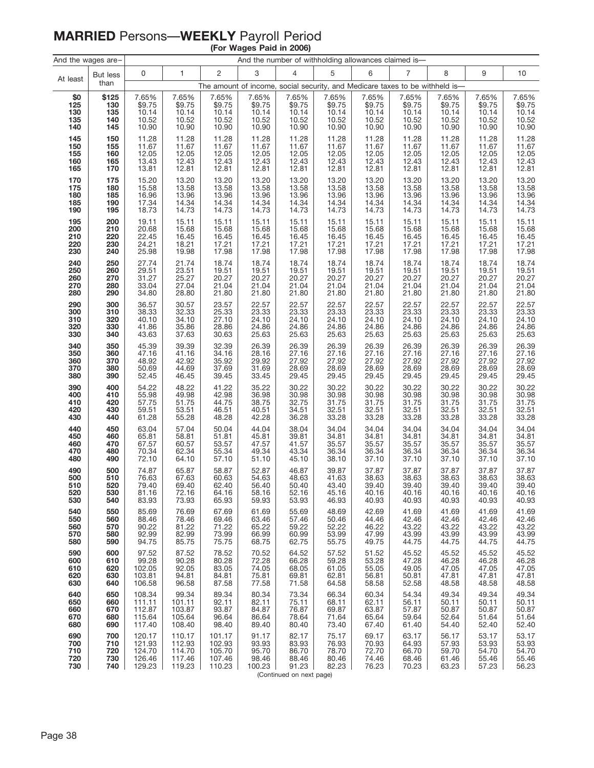## **MARRIED** Persons—**WEEKLY** Payroll Period **(For Wages Paid in 2006)**

| And the wages are-              |                                   |                                                  |                                                  |                                                  | And the number of withholding allowances claimed is-                         |                                                  |                                                                          |                                                                                   |                                                                  |                                                  |                                                  |                                                      |
|---------------------------------|-----------------------------------|--------------------------------------------------|--------------------------------------------------|--------------------------------------------------|------------------------------------------------------------------------------|--------------------------------------------------|--------------------------------------------------------------------------|-----------------------------------------------------------------------------------|------------------------------------------------------------------|--------------------------------------------------|--------------------------------------------------|------------------------------------------------------|
| At least                        | <b>But less</b>                   | 0                                                | $\mathbf{1}$                                     | $\overline{2}$                                   | 3                                                                            | $\overline{4}$                                   | 5                                                                        | 6                                                                                 | $\overline{7}$                                                   | 8                                                | 9                                                | 10                                                   |
|                                 | than                              |                                                  |                                                  |                                                  | The amount of income, social security, and Medicare taxes to be withheld is- |                                                  |                                                                          |                                                                                   |                                                                  |                                                  |                                                  |                                                      |
| \$0<br>125<br>130<br>135<br>140 | \$125<br>130<br>135<br>140<br>145 | 7.65%<br>$$9.75$<br>10.14<br>10.52<br>10.90      | 7.65%<br>$$9.75$<br>10.14<br>10.52<br>10.90      | 7.65%<br>$$9.75$<br>10.14<br>$10.52$<br>$10.90$  | 7.65%<br>\$9.75<br>10.14<br>$10.52$<br>$10.90$                               | 7.65%<br>\$9.75<br>10.14<br>10.52<br>10.90       | 7.65%<br>\$9.75<br>10.14<br>10.52<br>10.90                               | 7.65%<br>$$9.75$<br>10.14<br>$10.52$<br>$10.90$                                   | 7.65%<br>$$9.75$<br>10.14<br>$10.52$<br>$10.90$                  | 7.65%<br>$$9.75$<br>10.14<br>10.52<br>10.90      | 7.65%<br>\$9.75<br>10.14<br>10.52<br>10.90       | 7.65%<br>$$9.75$<br>$10.14$<br>$10.52$<br>$10.90$    |
| 145<br>150<br>155<br>160<br>165 | 150<br>155<br>160<br>165<br>170   | 11.28<br>11.67<br>12.05<br>13.43<br>13.81        | 11.28<br>11.67<br>12.05<br>12.43<br>12.81        | 11.28<br>$11.67$<br>12.05<br>12.43<br>12.81      | 11.28<br>$\frac{11.67}{12.05}$<br>12.81                                      | 11.28<br>$11.67$<br>12.05<br>12.43<br>12.81      | 11.28<br>$\begin{array}{c} 11.67 \\ 12.05 \\ 12.43 \\ 12.81 \end{array}$ | 11.28<br>$\begin{array}{c} 11.28 \\ 11.67 \\ 12.05 \\ 12.43 \\ 12.81 \end{array}$ | 11.28<br>$\frac{11.67}{12.05}$<br>$\frac{12.43}{12.43}$<br>12.81 | 11.28<br>$\frac{11.67}{12.05}$<br>12.43<br>12.81 | 11.28<br>11.67<br>12.05<br>12.43<br>12.81        | 11.28<br>11.67<br>12.05<br>12.43<br>12.81            |
| 170<br>175<br>180<br>185<br>190 | 175<br>180<br>$185$<br>190<br>195 | 15.20<br>15.58<br>16.96<br>17.34<br>18.73        | 13.20<br>13.58<br>$\frac{13.96}{14.34}$<br>14.73 | 13.20<br>13.58<br>13.96<br>14.34<br>14.73        | 13.20<br>13.58<br>13.96<br>14.34<br>14.73                                    | 13.20<br>13.58<br>13.96<br>14.34<br>14.73        | 13.20<br>13.58<br>13.96<br>14.34<br>14.73                                | 13.20<br>13.58<br>13.58<br>14.34<br>14.73                                         | 13.20<br>13.58<br>13.96<br>14.34<br>14.73                        | 13.20<br>13.58<br>13.96<br>14.34<br>14.73        | 13.20<br>13.58<br>13.96<br>14.34<br>14.73        | 13.20<br>13.58<br>13.96<br>14.34<br>14.73            |
| 195<br>200<br>210<br>220<br>230 | 200<br>210<br>220<br>230<br>240   | 19.11<br>20.68<br>22.45<br>24.21<br>25.98        | 15.11<br>15.68<br>16.45<br>18.21<br>19.98        | 15.11<br>15.68<br>16.45<br>17.21<br>17.98        | 15.11<br>15.68<br>16.45<br>17.21<br>17.98                                    | 15.11<br>15.68<br>16.45<br>17.21<br>17.98        | 15.11<br>15.68<br>16.45<br>17.21<br>17.98                                | 15.11<br>15.68<br>16.45<br>17.21<br>17.98                                         | 15.11<br>15.68<br>16.45<br>17.21<br>17.98                        | 15.11<br>15.68<br>16.45<br>17.21                 | 15.11<br>15.68<br>16.45<br>17.21<br>17.98        | 15.11<br>15.68<br>16.45<br>17.21<br>17.98            |
| 240<br>250<br>260<br>270<br>280 | 250<br>260<br>270<br>280<br>290   | 27.74<br>$\frac{29.51}{31.27}$<br>33.04<br>34.80 | 21.74<br>$23.51$<br>$25.27$<br>27.04<br>28.80    | 18.74<br>$\frac{19.51}{20.27}$<br>21.04<br>21.80 | 18.74<br>$\frac{19.51}{20.27}$<br>21.04<br>21.80                             | 18.74<br>$\frac{19.51}{20.27}$<br>21.04<br>21.80 | 18.74<br>$\frac{19.51}{20.27}$<br>$21.04$<br>$21.80$                     | 18.74<br>$\frac{19.51}{20.27}$<br>21.04<br>21.80                                  | $18.74$<br>$19.51$<br>$20.27$<br>$21.04$<br>$21.80$              | $18.74$<br>$19.51$<br>$20.27$<br>21.04<br>21.80  | 18.74<br>$\frac{19.51}{20.27}$<br>21.04<br>21.80 | 18.74<br>$\frac{19.51}{20.27}$<br>$21.04$<br>$21.80$ |
| 290<br>300<br>310<br>320<br>330 | 300<br>310<br>320<br>330<br>340   | 36.57<br>38.33<br>40.10<br>41.86<br>43.63        | 30.57<br>32.33<br>34.10<br>35.86<br>37.63        | 23.57<br>25.33<br>27.10<br>28.86<br>30.63        | 22.57<br>23.33<br>24.10<br>24.86<br>25.63                                    | 22.57<br>23.33<br>24.10<br>24.86<br>25.63        | 22.57<br>23.33<br>24.10<br>$24.86$<br>25.63                              | 22.57<br>23.33<br>24.10<br>24.86<br>25.63                                         | 22.57<br>23.33<br>24.10<br>24.86<br>25.63                        | 22.57<br>23.33<br>24.10<br>24.86<br>25.63        | 22.57<br>23.33<br>24.10<br>24.86<br>25.63        | 22.57<br>23.33<br>24.10<br>24.86<br>25.63            |
| 340<br>350<br>360<br>370<br>380 | 350<br>360<br>370<br>380<br>390   | 45.39<br>47.16<br>48.92<br>50.69<br>52.45        | 39.39<br>41.16<br>42.92<br>44.69<br>46.45        | 32.39<br>$34.16$<br>$35.92$<br>37.69<br>39.45    | 26.39<br>28.16<br>29.92<br>31.69<br>33.45                                    | 26.39<br>27.16<br>27.92<br>28.69<br>29.45        | 26.39<br>27.16<br>27.92<br>28.69<br>29.45                                | 26.39<br>27.16<br>28.69                                                           | 26.39<br>27.16<br>27.16<br>28.69<br>29.45                        | 26.39<br>27.16<br>27.92<br>28.69<br>29.45        | 26.39<br>27.16<br>27.92<br>28.69                 | 26.39<br>27.16<br>27.92<br>28.69<br>29.45            |
| 390<br>400<br>410<br>420<br>430 | 400<br>410<br>420<br>430<br>440   | 54.22<br>55.98<br>57.75<br>$\frac{59.51}{61.28}$ | 48.22<br>49.98<br>51.75<br>53.51<br>55.28        | 41.22<br>42.98<br>44.75<br>46.51<br>48.28        | 35.22<br>36.98<br>38.75<br>$40.51$<br>$42.28$                                | 30.22<br>30.98<br>32.75<br>$34.51$<br>$36.28$    | 30.22<br>30.98<br>31.75<br>$\frac{32.51}{33.28}$                         | 30.22<br>30.98<br>31.75<br>32.51<br>33.28                                         | 30.22<br>30.98<br>31.75<br>$32.51$<br>$33.28$                    | 30.22<br>30.98<br>31.75<br>32.51<br>33.28        | 30.22<br>30.98<br>31.75<br>32.51<br>33.28        | 30.22<br>30.98<br>31.75<br>32.51<br>33.28            |
| 440<br>450<br>460<br>470<br>480 | 450<br>460<br>470<br>480<br>490   | 63.04<br>65.81<br>67.57<br>70.34<br>72.10        | 57.04<br>58.81<br>60.57<br>62.34<br>64.10        | 50.04<br>$\frac{51.81}{53.57}$<br>55.34<br>57.10 | 44.04<br>$45.81$<br>$47.57$<br>49.34<br>51.10                                | 38.04<br>39.81<br>41.57<br>43.34<br>45.10        | 34.04<br>$34.81$<br>$35.57$<br>36.34<br>38.10                            | 34.04<br>$34.81$<br>$35.57$<br>36.34<br>37.10                                     | 34.04<br>$34.81$<br>$35.57$<br>36.34<br>37.10                    | 34.04<br>$34.81$<br>$35.57$<br>36.34<br>37.10    | 34.04<br>$34.81$<br>$35.57$<br>36.34<br>37.10    | 34.04<br>34.81<br>35.57<br>36.34<br>37.10            |
| 490<br>500<br>510<br>520<br>530 | 500<br>510<br>520<br>530<br>540   | 74.87<br>76.63<br>79.40<br>81.16<br>83.93        | 65.87<br>67.63<br>69.40<br>72.16<br>73.93        | 58.87<br>60.63<br>62.40<br>64.16<br>65.93        | 52.87<br>54.63<br>56.40<br>58.16<br>59.93                                    | 46.87<br>48.63<br>50.40<br>52.16<br>53.93        | 39.87<br>41.63<br>43.40<br>45.16<br>46.93                                | 37.87<br>38.63<br>39.40<br>40.16<br>40.93                                         | 37.87<br>38.63<br>39.40<br>40.16<br>40.93                        | 37.87<br>38.63<br>39.40<br>40.16<br>40.93        | 37.87<br>38.63<br>39.40<br>40.16<br>40.93        | 37.87<br>38.63<br>39.40<br>40.16<br>40.93            |
| 540<br>550<br>560<br>570<br>580 | 550<br>560<br>570<br>580<br>590   | 85.69<br>88.46<br>90.22<br>92.99<br>94.75        | 76.69<br>78.46<br>81.22<br>82.99<br>85.75        | 67.69<br>69.46<br>71.22<br>73.99<br>75.75        | 61.69<br>63.46<br>65.22<br>66.99<br>68.75                                    | 55.69<br>57.46<br>59.22<br>60.99<br>62.75        | 48.69<br>50.46<br>52.22<br>53.99<br>55.75                                | 42.69<br>44.46<br>46.22<br>47.99<br>49.75                                         | 41.69<br>42.46<br>43.22<br>43.99<br>44.75                        | 41.69<br>42.46<br>43.22<br>43.99<br>44.75        | 41.69<br>42.46<br>43.22<br>43.99<br>44.75        | 41.69<br>42.46<br>43.22<br>43.99<br>44.75            |
| 590<br>600<br>610<br>620<br>630 | 600<br>610<br>620<br>630<br>640   | 97.52<br>99.28<br>102.05<br>103.81<br>106.58     | 87.52<br>90.28<br>92.05<br>94.81<br>96.58        | 78.52<br>80.28<br>83.05<br>84.81<br>87.58        | 70.52<br>72.28<br>74.05<br>75.81<br>77.58                                    | 64.52<br>66.28<br>68.05<br>69.81<br>71.58        | 57.52<br>59.28<br>61.05<br>62.81<br>64.58                                | 51.52<br>53.28<br>55.05<br>56.81<br>58.58                                         | 45.52<br>47.28<br>49.05<br>50.81<br>52.58                        | 45.52<br>46.28<br>47.05<br>47.81<br>48.58        | 45.52<br>46.28<br>47.05<br>47.81<br>48.58        | 45.52<br>46.28<br>47.05<br>47.81<br>48.58            |
| 640<br>650<br>660<br>670<br>680 | 650<br>660<br>670<br>680<br>690   | 108.34<br>111.11<br>112.87<br>115.64<br>117.40   | 99.34<br>101.11<br>103.87<br>105.64<br>108.40    | 89.34<br>92.11<br>93.87<br>96.64<br>98.40        | 80.34<br>82.11<br>84.87<br>86.64<br>89.40                                    | 73.34<br>75.11<br>76.87<br>78.64<br>80.40        | 66.34<br>68.11<br>69.87<br>71.64<br>73.40                                | 60.34<br>62.11<br>63.87<br>65.64<br>67.40                                         | 54.34<br>56.11<br>57.87<br>59.64<br>61.40                        | 49.34<br>50.11<br>50.87<br>52.64<br>54.40        | 49.34<br>50.11<br>50.87<br>51.64<br>52.40        | 49.34<br>50.11<br>50.87<br>51.64<br>52.40            |
| 690<br>700<br>710<br>720<br>730 | 700<br>710<br>720<br>730<br>740   | 120.17<br>121.93<br>124.70<br>126.46<br>129.23   | 110.17<br>112.93<br>114.70<br>117.46<br>119.23   | 101.17<br>102.93<br>105.70<br>107.46<br>110.23   | 91.17<br>93.93<br>95.70<br>98.46<br>100.23                                   | 82.17<br>83.93<br>86.70<br>88.46<br>91.23        | 75.17<br>76.93<br>78.70<br>80.46<br>82.23                                | 69.17<br>70.93<br>72.70<br>74.46<br>76.23                                         | 63.17<br>64.93<br>66.70<br>68.46<br>70.23                        | 56.17<br>57.93<br>59.70<br>61.46<br>63.23        | 53.17<br>53.93<br>54.70<br>55.46<br>57.23        | 53.17<br>53.93<br>54.70<br>55.46<br>56.23            |

(Continued on next page)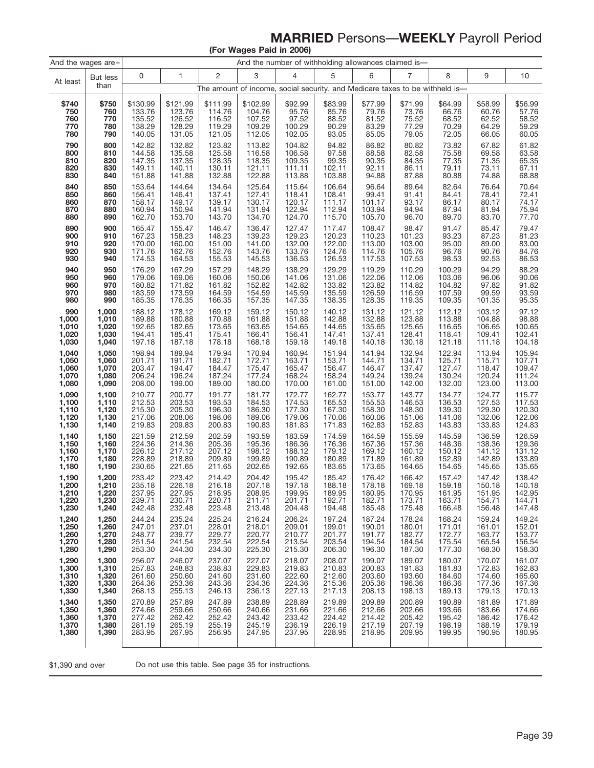## **MARRIED** Persons—**WEEKLY** Payroll Period

**(For Wages Paid in 2006)**

| And the wages are-                      |                                           |                                                  |                                                  |                                                  |                                                  |                                                |                                                | And the number of withholding allowances claimed is-                         |                                                |                                                |                                                |                                              |
|-----------------------------------------|-------------------------------------------|--------------------------------------------------|--------------------------------------------------|--------------------------------------------------|--------------------------------------------------|------------------------------------------------|------------------------------------------------|------------------------------------------------------------------------------|------------------------------------------------|------------------------------------------------|------------------------------------------------|----------------------------------------------|
| At least                                | But less<br>than                          | 0                                                | 1                                                | $\overline{2}$                                   | 3                                                | $\overline{4}$                                 | 5                                              | 6                                                                            | $\overline{7}$                                 | 8                                              | 9                                              | 10                                           |
|                                         |                                           |                                                  |                                                  |                                                  |                                                  |                                                |                                                | The amount of income, social security, and Medicare taxes to be withheld is- |                                                |                                                |                                                |                                              |
| \$740<br>750<br>760<br>770<br>780       | \$750<br>760<br>770<br>780<br>790         | \$130.99<br>133.76<br>135.52<br>138.29<br>140.05 | \$121.99<br>123.76<br>126.52<br>128.29<br>131.05 | \$111.99<br>114.76<br>116.52<br>119.29<br>121.05 | \$102.99<br>104.76<br>107.52<br>109.29<br>112.05 | \$92.99<br>95.76<br>97.52<br>100.29<br>102.05  | \$83.99<br>85.76<br>88.52<br>90.29<br>93.05    | \$77.99<br>79.76<br>81.52<br>83.29<br>85.05                                  | \$71.99<br>73.76<br>75.52<br>77.29<br>79.05    | \$64.99<br>66.76<br>68.52<br>70.29<br>72.05    | \$58.99<br>60.76<br>62.52<br>64.29<br>66.05    | \$56.99<br>57.76<br>58.52<br>59.29<br>60.05  |
| 790<br>800<br>810<br>820<br>830         | 800<br>810<br>820<br>830<br>840           | 142.82<br>144.58<br>147.35<br>149.11<br>151.88   | 132.82<br>135.58<br>137.35<br>140.11<br>141.88   | 123.82<br>125.58<br>128.35<br>130.11<br>132.88   | 113.82<br>116.58<br>118.35<br>121.11<br>122.88   | 104.82<br>106.58<br>109.35<br>111.11<br>113.88 | 94.82<br>97.58<br>99.35<br>102.11<br>103.88    | 86.82<br>88.58<br>90.35<br>92.11<br>94.88                                    | 80.82<br>82.58<br>84.35<br>86.11<br>87.88      | 73.82<br>75.58<br>77.35<br>79.11<br>80.88      | 67.82<br>69.58<br>71.35<br>73.11<br>74.88      | 61.82<br>63.58<br>65.35<br>67.11<br>68.88    |
| 840                                     | 850                                       | 153.64                                           | 144.64                                           | 134.64                                           | 125.64                                           | 115.64                                         | 106.64                                         | 96.64                                                                        | 89.64                                          | 82.64                                          | 76.64                                          | 70.64                                        |
| 850                                     | 860                                       | 156.41                                           | 146.41                                           | 137.41                                           | 127.41                                           | 118.41                                         | 108.41                                         | 99.41                                                                        | 91.41                                          | 84.41                                          | 78.41                                          | 72.41                                        |
| 860                                     | 870                                       | 158.17                                           | 149.17                                           | 139.17                                           | 130.17                                           | 120.17                                         | 111.17                                         | 101.17                                                                       | 93.17                                          | 86.17                                          | 80.17                                          | 74.17                                        |
| 870                                     | 880                                       | 160.94                                           | 150.94                                           | 141.94                                           | 131.94                                           | 122.94                                         | 112.94                                         | 103.94                                                                       | 94.94                                          | 87.94                                          | 81.94                                          | 75.94                                        |
| 880                                     | 890                                       | 162.70                                           | 153.70                                           | 143.70                                           | 134.70                                           | 124.70                                         | 115.70                                         | 105.70                                                                       | 96.70                                          | 89.70                                          | 83.70                                          | 77.70                                        |
| 890<br>900<br>910<br>920<br>930         | 900<br>910<br>920<br>930<br>940           | 165.47<br>167.23<br>170.00<br>171.76<br>174.53   | 155.47<br>158.23<br>160.00<br>162.76<br>164.53   | 146.47<br>148.23<br>151.00<br>152.76<br>155.53   | 136.47<br>139.23<br>141.00<br>143.76<br>145.53   | 127.47<br>129.23<br>132.00<br>133.76<br>136.53 | 117.47<br>120.23<br>122.00<br>124.76<br>126.53 | 108.47<br>110.23<br>113.00<br>114.76<br>117.53                               | 98.47<br>101.23<br>103.00<br>105.76<br>107.53  | 91.47<br>93.23<br>95.00<br>96.76<br>98.53      | 85.47<br>87.23<br>89.00<br>90.76<br>92.53      | 79.47<br>81.23<br>83.00<br>84.76<br>86.53    |
| 940<br>950<br>960<br>970<br>980         | 950<br>960<br>970<br>980<br>990           | 176.29<br>179.06<br>180.82<br>183.59<br>185.35   | 167.29<br>169.06<br>171.82<br>173.59<br>176.35   | 157.29<br>160.06<br>161.82<br>164.59<br>166.35   | 148.29<br>150.06<br>152.82<br>154.59<br>157.35   | 138.29<br>141.06<br>142.82<br>145.59<br>147.35 | 129.29<br>131.06<br>133.82<br>135.59<br>138.35 | 119.29<br>122.06<br>123.82<br>126.59<br>128.35                               | 110.29<br>112.06<br>114.82<br>116.59<br>119.35 | 100.29<br>103.06<br>104.82<br>107.59<br>109.35 | 94.29<br>96.06<br>97.82<br>99.59<br>101.35     | 88.29<br>90.06<br>91.82<br>93.59<br>95.35    |
| 990<br>1,000<br>1,010<br>1,020<br>1,030 | 1,000<br>1,010<br>1,020<br>1,030<br>1,040 | 188.12<br>189.88<br>192.65<br>194.41<br>197.18   | 178.12<br>180.88<br>182.65<br>185.41<br>187.18   | 169.12<br>170.88<br>173.65<br>175.41<br>178.18   | 159.12<br>161.88<br>163.65<br>166.41<br>168.18   | 150.12<br>151.88<br>154.65<br>156.41<br>159.18 | 140.12<br>142.88<br>144.65<br>147.41<br>149.18 | 131.12<br>132.88<br>135.65<br>137.41<br>140.18                               | 121.12<br>123.88<br>125.65<br>128.41<br>130.18 | 112.12<br>113.88<br>116.65<br>118.41<br>121.18 | 103.12<br>104.88<br>106.65<br>109.41<br>111.18 | 97.12<br>98.88<br>100.65<br>102.41<br>104.18 |
| 1,040                                   | 1,050                                     | 198.94                                           | 189.94                                           | 179.94                                           | 170.94                                           | 160.94                                         | 151.94                                         | 141.94                                                                       | 132.94                                         | 122.94                                         | 113.94                                         | 105.94                                       |
| 1,050                                   | 1,060                                     | 201.71                                           | 191.71                                           | 182.71                                           | 172.71                                           | 163.71                                         | 153.71                                         | 144.71                                                                       | 134.71                                         | 125.71                                         | 115.71                                         | 107.71                                       |
| 1,060                                   | 1,070                                     | 203.47                                           | 194.47                                           | 184.47                                           | 175.47                                           | 165.47                                         | 156.47                                         | 146.47                                                                       | 137.47                                         | 127.47                                         | 118.47                                         | 109.47                                       |
| 1,070                                   | 1,080                                     | 206.24                                           | 196.24                                           | 187.24                                           | 177.24                                           | 168.24                                         | 158.24                                         | 149.24                                                                       | 139.24                                         | 130.24                                         | 120.24                                         | 111.24                                       |
| 1,080                                   | 1,090                                     | 208.00                                           | 199.00                                           | 189.00                                           | 180.00                                           | 170.00                                         | 161.00                                         | 151.00                                                                       | 142.00                                         | 132.00                                         | 123.00                                         | 113.00                                       |
| 1,090                                   | 1,100                                     | 210.77                                           | 200.77                                           | 191.77                                           | 181.77                                           | 172.77                                         | 162.77                                         | 153.77                                                                       | 143.77                                         | 134.77                                         | 124.77                                         | 115.77                                       |
| 1,100                                   | 1,110                                     | 212.53                                           | 203.53                                           | 193.53                                           | 184.53                                           | 174.53                                         | 165.53                                         | 155.53                                                                       | 146.53                                         | 136.53                                         | 127.53                                         | 117.53                                       |
| 1,110                                   | 1,120                                     | 215.30                                           | 205.30                                           | 196.30                                           | 186.30                                           | 177.30                                         | 167.30                                         | 158.30                                                                       | 148.30                                         | 139.30                                         | 129.30                                         | 120.30                                       |
| 1,120                                   | 1,130                                     | 217.06                                           | 208.06                                           | 198.06                                           | 189.06                                           | 179.06                                         | 170.06                                         | 160.06                                                                       | 151.06                                         | 141.06                                         | 132.06                                         | 122.06                                       |
| 1,130                                   | 1,140                                     | 219.83                                           | 209.83                                           | 200.83                                           | 190.83                                           | 181.83                                         | 171.83                                         | 162.83                                                                       | 152.83                                         | 143.83                                         | 133.83                                         | 124.83                                       |
| 1,140                                   | 1,150                                     | 221.59                                           | 212.59                                           | 202.59                                           | 193.59                                           | 183.59                                         | 174.59                                         | 164.59                                                                       | 155.59                                         | 145.59                                         | 136.59                                         | 126.59                                       |
| 1,150                                   | 1,160                                     | 224.36                                           | 214.36                                           | 205.36                                           | 195.36                                           | 186.36                                         | 176.36                                         | 167.36                                                                       | 157.36                                         | 148.36                                         | 138.36                                         | 129.36                                       |
| 1,160                                   | 1,170                                     | 226.12                                           | 217.12                                           | 207.12                                           | 198.12                                           | 188.12                                         | 179.12                                         | 169.12                                                                       | 160.12                                         | 150.12                                         | 141.12                                         | 131.12                                       |
| 1,170                                   | 1,180                                     | 228.89                                           | 218.89                                           | 209.89                                           | 199.89                                           | 190.89                                         | 180.89                                         | 171.89                                                                       | 161.89                                         | 152.89                                         | 142.89                                         | 133.89                                       |
| 1,180                                   | 1,190                                     | 230.65                                           | 221.65                                           | 211.65                                           | 202.65                                           | 192.65                                         | 183.65                                         | 173.65                                                                       | 164.65                                         | 154.65                                         | 145.65                                         | 135.65                                       |
| 1,190                                   | 1,200                                     | 233.42                                           | 223.42                                           | 214.42                                           | 204.42                                           | 195.42                                         | 185.42                                         | 176.42                                                                       | 166.42                                         | 157.42                                         | 147.42                                         | 138.42                                       |
| 1,200                                   | 1,210                                     | 235.18                                           | 226.18                                           | 216.18                                           | 207.18                                           | 197.18                                         | 188.18                                         | 178.18                                                                       | 169.18                                         | 159.18                                         | 150.18                                         | 140.18                                       |
| 1,210                                   | 1,220                                     | 237.95                                           | 227.95                                           | 218.95                                           | 208.95                                           | 199.95                                         | 189.95                                         | 180.95                                                                       | 170.95                                         | 161.95                                         | 151.95                                         | 142.95                                       |
| 1,220                                   | 1,230                                     | 239.71                                           | 230.71                                           | 220.71                                           | 211.71                                           | 201.71                                         | 192.71                                         | 182.71                                                                       | 173.71                                         | 163.71                                         | 154.71                                         | 144.71                                       |
| 1,230                                   | 1,240                                     | 242.48                                           | 232.48                                           | 223.48                                           | 213.48                                           | 204.48                                         | 194.48                                         | 185.48                                                                       | 175.48                                         | 166.48                                         | 156.48                                         | 147.48                                       |
| 1,240                                   | 1,250                                     | 244.24                                           | 235.24                                           | 225.24                                           | 216.24                                           | 206.24                                         | 197.24                                         | 187.24                                                                       | 178.24                                         | 168.24                                         | 159.24                                         | 149.24                                       |
| 1,250                                   | 1,260                                     | 247.01                                           | 237.01                                           | 228.01                                           | 218.01                                           | 209.01                                         | 199.01                                         | 190.01                                                                       | 180.01                                         | 171.01                                         | 161.01                                         | 152.01                                       |
| 1,260                                   | 1,270                                     | 248.77                                           | 239.77                                           | 229.77                                           | 220.77                                           | 210.77                                         | 201.77                                         | 191.77                                                                       | 182.77                                         | 172.77                                         | 163.77                                         | 153.77                                       |
| 1,270                                   | 1,280                                     | 251.54                                           | 241.54                                           | 232.54                                           | 222.54                                           | 213.54                                         | 203.54                                         | 194.54                                                                       | 184.54                                         | 175.54                                         | 165.54                                         | 156.54                                       |
| 1,280                                   | 1,290                                     | 253.30                                           | 244.30                                           | 234.30                                           | 225.30                                           | 215.30                                         | 206.30                                         | 196.30                                                                       | 187.30                                         | 177.30                                         | 168.30                                         | 158.30                                       |
| 1,290                                   | 1,300                                     | 256.07                                           | 246.07                                           | 237.07                                           | 227.07                                           | 218.07                                         | 208.07                                         | 199.07                                                                       | 189.07                                         | 180.07                                         | 170.07                                         | 161.07                                       |
| 1,300                                   | 1,310                                     | 257.83                                           | 248.83                                           | 238.83                                           | 229.83                                           | 219.83                                         | 210.83                                         | 200.83                                                                       | 191.83                                         | 181.83                                         | 172.83                                         | 162.83                                       |
| 1,310                                   | 1,320                                     | 261.60                                           | 250.60                                           | 241.60                                           | 231.60                                           | 222.60                                         | 212.60                                         | 203.60                                                                       | 193.60                                         | 184.60                                         | 174.60                                         | 165.60                                       |
| 1,320                                   | 1,330                                     | 264.36                                           | 253.36                                           | 243.36                                           | 234.36                                           | 224.36                                         | 215.36                                         | 205.36                                                                       | 196.36                                         | 186.36                                         | 177.36                                         | 167.36                                       |
| 1,330                                   | 1,340                                     | 268.13                                           | 255.13                                           | 246.13                                           | 236.13                                           | 227.13                                         | 217.13                                         | 208.13                                                                       | 198.13                                         | 189.13                                         | 179.13                                         | 170.13                                       |
| 1,340                                   | 1,350                                     | 270.89                                           | 257.89                                           | 247.89                                           | 238.89                                           | 228.89                                         | 219.89                                         | 209.89                                                                       | 200.89                                         | 190.89                                         | 181.89                                         | 171.89                                       |
| 1,350                                   | 1,360                                     | 274.66                                           | 259.66                                           | 250.66                                           | 240.66                                           | 231.66                                         | 221.66                                         | 212.66                                                                       | 202.66                                         | 193.66                                         | 183.66                                         | 174.66                                       |
| 1,360                                   | 1,370                                     | 277.42                                           | 262.42                                           | 252.42                                           | 243.42                                           | 233.42                                         | 224.42                                         | 214.42                                                                       | 205.42                                         | 195.42                                         | 186.42                                         | 176.42                                       |
| 1,370                                   | 1,380                                     | 281.19                                           | 265.19                                           | 255.19                                           | 245.19                                           | 236.19                                         | 226.19                                         | 217.19                                                                       | 207.19                                         | 198.19                                         | 188.19                                         | 179.19                                       |
| 1,380                                   | 1,390                                     | 283.95                                           | 267.95                                           | 256.95                                           | 247.95                                           | 237.95                                         | 228.95                                         | 218.95                                                                       | 209.95                                         | 199.95                                         | 190.95                                         | 180.95                                       |

\$1,390 and over Do not use this table. See page 35 for instructions.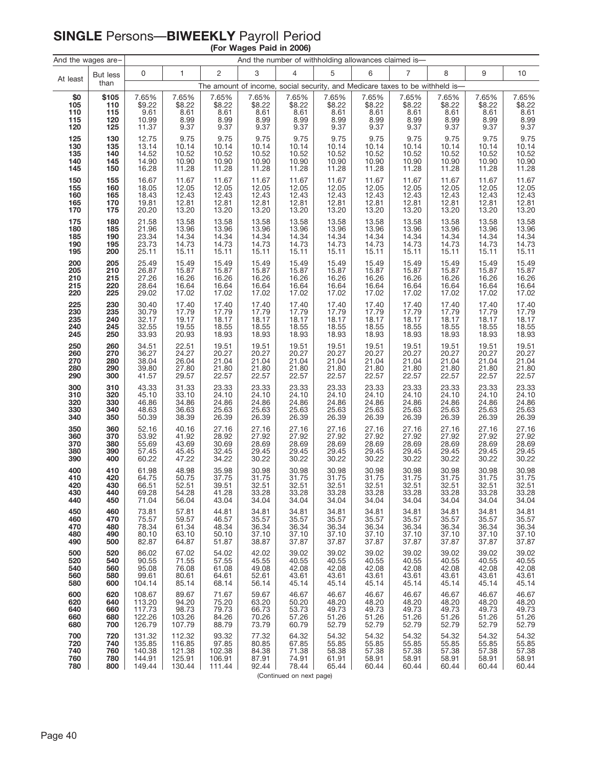## **SINGLE** Persons—**BIWEEKLY** Payroll Period **(For Wages Paid in 2006)**

| And the wages are- |                  |                         |                       |                   | And the number of withholding allowances claimed is-   |                                                                 |                                                |                                  |                                  |                                                                              |                       |                                                        |
|--------------------|------------------|-------------------------|-----------------------|-------------------|--------------------------------------------------------|-----------------------------------------------------------------|------------------------------------------------|----------------------------------|----------------------------------|------------------------------------------------------------------------------|-----------------------|--------------------------------------------------------|
| At least           | But less<br>than | 0                       | $\mathbf{1}$          | $\mathbf{2}$      | 3                                                      | 4                                                               | 5                                              | 6                                | $\overline{7}$                   | 8                                                                            | 9                     | 10                                                     |
|                    |                  |                         |                       |                   |                                                        |                                                                 |                                                |                                  |                                  | The amount of income, social security, and Medicare taxes to be withheld is- |                       |                                                        |
| \$0                | \$105            | 7.65%                   | 7.65%                 | 7.65%             | 7.65%<br>\$8.22<br>8.61                                | 7.65%<br>\$8.22<br>8.61                                         | 7.65%<br>\$8.22<br>8.61                        | 7.65%                            | 7.65%                            | 7.65%                                                                        | 7.65%                 | 7.65%                                                  |
| 105                | 110<br>115       | $$9.22$<br>$9.61$       | \$8.22<br>8.61        | $$8.22$<br>$8.61$ |                                                        |                                                                 |                                                | $$8.22$<br>$8.61$                | $$8.22$<br>$8.61$                | $$8.22$<br>$8.61$                                                            | \$8.22<br>8.61        |                                                        |
| 110<br>115         | 120              | 10.99                   | 8.99                  | 8.99              | 8.99                                                   | 8.99                                                            |                                                | 8.99                             | 8.99                             | 8.99                                                                         | 8.99                  |                                                        |
| 120                | 125              | 11.37                   | 9.37                  | 9.37              | 9.37                                                   | 9.37                                                            | $8.99$<br>9.37                                 | 9.37                             | 9.37                             | 9.37                                                                         | 9.37                  | $$8.22\n8.61\n8.99\n9.37$                              |
| 125                | 130              | 12.75                   | 9.75                  | 9.75              | 9.75                                                   | 9.75                                                            | 9.75                                           | 9.75                             | 9.75                             | 9.75                                                                         | 9.75                  |                                                        |
| 130                | 135              | 13.14                   | 10.14                 | 10.14             | $\begin{array}{c} 10.14 \\ 10.52 \\ 10.90 \end{array}$ |                                                                 | 10.14                                          | 10.14                            | 10.14                            |                                                                              | 10.14                 |                                                        |
| 135                | 140              | 14.52                   | 10.52                 | 10.52             |                                                        |                                                                 | 10.52                                          | 10.52                            | $10.52$<br>$10.90$               | $10.14$<br>10.52                                                             | 10.52                 |                                                        |
| 140                | 145              | 14.90                   | 10.90                 | 10.90             |                                                        | $\begin{array}{c} 10.14 \\ 10.52 \\ 10.90 \\ 11.28 \end{array}$ | $\frac{10.90}{11.28}$                          | $\frac{10.90}{11.28}$            |                                  | 10.90                                                                        | 10.90                 | 9.75<br>10.14<br>10.52<br>10.90<br>11.28               |
| 145                | 150              | 16.28                   | 11.28                 | 11.28             | 11.28                                                  |                                                                 |                                                |                                  | 11.28                            | 11.28                                                                        | 11.28                 |                                                        |
| 150                | 155              | 16.67                   | 11.67                 | 11.67             | 11.67                                                  | 11.67                                                           | 11.67                                          | 11.67                            | 11.67<br>12.05<br>12.43          | 11.67                                                                        | 11.67                 | $11.67$<br>$12.05$<br>$12.43$                          |
| 155<br>160         | 160<br>165       | 18.05<br>18.43          | $\frac{12.05}{12.43}$ | 12.05<br>12.43    | $\frac{12.05}{12.43}$                                  | $\frac{12.05}{12.43}$                                           | $\frac{12.05}{12.43}$                          | $12.05$<br>$12.43$               |                                  | $\frac{12.05}{12.43}$                                                        | 12.05<br>12.43        |                                                        |
| 165                | 170              | 19.81                   | 12.81                 | 12.81             | 12.81                                                  | 12.81                                                           | 12.81                                          | 12.81                            | 12.81                            | 12.81                                                                        | 12.81                 |                                                        |
| 170                | 175              | 20.20                   | 13.20                 | 13.20             | 13.20                                                  | 13.20                                                           | 13.20                                          | 13.20                            | 13.20                            | 13.20                                                                        | 13.20                 | $\frac{12.81}{13.20}$                                  |
| 175                | 180              | 21.58                   | 13.58                 | 13.58             | 13.58                                                  | 13.58                                                           | 13.58                                          | 13.58                            | 13.58                            |                                                                              | 13.58                 |                                                        |
| 180                | 185              | 21.96                   | 13.96                 | 13.96             | $\frac{13.96}{14.34}$<br>$\frac{14.73}{1.73}$          | $\frac{13.96}{14.34}$<br>$\frac{14.73}{1.73}$                   | $\frac{13.96}{14.34}$<br>$\frac{14.73}{14.73}$ | $\frac{13.96}{14.34}$            | 13.96<br>14.34<br>14.73          | 13.58<br>13.96<br>14.34                                                      | 13.96                 | 13.58<br>13.96<br>14.34<br>14.73<br>15.11              |
| 185                | 190              | 23.34<br>23.73          | 14.34                 | 14.34             |                                                        |                                                                 |                                                |                                  |                                  |                                                                              | 14.34<br>14.73        |                                                        |
| 190<br>195         | 195<br>200       | 25.11                   | 14.73                 | 14.73             | 15.11                                                  | 15.11                                                           | 15.11                                          | 14.73<br>15.11                   |                                  | 14.73                                                                        |                       |                                                        |
|                    |                  |                         | 15.11                 | 15.11             |                                                        |                                                                 |                                                |                                  | 15.11                            | 15.11                                                                        | 15.11                 |                                                        |
| 200<br>205         | 205<br>210       | 25.49                   | 15.49                 | 15.49             | 15.49                                                  | 15.49<br>15.87<br>16.26                                         | 15.49                                          | 15.49                            | 15.49<br>15.87<br>16.26          | 15.49<br>15.87<br>16.26                                                      | 15.49                 | 15.49<br>15.87<br>16.26                                |
| 210                | 215              | 26.87<br>27.26          | 15.87<br>16.26        | 15.87<br>16.26    | $15.87$<br>16.26                                       |                                                                 | $15.87$<br>16.26                               | 15.87<br>16.26                   |                                  |                                                                              | 15.87<br>16.26        |                                                        |
| 215                | 220              | 28.64                   | 16.64                 | 16.64             | 16.64                                                  | 16.64                                                           | 16.64                                          | 16.64                            | 16.64                            | 16.64                                                                        | 16.64                 |                                                        |
| 220                | 225              | 29.02                   | 17.02                 | 17.02             | 17.02                                                  | 17.02                                                           | 17.02                                          | 17.02                            | 17.02                            | 17.02                                                                        | 17.02                 | 16.64<br>17.02                                         |
| 225                | 230              | 30.40                   | 17.40                 | 17.40             | 17.40<br>17.79                                         | 17.40<br>17.79                                                  | 17.40                                          | 17.40                            | 17.40                            |                                                                              | 17.40                 |                                                        |
| 230                | 235              | 30.79<br>32.17<br>32.55 | 17.79                 | 17.79             |                                                        |                                                                 | 17.79                                          | $\frac{17.79}{18.17}$            | $\frac{17.79}{18.17}$            | 17.40<br>17.79                                                               | 17.79                 | $\begin{array}{c} 17.40 \\ 17.79 \\ 18.17 \end{array}$ |
| 235                | 240              |                         | 19.17<br>19.55        | 18.17<br>18.55    |                                                        | 18.17                                                           | 18.17<br>18.55                                 |                                  |                                  | 18.17                                                                        | 18.17                 |                                                        |
| 240<br>245         | 245<br>250       | 33.93                   | 20.93                 | 18.93             | $\begin{array}{c} 18.17 \\ 18.55 \\ 18.93 \end{array}$ | $\frac{18.55}{18.93}$                                           | 18.93                                          | 18.55<br>18.93                   | $18.55$<br>18.93                 | $\frac{18.55}{18.93}$                                                        | $\frac{18.55}{18.93}$ | $\frac{18.17}{18.93}$                                  |
|                    |                  |                         |                       |                   |                                                        |                                                                 |                                                |                                  |                                  |                                                                              |                       |                                                        |
| 250<br>260         | 260<br>270       | 34.51<br>36.27          | 22.51<br>24.27        | 19.51<br>20.27    | 19.51<br>20.27                                         | $\begin{array}{c} 19.51 \\ 20.27 \\ 21.04 \end{array}$          | $19.51$<br>$20.27$                             | 19.51<br>20.27                   | 19.51<br>20.27                   | $19.51$<br>$20.27$                                                           | 19.51<br>20.27        | $19.51$<br>$20.27$                                     |
| 270                | 280              | 38.04                   | 26.04                 | 21.04             | 21.04                                                  |                                                                 | 21.04                                          | 21.04                            | 21.04                            | 21.04                                                                        | 21.04                 |                                                        |
| 280                | 290              | 39.80                   | 27.80                 | 21.80             | 21.80                                                  | 21.80                                                           | $21.80$<br>$22.57$                             | 21.80                            | 21.80                            | 21.80                                                                        | 21.80                 | 21.04<br>21.80<br>22.57                                |
| 290                | 300              | 41.57                   | 29.57                 | 22.57             | 22.57                                                  | 22.57                                                           |                                                | 22.57                            | 22.57                            | 22.57                                                                        | 22.57                 |                                                        |
| 300                | 310              | 43.33                   | 31.33                 | 23.33             | 23.33                                                  | 23.33                                                           | 23.33                                          | 23.33                            | 23.33                            | 23.33                                                                        | 23.33                 | 23.33                                                  |
| 310<br>320         | 320              | 45.10                   | 33.10                 | 24.10<br>24.86    | 24.10                                                  | 24.10                                                           |                                                |                                  |                                  | 24.10                                                                        | 24.10<br>24.86        |                                                        |
| 330                | 330<br>340       | 46.86                   | 34.86                 |                   | 24.86                                                  |                                                                 |                                                |                                  |                                  | 24.86                                                                        |                       |                                                        |
| 340                | 350              | 48.63<br>50.39          | 36.63<br>38.39        | 25.63             | 25.63<br>26.39                                         | 24.86<br>24.86<br>25.63<br>26.39                                | 24.10<br>24.86<br>25.63<br>26.39               | 24.10<br>24.86<br>25.63<br>26.39 | 24.10<br>24.86<br>25.63<br>26.39 | 25.63<br>26.39                                                               | 25.63<br>26.39        | 24.10<br>24.86<br>25.63<br>26.39                       |
| 350                | 360              | 52.16                   | 40.16                 | 27.16             | 27.16                                                  | 27.16                                                           |                                                | 27.16                            |                                  | 27.16                                                                        | 27.16                 |                                                        |
|                    | 370              |                         | 41.92                 | 28.92             |                                                        | 27.92                                                           | 27.16<br>27.92<br>28.69                        |                                  | 27.16<br>27.92                   |                                                                              | 27.92                 | 27.16<br>27.92<br>28.69                                |
| 360<br>370         | 380              | 53.92<br>55.69          | 43.69                 | 30.69             | 27.92<br>28.69                                         | 28.69                                                           |                                                | 27.92<br>28.69                   | 28.69                            | 27.92                                                                        | 28.69                 |                                                        |
| 380                | 390<br>400       | 57.45                   | 45.45                 | 32.45             | 29.45                                                  | 29.45<br>30.22                                                  | 29.45<br>30.22                                 | 29.45<br>30.22                   | 29.45                            | 29.45<br>30.22                                                               | 29.45                 | 29.45<br>30.22                                         |
| 390                |                  | 60.22                   | 47.22                 | 34.22             | 30.22                                                  |                                                                 |                                                |                                  | 30.22                            |                                                                              | 30.22                 |                                                        |
| 400                | 410              | 61.98                   | 48.98                 | 35.98             | 30.98                                                  | 30.98                                                           | 30.98                                          | 30.98                            | 30.98                            | 30.98                                                                        | 30.98                 | 30.98                                                  |
| 410<br>420         | 420<br>430       | 64.75<br>66.51          | 50.75<br>52.51        | 37.75<br>39.51    | 31.75<br>32.51                                         | 31.75<br>32.51                                                  | 31.75<br>32.51                                 | 31.75<br>32.51                   | 31.75<br>32.51                   | 31.75<br>32.51                                                               | 31.75<br>32.51        | 31.75<br>32.51                                         |
| 430                | 440              | 69.28                   | 54.28                 | 41.28             | 33.28                                                  | 33.28                                                           | 33.28                                          | 33.28                            | 33.28                            | 33.28                                                                        | 33.28                 | 33.28                                                  |
| 440                | 450              | 71.04                   | 56.04                 | 43.04             | 34.04                                                  | 34.04                                                           | 34.04                                          | 34.04                            | 34.04                            | 34.04                                                                        | 34.04                 | 34.04                                                  |
| 450                | 460              | 73.81                   | 57.81                 | 44.81             | 34.81                                                  | 34.81                                                           | 34.81                                          | 34.81                            | 34.81                            | 34.81                                                                        | 34.81                 | 34.81                                                  |
| 460                | 470              | 75.57                   | 59.57                 | 46.57             | 35.57                                                  | 35.57                                                           | 35.57                                          | 35.57                            | 35.57                            | 35.57                                                                        | 35.57                 | 35.57                                                  |
| 470                | 480              | 78.34                   | 61.34                 | 48.34             | 36.34                                                  | 36.34                                                           | 36.34                                          | 36.34                            | 36.34                            | 36.34                                                                        | 36.34                 | 36.34                                                  |
| 480<br>490         | 490<br>500       | 80.10<br>82.87          | 63.10<br>64.87        | 50.10<br>51.87    | 37.10<br>38.87                                         | 37.10<br>37.87                                                  | 37.10<br>37.87                                 | 37.10<br>37.87                   | 37.10<br>37.87                   | 37.10<br>37.87                                                               | 37.10<br>37.87        | 37.10<br>37.87                                         |
|                    |                  |                         |                       |                   |                                                        |                                                                 |                                                |                                  |                                  |                                                                              |                       |                                                        |
| 500<br>520         | 520<br>540       | 86.02<br>90.55          | 67.02<br>71.55        | 54.02<br>57.55    | 42.02<br>45.55                                         | 39.02<br>40.55                                                  | 39.02<br>40.55                                 | 39.02<br>40.55                   | 39.02<br>40.55                   | 39.02<br>40.55                                                               | 39.02<br>40.55        | 39.02<br>40.55                                         |
| 540                | 560              | 95.08                   | 76.08                 | 61.08             | 49.08                                                  | 42.08                                                           | 42.08                                          | 42.08                            | 42.08                            | 42.08                                                                        | 42.08                 | 42.08                                                  |
| 560                | 580              | 99.61                   | 80.61                 | 64.61             | 52.61                                                  | 43.61                                                           | 43.61                                          | 43.61                            | 43.61                            | 43.61                                                                        | 43.61                 | 43.61                                                  |
| 580                | 600              | 104.14                  | 85.14                 | 68.14             | 56.14                                                  | 45.14                                                           | 45.14                                          | 45.14                            | 45.14                            | 45.14                                                                        | 45.14                 | 45.14                                                  |
| 600                | 620              | 108.67                  | 89.67                 | 71.67             | 59.67                                                  | 46.67                                                           | 46.67                                          | 46.67                            | 46.67                            | 46.67                                                                        | 46.67                 | 46.67<br>48.20                                         |
| 620                | 640              | 113.20<br>117.73        | 94.20                 | 75.20             | 63.20                                                  | 50.20                                                           | 48.20                                          | 48.20                            | 48.20                            | 48.20                                                                        | 48.20                 |                                                        |
| 640                | 660              |                         | 98.73                 | 79.73             | 66.73                                                  | 53.73                                                           | 49.73                                          | 49.73                            | 49.73                            | 49.73                                                                        | 49.73                 | 49.73                                                  |
| 660<br>680         | 680<br>700       | 122.26<br>126.79        | 103.26<br>107.79      | 84.26<br>88.79    | 70.26<br>73.79                                         | 57.26<br>60.79                                                  | 51.26<br>52.79                                 | 51.26<br>52.79                   | 51.26<br>52.79                   | 51.26<br>52.79                                                               | 51.26<br>52.79        | 51.26<br>52.79                                         |
|                    |                  |                         |                       |                   |                                                        |                                                                 |                                                |                                  |                                  |                                                                              |                       |                                                        |
| 700<br>720         | 720<br>740       | 131.32<br>135.85        | 112.32<br>116.85      | 93.32<br>97.85    | 77.32<br>80.85                                         | 64.32<br>67.85                                                  | 54.32<br>55.85                                 | 54.32<br>55.85                   | 54.32<br>55.85                   | 54.32<br>55.85                                                               | 54.32<br>55.85        | 54.32<br>55.85                                         |
| 740                | 760              | 140.38                  | 121.38                | 102.38            | 84.38                                                  | 71.38                                                           | 58.38                                          | 57.38                            | 57.38                            | 57.38                                                                        | 57.38                 | 57.38                                                  |
| 760                | 780              | 144.91                  | 125.91                | 106.91            | 87.91                                                  | 74.91                                                           | 61.91                                          | 58.91                            | 58.91                            | 58.91                                                                        | 58.91                 | 58.91                                                  |
| 780                | 800              | 149.44                  | 130.44                | 111.44            | 92.44                                                  | 78.44                                                           | 65.44                                          | 60.44                            | 60.44                            | 60.44                                                                        | 60.44                 | 60.44                                                  |

(Continued on next page)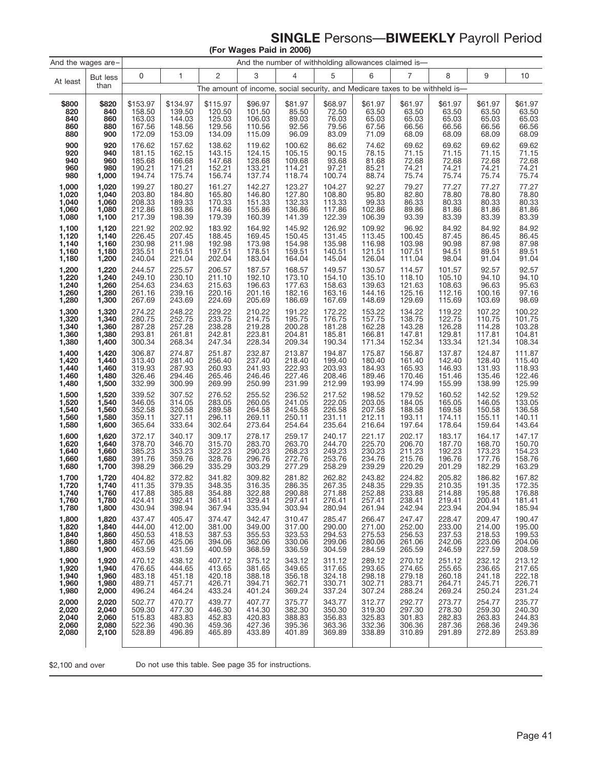## **SINGLE** Persons—**BIWEEKLY** Payroll Period

**(For Wages Paid in 2006)**

| And the wages are-                        |                                           | And the number of withholding allowances claimed is- |                                                |                                                |                                                |                                                |                                                |                                                                              |                                                |                                                |                                                |                                                |
|-------------------------------------------|-------------------------------------------|------------------------------------------------------|------------------------------------------------|------------------------------------------------|------------------------------------------------|------------------------------------------------|------------------------------------------------|------------------------------------------------------------------------------|------------------------------------------------|------------------------------------------------|------------------------------------------------|------------------------------------------------|
| At least                                  | But less<br>than                          | 0                                                    | 1                                              | $\overline{c}$                                 | 3                                              | 4                                              | 5                                              | 6                                                                            | $\overline{7}$                                 | 8                                              | 9                                              | 10                                             |
|                                           |                                           |                                                      |                                                |                                                |                                                |                                                |                                                | The amount of income, social security, and Medicare taxes to be withheld is- |                                                |                                                |                                                |                                                |
| \$800                                     | \$820                                     | \$153.97                                             | \$134.97                                       | \$115.97                                       | \$96.97                                        | \$81.97                                        | \$68.97                                        | \$61.97                                                                      | \$61.97                                        | \$61.97                                        | \$61.97                                        | \$61.97                                        |
| 820                                       | 840                                       | 158.50                                               | 139.50                                         | 120.50                                         | 101.50                                         | 85.50                                          | 72.50                                          | 63.50                                                                        | 63.50                                          | 63.50                                          | 63.50                                          | 63.50                                          |
| 840                                       | 860                                       | 163.03                                               | 144.03                                         | 125.03                                         | 106.03                                         | 89.03                                          | 76.03                                          | 65.03                                                                        | 65.03                                          | 65.03                                          | 65.03                                          | 65.03                                          |
| 860                                       | 880                                       | 167.56                                               | 148.56                                         | 129.56                                         | 110.56                                         | 92.56                                          | 79.56                                          | 67.56                                                                        | 66.56                                          | 66.56                                          | 66.56                                          | 66.56                                          |
| 880                                       | 900                                       | 172.09                                               | 153.09                                         | 134.09                                         | 115.09                                         | 96.09                                          | 83.09                                          | 71.09                                                                        | 68.09                                          | 68.09                                          | 68.09                                          | 68.09                                          |
| 900                                       | 920                                       | 176.62                                               | 157.62                                         | 138.62                                         | 119.62                                         | 100.62                                         | 86.62                                          | 74.62                                                                        | 69.62                                          | 69.62                                          | 69.62                                          | 69.62                                          |
| 920                                       | 940                                       | 181.15                                               | 162.15                                         | 143.15                                         | 124.15                                         | 105.15                                         | 90.15                                          | 78.15                                                                        | 71.15                                          | 71.15                                          | 71.15                                          | 71.15                                          |
| 940                                       | 960                                       | 185.68                                               | 166.68                                         | 147.68                                         | 128.68                                         | 109.68                                         | 93.68                                          | 81.68                                                                        | 72.68                                          | 72.68                                          | 72.68                                          | 72.68                                          |
| 960                                       | 980                                       | 190.21                                               | 171.21                                         | 152.21                                         | 133.21                                         | 114.21                                         | 97.21                                          | 85.21                                                                        | 74.21                                          | 74.21                                          | 74.21                                          | 74.21                                          |
| 980                                       | 1,000                                     | 194.74                                               | 175.74                                         | 156.74                                         | 137.74                                         | 118.74                                         | 100.74                                         | 88.74                                                                        | 75.74                                          | 75.74                                          | 75.74                                          | 75.74                                          |
| 1,000                                     | 1,020                                     | 199.27                                               | 180.27                                         | 161.27                                         | 142.27                                         | 123.27                                         | 104.27                                         | 92.27                                                                        | 79.27                                          | 77.27                                          | 77.27                                          | 77.27                                          |
| 1,020                                     | 1,040                                     | 203.80                                               | 184.80                                         | 165.80                                         | 146.80                                         | 127.80                                         | 108.80                                         | 95.80                                                                        | 82.80                                          | 78.80                                          | 78.80                                          | 78.80                                          |
| 1,040                                     | 1,060                                     | 208.33                                               | 189.33                                         | 170.33                                         | 151.33                                         | 132.33                                         | 113.33                                         | 99.33                                                                        | 86.33                                          | 80.33                                          | 80.33                                          | 80.33                                          |
| 1,060                                     | 1,080                                     | 212.86                                               | 193.86                                         | 174.86                                         | 155.86                                         | 136.86                                         | 117.86                                         | 102.86                                                                       | 89.86                                          | 81.86                                          | 81.86                                          | 81.86                                          |
| 1,080                                     | 1,100                                     | 217.39                                               | 198.39                                         | 179.39                                         | 160.39                                         | 141.39                                         | 122.39                                         | 106.39                                                                       | 93.39                                          | 83.39                                          | 83.39                                          | 83.39                                          |
| 1,100                                     | 1,120                                     | 221.92                                               | 202.92                                         | 183.92                                         | 164.92                                         | 145.92                                         | 126.92                                         | 109.92                                                                       | 96.92                                          | 84.92                                          | 84.92                                          | 84.92                                          |
| 1,120                                     | 1,140                                     | 226.45                                               | 207.45                                         | 188.45                                         | 169.45                                         | 150.45                                         | 131.45                                         | 113.45                                                                       | 100.45                                         | 87.45                                          | 86.45                                          | 86.45                                          |
| 1,140                                     | 1,160                                     | 230.98                                               | 211.98                                         | 192.98                                         | 173.98                                         | 154.98                                         | 135.98                                         | 116.98                                                                       | 103.98                                         | 90.98                                          | 87.98                                          | 87.98                                          |
| 1,160                                     | 1,180                                     | 235.51                                               | 216.51                                         | 197.51                                         | 178.51                                         | 159.51                                         | 140.51                                         | 121.51                                                                       | 107.51                                         | 94.51                                          | 89.51                                          | 89.51                                          |
| 1,180                                     | 1,200                                     | 240.04                                               | 221.04                                         | 202.04                                         | 183.04                                         | 164.04                                         | 145.04                                         | 126.04                                                                       | 111.04                                         | 98.04                                          | 91.04                                          | 91.04                                          |
| 1,200                                     | 1,220                                     | 244.57                                               | 225.57                                         | 206.57                                         | 187.57                                         | 168.57                                         | 149.57                                         | 130.57                                                                       | 114.57                                         | 101.57                                         | 92.57                                          | 92.57                                          |
| 1,220                                     | 1,240                                     | 249.10                                               | 230.10                                         | 211.10                                         | 192.10                                         | 173.10                                         | 154.10                                         | 135.10                                                                       | 118.10                                         | 105.10                                         | 94.10                                          | 94.10                                          |
| 1,240                                     | 1,260                                     | 254.63                                               | 234.63                                         | 215.63                                         | 196.63                                         | 177.63                                         | 158.63                                         | 139.63                                                                       | 121.63                                         | 108.63                                         | 96.63                                          | 95.63                                          |
| 1,260                                     | 1,280                                     | 261.16                                               | 239.16                                         | 220.16                                         | 201.16                                         | 182.16                                         | 163.16                                         | 144.16                                                                       | 125.16                                         | 112.16                                         | 100.16                                         | 97.16                                          |
| 1,280                                     | 1,300                                     | 267.69                                               | 243.69                                         | 224.69                                         | 205.69                                         | 186.69                                         | 167.69                                         | 148.69                                                                       | 129.69                                         | 115.69                                         | 103.69                                         | 98.69                                          |
| 1,300<br>1,320<br>1,340<br>1,360<br>1,380 | 1,320<br>1,340<br>1,360<br>1,380<br>1,400 | 274.22<br>280.75<br>287.28<br>293.81<br>300.34       | 248.22<br>252.75<br>257.28<br>261.81<br>268.34 | 229.22<br>233.75<br>238.28<br>242.81<br>247.34 | 210.22<br>214.75<br>219.28<br>223.81<br>228.34 | 191.22<br>195.75<br>200.28<br>204.81<br>209.34 | 172.22<br>176.75<br>181.28<br>185.81<br>190.34 | 153.22<br>157.75<br>162.28<br>166.81<br>171.34                               | 134.22<br>138.75<br>143.28<br>147.81<br>152.34 | 119.22<br>122.75<br>126.28<br>129.81<br>133.34 | 107.22<br>110.75<br>114.28<br>117.81<br>121.34 | 100.22<br>101.75<br>103.28<br>104.81<br>108.34 |
| 1,400                                     | 1,420                                     | 306.87                                               | 274.87                                         | 251.87                                         | 232.87                                         | 213.87                                         | 194.87                                         | 175.87                                                                       | 156.87                                         | 137.87                                         | 124.87                                         | 111.87                                         |
| 1,420                                     | 1,440                                     | 313.40                                               | 281.40                                         | 256.40                                         | 237.40                                         | 218.40                                         | 199.40                                         | 180.40                                                                       | 161.40                                         | 142.40                                         | 128.40                                         | 115.40                                         |
| 1,440                                     | 1,460                                     | 319.93                                               | 287.93                                         | 260.93                                         | 241.93                                         | 222.93                                         | 203.93                                         | 184.93                                                                       | 165.93                                         | 146.93                                         | 131.93                                         | 118.93                                         |
| 1,460                                     | 1,480                                     | 326.46                                               | 294.46                                         | 265.46                                         | 246.46                                         | 227.46                                         | 208.46                                         | 189.46                                                                       | 170.46                                         | 151.46                                         | 135.46                                         | 122.46                                         |
| 1,480                                     | 1,500                                     | 332.99                                               | 300.99                                         | 269.99                                         | 250.99                                         | 231.99                                         | 212.99                                         | 193.99                                                                       | 174.99                                         | 155.99                                         | 138.99                                         | 125.99                                         |
| 1,500                                     | 1,520                                     | 339.52                                               | 307.52                                         | 276.52                                         | 255.52                                         | 236.52                                         | 217.52                                         | 198.52                                                                       | 179.52                                         | 160.52                                         | 142.52                                         | 129.52                                         |
| 1,520                                     | 1,540                                     | 346.05                                               | 314.05                                         | 283.05                                         | 260.05                                         | 241.05                                         | 222.05                                         | 203.05                                                                       | 184.05                                         | 165.05                                         | 146.05                                         | 133.05                                         |
| 1,540                                     | 1,560                                     | 352.58                                               | 320.58                                         | 289.58                                         | 264.58                                         | 245.58                                         | 226.58                                         | 207.58                                                                       | 188.58                                         | 169.58                                         | 150.58                                         | 136.58                                         |
| 1,560                                     | 1,580                                     | 359.11                                               | 327.11                                         | 296.11                                         | 269.11                                         | 250.11                                         | 231.11                                         | 212.11                                                                       | 193.11                                         | 174.11                                         | 155.11                                         | 140.11                                         |
| 1,580                                     | 1,600                                     | 365.64                                               | 333.64                                         | 302.64                                         | 273.64                                         | 254.64                                         | 235.64                                         | 216.64                                                                       | 197.64                                         | 178.64                                         | 159.64                                         | 143.64                                         |
| 1,600                                     | 1,620                                     | 372.17                                               | 340.17                                         | 309.17                                         | 278.17                                         | 259.17                                         | 240.17                                         | 221.17                                                                       | 202.17                                         | 183.17                                         | 164.17                                         | 147.17                                         |
| 1,620                                     | 1,640                                     | 378.70                                               | 346.70                                         | 315.70                                         | 283.70                                         | 263.70                                         | 244.70                                         | 225.70                                                                       | 206.70                                         | 187.70                                         | 168.70                                         | 150.70                                         |
| 1,640                                     | 1,660                                     | 385.23                                               | 353.23                                         | 322.23                                         | 290.23                                         | 268.23                                         | 249.23                                         | 230.23                                                                       | 211.23                                         | 192.23                                         | 173.23                                         | 154.23                                         |
| 1,660                                     | 1,680                                     | 391.76                                               | 359.76                                         | 328.76                                         | 296.76                                         | 272.76                                         | 253.76                                         | 234.76                                                                       | 215.76                                         | 196.76                                         | 177.76                                         | 158.76                                         |
| 1,680                                     | 1,700                                     | 398.29                                               | 366.29                                         | 335.29                                         | 303.29                                         | 277.29                                         | 258.29                                         | 239.29                                                                       | 220.29                                         | 201.29                                         | 182.29                                         | 163.29                                         |
| 1,700                                     | 1,720                                     | 404.82                                               | 372.82                                         | 341.82                                         | 309.82                                         | 281.82                                         | 262.82                                         | 243.82                                                                       | 224.82                                         | 205.82                                         | 186.82                                         | 167.82                                         |
| 1,720                                     | 1,740                                     | 411.35                                               | 379.35                                         | 348.35                                         | 316.35                                         | 286.35                                         | 267.35                                         | 248.35                                                                       | 229.35                                         | 210.35                                         | 191.35                                         | 172.35                                         |
| 1.740                                     | 1.760                                     | 417.88                                               | 385.88                                         | 354.88                                         | 322.88                                         | 290.88                                         | 271.88                                         | 252.88                                                                       | 233.88                                         | 214.88                                         | 195.88                                         | 176.88                                         |
| 1,760                                     | 1,780                                     | 424.41                                               | 392.41                                         | 361.41                                         | 329.41                                         | 297.41                                         | 276.41                                         | 257.41                                                                       | 238.41                                         | 219.41                                         | 200.41                                         | 181.41                                         |
| 1,780                                     | 1,800                                     | 430.94                                               | 398.94                                         | 367.94                                         | 335.94                                         | 303.94                                         | 280.94                                         | 261.94                                                                       | 242.94                                         | 223.94                                         | 204.94                                         | 185.94                                         |
| 1,800                                     | 1,820                                     | 437.47                                               | 405.47                                         | 374.47                                         | 342.47                                         | 310.47                                         | 285.47                                         | 266.47                                                                       | 247.47                                         | 228.47                                         | 209.47                                         | 190.47                                         |
| 1,820                                     | 1,840                                     | 444.00                                               | 412.00                                         | 381.00                                         | 349.00                                         | 317.00                                         | 290.00                                         | 271.00                                                                       | 252.00                                         | 233.00                                         | 214.00                                         | 195.00                                         |
| 1,840                                     | 1,860                                     | 450.53                                               | 418.53                                         | 387.53                                         | 355.53                                         | 323.53                                         | 294.53                                         | 275.53                                                                       | 256.53                                         | 237.53                                         | 218.53                                         | 199.53                                         |
| 1,860                                     | 1,880                                     | 457.06                                               | 425.06                                         | 394.06                                         | 362.06                                         | 330.06                                         | 299.06                                         | 280.06                                                                       | 261.06                                         | 242.06                                         | 223.06                                         | 204.06                                         |
| 1,880                                     | 1,900                                     | 463.59                                               | 431.59                                         | 400.59                                         | 368.59                                         | 336.59                                         | 304.59                                         | 284.59                                                                       | 265.59                                         | 246.59                                         | 227.59                                         | 208.59                                         |
| 1,900                                     | 1,920                                     | 470.12                                               | 438.12                                         | 407.12                                         | 375.12                                         | 343.12                                         | 311.12                                         | 289.12                                                                       | 270.12                                         | 251.12                                         | 232.12                                         | 213.12                                         |
| 1,920                                     | 1,940                                     | 476.65                                               | 444.65                                         | 413.65                                         | 381.65                                         | 349.65                                         | 317.65                                         | 293.65                                                                       | 274.65                                         | 255.65                                         | 236.65                                         | 217.65                                         |
| 1,940                                     | 1,960                                     | 483.18                                               | 451.18                                         | 420.18                                         | 388.18                                         | 356.18                                         | 324.18                                         | 298.18                                                                       | 279.18                                         | 260.18                                         | 241.18                                         | 222.18                                         |
| 1,960                                     | 1,980                                     | 489.71                                               | 457.71                                         | 426.71                                         | 394.71                                         | 362.71                                         | 330.71                                         | 302.71                                                                       | 283.71                                         | 264.71                                         | 245.71                                         | 226.71                                         |
| 1,980                                     | 2,000                                     | 496.24                                               | 464.24                                         | 433.24                                         | 401.24                                         | 369.24                                         | 337.24                                         | 307.24                                                                       | 288.24                                         | 269.24                                         | 250.24                                         | 231.24                                         |
| 2,000                                     | 2,020                                     | 502.77                                               | 470.77                                         | 439.77                                         | 407.77                                         | 375.77                                         | 343.77                                         | 312.77                                                                       | 292.77                                         | 273.77                                         | 254.77                                         | 235.77                                         |
| 2,020                                     | 2,040                                     | 509.30                                               | 477.30                                         | 446.30                                         | 414.30                                         | 382.30                                         | 350.30                                         | 319.30                                                                       | 297.30                                         | 278.30                                         | 259.30                                         | 240.30                                         |
| 2,040                                     | 2,060                                     | 515.83                                               | 483.83                                         | 452.83                                         | 420.83                                         | 388.83                                         | 356.83                                         | 325.83                                                                       | 301.83                                         | 282.83                                         | 263.83                                         | 244.83                                         |
| 2,060                                     | 2,080                                     | 522.36                                               | 490.36                                         | 459.36                                         | 427.36                                         | 395.36                                         | 363.36                                         | 332.36                                                                       | 306.36                                         | 287.36                                         | 268.36                                         | 249.36                                         |
| 2,080                                     | 2,100                                     | 528.89                                               | 496.89                                         | 465.89                                         | 433.89                                         | 401.89                                         | 369.89                                         | 338.89                                                                       | 310.89                                         | 291.89                                         | 272.89                                         | 253.89                                         |

\$2,100 and over Do not use this table. See page 35 for instructions.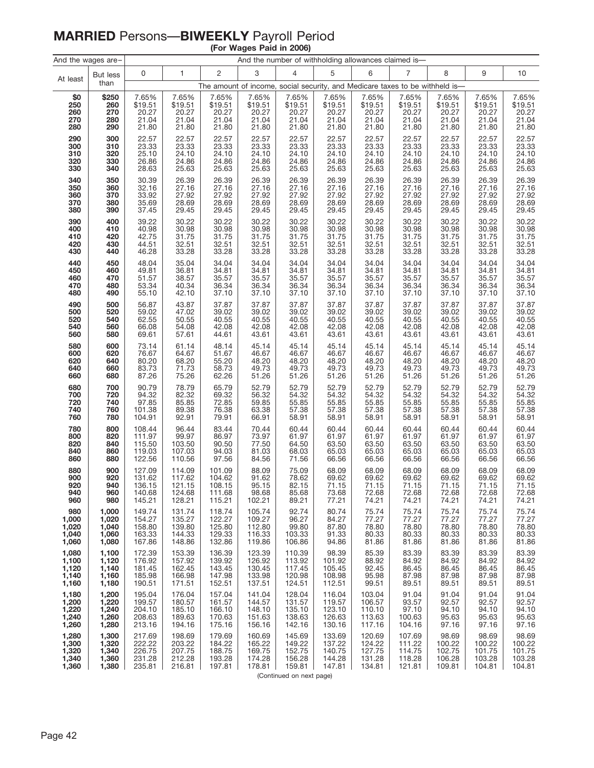## **MARRIED** Persons—**BIWEEKLY** Payroll Period **(For Wages Paid in 2006)**

| And the wages are- |                   | And the number of withholding allowances claimed is- |                                  |                         |                         |                                             |                                           |                                                 |                                           |                                                                              |                         |                                           |
|--------------------|-------------------|------------------------------------------------------|----------------------------------|-------------------------|-------------------------|---------------------------------------------|-------------------------------------------|-------------------------------------------------|-------------------------------------------|------------------------------------------------------------------------------|-------------------------|-------------------------------------------|
| At least           | <b>But less</b>   | 0                                                    | 1                                | $\overline{c}$          | 3                       | $\overline{4}$                              | 5                                         | 6                                               | $\overline{7}$                            | 8                                                                            | 9                       | 10                                        |
|                    | than              |                                                      |                                  |                         |                         |                                             |                                           |                                                 |                                           | The amount of income, social security, and Medicare taxes to be withheld is- |                         |                                           |
| \$0                | \$250             | 7.65%                                                | 7.65%                            | 7.65%                   | 7.65%                   | 7.65%                                       | 7.65%                                     | 7.65%                                           | 7.65%                                     | 7.65%                                                                        | 7.65%                   | 7.65%                                     |
| 250<br>260         | 260<br>270        | $$19.51$<br>$20.27$                                  | $$19.51$<br>$20.27$              | $$19.51$<br>$20.27$     | $$19.51$<br>20.27       |                                             |                                           |                                                 | $$19.51$<br>$20.27$                       | $$19.51$<br>$20.27$                                                          | $$19.51$<br>$20.27$     |                                           |
| 270                |                   | 21.04                                                | 21.04                            | 21.04                   | 21.04                   |                                             |                                           | $$^{155\%}_{20.27}$ $$^{20.27}_{21.04}$ $21.80$ | $21.04$<br>$21.80$                        | $21.04$<br>$21.80$                                                           | 21.04                   |                                           |
| 280                | 280<br>290        | 21.80                                                | 21.80                            | 21.80                   | 21.80                   | $$^{13376}_{20.27}$ 20.27<br>21.04<br>21.80 | $319.51\n20.27\n21.04\n21.80$             |                                                 |                                           |                                                                              | 21.80                   | $$19.51\n20.27\n21.04\n21.80$             |
| 290                | 300               | 22.57                                                | 22.57                            | 22.57                   | 22.57                   | 22.57                                       |                                           |                                                 | 22.57<br>23.33<br>24.10<br>24.86          | 22.57<br>23.33<br>24.10<br>24.86                                             | 22.57                   |                                           |
| 300                | 310<br>320<br>330 | 23.33<br>25.10<br>26.86                              | 23.33<br>24.10                   | $\frac{23.33}{24.10}$   | 23.33<br>24.10<br>24.86 | 23.33<br>24.10<br>24.86                     |                                           |                                                 |                                           |                                                                              | $\frac{23.33}{24.10}$   |                                           |
| 310<br>320         |                   |                                                      | 24.86                            | 24.86                   |                         |                                             |                                           |                                                 |                                           |                                                                              | 24.86                   |                                           |
| 330                | 340               | 28.63                                                | 25.63                            | 25.63                   | 25.63                   | 25.63                                       | 22.57<br>23.33<br>24.10<br>24.86<br>25.63 | 22.57<br>23.33<br>24.10<br>24.86<br>25.63       | 25.63                                     | 25.63                                                                        | 25.63                   | 22.57<br>23.33<br>24.10<br>24.86<br>25.63 |
| 340                | 350               | 30.39                                                | 26.39                            | 26.39                   | 26.39                   | 26.39                                       |                                           | 26.39                                           | 26.39                                     |                                                                              | 26.39                   |                                           |
| 350<br>360         | 360<br>370        | 32.16                                                | 27.16                            | 27.16                   | 27.16                   | 27.16<br>27.92                              | 26.39<br>27.16<br>27.92<br>28.69          | 27.16                                           | 27.16<br>27.92                            | 26.39<br>27.16                                                               | 27.16                   | 26.39<br>27.16<br>27.92                   |
|                    |                   | 33.92                                                | 27.92                            | 27.92                   | 27.92                   |                                             |                                           | 27.92                                           |                                           | 27.92                                                                        | 27.92                   |                                           |
| 370<br>380         | 380<br>390        | 35.69<br>37.45                                       | 28.69<br>29.45                   | 28.69<br>29.45          | 28.69<br>29.45          | 28.69<br>29.45                              | 29.45                                     | 28.69<br>29.45                                  | 28.69<br>29.45                            | 28.69<br>29.45                                                               | 28.69<br>29.45          | $28.69$<br>$29.45$                        |
| 390                | 400               |                                                      | 30.22                            | 30.22                   |                         |                                             |                                           |                                                 |                                           |                                                                              |                         |                                           |
| 400                | 410               | 39.22<br>40.98<br>42.75                              |                                  |                         | 30.22<br>30.98<br>31.75 | 30.22<br>30.98<br>31.75<br>32.51<br>33.28   | 30.22<br>30.98<br>31.75<br>32.51<br>33.28 | 30.22<br>30.98<br>31.75<br>32.51<br>33.28       | 30.22<br>30.98<br>31.75<br>32.51<br>33.28 | 30.22<br>30.98<br>31.75                                                      | 30.22<br>30.98<br>31.75 | 30.22<br>30.98<br>31.75<br>32.51<br>33.28 |
| 410                | 420               |                                                      | 30.98<br>31.75                   | 30.98<br>31.75          |                         |                                             |                                           |                                                 |                                           |                                                                              |                         |                                           |
| 420<br>430         | 430<br>440        | 44.51                                                | 32.51                            | $32.51$<br>$33.28$      | $32.51$<br>$33.28$      |                                             |                                           |                                                 |                                           | $32.51$<br>$33.28$                                                           | 32.51                   |                                           |
|                    |                   | 46.28                                                | 33.28                            |                         |                         |                                             |                                           |                                                 |                                           |                                                                              | 33.28                   |                                           |
| 440<br>450         | 450               | 48.04                                                | 35.04                            | 34.04                   | 34.04                   | 34.04                                       | 34.04                                     | 34.04<br>34.81<br>35.57                         | 34.04<br>34.81<br>35.57                   | 34.04<br>34.81<br>35.57                                                      | 34.04                   | 34.04<br>34.81<br>35.57<br>36.34<br>37.10 |
| 460                | 460<br>470        | 49.81<br>51.57                                       | 36.81<br>38.57                   | 34.81<br>35.57          | 34.81<br>35.57          | $34.81$<br>$35.57$                          | $34.81$<br>$35.57$                        |                                                 |                                           |                                                                              | $34.81$<br>$35.57$      |                                           |
| 470                | 480               | 53.34                                                | 40.34                            | 36.34                   | 36.34<br>37.10          | 36.34<br>37.10                              | 36.34<br>37.10                            | 36.34<br>37.10                                  | 36.34<br>37.10                            | 36.34<br>37.10                                                               | 36.34<br>37.10          |                                           |
| 480                | 490               | 55.10                                                | 42.10                            | 37.10                   |                         |                                             |                                           |                                                 |                                           |                                                                              |                         |                                           |
| 490                | 500               | 56.87<br>59.02<br>62.55                              | 43.87                            | 37.87<br>39.02<br>40.55 | 37.87<br>39.02<br>40.55 | 37.87<br>39.02<br>40.55<br>42.08            | 37.87<br>39.02<br>40.55<br>42.08          | 37.87<br>39.02<br>40.55<br>42.08                | 37.87<br>39.02<br>40.55                   | 37.87<br>39.02<br>40.55<br>42.08                                             | 37.87<br>39.02<br>40.55 |                                           |
| 500<br>520         | 520<br>540        |                                                      | 47.02<br>50.55                   |                         |                         |                                             |                                           |                                                 |                                           |                                                                              |                         |                                           |
|                    |                   | 66.08                                                | 54.08                            | 42.08                   | 42.08                   |                                             |                                           |                                                 | 42.08                                     |                                                                              | 42.08                   |                                           |
| 540<br>560         | 560<br>580        | 69.61                                                | 57.61                            | 44.61                   | 43.61                   | 43.61                                       | 43.61                                     | 43.61                                           | 43.61                                     | 43.61                                                                        | 43.61                   | 37.87<br>39.02<br>40.55<br>42.08<br>43.61 |
| 580                | 600               | 73.14                                                | 61.14                            | 48.14                   | 45.14                   | 45.14                                       | 45.14                                     | 45.14<br>46.67<br>48.20                         | 45.14                                     | 45.14                                                                        | 45.14                   | 45.14                                     |
| 600                | 620               | 76.67                                                | 64.67<br>68.20                   | 51.67<br>55.20          | 46.67<br>48.20          | 46.67<br>48.20                              | 46.67<br>48.20                            |                                                 | 46.67<br>48.20                            | 46.67<br>48.20                                                               | 46.67<br>48.20          |                                           |
| 620<br>640         | 640<br>660        | 80.20<br>83.73                                       | 71.73                            | 58.73                   | 49.73                   | 49.73                                       |                                           |                                                 |                                           | 49.73                                                                        | 49.73                   |                                           |
| 660                | 680               | 87.26                                                | 75.26                            | 62.26                   | 51.26                   | 51.26                                       | $49.73$<br>51.26                          | 49.73<br>51.26                                  | $49.73$<br>51.26                          | 51.26                                                                        | 51.26                   | 46.67<br>48.20<br>49.73<br>51.26          |
| 680                | 700               | 90.79                                                | 78.79                            | 65.79                   | 52.79                   |                                             |                                           | 52.79                                           | 52.79                                     | 52.79                                                                        |                         |                                           |
| 700                | 720               | 94.32<br>97.85                                       |                                  | 69.32                   | $\frac{56.32}{59.85}$   |                                             |                                           |                                                 | $54.32$<br>$55.85$                        | 54.32<br>55.85                                                               | 52.79<br>54.32<br>55.85 |                                           |
| 720                | 740               |                                                      |                                  |                         |                         |                                             |                                           |                                                 |                                           |                                                                              |                         |                                           |
| 740<br>760         | 760<br>780        | 101.38<br>104.91                                     | 82.32<br>85.85<br>89.38<br>92.91 | 76.38<br>79.91          | 63.38<br>66.91          | 52.79<br>54.32<br>55.85<br>57.38<br>58.91   | 52.79<br>54.32<br>55.85<br>57.38<br>58.91 | 54.32<br>54.32<br>55.85<br>57.38<br>58.91       | 57.38<br>58.91                            | 57.38<br>58.91                                                               | 57.38<br>58.91          | 52.79<br>54.32<br>55.85<br>57.38<br>58.91 |
|                    | 800               | 108.44                                               |                                  |                         |                         |                                             |                                           |                                                 |                                           |                                                                              |                         |                                           |
| 780<br>800         |                   |                                                      | 96.44<br>99.97                   | 83.44<br>86.97          | 70.44                   | 60.44<br>61.97<br>64.50<br>68.03<br>71.56   | 60.44<br>61.97<br>63.50<br>65.03<br>66.56 | 60.44<br>61.97<br>63.50                         | 60.44                                     | 60.44<br>61.97<br>63.50                                                      | 60.44<br>61.97<br>63.50 | 60.44<br>61.97<br>63.50<br>65.03<br>66.56 |
| 820                | 820<br>840        | 111.97<br>115.50                                     | 103.50                           | 90.50                   | 73.97<br>77.50          |                                             |                                           |                                                 | $61.97$<br>$63.50$                        |                                                                              |                         |                                           |
| 840                | 860               | 119.03                                               | 107.03                           | 94.03                   | 81.03                   |                                             |                                           | 65.03                                           | $65.03$<br>$66.56$                        | $65.03$<br>$66.56$                                                           | 65.03<br>66.56          |                                           |
| 860                | 880               | 122.56                                               | 110.56                           | 97.56                   | 84.56                   |                                             |                                           | 66.56                                           |                                           |                                                                              |                         |                                           |
| 880<br>900         | 900<br>920        | 127.09<br>131.62                                     | 114.09<br>117.62                 | 101.09<br>104.62        | 88.09<br>91.62          | 75.09<br>78.62                              | 68.09<br>69.62                            | 68.09<br>69.62                                  | 68.09<br>69.62                            | 68.09<br>69.62                                                               | 68.09<br>69.62          | 68.09<br>69.62<br>71.15                   |
| 920                | 940               | 136.15                                               | 121.15                           | 108.15                  | 95.15                   | 82.15                                       | 71.15                                     | 71.15                                           | 71.15                                     | 71.15                                                                        | 71.15                   |                                           |
| 940                | 960               | 140.68                                               | 124.68                           | 111.68                  | 98.68                   | 85.68                                       | 73.68                                     | 72.68                                           | 72.68                                     | 72.68                                                                        | 72.68                   | 72.68                                     |
| 960                | 980               | 145.21                                               | 128.21                           | 115.21                  | 102.21                  | 89.21                                       | 77.21                                     | 74.21                                           | 74.21                                     | 74.21                                                                        | 74.21                   | 74.21                                     |
| 980                | 1,000             | 149.74                                               | 131.74                           | 118.74                  | 105.74                  | 92.74                                       | 80.74                                     | 75.74                                           | 75.74                                     | 75.74                                                                        | 75.74                   | 75.74                                     |
| 1,000<br>1,020     | 1,020<br>1,040    | 154.27<br>158.80                                     | 135.27<br>139.80                 | 122.27<br>125.80        | 109.27<br>112.80        | 96.27<br>99.80                              | 84.27<br>87.80                            | 77.27<br>78.80                                  | 77.27<br>78.80                            | 77.27<br>78.80                                                               | 77.27<br>78.80          | 77.27<br>78.80                            |
| 1,040              | 1,060             | 163.33                                               | 144.33                           | 129.33                  | 116.33                  | 103.33                                      | 91.33                                     | 80.33                                           | 80.33                                     | 80.33                                                                        | 80.33                   | 80.33                                     |
| 1,060              | 1,080             | 167.86                                               | 148.86                           | 132.86                  | 119.86                  | 106.86                                      | 94.86                                     | 81.86                                           | 81.86                                     | 81.86                                                                        | 81.86                   | 81.86                                     |
| 1,080              | 1,100             | 172.39                                               | 153.39                           | 136.39                  | 123.39                  | 110.39                                      | 98.39                                     | 85.39                                           | 83.39                                     | 83.39<br>84.92                                                               | 83.39                   | 83.39<br>84.92                            |
| 1,100              | 1,120             | 176.92                                               | 157.92                           | 139.92                  | 126.92                  | 113.92                                      | 101.92                                    | 88.92                                           | 84.92                                     |                                                                              | 84.92                   |                                           |
| 1,120<br>1,140     | 1,140<br>1,160    | 181.45<br>185.98                                     | 162.45<br>166.98                 | 143.45<br>147.98        | 130.45<br>133.98        | 117.45<br>120.98                            | 105.45<br>108.98                          | 92.45<br>95.98                                  | 86.45<br>87.98                            | 86.45<br>87.98                                                               | 86.45<br>87.98          | 86.45<br>87.98                            |
| 1,160              | 1,180             | 190.51                                               | 171.51                           | 152.51                  | 137.51                  | 124.51                                      | 112.51                                    | 99.51                                           | 89.51                                     | 89.51                                                                        | 89.51                   | 89.51                                     |
| 1,180              | 1,200             | 195.04                                               | 176.04                           | 157.04                  | 141.04                  | 128.04                                      | 116.04                                    | 103.04                                          | 91.04                                     | 91.04                                                                        | 91.04                   | 91.04                                     |
| 1,200              | 1,220             | 199.57                                               | 180.57                           | 161.57                  | 144.57                  | 131.57                                      | 119.57                                    | 106.57                                          | 93.57                                     | 92.57                                                                        | 92.57                   | 92.57                                     |
| 1,220              | 1,240             | 204.10                                               | 185.10                           | 166.10                  | 148.10                  | 135.10                                      | 123.10                                    | 110.10                                          | 97.10                                     | 94.10                                                                        | 94.10                   | 94.10                                     |
| 1,240<br>1,260     | 1,260<br>1,280    | 208.63<br>213.16                                     | 189.63<br>194.16                 | 170.63<br>175.16        | 151.63<br>156.16        | 138.63<br>142.16                            | 126.63<br>130.16                          | 113.63<br>117.16                                | 100.63<br>104.16                          | 95.63<br>97.16                                                               | 95.63<br>97.16          | 95.63<br>97.16                            |
|                    |                   |                                                      |                                  |                         |                         |                                             |                                           |                                                 |                                           |                                                                              |                         |                                           |
| 1,280<br>1,300     | 1,300<br>1,320    | 217.69<br>222.22                                     | 198.69<br>203.22                 | 179.69<br>184.22        | 160.69<br>165.22        | 145.69<br>149.22                            | 133.69<br>137.22                          | 120.69<br>124.22                                | 107.69<br>111.22                          | 98.69<br>100.22                                                              | 98.69<br>100.22         | 98.69<br>100.22                           |
| 1,320              | 1,340             | 226.75                                               | 207.75                           | 188.75                  | 169.75                  | 152.75                                      | 140.75                                    | 127.75                                          | 114.75                                    | 102.75                                                                       | 101.75                  | 101.75                                    |
| 1,340              | 1,360             | 231.28                                               | 212.28                           | 193.28                  | 174.28                  | 156.28                                      | 144.28                                    | 131.28                                          | 118.28                                    | 106.28                                                                       | 103.28                  | 103.28                                    |
| 1,360              | 1,380             | 235.81                                               | 216.81                           | 197.81                  | 178.81                  | 159.81                                      | 147.81                                    | 134.81                                          | 121.81                                    | 109.81                                                                       | 104.81                  | 104.81                                    |

(Continued on next page)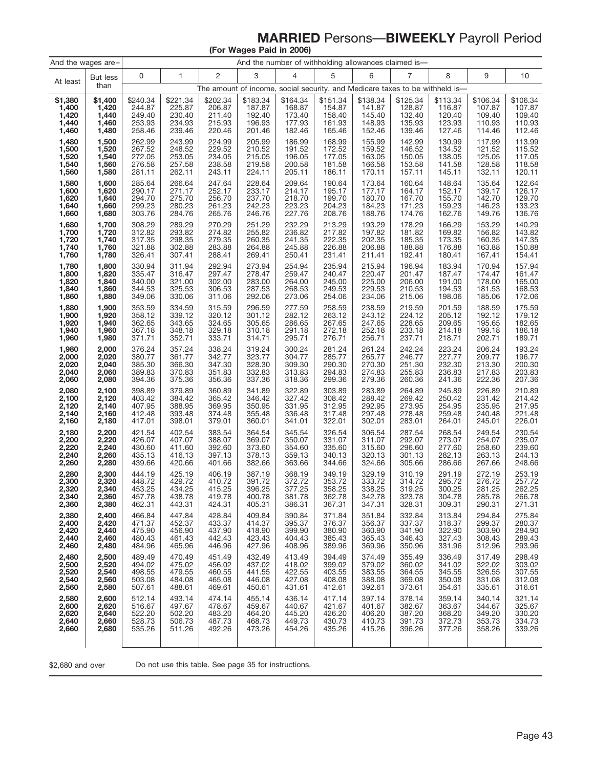## **MARRIED** Persons—**BIWEEKLY** Payroll Period

**(For Wages Paid in 2006)**

| And the wages are-                          |                                             | And the number of withholding allowances claimed is- |                                                  |                                                  |                                                                              |                                                  |                                                  |                                                  |                                                  |                                                  |                                                  |                                                  |
|---------------------------------------------|---------------------------------------------|------------------------------------------------------|--------------------------------------------------|--------------------------------------------------|------------------------------------------------------------------------------|--------------------------------------------------|--------------------------------------------------|--------------------------------------------------|--------------------------------------------------|--------------------------------------------------|--------------------------------------------------|--------------------------------------------------|
| At least                                    | But less<br>than                            | 0                                                    | 1                                                | $\overline{c}$                                   | 3                                                                            | $\overline{4}$                                   | 5                                                | 6                                                | $\overline{7}$                                   | 8                                                | 9                                                | 10                                               |
|                                             |                                             |                                                      |                                                  |                                                  | The amount of income, social security, and Medicare taxes to be withheld is- |                                                  |                                                  |                                                  |                                                  |                                                  |                                                  |                                                  |
| \$1,380<br>1,400<br>1,420<br>1,440<br>1,460 | \$1,400<br>1,420<br>1,440<br>1,460<br>1,480 | \$240.34<br>244.87<br>249.40<br>253.93<br>258.46     | \$221.34<br>225.87<br>230.40<br>234.93<br>239.46 | \$202.34<br>206.87<br>211.40<br>215.93<br>220.46 | \$183.34<br>187.87<br>192.40<br>196.93<br>201.46                             | \$164.34<br>168.87<br>173.40<br>177.93<br>182.46 | \$151.34<br>154.87<br>158.40<br>161.93<br>165.46 | \$138.34<br>141.87<br>145.40<br>148.93<br>152.46 | \$125.34<br>128.87<br>132.40<br>135.93<br>139.46 | \$113.34<br>116.87<br>120.40<br>123.93<br>127.46 | \$106.34<br>107.87<br>109.40<br>110.93<br>114.46 | \$106.34<br>107.87<br>109.40<br>110.93<br>112.46 |
| 1,480<br>1,500<br>1,520<br>1,540<br>1,560   | 1,500<br>1,520<br>1,540<br>1,560<br>1,580   | 262.99<br>267.52<br>272.05<br>276.58<br>281.11       | 243.99<br>248.52<br>253.05<br>257.58<br>262.11   | 224.99<br>229.52<br>234.05<br>238.58<br>243.11   | 205.99<br>210.52<br>215.05<br>219.58<br>224.11                               | 186.99<br>191.52<br>196.05<br>200.58<br>205.11   | 168.99<br>172.52<br>177.05<br>181.58<br>186.11   | 155.99<br>159.52<br>163.05<br>166.58<br>170.11   | 142.99<br>146.52<br>150.05<br>153.58<br>157.11   | 130.99<br>134.52<br>138.05<br>141.58<br>145.11   | 117.99<br>121.52<br>125.05<br>128.58<br>132.11   | 113.99<br>115.52<br>117.05<br>118.58<br>120.11   |
| 1,580<br>1,600<br>1,620<br>1,640<br>1,660   | 1,600<br>1,620<br>1,640<br>1,660<br>1,680   | 285.64<br>290.17<br>294.70<br>299.23<br>303.76       | 266.64<br>271.17<br>275.70<br>280.23<br>284.76   | 247.64<br>252.17<br>256.70<br>261.23<br>265.76   | 228.64<br>233.17<br>237.70<br>242.23<br>246.76                               | 209.64<br>214.17<br>218.70<br>223.23<br>227.76   | 190.64<br>195.17<br>199.70<br>204.23<br>208.76   | 173.64<br>177.17<br>180.70<br>184.23<br>188.76   | 160.64<br>164.17<br>167.70<br>171.23<br>174.76   | 148.64<br>152.17<br>155.70<br>159.23<br>162.76   | 135.64<br>139.17<br>142.70<br>146.23<br>149.76   | 122.64<br>126.17<br>129.70<br>133.23<br>136.76   |
| 1,680<br>1,700<br>1,720<br>1,740<br>1,760   | 1,700<br>1,720<br>1,740<br>1,760<br>1,780   | 308.29<br>312.82<br>317.35<br>321.88<br>326.41       | 289.29<br>293.82<br>298.35<br>302.88<br>307.41   | 270.29<br>274.82<br>279.35<br>283.88<br>288.41   | 251.29<br>255.82<br>260.35<br>264.88<br>269.41                               | 232.29<br>236.82<br>241.35<br>245.88<br>250.41   | 213.29<br>217.82<br>222.35<br>226.88<br>231.41   | 193.29<br>197.82<br>202.35<br>206.88<br>211.41   | 178.29<br>181.82<br>185.35<br>188.88<br>192.41   | 166.29<br>169.82<br>173.35<br>176.88<br>180.41   | 153.29<br>156.82<br>160.35<br>163.88<br>167.41   | 140.29<br>143.82<br>147.35<br>150.88<br>154.41   |
| 1,780<br>1,800<br>1,820<br>1,840<br>1,860   | 1,800<br>1,820<br>1,840<br>1,860<br>1,880   | 330.94<br>335.47<br>340.00<br>344.53<br>349.06       | 311.94<br>316.47<br>321.00<br>325.53<br>330.06   | 292.94<br>297.47<br>302.00<br>306.53<br>311.06   | 273.94<br>278.47<br>283.00<br>287.53<br>292.06                               | 254.94<br>259.47<br>264.00<br>268.53<br>273.06   | 235.94<br>240.47<br>245.00<br>249.53<br>254.06   | 215.94<br>220.47<br>225.00<br>229.53<br>234.06   | 196.94<br>201.47<br>206.00<br>210.53<br>215.06   | 183.94<br>187.47<br>191.00<br>194.53<br>198.06   | 170.94<br>174.47<br>178.00<br>181.53<br>185.06   | 157.94<br>161.47<br>165.00<br>172.06             |
| 1,880<br>1,900<br>1,920<br>1,940<br>1,960   | 1,900<br>1,920<br>1,940<br>1,960<br>1,980   | 353.59<br>358.12<br>362.65<br>367.18<br>371.71       | 334.59<br>339.12<br>343.65<br>348.18<br>352.71   | 315.59<br>320.12<br>324.65<br>329.18<br>333.71   | 296.59<br>301.12<br>305.65<br>310.18<br>314.71                               | 277.59<br>282.12<br>286.65<br>291.18<br>295.71   | 258.59<br>263.12<br>267.65<br>272.18<br>276.71   | 238.59<br>243.12<br>247.65<br>252.18<br>256.71   | 219.59<br>224.12<br>228.65<br>233.18<br>237.71   | 201.59<br>205.12<br>209.65<br>214.18<br>218.71   | 188.59<br>192.12<br>195.65<br>199.18<br>202.71   | 175.59<br>179.12<br>182.65<br>186.18<br>189.71   |
| 1,980<br>2,000<br>2,020<br>2,040<br>2,060   | 2,000<br>2,020<br>2,040<br>2,060<br>2,080   | 376.24<br>380.77<br>385.30<br>389.83<br>394.36       | 357.24<br>361.77<br>366.30<br>370.83<br>375.36   | 338.24<br>342.77<br>347.30<br>351.83<br>356.36   | 319.24<br>323.77<br>328.30<br>332.83<br>337.36                               | 300.24<br>304.77<br>309.30<br>318.36             | 281.24<br>285.77<br>290.30<br>299.36             | 261.24<br>265.77<br>270.30<br>274.83<br>279.36   | 242.24<br>246.77<br>251.30<br>255.83<br>260.36   | 223.24<br>227.77<br>232.30<br>236.83<br>241.36   | 206.24<br>209.77<br>213.30<br>217.83<br>222.36   | 193.24<br>196.77<br>200.30<br>203.83<br>207.36   |
| 2,080<br>2,100<br>2,120<br>2,140<br>2,160   | 2,100<br>2,120<br>2,140<br>2,160<br>2,180   | 398.89<br>403.42<br>407.95<br>412.48<br>417.01       | 379.89<br>384.42<br>388.95<br>393.48<br>398.01   | 360.89<br>365.42<br>369.95<br>374.48<br>379.01   | 341.89<br>346.42<br>350.95<br>355.48<br>360.01                               | 322.89<br>327.42<br>331.95<br>336.48<br>341.01   | 303.89<br>308.42<br>312.95<br>317.48<br>322.01   | 283.89<br>288.42<br>292.95<br>297.48<br>302.01   | 264.89<br>269.42<br>273.95<br>278.48<br>283.01   | 245.89<br>250.42<br>254.95<br>259.48<br>264.01   | 226.89<br>231.42<br>235.95<br>240.48<br>245.01   | 210.89<br>214.42<br>217.95<br>221.48<br>226.01   |
| 2,180<br>2,200<br>2,220<br>2,240<br>2,260   | 2,200<br>2,220<br>2,240<br>2,260<br>2,280   | 421.54<br>426.07<br>430.60<br>435.13<br>439.66       | 402.54<br>407.07<br>411.60<br>416.13<br>420.66   | 383.54<br>388.07<br>392.60<br>397.13<br>401.66   | 364.54<br>369.07<br>373.60<br>378.13<br>382.66                               | 345.54<br>350.07<br>359.13<br>363.66             | 326.54<br>331.07<br>335.60<br>340.13<br>344.66   | 306.54<br>311.07<br>315.60<br>320.13<br>324.66   | 287.54<br>292.07<br>296.60<br>301.13<br>305.66   | 268.54<br>273.07<br>277.60<br>282.13<br>286.66   | 249.54<br>254.07<br>258.60<br>263.13<br>267.66   | 230.54<br>235.07<br>239.60<br>244.13<br>248.66   |
| 2,280<br>2,300<br>2,320<br>2,340<br>2,360   | 2,300<br>2,320<br>2,340<br>2,360<br>2,380   | 444.19<br>448.72<br>453.25<br>457.78<br>462.31       | 425.19<br>429.72<br>434.25<br>438.78<br>443.31   | 406.19<br>410.72<br>415.25<br>419.78<br>424.31   | 387.19<br>391.72<br>396.25<br>400.78<br>405.31                               | 368.19<br>372.72<br>377.25<br>381.78<br>386.31   | 349.19<br>353.72<br>358.25<br>362.78<br>367.31   | 329.19<br>333.72<br>338.25<br>342.78<br>347.31   | 310.19<br>314.72<br>319.25<br>323.78<br>328.31   | 291.19<br>295.72<br>300.25<br>304.78<br>309.31   | 272.19<br>276.72<br>281.25<br>285.78<br>290.31   | 253.19<br>257.72<br>262.25<br>266.78<br>271.31   |
| 2,380<br>2,400<br>2,420<br>2,440<br>2,460   | 2,400<br>2,420<br>2,440<br>2,460<br>2,480   | 466.84<br>471.37<br>475.90<br>480.43<br>484.96       | 447.84<br>452.37<br>456.90<br>461.43<br>465.96   | 428.84<br>433.37<br>437.90<br>442.43<br>446.96   | 409.84<br>414.37<br>418.90<br>423.43<br>427.96                               | 390.84<br>395.37<br>399.90<br>404.43<br>408.96   | 371.84<br>376.37<br>380.90<br>385.43<br>389.96   | 351.84<br>356.37<br>360.90<br>365.43<br>369.96   | 332.84<br>337.37<br>341.90<br>346.43<br>350.96   | 313.84<br>318.37<br>322.90<br>327.43<br>331.96   | 294.84<br>299.37<br>303.90<br>308.43<br>312.96   | 275.84<br>280.37<br>284.90<br>289.43<br>293.96   |
| 2,480<br>2,500<br>2,520<br>2,540<br>2,560   | 2,500<br>2,520<br>2,540<br>2,560<br>2,580   | 489.49<br>494.02<br>498.55<br>503.08<br>507.61       | 470.49<br>475.02<br>479.55<br>484.08<br>488.61   | 451.49<br>456.02<br>460.55<br>465.08<br>469.61   | 432.49<br>437.02<br>441.55<br>446.08<br>450.61                               | 413.49<br>418.02<br>422.55<br>427.08<br>431.61   | 394.49<br>399.02<br>403.55<br>408.08<br>412.61   | 374.49<br>379.02<br>383.55<br>388.08<br>392.61   | 355.49<br>360.02<br>364.55<br>369.08<br>373.61   | 336.49<br>341.02<br>345.55<br>350.08<br>354.61   | 317.49<br>322.02<br>326.55<br>331.08<br>335.61   | 298.49<br>303.02<br>307.55<br>312.08<br>316.61   |
| 2,580<br>2,600<br>2,620<br>2,640<br>2,660   | 2,600<br>2,620<br>2,640<br>2,660<br>2,680   | 512.14<br>516.67<br>522.20<br>528.73<br>535.26       | 493.14<br>497.67<br>502.20<br>506.73<br>511.26   | 474.14<br>478.67<br>483.20<br>487.73<br>492.26   | 455.14<br>459.67<br>464.20<br>468.73<br>473.26                               | 436.14<br>440.67<br>445.20<br>449.73<br>454.26   | 417.14<br>421.67<br>426.20<br>430.73<br>435.26   | 397.14<br>401.67<br>406.20<br>410.73<br>415.26   | 378.14<br>382.67<br>387.20<br>391.73<br>396.26   | 359.14<br>363.67<br>368.20<br>372.73<br>377.26   | 340.14<br>344.67<br>349.20<br>353.73<br>358.26   | 321.14<br>325.67<br>330.20<br>334.73<br>339.26   |
|                                             |                                             |                                                      |                                                  |                                                  |                                                                              |                                                  |                                                  |                                                  |                                                  |                                                  |                                                  |                                                  |

\$2,680 and over Do not use this table. See page 35 for instructions.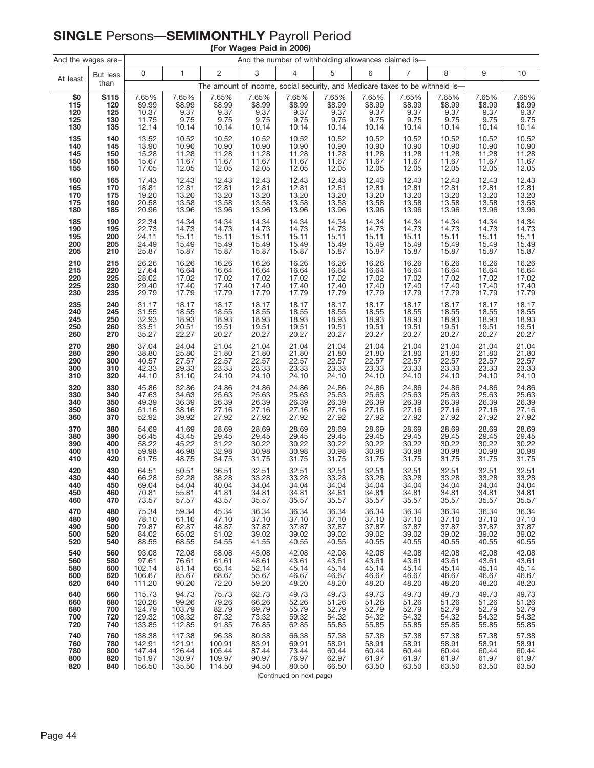## **SINGLE** Persons—**SEMIMONTHLY** Payroll Period **(For Wages Paid in 2006)**

| And the wages are-              |                                   | And the number of withholding allowances claimed is- |                                                  |                                                  |                                                                  |                                                                  |                                                    |                                                    |                                                                                    |                                                                                                                             |                                                  |                                                  |
|---------------------------------|-----------------------------------|------------------------------------------------------|--------------------------------------------------|--------------------------------------------------|------------------------------------------------------------------|------------------------------------------------------------------|----------------------------------------------------|----------------------------------------------------|------------------------------------------------------------------------------------|-----------------------------------------------------------------------------------------------------------------------------|--------------------------------------------------|--------------------------------------------------|
| At least                        | <b>But less</b><br>than           | 0                                                    | 1                                                | $\overline{c}$                                   | 3                                                                | $\overline{4}$                                                   | 5                                                  | 6                                                  | $\overline{7}$                                                                     | 8                                                                                                                           | 9                                                | 10                                               |
| \$0<br>115<br>120<br>125<br>130 | \$115<br>120<br>125<br>130<br>135 | 7.65%<br>\$9.99<br>10.37<br>11.75<br>12.14           | 7.65%<br>\$8.99<br>9.37<br>9.75<br>10.14         | 7.65%<br>$$8.99$<br>$9.37$<br>9.75<br>10.14      | 7.65%<br>$$8.99$<br>$9.37$<br>9.75<br>10.14                      | 7.65%<br>$$8.99$<br>$9.37$<br>9.75<br>10.14                      | 7.65%<br>$$8.99$<br>$9.37$<br>9.75<br>10.14        | 7.65%<br>$$8.99$<br>9.37<br>9.75<br>10.14          | 7.65%<br>$$8.99$<br>9.37<br>9.75<br>10.14                                          | The amount of income, social security, and Medicare taxes to be withheld is-<br>7.65%<br>$$8.99$<br>$9.37$<br>9.75<br>10.14 | 7.65%<br>$$8.99$<br>$9.37$<br>9.75<br>10.14      | 7.65%<br>$$8.99\n9.37\n9.75\n10.14$              |
| 135<br>140<br>145<br>150<br>155 | 140<br>145<br>150<br>155<br>160   | 13.52<br>13.90<br>15.28<br>15.67<br>17.05            | 10.52<br>10.90<br>11.28<br>11.67<br>12.05        | 10.52<br>10.90<br>11.28<br>11.67<br>12.05        | 10.52<br>10.90<br>11.28<br>11.67<br>12.05                        | 10.52<br>$\frac{10.90}{11.28}$<br>$\frac{11.67}{10.95}$<br>12.05 | 10.52<br>$10.90$<br>$11.28$<br>$11.67$<br>12.05    | 10.52<br>10.90<br>11.28<br>11.67<br>12.05          | 10.52<br>$\begin{array}{c} 10.90 \\ 11.28 \\ 11.67 \\ \hline \end{array}$<br>12.05 | 10.52<br>10.90<br>11.28<br>11.67<br>12.05                                                                                   | 10.52<br>$10.90$<br>$11.28$<br>11.67<br>12.05    | 10.52<br>10.90<br>11.28<br>11.67<br>12.05        |
| 160<br>165<br>170<br>175<br>180 | 165<br>170<br>175<br>180<br>185   | 17.43<br>18.81<br>19.20<br>20.58<br>20.96            | 12.43<br>12.81<br>13.20<br>13.58<br>13.96        | 12.43<br>12.81<br>13.20<br>13.58<br>13.96        | 12.43<br>$\frac{12.81}{13.20}$<br>13.58<br>13.96                 | 12.43<br>12.81<br>13.20<br>13.58<br>13.96                        | 12.43<br>12.81<br>13.20<br>13.58<br>13.96          | 12.43<br>$\frac{12.81}{13.20}$<br>13.58<br>13.96   | 12.43<br>$\frac{12.81}{13.20}$<br>13.58<br>13.96                                   | 12.43<br>$\frac{12.81}{13.20}$<br>$\frac{13.58}{13.96}$                                                                     | 12.43<br>$\frac{12.81}{13.20}$<br>13.58<br>13.96 | 12.43<br>12.81<br>13.20<br>13.58<br>13.96        |
| 185<br>190<br>195<br>200<br>205 | 190<br>195<br>200<br>205<br>210   | 22.34<br>22.73<br>24.11<br>24.49<br>25.87            | 14.34<br>$\frac{14.73}{15.11}$<br>15.49<br>15.87 | 14.34<br>14.73<br>15.11<br>15.49<br>15.87        | 14.34<br>$\frac{14.73}{15.11}$<br>15.49<br>15.87                 | 14.34<br>14.73<br>15.11<br>15.49<br>15.87                        | 14.34<br>14.73<br>15.11<br>15.49<br>15.87          | 14.34<br>14.73<br>14.73<br>15.11<br>15.49<br>15.87 | 14.34<br>14.73<br>15.11<br>15.49<br>15.87                                          | 14.34<br>14.73<br>15.11<br>15.49<br>15.87                                                                                   | 14.34<br>$14.73$<br>15.11<br>15.49<br>15.87      | 14.34<br>14.73<br>15.11<br>15.49<br>15.87        |
| 210<br>215<br>220<br>225<br>230 | 215<br>220<br>225<br>230<br>235   | 26.26<br>27.64<br>28.02<br>29.40<br>29.79            | 16.26<br>16.64<br>17.02<br>17.40<br>17.79        | 16.26<br>16.64<br>17.02<br>17.40<br>17.79        | 16.26<br>16.64<br>17.02<br>17.40<br>17.79                        | 16.26<br>16.64<br>17.02<br>17.40<br>17.79                        | 16.26<br>16.64<br>17.02<br>17.40<br>17.79          | 16.26<br>16.64<br>17.02<br>17.40<br>17.79          | 16.26<br>16.64<br>17.02<br>$\frac{17.40}{17.79}$                                   | 16.26<br>$16.64$<br>17.02<br>17.40<br>17.79                                                                                 | 16.26<br>16.64<br>17.02<br>17.40<br>17.79        | 16.26<br>16.64<br>17.02<br>$\frac{17.40}{17.79}$ |
| 235<br>240<br>245<br>250<br>260 | 240<br>245<br>250<br>260<br>270   | 31.17<br>$31.55$<br>$32.93$<br>33.51<br>35.27        | 18.17<br>18.55<br>18.93<br>$20.51$<br>$22.27$    | 18.17<br>18.55<br>$\frac{18.93}{19.51}$<br>20.27 | 18.17<br>$\frac{18.55}{18.93}$<br>$\frac{19.51}{28.27}$<br>20.27 | 18.17<br>18.55<br>18.93<br>19.51<br>20.27                        | 18.17<br>18.55<br>18.93<br>19.51<br>20.27          | 18.17<br>18.55<br>18.93<br>19.51<br>20.27          | 18.17<br>18.55<br>18.93<br>19.51<br>20.27                                          | 18.17<br>18.55<br>18.93<br>19.51<br>20.27                                                                                   | 18.17<br>$\frac{18.17}{18.93}$<br>19.51<br>20.27 | 18.17<br>18.55<br>18.93<br>19.51<br>20.27        |
| 270<br>280<br>290<br>300<br>310 | 280<br>290<br>300<br>310<br>320   | 37.04<br>38.80<br>40.57<br>42.33<br>44.10            | 24.04<br>25.80<br>27.57<br>29.33<br>31.10        | 21.04<br>21.80<br>22.57<br>23.33<br>24.10        | 21.04<br>$\frac{21.80}{22.57}$<br>23.33<br>24.10                 | 21.04<br>21.80<br>22.57<br>23.33<br>24.10                        | 21.04<br>21.80<br>22.57<br>23.33<br>24.10          | 21.04<br>$\frac{21.80}{22.57}$<br>23.33<br>24.10   | 21.04<br>$\frac{21.80}{22.57}$<br>23.33<br>24.10                                   | 21.04<br>21.80<br>22.57<br>23.33<br>24.10                                                                                   | 21.04<br>21.80<br>22.57<br>23.33<br>24.10        | 21.04<br>21.80<br>22.57<br>23.33<br>24.10        |
| 320<br>330<br>340<br>350<br>360 | 330<br>340<br>350<br>360<br>370   | 45.86<br>47.63<br>49.39<br>51.16<br>52.92            | 32.86<br>34.63<br>36.39<br>38.16<br>39.92        | 24.86<br>25.63<br>26.39<br>27.16<br>27.92        | 24.86<br>25.63<br>26.39<br>27.16<br>27.92                        | 24.86<br>25.63<br>26.39<br>27.16<br>27.92                        | 24.86<br>25.63<br>26.39<br>27.16<br>27.92          | 24.86<br>25.63<br>26.39<br>27.16<br>27.92          | 24.86<br>25.63<br>26.39<br>27.16<br>27.92                                          | 24.86<br>25.63<br>26.39<br>27.16<br>27.92                                                                                   | 24.86<br>25.63<br>26.39<br>27.16<br>27.92        | 24.86<br>25.63<br>26.39<br>27.16<br>27.92        |
| 370<br>380<br>390<br>400<br>410 | 380<br>390<br>400<br>410<br>420   | 54.69<br>56.45<br>58.22<br>$59.98$<br>61.75          | 41.69<br>43.45<br>45.22<br>46.98<br>48.75        | 28.69<br>29.45<br>31.22<br>32.98<br>34.75        | 28.69<br>29.45<br>30.22<br>30.98<br>31.75                        | 28.69<br>29.45<br>30.22<br>30.98<br>31.75                        | 28.69<br>29.45<br>29.45<br>30.22<br>30.98<br>31.75 | 28.69<br>29.45<br>30.22<br>30.98<br>31.75          | 28.69<br>29.45<br>30.22<br>$30.98$<br>$31.75$                                      | 28.69<br>29.45<br>30.22<br>$30.98$<br>$31.75$                                                                               | 28.69<br>29.45<br>30.22<br>$30.98$<br>$31.75$    | 28.69<br>29.45<br>30.22<br>30.98<br>31.75        |
| 420<br>430<br>440<br>450<br>460 | 430<br>440<br>450<br>460<br>470   | 64.51<br>66.28<br>69.04<br>70.81<br>73.57            | 50.51<br>52.28<br>54.04<br>55.81<br>57.57        | 36.51<br>38.28<br>40.04<br>41.81<br>43.57        | 32.51<br>33.28<br>34.04<br>34.81<br>35.57                        | 32.51<br>33.28<br>34.04<br>34.81<br>35.57                        | 32.51<br>33.28<br>34.04<br>34.81<br>35.57          | 32.51<br>33.28<br>34.04<br>34.81<br>35.57          | 32.51<br>33.28<br>34.04<br>34.81<br>35.57                                          | 32.51<br>33.28<br>34.04<br>34.81<br>35.57                                                                                   | 32.51<br>33.28<br>34.04<br>34.81<br>35.57        | 32.51<br>33.28<br>34.04<br>34.81<br>35.57        |
| 470<br>480<br>490<br>500<br>520 | 480<br>490<br>500<br>520<br>540   | 75.34<br>78.10<br>79.87<br>84.02<br>88.55            | 59.34<br>61.10<br>62.87<br>65.02<br>68.55        | 45.34<br>47.10<br>48.87<br>51.02<br>54.55        | 36.34<br>37.10<br>37.87<br>39.02<br>41.55                        | 36.34<br>37.10<br>37.87<br>39.02<br>40.55                        | 36.34<br>37.10<br>37.87<br>39.02<br>40.55          | 36.34<br>37.10<br>37.87<br>39.02<br>40.55          | 36.34<br>37.10<br>37.87<br>39.02<br>40.55                                          | 36.34<br>37.10<br>37.87<br>39.02<br>40.55                                                                                   | 36.34<br>37.10<br>37.87<br>39.02<br>40.55        | 36.34<br>37.10<br>37.87<br>39.02<br>40.55        |
| 540<br>560<br>580<br>600<br>620 | 560<br>580<br>600<br>620<br>640   | 93.08<br>97.61<br>102.14<br>106.67<br>111.20         | 72.08<br>76.61<br>81.14<br>85.67<br>90.20        | 58.08<br>61.61<br>65.14<br>68.67<br>72.20        | 45.08<br>48.61<br>52.14<br>55.67<br>59.20                        | 42.08<br>43.61<br>45.14<br>46.67<br>48.20                        | 42.08<br>43.61<br>45.14<br>46.67<br>48.20          | 42.08<br>43.61<br>45.14<br>46.67<br>48.20          | 42.08<br>43.61<br>45.14<br>46.67<br>48.20                                          | 42.08<br>43.61<br>45.14<br>46.67<br>48.20                                                                                   | 42.08<br>43.61<br>45.14<br>46.67<br>48.20        | 42.08<br>43.61<br>45.14<br>46.67<br>48.20        |
| 640<br>660<br>680<br>700<br>720 | 660<br>680<br>700<br>720<br>740   | 115.73<br>120.26<br>124.79<br>129.32<br>133.85       | 94.73<br>99.26<br>103.79<br>108.32<br>112.85     | 75.73<br>79.26<br>82.79<br>87.32<br>91.85        | 62.73<br>66.26<br>69.79<br>73.32<br>76.85                        | 49.73<br>52.26<br>55.79<br>59.32<br>62.85                        | 49.73<br>51.26<br>52.79<br>54.32<br>55.85          | 49.73<br>51.26<br>52.79<br>54.32<br>55.85          | 49.73<br>51.26<br>52.79<br>54.32<br>55.85                                          | 49.73<br>51.26<br>52.79<br>54.32<br>55.85                                                                                   | 49.73<br>51.26<br>52.79<br>54.32<br>55.85        | 49.73<br>51.26<br>52.79<br>54.32<br>55.85        |
| 740<br>760<br>780<br>800<br>820 | 760<br>780<br>800<br>820<br>840   | 138.38<br>142.91<br>147.44<br>151.97<br>156.50       | 117.38<br>121.91<br>126.44<br>130.97<br>135.50   | 96.38<br>100.91<br>105.44<br>109.97<br>114.50    | 80.38<br>83.91<br>87.44<br>90.97<br>94.50                        | 66.38<br>69.91<br>73.44<br>76.97<br>80.50                        | 57.38<br>58.91<br>60.44<br>62.97<br>66.50          | 57.38<br>58.91<br>60.44<br>61.97<br>63.50          | 57.38<br>58.91<br>60.44<br>61.97<br>63.50                                          | 57.38<br>58.91<br>60.44<br>61.97<br>63.50                                                                                   | 57.38<br>58.91<br>60.44<br>61.97<br>63.50        | 57.38<br>58.91<br>60.44<br>61.97<br>63.50        |

(Continued on next page)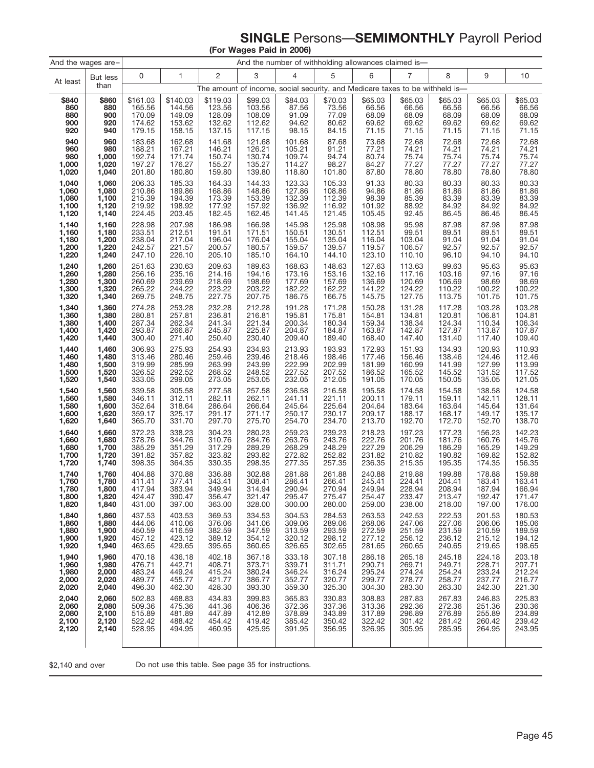## **SINGLE** Persons—**SEMIMONTHLY** Payroll Period

**(For Wages Paid in 2006)**

| And the wages are- |                         | And the number of withholding allowances claimed is- |          |                |         |                |         |                                                                              |                |         |         |         |
|--------------------|-------------------------|------------------------------------------------------|----------|----------------|---------|----------------|---------|------------------------------------------------------------------------------|----------------|---------|---------|---------|
| At least           | <b>But less</b><br>than | 0                                                    | 1        | $\overline{2}$ | 3       | $\overline{4}$ | 5       | 6                                                                            | $\overline{7}$ | 8       | 9       | 10      |
|                    |                         |                                                      |          |                |         |                |         | The amount of income, social security, and Medicare taxes to be withheld is- |                |         |         |         |
| \$840              | \$860                   | \$161.03                                             | \$140.03 | \$119.03       | \$99.03 | \$84.03        | \$70.03 | \$65.03                                                                      | \$65.03        | \$65.03 | \$65.03 | \$65.03 |
| 860                | 880                     | 165.56                                               | 144.56   | 123.56         | 103.56  | 87.56          | 73.56   | 66.56                                                                        | 66.56          | 66.56   | 66.56   | 66.56   |
| 880                | 900                     | 170.09                                               | 149.09   | 128.09         | 108.09  | 91.09          | 77.09   | 68.09                                                                        | 68.09          | 68.09   | 68.09   | 68.09   |
| 900                | 920                     | 174.62                                               | 153.62   | 132.62         | 112.62  | 94.62          | 80.62   | 69.62                                                                        | 69.62          | 69.62   | 69.62   | 69.62   |
| 920                | 940                     | 179.15                                               | 158.15   | 137.15         | 117.15  | 98.15          | 84.15   | 71.15                                                                        | 71.15          | 71.15   | 71.15   | 71.15   |
| 940                | 960                     | 183.68                                               | 162.68   | 141.68         | 121.68  | 101.68         | 87.68   | 73.68                                                                        | 72.68          | 72.68   | 72.68   | 72.68   |
| 960                | 980                     | 188.21                                               | 167.21   | 146.21         | 126.21  | 105.21         | 91.21   | 77.21                                                                        | 74.21          | 74.21   | 74.21   | 74.21   |
| 980                | 1,000                   | 192.74                                               | 171.74   | 150.74         | 130.74  | 109.74         | 94.74   | 80.74                                                                        | 75.74          | 75.74   | 75.74   | 75.74   |
| 1,000              | 1,020                   | 197.27                                               | 176.27   | 155.27         | 135.27  | 114.27         | 98.27   | 84.27                                                                        | 77.27          | 77.27   | 77.27   | 77.27   |
| 1,020              | 1,040                   | 201.80                                               | 180.80   | 159.80         | 139.80  | 118.80         | 101.80  | 87.80                                                                        | 78.80          | 78.80   | 78.80   | 78.80   |
| 1,040              | 1,060                   | 206.33                                               | 185.33   | 164.33         | 144.33  | 123.33         | 105.33  | 91.33                                                                        | 80.33          | 80.33   | 80.33   | 80.33   |
| 1,060              | 1,080                   | 210.86                                               | 189.86   | 168.86         | 148.86  | 127.86         | 108.86  | 94.86                                                                        | 81.86          | 81.86   | 81.86   | 81.86   |
| 1,080              | 1,100                   | 215.39                                               | 194.39   | 173.39         | 153.39  | 132.39         | 112.39  | 98.39                                                                        | 85.39          | 83.39   | 83.39   | 83.39   |
| 1,100              | 1,120                   | 219.92                                               | 198.92   | 177.92         | 157.92  | 136.92         | 116.92  | 101.92                                                                       | 88.92          | 84.92   | 84.92   | 84.92   |
| 1,120              | 1,140                   | 224.45                                               | 203.45   | 182.45         | 162.45  | 141.45         | 121.45  | 105.45                                                                       | 92.45          | 86.45   | 86.45   | 86.45   |
| 1,140              | 1,160                   | 228.98                                               | 207.98   | 186.98         | 166.98  | 145.98         | 125.98  | 108.98                                                                       | 95.98          | 87.98   | 87.98   | 87.98   |
| 1,160              | 1,180                   | 233.51                                               | 212.51   | 191.51         | 171.51  | 150.51         | 130.51  | 112.51                                                                       | 99.51          | 89.51   | 89.51   | 89.51   |
| 1,180              | 1,200                   | 238.04                                               | 217.04   | 196.04         | 176.04  | 155.04         | 135.04  | 116.04                                                                       | 103.04         | 91.04   | 91.04   | 91.04   |
| 1,200              | 1,220                   | 242.57                                               | 221.57   | 200.57         | 180.57  | 159.57         | 139.57  | 119.57                                                                       | 106.57         | 92.57   | 92.57   | 92.57   |
| 1,220              | 1,240                   | 247.10                                               | 226.10   | 205.10         | 185.10  | 164.10         | 144.10  | 123.10                                                                       | 110.10         | 96.10   | 94.10   | 94.10   |
| 1,240              | 1,260                   | 251.63                                               | 230.63   | 209.63         | 189.63  | 168.63         | 148.63  | 127.63                                                                       | 113.63         | 99.63   | 95.63   | 95.63   |
| 1,260              | 1,280                   | 256.16                                               | 235.16   | 214.16         | 194.16  | 173.16         | 153.16  | 132.16                                                                       | 117.16         | 103.16  | 97.16   | 97.16   |
| 1,280              | 1,300                   | 260.69                                               | 239.69   | 218.69         | 198.69  | 177.69         | 157.69  | 136.69                                                                       | 120.69         | 106.69  | 98.69   | 98.69   |
| 1,300              | 1,320                   | 265.22                                               | 244.22   | 223.22         | 203.22  | 182.22         | 162.22  | 141.22                                                                       | 124.22         | 110.22  | 100.22  | 100.22  |
| 1,320              | 1,340                   | 269.75                                               | 248.75   | 227.75         | 207.75  | 186.75         | 166.75  | 145.75                                                                       | 127.75         | 113.75  | 101.75  | 101.75  |
| 1,340              | 1,360                   | 274.28                                               | 253.28   | 232.28         | 212.28  | 191.28         | 171.28  | 150.28                                                                       | 131.28         | 117.28  | 103.28  | 103.28  |
| 1,360              | 1,380                   | 280.81                                               | 257.81   | 236.81         | 216.81  | 195.81         | 175.81  | 154.81                                                                       | 134.81         | 120.81  | 106.81  | 104.81  |
| 1,380              | 1,400                   | 287.34                                               | 262.34   | 241.34         | 221.34  | 200.34         | 180.34  | 159.34                                                                       | 138.34         | 124.34  | 110.34  | 106.34  |
| 1,400              | 1,420                   | 293.87                                               | 266.87   | 245.87         | 225.87  | 204.87         | 184.87  | 163.87                                                                       | 142.87         | 127.87  | 113.87  | 107.87  |
| 1,420              | 1,440                   | 300.40                                               | 271.40   | 250.40         | 230.40  | 209.40         | 189.40  | 168.40                                                                       | 147.40         | 131.40  | 117.40  | 109.40  |
| 1,440              | 1,460                   | 306.93                                               | 275.93   | 254.93         | 234.93  | 213.93         | 193.93  | 172.93                                                                       | 151.93         | 134.93  | 120.93  | 110.93  |
| 1,460              | 1,480                   | 313.46                                               | 280.46   | 259.46         | 239.46  | 218.46         | 198.46  | 177.46                                                                       | 156.46         | 138.46  | 124.46  | 112.46  |
| 1,480              | 1,500                   | 319.99                                               | 285.99   | 263.99         | 243.99  | 222.99         | 202.99  | 181.99                                                                       | 160.99         | 141.99  | 127.99  | 113.99  |
| 1,500              | 1,520                   | 326.52                                               | 292.52   | 268.52         | 248.52  | 227.52         | 207.52  | 186.52                                                                       | 165.52         | 145.52  | 131.52  | 117.52  |
| 1,520              | 1,540                   | 333.05                                               | 299.05   | 273.05         | 253.05  | 232.05         | 212.05  | 191.05                                                                       | 170.05         | 150.05  | 135.05  | 121.05  |
| 1,540              | 1,560                   | 339.58                                               | 305.58   | 277.58         | 257.58  | 236.58         | 216.58  | 195.58                                                                       | 174.58         | 154.58  | 138.58  | 124.58  |
| 1,560              | 1,580                   | 346.11                                               | 312.11   | 282.11         | 262.11  | 241.11         | 221.11  | 200.11                                                                       | 179.11         | 159.11  | 142.11  | 128.11  |
| 1,580              | 1,600                   | 352.64                                               | 318.64   | 286.64         | 266.64  | 245.64         | 225.64  | 204.64                                                                       | 183.64         | 163.64  | 145.64  | 131.64  |
| 1,600              | 1,620                   | 359.17                                               | 325.17   | 291.17         | 271.17  | 250.17         | 230.17  | 209.17                                                                       | 188.17         | 168.17  | 149.17  | 135.17  |
| 1,620              | 1,640                   | 365.70                                               | 331.70   | 297.70         | 275.70  | 254.70         | 234.70  | 213.70                                                                       | 192.70         | 172.70  | 152.70  | 138.70  |
| 1,640              | 1,660                   | 372.23                                               | 338.23   | 304.23         | 280.23  | 259.23         | 239.23  | 218.23                                                                       | 197.23         | 177.23  | 156.23  | 142.23  |
| 1,660              | 1,680                   | 378.76                                               | 344.76   | 310.76         | 284.76  | 263.76         | 243.76  | 222.76                                                                       | 201.76         | 181.76  | 160.76  | 145.76  |
| 1,680              | 1,700                   | 385.29                                               | 351.29   | 317.29         | 289.29  | 268.29         | 248.29  | 227.29                                                                       | 206.29         | 186.29  | 165.29  | 149.29  |
| 1,700              | 1,720                   | 391.82                                               | 357.82   | 323.82         | 293.82  | 272.82         | 252.82  | 231.82                                                                       | 210.82         | 190.82  | 169.82  | 152.82  |
| 1,720              | 1,740                   | 398.35                                               | 364.35   | 330.35         | 298.35  | 277.35         | 257.35  | 236.35                                                                       | 215.35         | 195.35  | 174.35  | 156.35  |
| 1,740              | 1,760                   | 404.88                                               | 370.88   | 336.88         | 302.88  | 281.88         | 261.88  | 240.88                                                                       | 219.88         | 199.88  | 178.88  | 159.88  |
| 1,760              | 1,780                   | 411.41                                               | 377.41   | 343.41         | 308.41  | 286.41         | 266.41  | 245.41                                                                       | 224.41         | 204.41  | 183.41  | 163.41  |
| 1,780              | 1,800                   | 417.94                                               | 383.94   | 349.94         | 314.94  | 290.94         | 270.94  | 249.94                                                                       | 228.94         | 208.94  | 187.94  | 166.94  |
| 1,800              | 1,820                   | 424.47                                               | 390.47   | 356.47         | 321.47  | 295.47         | 275.47  | 254.47                                                                       | 233.47         | 213.47  | 192.47  | 171.47  |
| 1,820              | 1,840                   | 431.00                                               | 397.00   | 363.00         | 328.00  | 300.00         | 280.00  | 259.00                                                                       | 238.00         | 218.00  | 197.00  | 176.00  |
| 1,840              | 1,860                   | 437.53                                               | 403.53   | 369.53         | 334.53  | 304.53         | 284.53  | 263.53                                                                       | 242.53         | 222.53  | 201.53  | 180.53  |
| 1,860              | 1,880                   | 444.06                                               | 410.06   | 376.06         | 341.06  | 309.06         | 289.06  | 268.06                                                                       | 247.06         | 227.06  | 206.06  | 185.06  |
| 1,880              | 1,900                   | 450.59                                               | 416.59   | 382.59         | 347.59  | 313.59         | 293.59  | 272.59                                                                       | 251.59         | 231.59  | 210.59  | 189.59  |
| 1,900              | 1,920                   | 457.12                                               | 423.12   | 389.12         | 354.12  | 320.12         | 298.12  | 277.12                                                                       | 256.12         | 236.12  | 215.12  | 194.12  |
| 1,920              | 1,940                   | 463.65                                               | 429.65   | 395.65         | 360.65  | 326.65         | 302.65  | 281.65                                                                       | 260.65         | 240.65  | 219.65  | 198.65  |
| 1,940              | 1,960                   | 470.18                                               | 436.18   | 402.18         | 367.18  | 333.18         | 307.18  | 286.18                                                                       | 265.18         | 245.18  | 224.18  | 203.18  |
| 1,960              | 1,980                   | 476.71                                               | 442.71   | 408.71         | 373.71  | 339.71         | 311.71  | 290.71                                                                       | 269.71         | 249.71  | 228.71  | 207.71  |
| 1,980              | 2,000                   | 483.24                                               | 449.24   | 415.24         | 380.24  | 346.24         | 316.24  | 295.24                                                                       | 274.24         | 254.24  | 233.24  | 212.24  |
| 2,000              | 2,020                   | 489.77                                               | 455.77   | 421.77         | 386.77  | 352.77         | 320.77  | 299.77                                                                       | 278.77         | 258.77  | 237.77  | 216.77  |
| 2,020              | 2,040                   | 496.30                                               | 462.30   | 428.30         | 393.30  | 359.30         | 325.30  | 304.30                                                                       | 283.30         | 263.30  | 242.30  | 221.30  |
| 2,040              | 2,060                   | 502.83                                               | 468.83   | 434.83         | 399.83  | 365.83         | 330.83  | 308.83                                                                       | 287.83         | 267.83  | 246.83  | 225.83  |
| 2,060              | 2,080                   | 509.36                                               | 475.36   | 441.36         | 406.36  | 372.36         | 337.36  | 313.36                                                                       | 292.36         | 272.36  | 251.36  | 230.36  |
| 2,080              | 2,100                   | 515.89                                               | 481.89   | 447.89         | 412.89  | 378.89         | 343.89  | 317.89                                                                       | 296.89         | 276.89  | 255.89  | 234.89  |
| 2,100              | 2,120                   | 522.42                                               | 488.42   | 454.42         | 419.42  | 385.42         | 350.42  | 322.42                                                                       | 301.42         | 281.42  | 260.42  | 239.42  |
| 2,120              | 2,140                   | 528.95                                               | 494.95   | 460.95         | 425.95  | 391.95         | 356.95  | 326.95                                                                       | 305.95         | 285.95  | 264.95  | 243.95  |
|                    |                         |                                                      |          |                |         |                |         |                                                                              |                |         |         |         |

\$2,140 and over Do not use this table. See page 35 for instructions.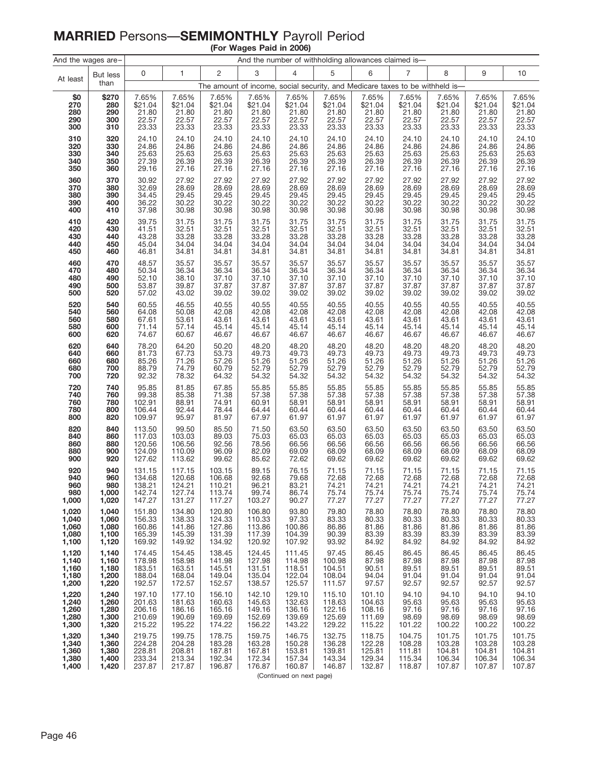## **MARRIED** Persons—**SEMIMONTHLY** Payroll Period **(For Wages Paid in 2006)**

|                                           |                                           | And the number of withholding allowances claimed is- |                                                |                                                |                                                  |                                                |                                                |                                                    |                                                |                                                                              |                                                  |                                                |
|-------------------------------------------|-------------------------------------------|------------------------------------------------------|------------------------------------------------|------------------------------------------------|--------------------------------------------------|------------------------------------------------|------------------------------------------------|----------------------------------------------------|------------------------------------------------|------------------------------------------------------------------------------|--------------------------------------------------|------------------------------------------------|
| And the wages are-                        |                                           | 0                                                    | 1                                              | $\overline{c}$                                 | 3                                                | $\overline{4}$                                 | 5                                              | 6                                                  | $\overline{7}$                                 | 8                                                                            | 9                                                | 10                                             |
| At least                                  | <b>But less</b><br>than                   |                                                      |                                                |                                                |                                                  |                                                |                                                |                                                    |                                                | The amount of income, social security, and Medicare taxes to be withheld is- |                                                  |                                                |
| \$0<br>270<br>280<br>290<br>300           | \$270<br>280<br>290<br>300<br>310         | 7.65%<br>\$21.04<br>21.80<br>22.57<br>23.33          | 7.65%<br>\$21.04<br>21.80<br>22.57<br>23.33    | 7.65%<br>$$21.04$<br>21.80<br>22.57<br>23.33   | 7.65%<br>$$21.04$ $21.80$ $22.57$<br>23.33       | 7.65%<br>\$21.04<br>21.80<br>22.57<br>23.33    | 7.65%<br>$821.04\n21.80\n22.57\n23.33$         | 7.65%<br>$$21.0421.8022.5723.33$                   | 7.65%<br>$321.04\n21.80\n22.57\n23.33$         | 7.65%<br>$821.04\n21.80\n22.57\n23.33$                                       | 7.65%<br>\$21.04<br>21.80<br>22.57<br>23.33      | 7.65%<br>$321.04\n21.80\n22.57\n23.33$         |
| 310<br>320<br>330<br>340<br>350           | 320<br>330<br>340<br>350<br>350<br>360    | 24.10<br>24.86<br>25.63<br>27.39<br>29.16            | 24.10<br>24.86<br>25.63<br>26.39<br>27.16      | 24.10<br>24.86<br>25.63<br>26.39<br>27.16      | 24.10<br>24.86<br>25.63<br>26.39<br>27.16        | 24.10<br>24.86<br>25.63<br>26.39<br>27.16      | 24.10<br>24.86<br>25.63<br>26.39<br>27.16      | 24.10<br>24.86<br>25.63<br>26.39<br>27.16          | 24.10<br>24.86<br>25.63<br>26.39<br>27.16      | 24.10<br>24.86<br>25.63<br>26.39<br>27.16                                    | 24.10<br>24.86<br>25.63<br>26.39<br>27.16        | 24.10<br>24.86<br>25.63<br>26.39<br>27.16      |
| 360<br>370<br>380<br>390<br>400           | 370<br>380<br>390<br>400<br>410           | 30.92<br>32.69<br>34.45<br>36.22<br>37.98            | 27.92<br>28.69<br>29.45<br>30.22<br>30.98      | 27.92<br>28.69<br>29.45<br>30.22<br>30.98      | 27.92<br>28.69<br>29.45<br>30.22<br>30.98        | 27.92<br>28.69<br>29.45<br>30.22<br>30.98      | 27.92<br>28.69<br>29.45<br>30.22<br>30.98      | 27.92<br>28.69<br>28.69<br>29.45<br>30.22<br>30.98 | 27.92<br>28.69<br>29.45<br>30.22<br>30.98      | 27.92<br>28.69<br>29.45<br>30.22<br>30.98                                    | 27.92<br>28.69<br>29.45<br>30.22<br>30.98        | 27.92<br>28.69<br>29.45<br>30.22<br>30.98      |
| 410<br>420<br>430<br>440<br>450           | 420<br>430<br>440<br>450<br>460           | 39.75<br>41.51<br>43.28<br>45.04<br>46.81            | 31.75<br>32.51<br>33.28<br>34.04<br>34.81      | 31.75<br>32.51<br>33.28<br>34.04<br>34.81      | 31.75<br>32.51<br>33.28<br>$34.04$<br>$34.81$    | 31.75<br>32.51<br>33.28<br>34.04<br>34.81      | 31.75<br>32.51<br>33.28<br>34.04<br>34.81      | 31.75<br>32.51<br>33.28<br>34.04<br>34.81          | 31.75<br>32.51<br>33.28<br>$34.04$<br>$34.81$  | 31.75<br>32.51<br>33.28<br>34.04<br>34.81                                    | 31.75<br>32.51<br>33.28<br>34.04<br>34.81        | 31.75<br>32.51<br>33.28<br>34.04<br>34.81      |
| 460<br>470<br>480<br>490<br>500           | 470<br>480<br>490<br>500<br>520           | 48.57<br>$\frac{1010}{50.34}$<br>53.87<br>57.02      | 35.57<br>36.34<br>38.10<br>39.87<br>43.02      | 35.57<br>36.34<br>37.10<br>37.87<br>39.02      | 35.57<br>36.34<br>37.10<br>37.87<br>39.02        | 35.57<br>36.34<br>37.10<br>37.87<br>39.02      | 35.57<br>36.34<br>37.10<br>37.87<br>39.02      | 35.57<br>36.34<br>37.10<br>37.87<br>39.02          | 35.57<br>36.34<br>37.10<br>37.87<br>39.02      | 35.57<br>36.34<br>37.10<br>37.87<br>39.02                                    | 35.57<br>36.34<br>37.10<br>$\frac{37.87}{39.02}$ | 35.57<br>36.34<br>37.10<br>37.87<br>39.02      |
| 520<br>540<br>560<br>580<br>600           | 540<br>560<br>580<br>600<br>620           | 60.55<br>64.08<br>67.61<br>71.14<br>74.67            | 46.55<br>50.08<br>53.61<br>57.14<br>60.67      | 40.55<br>42.08<br>43.61<br>45.14<br>46.67      | 40.55<br>42.08<br>43.61<br>45.14<br>46.67        | 40.55<br>42.08<br>43.61<br>45.14<br>46.67      | 40.55<br>42.08<br>43.61<br>45.14<br>46.67      | 40.55<br>42.08<br>43.61<br>45.14<br>46.67          | 40.55<br>42.08<br>43.61<br>45.14<br>46.67      | 40.55<br>42.08<br>43.61<br>45.14<br>46.67                                    | 40.55<br>42.08<br>43.61<br>45.14<br>46.67        | 40.55<br>42.08<br>43.61<br>45.14<br>46.67      |
| 620<br>640<br>660<br>680<br>700           | 640<br>660<br>680<br>700<br>720           | 78.20<br>$81.73$<br>$85.26$<br>88.79<br>92.32        | 64.20<br>$67.73$<br>$71.26$<br>74.79<br>78.32  | 50.20<br>53.73<br>57.26<br>60.79<br>64.32      | 48.20<br>49.73<br>51.26<br>52.79<br>54.32        | 48.20<br>49.73<br>51.26<br>52.79<br>54.32      | 48.20<br>49.73<br>51.26<br>52.79<br>54.32      | 48.20<br>49.73<br>51.26<br>52.79<br>54.32          | 48.20<br>49.73<br>51.26<br>$52.79$<br>$54.32$  | 48.20<br>49.73<br>51.26<br>52.79<br>54.32                                    | 48.20<br>49.73<br>51.26<br>52.79<br>54.32        | 48.20<br>49.73<br>51.26<br>52.79<br>54.32      |
| 720<br>740<br>740<br>760<br>780<br>800    | 740<br>760<br>780<br>800<br>820           | 95.85<br>99.38<br>102.91<br>106.44<br>109.97         | 81.85<br>85.38<br>88.91<br>92.44<br>95.97      | 67.85<br>71.38<br>74.91<br>78.44<br>81.97      | 55.85<br>$\frac{57.38}{60.91}$<br>64.44<br>67.97 | 55.85<br>57.38<br>58.91<br>60.44<br>61.97      | 55.85<br>57.38<br>58.91<br>60.44<br>61.97      | 55.85<br>57.38<br>58.91<br>60.44<br>61.97          | 55.85<br>57.38<br>58.91<br>60.44<br>61.97      | 55.85<br>57.38<br>58.91<br>60.44<br>61.97                                    | 55.85<br>57.38<br>58.91<br>60.44<br>61.97        | 55.85<br>57.38<br>58.91<br>60.44<br>61.97      |
| 820<br>840<br>860<br>880<br>900           | 840<br>860<br>880<br>900<br>920           | 113.50<br>117.03<br>120.56<br>124.09<br>127.62       | 99.50<br>103.03<br>106.56<br>110.09<br>113.62  | 85.50<br>89.03<br>92.56<br>96.09<br>99.62      | 71.50<br>75.03<br>78.56<br>82.09<br>85.62        | 63.50<br>65.03<br>66.56<br>69.09<br>72.62      | 63.50<br>65.03<br>66.56<br>68.09<br>69.62      | 63.50<br>65.03<br>66.56<br>68.09<br>69.62          | 63.50<br>65.03<br>66.56<br>68.09<br>69.62      | 63.50<br>65.03<br>66.56<br>68.09<br>69.62                                    | 63.50<br>$65.03$<br>$66.56$<br>68.09<br>69.62    | 63.50<br>65.03<br>66.56<br>68.09<br>69.62      |
| 920<br>940<br>960<br>980<br>1,000         | 940<br>960<br>980<br>1,000<br>1,020       | 131.15<br>134.68<br>138.21<br>142.74<br>147.27       | 117.15<br>120.68<br>124.21<br>127.74<br>131.27 | 103.15<br>106.68<br>110.21<br>113.74<br>117.27 | 89.15<br>92.68<br>96.21<br>99.74<br>103.27       | 76.15<br>79.68<br>83.21<br>86.74<br>90.27      | 71.15<br>72.68<br>74.21<br>75.74<br>77.27      | 71.15<br>72.68<br>74.21<br>75.74<br>77.27          | 71.15<br>72.68<br>74.21<br>75.74<br>77.27      | $71.15$<br>$72.68$<br>74.21<br>75.74<br>77.27                                | 71.15<br>72.68<br>74.21<br>75.74<br>77.27        | 71.15<br>72.68<br>74.21<br>75.74<br>77.27      |
| 1,020<br>1,040<br>1,060<br>1,080<br>1,100 | 1,040<br>1,060<br>1,080<br>1,100<br>1,120 | 151.80<br>156.33<br>160.86<br>165.39<br>169.92       | 134.80<br>138.33<br>141.86<br>145.39<br>149.92 | 120.80<br>124.33<br>127.86<br>131.39<br>134.92 | 106.80<br>110.33<br>113.86<br>117.39<br>120.92   | 93.80<br>97.33<br>100.86<br>104.39<br>107.92   | 79.80<br>83.33<br>86.86<br>90.39<br>93.92      | 78.80<br>80.33<br>81.86<br>83.39<br>84.92          | 78.80<br>80.33<br>81.86<br>83.39<br>84.92      | 78.80<br>80.33<br>81.86<br>83.39<br>84.92                                    | 78.80<br>80.33<br>81.86<br>83.39<br>84.92        | 78.80<br>80.33<br>81.86<br>83.39<br>84.92      |
| 1,120<br>1,140<br>1,160<br>1,180<br>1,200 | 1,140<br>1,160<br>1,180<br>1,200<br>1,220 | 174.45<br>178.98<br>183.51<br>188.04<br>192.57       | 154.45<br>158.98<br>163.51<br>168.04<br>172.57 | 138.45<br>141.98<br>145.51<br>149.04<br>152.57 | 124.45<br>127.98<br>131.51<br>135.04<br>138.57   | 111.45<br>114.98<br>118.51<br>122.04<br>125.57 | 97.45<br>100.98<br>104.51<br>108.04<br>111.57  | 86.45<br>87.98<br>90.51<br>94.04<br>97.57          | 86.45<br>87.98<br>89.51<br>91.04<br>92.57      | 86.45<br>87.98<br>89.51<br>91.04<br>92.57                                    | 86.45<br>87.98<br>89.51<br>91.04<br>92.57        | 86.45<br>87.98<br>89.51<br>91.04<br>92.57      |
| 1,220<br>1,240<br>1,260<br>1,280<br>1,300 | 1,240<br>1,260<br>1,280<br>1,300<br>1,320 | 197.10<br>201.63<br>206.16<br>210.69<br>215.22       | 177.10<br>181.63<br>186.16<br>190.69<br>195.22 | 156.10<br>160.63<br>165.16<br>169.69<br>174.22 | 142.10<br>145.63<br>149.16<br>152.69<br>156.22   | 129.10<br>132.63<br>136.16<br>139.69<br>143.22 | 115.10<br>118.63<br>122.16<br>125.69<br>129.22 | 101.10<br>104.63<br>108.16<br>111.69<br>115.22     | 94.10<br>95.63<br>97.16<br>98.69<br>101.22     | 94.10<br>95.63<br>97.16<br>98.69<br>100.22                                   | 94.10<br>95.63<br>97.16<br>98.69<br>100.22       | 94.10<br>95.63<br>97.16<br>98.69<br>100.22     |
| 1,320<br>1,340<br>1,360<br>1,380<br>1,400 | 1,340<br>1,360<br>1,380<br>1,400<br>1,420 | 219.75<br>224.28<br>228.81<br>233.34<br>237.87       | 199.75<br>204.28<br>208.81<br>213.34<br>217.87 | 178.75<br>183.28<br>187.81<br>192.34<br>196.87 | 159.75<br>163.28<br>167.81<br>172.34<br>176.87   | 146.75<br>150.28<br>153.81<br>157.34<br>160.87 | 132.75<br>136.28<br>139.81<br>143.34<br>146.87 | 118.75<br>122.28<br>125.81<br>129.34<br>132.87     | 104.75<br>108.28<br>111.81<br>115.34<br>118.87 | 101.75<br>103.28<br>104.81<br>106.34<br>107.87                               | 101.75<br>103.28<br>104.81<br>106.34<br>107.87   | 101.75<br>103.28<br>104.81<br>106.34<br>107.87 |

(Continued on next page)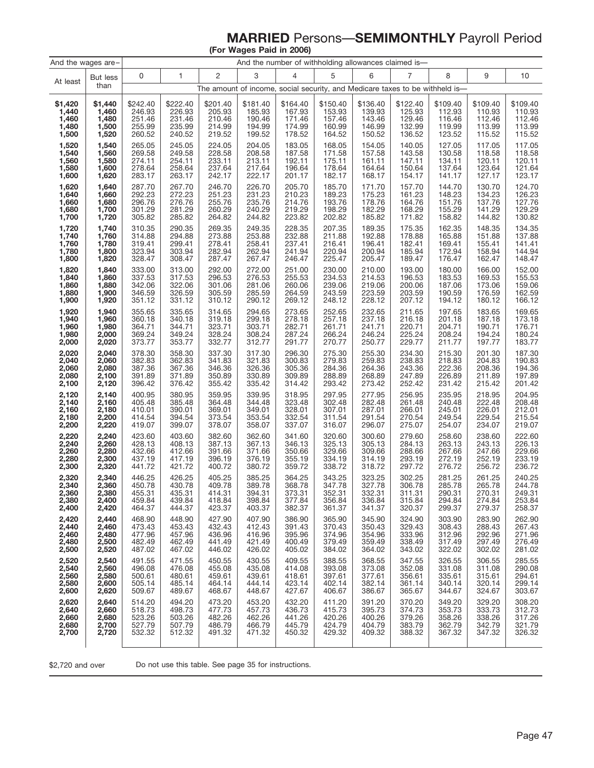## **MARRIED** Persons—**SEMIMONTHLY** Payroll Period

**(For Wages Paid in 2006)**

| And the wages are-                          |                                             | And the number of withholding allowances claimed is- |                                                  |                                                  |                                                                              |                                                  |                                                  |                                                  |                                                  |                                                  |                                                  |                                                  |
|---------------------------------------------|---------------------------------------------|------------------------------------------------------|--------------------------------------------------|--------------------------------------------------|------------------------------------------------------------------------------|--------------------------------------------------|--------------------------------------------------|--------------------------------------------------|--------------------------------------------------|--------------------------------------------------|--------------------------------------------------|--------------------------------------------------|
| At least                                    | <b>But less</b><br>than                     | 0                                                    | 1                                                | $\overline{c}$                                   | 3                                                                            | $\overline{4}$                                   | 5                                                | 6                                                | $\overline{7}$                                   | 8                                                | 9                                                | 10                                               |
|                                             |                                             |                                                      |                                                  |                                                  | The amount of income, social security, and Medicare taxes to be withheld is- |                                                  |                                                  |                                                  |                                                  |                                                  |                                                  |                                                  |
| \$1,420<br>1,440<br>1,460<br>1,480<br>1,500 | \$1,440<br>1,460<br>1,480<br>1,500<br>1,520 | \$242.40<br>246.93<br>251.46<br>255.99<br>260.52     | \$222.40<br>226.93<br>231.46<br>235.99<br>240.52 | \$201.40<br>205.93<br>210.46<br>214.99<br>219.52 | \$181.40<br>185.93<br>190.46<br>194.99<br>199.52                             | \$164.40<br>167.93<br>171.46<br>174.99<br>178.52 | \$150.40<br>153.93<br>157.46<br>160.99<br>164.52 | \$136.40<br>139.93<br>143.46<br>146.99<br>150.52 | \$122.40<br>125.93<br>129.46<br>132.99<br>136.52 | \$109.40<br>112.93<br>116.46<br>119.99<br>123.52 | \$109.40<br>110.93<br>112.46<br>113.99<br>115.52 | \$109.40<br>110.93<br>112.46<br>113.99<br>115.52 |
| 1,520<br>1,540<br>1,560<br>1,580<br>1,600   | 1,540<br>1,560<br>1,580<br>1,600<br>1,620   | 265.05<br>269.58<br>274.11<br>278.64<br>283.17       | 245.05<br>249.58<br>254.11<br>258.64<br>263.17   | 224.05<br>228.58<br>233.11<br>237.64<br>242.17   | 204.05<br>208.58<br>213.11<br>217.64<br>222.17                               | 183.05<br>187.58<br>192.11<br>196.64<br>201.17   | 168.05<br>171.58<br>175.11<br>178.64<br>182.17   | 154.05<br>157.58<br>161.11<br>164.64<br>168.17   | 140.05<br>143.58<br>147.11<br>150.64<br>154.17   | 127.05<br>130.58<br>134.11<br>137.64<br>141.17   | 117.05<br>118.58<br>120.11<br>123.64<br>127.17   | 117.05<br>118.58<br>120.11<br>121.64<br>123.17   |
| 1,620<br>1,640<br>1,660<br>1,680<br>1,700   | 1,640<br>1,660<br>1,680<br>1,700<br>1,720   | 287.70<br>292.23<br>296.76<br>301.29<br>305.82       | 267.70<br>272.23<br>276.76<br>281.29<br>285.82   | 246.70<br>251.23<br>255.76<br>260.29<br>264.82   | 226.70<br>231.23<br>240.29<br>244.82                                         | 205.70<br>210.23<br>214.76<br>219.29<br>223.82   | 185.70<br>189.23<br>193.76<br>198.29<br>202.82   | 171.70<br>175.23<br>178.76<br>182.29<br>185.82   | 157.70<br>161.23<br>164.76<br>168.29<br>171.82   | 144.70<br>148.23<br>151.76<br>155.29<br>158.82   | 130.70<br>134.23<br>137.76<br>141.29<br>144.82   | 124.70<br>126.23<br>127.76<br>129.29<br>130.82   |
| 1,720<br>1,740<br>1,760<br>1,780<br>1,800   | 1,740<br>1,760<br>1,780<br>1,800<br>1,820   | 310.35<br>314.88<br>319.41<br>323.94<br>328.47       | 290.35<br>294.88<br>299.41<br>303.94<br>308.47   | 269.35<br>273.88<br>278.41<br>282.94<br>287.47   | 249.35<br>253.88<br>258.41<br>262.94<br>267.47                               | 228.35<br>232.88<br>237.41<br>241.94<br>246.47   | 207.35<br>211.88<br>216.41<br>220.94<br>225.47   | 189.35<br>192.88<br>196.41<br>200.94<br>205.47   | 175.35<br>178.88<br>182.41<br>185.94<br>189.47   | 162.35<br>165.88<br>169.41<br>172.94<br>176.47   | 148.35<br>151.88<br>155.41<br>158.94<br>162.47   | 134.35<br>137.88<br>141.41<br>144.94<br>148.47   |
| 1,820<br>1,840<br>1,860<br>1,880<br>1,900   | 1,840<br>1,860<br>1,880<br>1,900<br>1,920   | 333.00<br>337.53<br>342.06<br>346.59<br>351.12       | 313.00<br>317.53<br>322.06<br>326.59<br>331.12   | 292.00<br>296.53<br>301.06<br>305.59<br>310.12   | 272.00<br>276.53<br>281.06<br>285.59<br>290.12                               | 251.00<br>255.53<br>260.06<br>264.59<br>269.12   | 230.00<br>234.53<br>239.06<br>243.59<br>248.12   | 210.00<br>214.53<br>219.06<br>223.59<br>228.12   | 193.00<br>196.53<br>200.06<br>203.59<br>207.12   | 180.00<br>183.53<br>187.06<br>190.59<br>194.12   | 166.00<br>169.53<br>173.06<br>176.59<br>180.12   | 152.00<br>155.53<br>159.06<br>162.59<br>166.12   |
| 1,920<br>1,940<br>1,960<br>1,980<br>2,000   | 1,940<br>1,960<br>1,980<br>2,000<br>2,020   | 355.65<br>360.18<br>364.71<br>369.24<br>373.77       | 335.65<br>340.18<br>344.71<br>349.24<br>353.77   | 314.65<br>319.18<br>323.71<br>328.24<br>332.77   | 294.65<br>299.18<br>303.71<br>308.24<br>312.77                               | 273.65<br>278.18<br>282.71<br>287.24<br>291.77   | 252.65<br>257.18<br>261.71<br>266.24<br>270.77   | 232.65<br>237.18<br>241.71<br>246.24<br>250.77   | 211.65<br>216.18<br>220.71<br>225.24<br>229.77   | 197.65<br>201.18<br>204.71<br>208.24<br>211.77   | 183.65<br>187.18<br>190.71<br>194.24<br>197.77   | 169.65<br>173.18<br>176.71<br>180.24<br>183.77   |
| 2,020<br>2,040<br>2,060<br>2,080<br>2,100   | 2,040<br>2,060<br>2,080<br>2,100<br>2,120   | 378.30<br>382.83<br>387.36<br>391.89<br>396.42       | 358.30<br>362.83<br>367.36<br>371.89<br>376.42   | 337.30<br>341.83<br>346.36<br>350.89<br>355.42   | 317.30<br>321.83<br>326.36<br>330.89<br>335.42                               | 296.30<br>300.83<br>305.36<br>309.89<br>314.42   | 275.30<br>279.83<br>284.36<br>288.89<br>293.42   | 255.30<br>259.83<br>264.36<br>268.89<br>273.42   | 234.30<br>238.83<br>243.36<br>247.89<br>252.42   | 215.30<br>218.83<br>222.36<br>226.89<br>231.42   | 201.30<br>204.83<br>208.36<br>211.89<br>215.42   | 187.30<br>190.83<br>194.36<br>197.89<br>201.42   |
| 2,120<br>2,140<br>2,160<br>2,180<br>2,200   | 2,140<br>2,160<br>2,180<br>2,200<br>2,220   | 400.95<br>405.48<br>410.01<br>414.54<br>419.07       | 380.95<br>385.48<br>390.01<br>394.54<br>399.07   | 359.95<br>364.48<br>369.01<br>373.54<br>378.07   | 339.95<br>344.48<br>349.01<br>353.54<br>358.07                               | 318.95<br>323.48<br>328.01<br>332.54<br>337.07   | 297.95<br>302.48<br>307.01<br>311.54<br>316.07   | 277.95<br>282.48<br>287.01<br>291.54<br>296.07   | 256.95<br>261.48<br>266.01<br>270.54<br>275.07   | 235.95<br>240.48<br>245.01<br>249.54<br>254.07   | 218.95<br>222.48<br>226.01<br>229.54<br>234.07   | 204.95<br>208.48<br>212.01<br>215.54<br>219.07   |
| 2,220<br>2,240<br>2,260<br>2,280<br>2,300   | 2,240<br>2,260<br>2,280<br>2,300<br>2,320   | 423.60<br>428.13<br>432.66<br>437.19<br>441.72       | 403.60<br>408.13<br>412.66<br>417.19<br>421.72   | 382.60<br>387.13<br>391.66<br>396.19<br>400.72   | 362.60<br>367.13<br>371.66<br>376.19<br>380.72                               | 341.60<br>346.13<br>350.66<br>355.19<br>359.72   | 320.60<br>325.13<br>329.66<br>334.19<br>338.72   | 300.60<br>305.13<br>309.66<br>314.19<br>318.72   | 279.60<br>284.13<br>288.66<br>293.19<br>297.72   | 258.60<br>263.13<br>267.66<br>272.19<br>276.72   | 238.60<br>243.13<br>247.66<br>252.19<br>256.72   | 222.60<br>226.13<br>229.66<br>233.19<br>236.72   |
| 2,320<br>2,340<br>2,360<br>2,380<br>2,400   | 2,340<br>2,360<br>2,380<br>2,400<br>2,420   | 446.25<br>450.78<br>455.31<br>459.84<br>464.37       | 426.25<br>430.78<br>435.31<br>439.84<br>444.37   | 405.25<br>409.78<br>414.31<br>418.84<br>423.37   | 385.25<br>389.78<br>394.31<br>398.84<br>403.37                               | 364.25<br>368.78<br>373.31<br>377.84<br>382.37   | 343.25<br>347.78<br>352.31<br>356.84<br>361.37   | 323.25<br>327.78<br>332.31<br>336.84<br>341.37   | 302.25<br>306.78<br>311.31<br>315.84<br>320.37   | 281.25<br>285.78<br>290.31<br>294.84<br>299.37   | 261.25<br>265.78<br>270.31<br>274.84<br>279.37   | 240.25<br>244.78<br>249.31<br>253.84<br>258.37   |
| 2,420<br>2,440<br>2,460<br>2,480<br>2,500   | 2,440<br>2,460<br>2,480<br>2,500<br>2,520   | 468.90<br>473.43<br>477.96<br>482.49<br>487.02       | 448.90<br>453.43<br>457.96<br>462.49<br>467.02   | 427.90<br>432.43<br>436.96<br>441.49<br>446.02   | 407.90<br>412.43<br>416.96<br>421.49<br>426.02                               | 386.90<br>391.43<br>395.96<br>400.49<br>405.02   | 365.90<br>370.43<br>374.96<br>379.49<br>384.02   | 345.90<br>350.43<br>354.96<br>359.49<br>364.02   | 324.90<br>329.43<br>333.96<br>338.49<br>343.02   | 303.90<br>308.43<br>312.96<br>317.49<br>322.02   | 283.90<br>288.43<br>292.96<br>297.49<br>302.02   | 262.90<br>267.43<br>271.96<br>276.49<br>281.02   |
| 2,520<br>2,540<br>2,560<br>2,580<br>2,600   | 2,540<br>2,560<br>2,580<br>2,600<br>2,620   | 491.55<br>496.08<br>500.61<br>505.14<br>509.67       | 471.55<br>476.08<br>480.61<br>485.14<br>489.67   | 450.55<br>455.08<br>459.61<br>464.14<br>468.67   | 430.55<br>435.08<br>439.61<br>444.14<br>448.67                               | 409.55<br>414.08<br>418.61<br>423.14<br>427.67   | 388.55<br>393.08<br>397.61<br>402.14<br>406.67   | 368.55<br>373.08<br>377.61<br>382.14<br>386.67   | 347.55<br>352.08<br>356.61<br>361.14<br>365.67   | 326.55<br>331.08<br>335.61<br>340.14<br>344.67   | 306.55<br>311.08<br>315.61<br>320.14<br>324.67   | 285.55<br>290.08<br>294.61<br>299.14<br>303.67   |
| 2,620<br>2,640<br>2,660<br>2,680<br>2,700   | 2,640<br>2,660<br>2,680<br>2,700<br>2,720   | 514.20<br>518.73<br>523.26<br>527.79<br>532.32       | 494.20<br>498.73<br>503.26<br>507.79<br>512.32   | 473.20<br>477.73<br>482.26<br>486.79<br>491.32   | 453.20<br>457.73<br>462.26<br>466.79<br>471.32                               | 432.20<br>436.73<br>441.26<br>445.79<br>450.32   | 411.20<br>415.73<br>420.26<br>424.79<br>429.32   | 391.20<br>395.73<br>400.26<br>404.79<br>409.32   | 370.20<br>374.73<br>379.26<br>383.79<br>388.32   | 349.20<br>353.73<br>358.26<br>362.79<br>367.32   | 329.20<br>333.73<br>338.26<br>342.79<br>347.32   | 308.20<br>312.73<br>317.26<br>321.79<br>326.32   |

\$2,720 and over Do not use this table. See page 35 for instructions.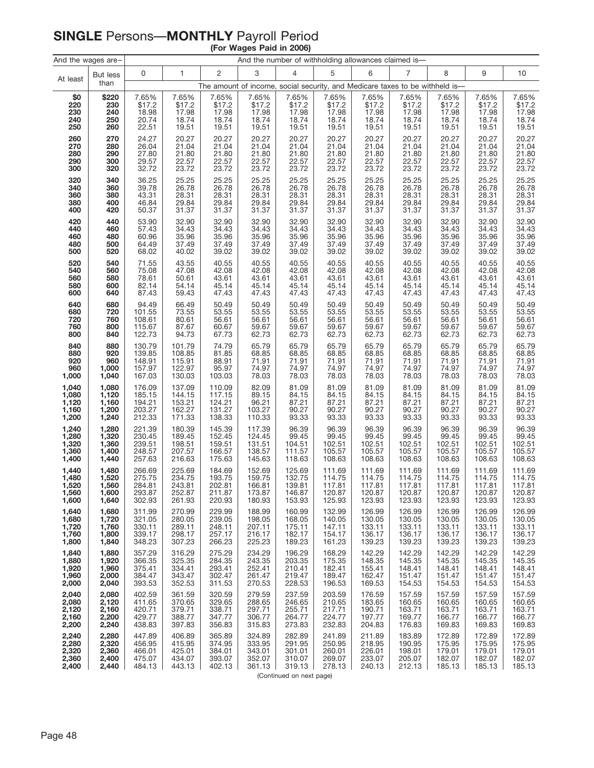## **SINGLE** Persons—**MONTHLY** Payroll Period **(For Wages Paid in 2006)**

| And the wages are-                        |                                           | And the number of withholding allowances claimed is- |                                                |                                                |                                                |                                                |                                                |                                                                              |                                                |                                                |                                                |                                                |
|-------------------------------------------|-------------------------------------------|------------------------------------------------------|------------------------------------------------|------------------------------------------------|------------------------------------------------|------------------------------------------------|------------------------------------------------|------------------------------------------------------------------------------|------------------------------------------------|------------------------------------------------|------------------------------------------------|------------------------------------------------|
| At least                                  | But less                                  | 0                                                    | 1                                              | $\overline{2}$                                 | 3                                              | $\overline{4}$                                 | 5                                              | 6                                                                            | $\overline{7}$                                 | 8                                              | 9                                              | 10                                             |
|                                           | than                                      |                                                      |                                                |                                                |                                                |                                                |                                                | The amount of income, social security, and Medicare taxes to be withheld is- |                                                |                                                |                                                |                                                |
| \$0<br>220<br>230<br>240<br>250           | \$220<br>230<br>240<br>250<br>260         | 7.65%<br>\$17.2<br>18.98<br>20.74<br>22.51           | 7.65%<br>\$17.2<br>17.98<br>18.74<br>19.51     | 7.65%<br>$$17.2$<br>17.98<br>18.74<br>19.51    | 7.65%<br>\$17.2<br>17.98<br>18.74<br>19.51     | 7.65%<br>\$17.2<br>17.98<br>18.74<br>19.51     | 7.65%<br>\$17.2<br>17.98<br>18.74<br>19.51     | 7.65%<br>\$17.2<br>17.98<br>18.74<br>19.51                                   | 7.65%<br>\$17.2<br>17.98<br>18.74<br>19.51     | 7.65%<br>\$17.2<br>17.98<br>18.74<br>19.51     | 7.65%<br>\$17.2<br>17.98<br>18.74<br>19.51     | 7.65%<br>\$17.2<br>17.98<br>18.74<br>19.51     |
| 260<br>270<br>280<br>290<br>300           | 270<br>280<br>290<br>300<br>320           | 24.27<br>26.04<br>27.80<br>$29.57$<br>32.72          | 20.27<br>21.04<br>21.80<br>22.57<br>23.72      | 20.27<br>21.04<br>21.80<br>22.57<br>23.72      | 20.27<br>21.04<br>21.80<br>22.57<br>23.72      | 20.27<br>$21.04$<br>$21.80$<br>22.57<br>23.72  | 20.27<br>21.04<br>21.80<br>22.57<br>23.72      | 20.27<br>$21.04$<br>$21.80$<br>22.57<br>23.72                                | 20.27<br>$21.04$<br>$21.80$<br>22.57<br>23.72  | 20.27<br>$21.04$<br>$21.80$<br>22.57<br>23.72  | 20.27<br>21.04<br>21.80<br>22.57<br>23.72      | 20.27<br>21.04<br>21.80<br>22.57<br>23.72      |
| 320<br>340<br>360<br>380<br>400           | 340<br>360<br>380<br>400<br>420           | 36.25<br>39.78<br>43.31<br>46.84<br>50.37            | 25.25<br>26.78<br>28.31<br>29.84<br>31.37      | 25.25<br>26.78<br>28.31<br>29.84<br>31.37      | 25.25<br>26.78<br>28.31<br>29.84<br>31.37      | 25.25<br>26.78<br>28.31<br>29.84<br>31.37      | 25.25<br>26.78<br>28.31<br>29.84<br>31.37      | 25.25<br>26.78<br>28.31<br>29.84<br>31.37                                    | 25.25<br>26.78<br>28.31<br>29.84<br>31.37      | 25.25<br>26.78<br>28.31<br>29.84<br>31.37      | 25.25<br>26.78<br>28.31<br>29.84<br>31.37      | 25.25<br>26.78<br>28.31<br>29.84<br>31.37      |
| 420<br>440<br>460<br>480<br>500           | 440<br>460<br>480<br>500<br>520           | 53.90<br>57.43<br>60.96<br>64.49<br>68.02            | 32.90<br>34.43<br>35.96<br>37.49<br>40.02      | 32.90<br>34.43<br>35.96<br>37.49<br>39.02      | 32.90<br>34.43<br>35.96<br>37.49<br>39.02      | 32.90<br>34.43<br>35.96<br>37.49<br>39.02      | 32.90<br>34.43<br>35.96<br>37.49<br>39.02      | 32.90<br>34.43<br>35.96<br>37.49<br>39.02                                    | 32.90<br>34.43<br>35.96<br>37.49<br>39.02      | 32.90<br>34.43<br>35.96<br>37.49<br>39.02      | 32.90<br>34.43<br>35.96<br>37.49<br>39.02      | 32.90<br>34.43<br>35.96<br>37.49<br>39.02      |
| 520<br>540<br>560<br>580<br>600           | 540<br>560<br>580<br>600<br>640           | 71.55<br>75.08<br>78.61<br>82.14<br>87.43            | 43.55<br>47.08<br>50.61<br>54.14<br>59.43      | 40.55<br>42.08<br>43.61<br>45.14<br>47.43      | 40.55<br>42.08<br>43.61<br>45.14<br>47.43      | 40.55<br>42.08<br>43.61<br>45.14<br>47.43      | 40.55<br>42.08<br>43.61<br>45.14<br>47.43      | 40.55<br>42.08<br>43.61<br>45.14<br>47.43                                    | 40.55<br>42.08<br>43.61<br>45.14<br>47.43      | 40.55<br>42.08<br>43.61<br>45.14<br>47.43      | 40.55<br>42.08<br>43.61<br>45.14<br>47.43      | 40.55<br>42.08<br>43.61<br>45.14<br>47.43      |
| 640<br>680<br>720<br>760<br>800           | 680<br>720<br>760<br>800<br>840           | 94.49<br>101.55<br>108.61<br>115.67<br>122.73        | 66.49<br>73.55<br>80.61<br>87.67<br>94.73      | 50.49<br>53.55<br>56.61<br>60.67<br>67.73      | 50.49<br>53.55<br>56.61<br>59.67<br>62.73      | 50.49<br>53.55<br>56.61<br>59.67<br>62.73      | 50.49<br>53.55<br>56.61<br>59.67<br>62.73      | 50.49<br>53.55<br>56.61<br>59.67<br>62.73                                    | 50.49<br>53.55<br>56.61<br>59.67<br>62.73      | 50.49<br>53.55<br>56.61<br>59.67<br>62.73      | 50.49<br>53.55<br>56.61<br>59.67<br>62.73      | 50.49<br>53.55<br>56.61<br>59.67<br>62.73      |
| 840<br>880<br>920<br>960<br>1,000         | 880<br>920<br>960<br>$1,000$<br>$1,040$   | 130.79<br>139.85<br>148.91<br>157.97<br>167.03       | 101.79<br>108.85<br>115.91<br>122.97<br>130.03 | 74.79<br>81.85<br>88.91<br>95.97<br>103.03     | 65.79<br>68.85<br>71.91<br>74.97<br>78.03      | 65.79<br>68.85<br>71.91<br>74.97<br>78.03      | 65.79<br>68.85<br>71.91<br>74.97<br>78.03      | 65.79<br>68.85<br>71.91<br>74.97<br>78.03                                    | 65.79<br>68.85<br>71.91<br>74.97<br>78.03      | 65.79<br>71.91<br>74.97<br>78.03               | 65.79<br>68.85<br>71.91<br>74.97<br>78.03      | 65.79<br>68.85<br>71.91<br>74.97<br>78.03      |
| 1,040<br>1,080<br>1,120<br>1,160<br>1,200 | 1,080<br>1,120<br>1,160<br>1,200<br>1,240 | 176.09<br>185.15<br>194.21<br>203.27<br>212.33       | 137.09<br>144.15<br>153.21<br>162.27<br>171.33 | 110.09<br>117.15<br>124.21<br>131.27<br>138.33 | 82.09<br>89.15<br>96.21<br>103.27<br>110.33    | 81.09<br>84.15<br>87.21<br>90.27<br>93.33      | 81.09<br>84.15<br>87.21<br>90.27<br>93.33      | 81.09<br>84.15<br>87.21<br>90.27<br>93.33                                    | 81.09<br>84.15<br>87.21<br>90.27<br>93.33      | 81.09<br>84.15<br>87.21<br>$90.27$<br>$93.33$  | 81.09<br>84.15<br>87.21<br>90.27<br>93.33      | 81.09<br>84.15<br>87.21<br>90.27<br>93.33      |
| 1,240<br>1,280<br>1,320<br>1,360<br>1,400 | 1,280<br>1,320<br>1,360<br>1,400<br>1,440 | 221.39<br>230.45<br>239.51<br>248.57<br>257.63       | 180.39<br>189.45<br>198.51<br>207.57<br>216.63 | 145.39<br>152.45<br>159.51<br>166.57<br>175.63 | 117.39<br>124.45<br>131.51<br>138.57<br>145.63 | 96.39<br>99.45<br>104.51<br>111.57<br>118.63   | 96.39<br>$99.45$<br>102.51<br>105.57<br>108.63 | 96.39<br>$99.45$<br>102.51<br>105.57<br>108.63                               | 96.39<br>99.45<br>102.51<br>105.57<br>108.63   | 96.39<br>99.45<br>102.51<br>105.57<br>108.63   | 96.39<br>99.45<br>102.51<br>105.57<br>108.63   | 96.39<br>99.45<br>102.51<br>105.57<br>108.63   |
| 1,440<br>1,480<br>1,520<br>1,560<br>1,600 | 1,480<br>1,520<br>1,560<br>1,600<br>1,640 | 266.69<br>275.75<br>284.81<br>293.87<br>302.93       | 225.69<br>234.75<br>243.81<br>252.87<br>261.93 | 184.69<br>193.75<br>202.81<br>211.87<br>220.93 | 152.69<br>159.75<br>166.81<br>173.87<br>180.93 | 125.69<br>132.75<br>139.81<br>146.87<br>153.93 | 111.69<br>114.75<br>117.81<br>120.87<br>125.93 | 111.69<br>114.75<br>117.81<br>120.87<br>123.93                               | 111.69<br>114.75<br>117.81<br>120.87<br>123.93 | 111.69<br>114.75<br>117.81<br>120.87<br>123.93 | 111.69<br>114.75<br>117.81<br>120.87<br>123.93 | 111.69<br>114.75<br>117.81<br>120.87<br>123.93 |
| 1,640<br>1,680<br>1,720<br>1,760<br>1,800 | 1,680<br>1,720<br>1,760<br>1,800<br>1,840 | 311.99<br>321.05<br>330.11<br>339.17<br>348.23       | 270.99<br>280.05<br>289.11<br>298.17<br>307.23 | 229.99<br>239.05<br>248.11<br>257.17<br>266.23 | 188.99<br>198.05<br>207.11<br>216.17<br>225.23 | 160.99<br>168.05<br>175.11<br>182.17<br>189.23 | 132.99<br>140.05<br>147.11<br>154.17<br>161.23 | 126.99<br>130.05<br>133.11<br>136.17<br>139.23                               | 126.99<br>130.05<br>133.11<br>136.17<br>139.23 | 126.99<br>130.05<br>133.11<br>136.17<br>139.23 | 126.99<br>130.05<br>133.11<br>136.17<br>139.23 | 126.99<br>130.05<br>133.11<br>136.17<br>139.23 |
| 1,840<br>1,880<br>1,920<br>1,960<br>2,000 | 1,880<br>1,920<br>1,960<br>2,000<br>2,040 | 357.29<br>366.35<br>375.41<br>384.47<br>393.53       | 316.29<br>325.35<br>334.41<br>343.47<br>352.53 | 275.29<br>284.35<br>293.41<br>302.47<br>311.53 | 234.29<br>243.35<br>252.41<br>261.47<br>270.53 | 196.29<br>203.35<br>210.41<br>219.47<br>228.53 | 168.29<br>175.35<br>182.41<br>189.47<br>196.53 | 142.29<br>148.35<br>155.41<br>162.47<br>169.53                               | 142.29<br>145.35<br>148.41<br>151.47<br>154.53 | 142.29<br>145.35<br>148.41<br>151.47<br>154.53 | 142.29<br>145.35<br>148.41<br>151.47<br>154.53 | 142.29<br>145.35<br>148.41<br>151.47<br>154.53 |
| 2,040<br>2,080<br>2,120<br>2,160<br>2,200 | 2,080<br>2,120<br>2,160<br>2,200<br>2,240 | 402.59<br>411.65<br>420.71<br>429.77<br>438.83       | 361.59<br>370.65<br>379.71<br>388.77<br>397.83 | 320.59<br>329.65<br>338.71<br>347.77<br>356.83 | 279.59<br>288.65<br>297.71<br>306.77<br>315.83 | 237.59<br>246.65<br>255.71<br>264.77<br>273.83 | 203.59<br>210.65<br>217.71<br>224.77<br>232.83 | 176.59<br>183.65<br>190.71<br>197.77<br>204.83                               | 157.59<br>160.65<br>163.71<br>169.77<br>176.83 | 157.59<br>160.65<br>163.71<br>166.77<br>169.83 | 157.59<br>160.65<br>163.71<br>166.77<br>169.83 | 157.59<br>160.65<br>163.71<br>166.77<br>169.83 |
| 2,240<br>2,280<br>2,320<br>2,360<br>2,400 | 2,280<br>2,320<br>2,360<br>2,400<br>2,440 | 447.89<br>456.95<br>466.01<br>475.07<br>484.13       | 406.89<br>415.95<br>425.01<br>434.07<br>443.13 | 365.89<br>374.95<br>384.01<br>393.07<br>402.13 | 324.89<br>333.95<br>343.01<br>352.07<br>361.13 | 282.89<br>291.95<br>301.01<br>310.07<br>319.13 | 241.89<br>250.95<br>260.01<br>269.07<br>278.13 | 211.89<br>218.95<br>226.01<br>233.07<br>240.13                               | 183.89<br>190.95<br>198.01<br>205.07<br>212.13 | 172.89<br>175.95<br>179.01<br>182.07<br>185.13 | 172.89<br>175.95<br>179.01<br>182.07<br>185.13 | 172.89<br>175.95<br>179.01<br>182.07<br>185.13 |

(Continued on next page)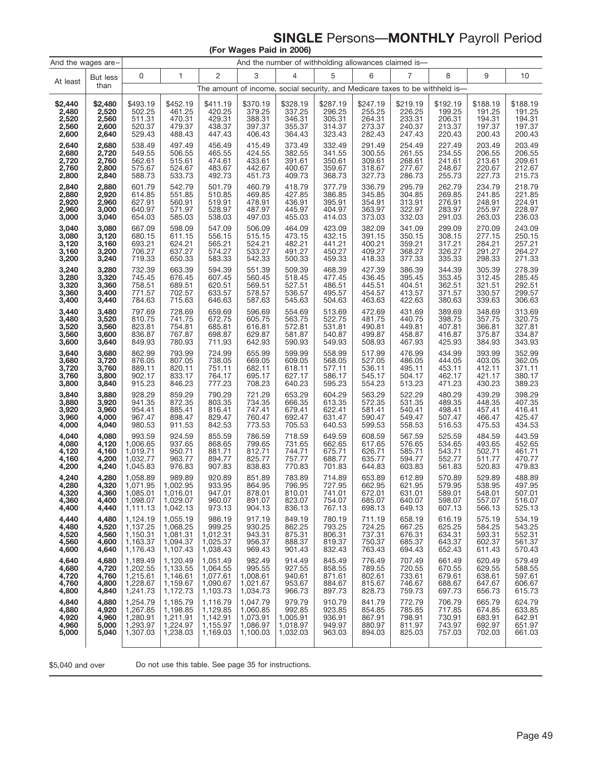## **SINGLE** Persons—**MONTHLY** Payroll Period

**(For Wages Paid in 2006)**

| And the wages are-                          |                                             | And the number of withholding allowances claimed is-     |                                                          |                                                          |                                                                              |                                                      |                                                  |                                                  |                                                  |                                                  |                                                  |                                                  |
|---------------------------------------------|---------------------------------------------|----------------------------------------------------------|----------------------------------------------------------|----------------------------------------------------------|------------------------------------------------------------------------------|------------------------------------------------------|--------------------------------------------------|--------------------------------------------------|--------------------------------------------------|--------------------------------------------------|--------------------------------------------------|--------------------------------------------------|
| At least                                    | <b>But less</b>                             | 0                                                        | 1                                                        | $\overline{c}$                                           | 3                                                                            | $\overline{4}$                                       | 5                                                | 6                                                | $\overline{7}$                                   | 8                                                | 9                                                | 10                                               |
|                                             | than                                        |                                                          |                                                          |                                                          | The amount of income, social security, and Medicare taxes to be withheld is- |                                                      |                                                  |                                                  |                                                  |                                                  |                                                  |                                                  |
| \$2,440<br>2,480<br>2,520<br>2,560<br>2,600 | \$2,480<br>2,520<br>2,560<br>2,600<br>2,640 | \$493.19<br>502.25<br>511.31<br>520.37<br>529.43         | \$452.19<br>461.25<br>470.31<br>479.37<br>488.43         | \$411.19<br>420.25<br>429.31<br>438.37<br>447.43         | \$370.19<br>379.25<br>388.31<br>397.37<br>406.43                             | \$328.19<br>337.25<br>346.31<br>355.37<br>364.43     | \$287.19<br>296.25<br>305.31<br>314.37<br>323.43 | \$247.19<br>255.25<br>264.31<br>273.37<br>282.43 | \$219.19<br>226.25<br>233.31<br>240.37<br>247.43 | \$192.19<br>199.25<br>206.31<br>213.37<br>220.43 | \$188.19<br>191.25<br>194.31<br>197.37<br>200.43 | \$188.19<br>191.25<br>194.31<br>197.37<br>200.43 |
| 2,640<br>2,680<br>2,720<br>2,760<br>2,800   | 2,680<br>2,720<br>2,760<br>2,800<br>2,840   | 538.49<br>549.55<br>562.61<br>575.67<br>588.73           | 497.49<br>506.55<br>515.61<br>524.67<br>533.73           | 456.49<br>465.55<br>474.61<br>483.67<br>492.73           | 415.49<br>424.55<br>433.61<br>442.67<br>451.73                               | 373.49<br>382.55<br>391.61<br>400.67<br>409.73       | 332.49<br>341.55<br>350.61<br>359.67<br>368.73   | 291.49<br>300.55<br>309.61<br>318.67<br>327.73   | 254.49<br>261.55<br>268.61<br>277.67<br>286.73   | 227.49<br>234.55<br>241.61<br>248.67<br>255.73   | 203.49<br>206.55<br>213.61<br>220.67<br>227.73   | 203.49<br>206.55<br>209.61<br>212.67<br>215.73   |
| 2,840<br>2,880<br>2,920<br>2,960<br>3,000   | 2,880<br>2,920<br>2,960<br>3,000<br>3,040   | 601.79<br>614.85<br>627.91<br>640.97<br>654.03           | 542.79<br>551.85<br>560.91<br>571.97<br>585.03           | 501.79<br>510.85<br>519.91<br>528.97<br>538.03           | 460.79<br>469.85<br>478.91<br>487.97<br>497.03                               | 418.79<br>427.85<br>436.91<br>445.97<br>455.03       | 377.79<br>386.85<br>395.91<br>404.97<br>414.03   | 336.79<br>345.85<br>354.91<br>363.97<br>373.03   | 295.79<br>304.85<br>313.91<br>322.97<br>332.03   | 262.79<br>269.85<br>276.91<br>283.97<br>291.03   | 234.79<br>241.85<br>248.91<br>255.97<br>263.03   | 218.79<br>221.85<br>224.91<br>228.97<br>236.03   |
| 3,040<br>3,080<br>3,120<br>3,160<br>3,200   | 3,080<br>3,120<br>3,160<br>3,200<br>3,240   | 667.09<br>680.15<br>693.21<br>706.27<br>719.33           | 598.09<br>611.15<br>624.21<br>637.27<br>650.33           | 547.09<br>556.15<br>565.21<br>574.27<br>583.33           | 506.09<br>515.15<br>524.21<br>533.27<br>542.33                               | 464.09<br>473.15<br>482.21<br>491.27<br>500.33       | 423.09<br>432.15<br>441.21<br>450.27<br>459.33   | 382.09<br>391.15<br>400.21<br>409.27<br>418.33   | 341.09<br>350.15<br>359.21<br>368.27<br>377.33   | 299.09<br>308.15<br>317.21<br>326.27<br>335.33   | 270.09<br>277.15<br>284.21<br>291.27<br>298.33   | 243.09<br>250.15<br>257.21<br>264.27<br>271.33   |
| 3,240<br>3,280<br>3,320<br>3,360<br>3,400   | 3,280<br>3,320<br>3,360<br>3,400<br>3,440   | 732.39<br>745.45<br>758.51<br>771.57<br>784.63           | 663.39<br>676.45<br>689.51<br>702.57<br>715.63           | 594.39<br>607.45<br>620.51<br>633.57<br>646.63           | 551.39<br>560.45<br>569.51<br>578.57<br>587.63                               | 509.39<br>518.45<br>527.51<br>536.57<br>545.63       | 468.39<br>477.45<br>486.51<br>495.57<br>504.63   | 427.39<br>436.45<br>445.51<br>454.57<br>463.63   | 386.39<br>395.45<br>404.51<br>413.57<br>422.63   | 344.39<br>353.45<br>362.51<br>371.57<br>380.63   | 305.39<br>312.45<br>321.51<br>330.57<br>339.63   | 278.39<br>285.45<br>292.51<br>299.57<br>306.63   |
| 3,440<br>3,480<br>3,520<br>3,560<br>3,600   | 3,480<br>3,520<br>3,560<br>3,600<br>3,640   | 797.69<br>810.75<br>823.81<br>836.87<br>849.93           | 728.69<br>741.75<br>754.81<br>767.87<br>780.93           | 659.69<br>672.75<br>685.81<br>698.87<br>711.93           | 596.69<br>605.75<br>616.81<br>629.87<br>642.93                               | 554.69<br>563.75<br>572.81<br>581.87<br>590.93       | 513.69<br>522.75<br>531.81<br>540.87<br>549.93   | 472.69<br>481.75<br>490.81<br>499.87<br>508.93   | 431.69<br>440.75<br>449.81<br>458.87<br>467.93   | 389.69<br>398.75<br>407.81<br>416.87<br>425.93   | 348.69<br>357.75<br>366.81<br>375.87<br>384.93   | 313.69<br>320.75<br>327.81<br>334.87<br>343.93   |
| 3,640<br>3,680<br>3,720<br>3,760<br>3,800   | 3,680<br>3,720<br>3,760<br>3,800<br>3,840   | 862.99<br>876.05<br>889.11<br>902.17<br>915.23           | 793.99<br>807.05<br>820.11<br>833.17<br>846.23           | 724.99<br>738.05<br>751.11<br>764.17<br>777.23           | 655.99<br>669.05<br>682.11<br>695.17<br>708.23                               | 599.99<br>$609.05$<br>$618.11$<br>627.17<br>640.23   | 558.99<br>568.05<br>577.11<br>586.17<br>595.23   | 517.99<br>527.05<br>536.11<br>545.17<br>554.23   | 476.99<br>486.05<br>495.11<br>504.17<br>513.23   | 434.99<br>444.05<br>453.11<br>462.17<br>471.23   | 393.99<br>403.05<br>412.11<br>421.17<br>430.23   | 352.99<br>362.05<br>371.11<br>380.17<br>389.23   |
| 3,840<br>3,880<br>3,920<br>3,960<br>4,000   | 3,880<br>3,920<br>3,960<br>4,000<br>4,040   | 928.29<br>941.35<br>954.41<br>967.47<br>980.53           | 859.29<br>872.35<br>885.41<br>898.47<br>911.53           | 790.29<br>803.35<br>816.41<br>829.47<br>842.53           | 721.29<br>734.35<br>747.41<br>760.47<br>773.53                               | 653.29<br>666.35<br>679.41<br>692.47<br>705.53       | 604.29<br>613.35<br>622.41<br>631.47<br>640.53   | 563.29<br>572.35<br>581.41<br>590.47<br>599.53   | 522.29<br>531.35<br>540.41<br>549.47<br>558.53   | 480.29<br>489.35<br>498.41<br>507.47<br>516.53   | 439.29<br>448.35<br>457.41<br>466.47<br>475.53   | 398.29<br>407.35<br>416.41<br>425.47<br>434.53   |
| 4,040<br>4,080<br>4,120<br>4,160<br>4,200   | 4,080<br>4,120<br>4,160<br>4,200<br>4,240   | 993.59<br>1,006.65<br>1,019.71<br>1,032.77<br>1,045.83   | 924.59<br>937.65<br>950.71<br>963.77<br>976.83           | 855.59<br>868.65<br>881.71<br>894.77<br>907.83           | 786.59<br>799.65<br>812.71<br>825.77<br>838.83                               | 718.59<br>731.65<br>744.71<br>757.77<br>770.83       | 649.59<br>662.65<br>675.71<br>688.77<br>701.83   | 608.59<br>617.65<br>626.71<br>635.77<br>644.83   | 567.59<br>576.65<br>585.71<br>594.77<br>603.83   | 525.59<br>534.65<br>543.71<br>552.77<br>561.83   | 484.59<br>493.65<br>502.71<br>511.77<br>520.83   | 443.59<br>452.65<br>461.71<br>470.77<br>479.83   |
| 4,240<br>4,280<br>4,320<br>4,360<br>4,400   | 4,280<br>4,320<br>4,360<br>4,400<br>4,440   | 1,058.89<br>1.071.95<br>1,085.01<br>1,098.07<br>1,111.13 | 989.89<br>1,002.95<br>1,016.01<br>1,029.07<br>1,042.13   | 920.89<br>933.95<br>947.01<br>960.07<br>973.13           | 851.89<br>864.95<br>878.01<br>891.07<br>904.13                               | 783.89<br>796.95<br>810.01<br>823.07<br>836.13       | 714.89<br>727.95<br>741.01<br>754.07<br>767.13   | 653.89<br>662.95<br>672.01<br>685.07<br>698.13   | 612.89<br>621.95<br>631.01<br>640.07<br>649.13   | 570.89<br>579.95<br>589.01<br>598.07<br>607.13   | 529.89<br>538.95<br>548.01<br>557.07<br>566.13   | 488.89<br>497.95<br>507.01<br>516.07<br>525.13   |
| 4,440<br>4,480<br>4,520<br>4,560<br>4,600   | 4,480<br>4,520<br>4,560<br>4,600<br>4,640   | 1,124.19<br>1,137.25<br>1,150.31<br>1,163.37<br>1,176.43 | 1,055.19<br>1,068.25<br>1,081.31<br>1,094.37<br>1,107.43 | 986.19<br>999.25<br>1,012.31<br>1,025.37<br>1,038.43     | 917.19<br>930.25<br>943.31<br>956.37<br>969.43                               | 849.19<br>862.25<br>875.31<br>888.37<br>901.43       | 780.19<br>793.25<br>806.31<br>819.37<br>832.43   | 711.19<br>724.25<br>737.31<br>750.37<br>763.43   | 658.19<br>667.25<br>676.31<br>685.37<br>694.43   | 616.19<br>625.25<br>634.31<br>643.37<br>652.43   | 575.19<br>584.25<br>593.31<br>602.37<br>611.43   | 534.19<br>543.25<br>552.31<br>561.37<br>570.43   |
| 4,640<br>4,680<br>4,720<br>4,760<br>4,800   | 4,680<br>4,720<br>4,760<br>4,800<br>4,840   | 1,189.49<br>1,202.55<br>1,215.61<br>1,228.67<br>1,241.73 | 1,120.49<br>1,133.55<br>1,146.61<br>1,159.67<br>1,172.73 | 1,051.49<br>1,064.55<br>1,077.61<br>1,090.67<br>1,103.73 | 982.49<br>995.55<br>1,008.61<br>1,021.67<br>1,034.73                         | 914.49<br>927.55<br>940.61<br>953.67<br>966.73       | 845.49<br>858.55<br>871.61<br>884.67<br>897.73   | 776.49<br>789.55<br>802.61<br>815.67<br>828.73   | 707.49<br>720.55<br>733.61<br>746.67<br>759.73   | 661.49<br>670.55<br>679.61<br>688.67<br>697.73   | 620.49<br>629.55<br>638.61<br>647.67<br>656.73   | 579.49<br>588.55<br>597.61<br>606.67<br>615.73   |
| 4,840<br>4,880<br>4,920<br>4,960<br>5,000   | 4,880<br>4,920<br>4,960<br>5,000<br>5,040   | 1,254.79<br>1,267.85<br>1,280.91<br>1,293.97<br>1,307.03 | 1,185.79<br>1,198.85<br>1,211.91<br>1,224.97<br>1,238.03 | 1,116.79<br>1,129.85<br>1,142.91<br>1,155.97<br>1,169.03 | 1,047.79<br>1,060.85<br>1,073.91<br>1,086.97<br>1,100.03                     | 979.79<br>992.85<br>1,005.91<br>1,018.97<br>1,032.03 | 910.79<br>923.85<br>936.91<br>949.97<br>963.03   | 841.79<br>854.85<br>867.91<br>880.97<br>894.03   | 772.79<br>785.85<br>798.91<br>811.97<br>825.03   | 706.79<br>717.85<br>730.91<br>743.97<br>757.03   | 665.79<br>674.85<br>683.91<br>692.97<br>702.03   | 624.79<br>633.85<br>642.91<br>651.97<br>661.03   |

\$5,040 and over Do not use this table. See page 35 for instructions.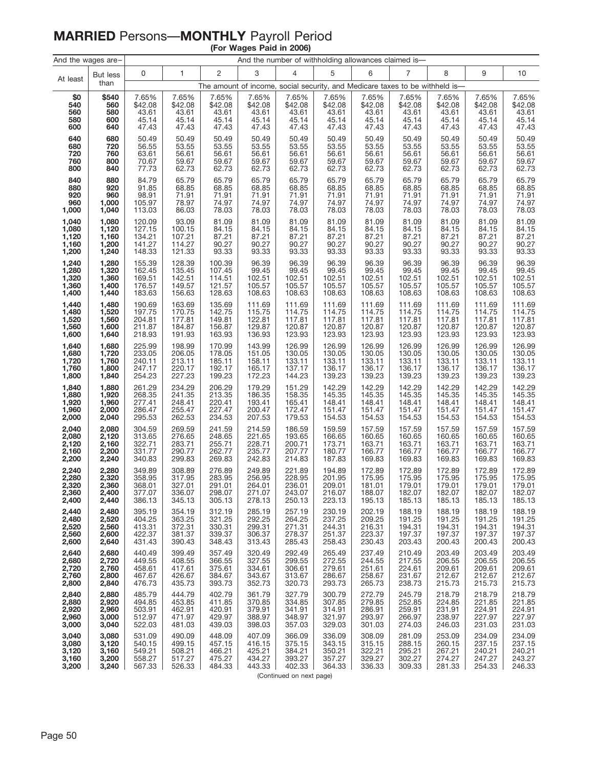## **MARRIED** Persons—**MONTHLY** Payroll Period **(For Wages Paid in 2006)**

| And the wages are-                        |                                           |                                                |                                                |                                                |                                                |                                                 |                                                | And the number of withholding allowances claimed is-                         |                                                |                                                |                                                |                                                    |
|-------------------------------------------|-------------------------------------------|------------------------------------------------|------------------------------------------------|------------------------------------------------|------------------------------------------------|-------------------------------------------------|------------------------------------------------|------------------------------------------------------------------------------|------------------------------------------------|------------------------------------------------|------------------------------------------------|----------------------------------------------------|
| At least                                  | <b>But less</b>                           | 0                                              | 1                                              | $\overline{c}$                                 | 3                                              | $\overline{4}$                                  | 5                                              | 6                                                                            | $\overline{7}$                                 | 8                                              | 9                                              | 10                                                 |
|                                           | than                                      |                                                |                                                |                                                |                                                |                                                 |                                                | The amount of income, social security, and Medicare taxes to be withheld is- |                                                |                                                |                                                |                                                    |
| \$0<br>540<br>560<br>580<br>600           | \$540<br>560<br>580<br>600<br>640         | 7.65%<br>\$42.08<br>43.61<br>45.14<br>47.43    | 7.65%<br>\$42.08<br>43.61<br>45.14<br>47.43    | 7.65%<br>\$42.08<br>43.61<br>45.14<br>47.43    | 7.65%<br>\$42.08<br>43.61<br>45.14<br>47.43    | 7.65%<br>\$42.08<br>43.61<br>45.14<br>47.43     | 7.65%<br>\$42.08<br>43.61<br>45.14<br>47.43    | 7.65%<br>\$42.08<br>43.61<br>45.14<br>47.43                                  | 7.65%<br>\$42.08<br>43.61<br>45.14<br>47.43    | 7.65%<br>\$42.08<br>43.61<br>45.14<br>47.43    | 7.65%<br>\$42.08<br>43.61<br>45.14<br>47.43    | 7.65%<br>\$42.08<br>43.61<br>45.14<br>47.43        |
| 640<br>680<br>720<br>760<br>800           | 680<br>720<br>760<br>800<br>840           | 50.49<br>56.55<br>63.61<br>70.67<br>77.73      | 50.49<br>53.55<br>56.61<br>59.67<br>62.73      | 50.49<br>53.55<br>56.61<br>59.67<br>62.73      | 50.49<br>53.55<br>56.61<br>59.67<br>62.73      | 50.49<br>$53.55$<br>$56.61$<br>$59.67$<br>62.73 | 50.49<br>$53.55$<br>$56.61$<br>59.67<br>62.73  | 50.49<br>$53.55$<br>$56.61$<br>59.67<br>62.73                                | 50.49<br>53.55<br>56.61<br>59.67<br>62.73      | 50.49<br>53.55<br>56.61<br>59.67<br>62.73      | 50.49<br>53.55<br>56.61<br>59.67<br>62.73      | 50.49<br>53.55<br>56.61<br>$\frac{59.67}{62.73}$   |
| 840<br>880<br>920<br>960<br>1,000         | 880<br>920<br>960<br>1,000<br>1,040       | 84.79<br>91.85<br>98.91<br>105.97<br>113.03    | 65.79<br>68.85<br>71.91<br>78.97<br>86.03      | 65.79<br>68.85<br>71.91<br>74.97<br>78.03      | 65.79<br>68.85<br>71.91<br>74.97<br>78.03      | 65.79<br>68.85<br>71.91<br>74.97<br>78.03       | 65.79<br>68.85<br>71.91<br>74.97<br>78.03      | 65.79<br>68.85<br>71.91<br>74.97<br>78.03                                    | 65.79<br>68.85<br>71.91<br>74.97<br>78.03      | 65.79<br>68.85<br>71.91<br>74.97<br>78.03      | 65.79<br>68.85<br>71.91<br>74.97<br>78.03      | 65.79<br>68.85<br>68.85<br>71.91<br>74.97<br>78.03 |
| 1,040<br>1,080<br>1,120<br>1,160<br>1,200 | 1,080<br>1,120<br>1,160<br>1,200<br>1,240 | 120.09<br>127.15<br>134.21<br>141.27<br>148.33 | 93.09<br>100.15<br>107.21<br>114.27<br>121.33  | 81.09<br>84.15<br>87.21<br>90.27<br>93.33      | 81.09<br>84.15<br>87.21<br>90.27<br>93.33      | 81.09<br>84.15<br>87.21<br>90.27<br>93.33       | 81.09<br>84.15<br>87.21<br>90.27<br>93.33      | 81.09<br>84.15<br>87.21<br>90.27<br>93.33                                    | 81.09<br>84.15<br>87.21<br>90.27<br>93.33      | 81.09<br>84.15<br>87.21<br>90.27<br>93.33      | 81.09<br>84.15<br>87.21<br>90.27<br>93.33      | 81.09<br>84.15<br>87.21<br>90.27<br>93.33          |
| 1,240<br>1,280<br>1,320<br>1,360<br>1,400 | 1,280<br>1,320<br>1,360<br>1,400<br>1,440 | 155.39<br>162.45<br>169.51<br>176.57<br>183.63 | 128.39<br>135.45<br>142.51<br>149.57<br>156.63 | 100.39<br>107.45<br>114.51<br>121.57<br>128.63 | 96.39<br>99.45<br>102.51<br>105.57<br>108.63   | 96.39<br>99.45<br>102.51<br>105.57<br>108.63    | 96.39<br>99.45<br>102.51<br>105.57<br>108.63   | 96.39<br>99.45<br>102.51<br>105.57<br>108.63                                 | 96.39<br>99.45<br>102.51<br>105.57<br>108.63   | 96.39<br>99.45<br>102.51<br>105.57<br>108.63   | 96.39<br>99.45<br>102.51<br>105.57<br>108.63   | 96.39<br>99.45<br>102.51<br>105.57<br>108.63       |
| 1,440<br>1,480<br>1,520<br>1,560<br>1,600 | 1,480<br>1,520<br>1,560<br>1,600<br>1,640 | 190.69<br>197.75<br>204.81<br>211.87<br>218.93 | 163.69<br>170.75<br>177.81<br>184.87<br>191.93 | 135.69<br>142.75<br>149.81<br>156.87<br>163.93 | 111.69<br>115.75<br>122.81<br>129.87<br>136.93 | 111.69<br>114.75<br>117.81<br>120.87<br>123.93  | 111.69<br>114.75<br>117.81<br>120.87<br>123.93 | 111.69<br>114.75<br>117.81<br>120.87<br>123.93                               | 111.69<br>114.75<br>117.81<br>120.87<br>123.93 | 111.69<br>114.75<br>117.81<br>120.87<br>123.93 | 111.69<br>114.75<br>117.81<br>120.87<br>123.93 | 111.69<br>114.75<br>117.81<br>120.87<br>123.93     |
| 1,640<br>1,680<br>1,720<br>1,760<br>1,800 | 1,680<br>1,720<br>1,760<br>1,800<br>1,840 | 225.99<br>233.05<br>240.11<br>247.17<br>254.23 | 198.99<br>206.05<br>213.11<br>220.17<br>227.23 | 170.99<br>178.05<br>185.11<br>192.17<br>199.23 | 143.99<br>151.05<br>158.11<br>165.17<br>172.23 | 126.99<br>130.05<br>133.11<br>137.17<br>144.23  | 126.99<br>130.05<br>133.11<br>136.17<br>139.23 | 126.99<br>130.05<br>133.11<br>136.17<br>139.23                               | 126.99<br>130.05<br>133.11<br>136.17<br>139.23 | 126.99<br>130.05<br>133.11<br>136.17<br>139.23 | 126.99<br>130.05<br>133.11<br>136.17<br>139.23 | 126.99<br>130.05<br>133.11<br>136.17<br>139.23     |
| 1,840<br>1,880<br>1,920<br>1,960<br>2,000 | 1,880<br>1,920<br>1,960<br>2,000<br>2,040 | 261.29<br>268.35<br>277.41<br>286.47<br>295.53 | 234.29<br>241.35<br>248.41<br>255.47<br>262.53 | 206.29<br>213.35<br>220.41<br>227.47<br>234.53 | 179.29<br>186.35<br>193.41<br>200.47<br>207.53 | 151.29<br>158.35<br>165.41<br>172.47<br>179.53  | 142.29<br>145.35<br>148.41<br>151.47<br>154.53 | 142.29<br>145.35<br>148.41<br>151.47<br>154.53                               | 142.29<br>145.35<br>148.41<br>151.47<br>154.53 | 142.29<br>145.35<br>148.41<br>151.47<br>154.53 | 142.29<br>145.35<br>148.41<br>151.47<br>154.53 | 142.29<br>145.35<br>148.41<br>151.47<br>154.53     |
| 2,040<br>2,080<br>2,120<br>2,160<br>2,200 | 2,080<br>2,120<br>2,160<br>2,200<br>2,240 | 304.59<br>313.65<br>322.71<br>331.77<br>340.83 | 269.59<br>276.65<br>283.71<br>290.77<br>299.83 | 241.59<br>248.65<br>255.71<br>262.77<br>269.83 | 214.59<br>221.65<br>228.71<br>235.77<br>242.83 | 186.59<br>193.65<br>200.71<br>207.77<br>214.83  | 159.59<br>166.65<br>173.71<br>180.77<br>187.83 | 157.59<br>160.65<br>163.71<br>166.77<br>169.83                               | 157.59<br>160.65<br>163.71<br>166.77<br>169.83 | 157.59<br>160.65<br>163.71<br>166.77<br>169.83 | 157.59<br>160.65<br>163.71<br>166.77<br>169.83 | 157.59<br>160.65<br>163.71<br>166.77<br>169.83     |
| 2,240<br>2,280<br>2,320<br>2,360<br>2,400 | 2,280<br>2,320<br>2,360<br>2,400<br>2,440 | 349.89<br>358.95<br>368.01<br>377.07<br>386.13 | 308.89<br>317.95<br>327.01<br>336.07<br>345.13 | 276.89<br>283.95<br>291.01<br>298.07<br>305.13 | 249.89<br>256.95<br>264.01<br>271.07<br>278.13 | 221.89<br>228.95<br>236.01<br>243.07<br>250.13  | 194.89<br>201.95<br>209.01<br>216.07<br>223.13 | 172.89<br>175.95<br>181.01<br>188.07<br>195.13                               | 172.89<br>175.95<br>179.01<br>182.07<br>185.13 | 172.89<br>175.95<br>179.01<br>182.07<br>185.13 | 172.89<br>175.95<br>179.01<br>182.07<br>185.13 | 172.89<br>175.95<br>179.01<br>182.07<br>185.13     |
| 2,440<br>2,480<br>2,520<br>2,560<br>2,600 | 2,480<br>2,520<br>2,560<br>2,600<br>2,640 | 395.19<br>404.25<br>413.31<br>422.37<br>431.43 | 354.19<br>363.25<br>372.31<br>381.37<br>390.43 | 312.19<br>321.25<br>330.31<br>339.37<br>348.43 | 285.19<br>292.25<br>299.31<br>306.37<br>313.43 | 257.19<br>264.25<br>271.31<br>278.37<br>285.43  | 230.19<br>237.25<br>244.31<br>251.37<br>258.43 | 202.19<br>209.25<br>216.31<br>223.37<br>230.43                               | 188.19<br>191.25<br>194.31<br>197.37<br>203.43 | 188.19<br>191.25<br>194.31<br>197.37<br>200.43 | 188.19<br>191.25<br>194.31<br>197.37<br>200.43 | 188.19<br>191.25<br>194.31<br>197.37<br>200.43     |
| 2,640<br>2,680<br>2,720<br>2,760<br>2,800 | 2,680<br>2,720<br>2,760<br>2,800<br>2,840 | 440.49<br>449.55<br>458.61<br>467.67<br>476.73 | 399.49<br>408.55<br>417.61<br>426.67<br>435.73 | 357.49<br>366.55<br>375.61<br>384.67<br>393.73 | 320.49<br>327.55<br>334.61<br>343.67<br>352.73 | 292.49<br>299.55<br>306.61<br>313.67<br>320.73  | 265.49<br>272.55<br>279.61<br>286.67<br>293.73 | 237.49<br>244.55<br>251.61<br>258.67<br>265.73                               | 210.49<br>217.55<br>224.61<br>231.67<br>238.73 | 203.49<br>206.55<br>209.61<br>212.67<br>215.73 | 203.49<br>206.55<br>209.61<br>212.67<br>215.73 | 203.49<br>206.55<br>209.61<br>212.67<br>215.73     |
| 2,840<br>2,880<br>2,920<br>2,960<br>3,000 | 2,880<br>2,920<br>2,960<br>3,000<br>3,040 | 485.79<br>494.85<br>503.91<br>512.97<br>522.03 | 444.79<br>453.85<br>462.91<br>471.97<br>481.03 | 402.79<br>411.85<br>420.91<br>429.97<br>439.03 | 361.79<br>370.85<br>379.91<br>388.97<br>398.03 | 327.79<br>334.85<br>341.91<br>348.97<br>357.03  | 300.79<br>307.85<br>314.91<br>321.97<br>329.03 | 272.79<br>279.85<br>286.91<br>293.97<br>301.03                               | 245.79<br>252.85<br>259.91<br>266.97<br>274.03 | 218.79<br>224.85<br>231.91<br>238.97<br>246.03 | 218.79<br>221.85<br>224.91<br>227.97<br>231.03 | 218.79<br>221.85<br>224.91<br>227.97<br>231.03     |
| 3,040<br>3,080<br>3,120<br>3,160<br>3,200 | 3,080<br>3,120<br>3,160<br>3,200<br>3,240 | 531.09<br>540.15<br>549.21<br>558.27<br>567.33 | 490.09<br>499.15<br>508.21<br>517.27<br>526.33 | 448.09<br>457.15<br>466.21<br>475.27<br>484.33 | 407.09<br>416.15<br>425.21<br>434.27<br>443.33 | 366.09<br>375.15<br>384.21<br>393.27<br>402.33  | 336.09<br>343.15<br>350.21<br>357.27<br>364.33 | 308.09<br>315.15<br>322.21<br>329.27<br>336.33                               | 281.09<br>288.15<br>295.21<br>302.27<br>309.33 | 253.09<br>260.15<br>267.21<br>274.27<br>281.33 | 234.09<br>237.15<br>240.21<br>247.27<br>254.33 | 234.09<br>237.15<br>240.21<br>243.27<br>246.33     |

(Continued on next page)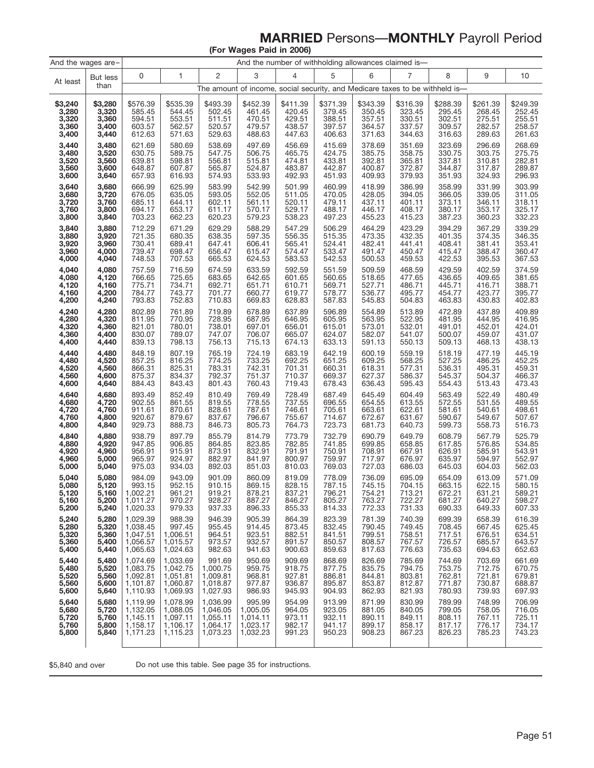## **MARRIED** Persons—**MONTHLY** Payroll Period

**(For Wages Paid in 2006)**

| And the wages are-                        |                                           | And the number of withholding allowances claimed is- |                                                |                                                |                                                                              |                                                |                                                |                                                |                                                |                                                |                                                |                                                |
|-------------------------------------------|-------------------------------------------|------------------------------------------------------|------------------------------------------------|------------------------------------------------|------------------------------------------------------------------------------|------------------------------------------------|------------------------------------------------|------------------------------------------------|------------------------------------------------|------------------------------------------------|------------------------------------------------|------------------------------------------------|
| At least                                  | <b>But less</b><br>than                   | 0                                                    | 1                                              | $\overline{c}$                                 | 3                                                                            | $\overline{4}$                                 | 5                                              | 6                                              | $\overline{7}$                                 | 8                                              | 9                                              | 10                                             |
|                                           |                                           |                                                      |                                                |                                                | The amount of income, social security, and Medicare taxes to be withheld is- |                                                |                                                |                                                |                                                |                                                |                                                |                                                |
| \$3,240                                   | \$3,280                                   | \$576.39                                             | \$535.39                                       | \$493.39                                       | \$452.39                                                                     | \$411.39                                       | \$371.39                                       | \$343.39                                       | \$316.39                                       | \$288.39                                       | \$261.39                                       | \$249.39                                       |
| 3,280                                     | 3,320                                     | 585.45                                               | 544.45                                         | 502.45                                         | 461.45                                                                       | 420.45                                         | 379.45                                         | 350.45                                         | 323.45                                         | 295.45                                         | 268.45                                         | 252.45                                         |
| 3,320                                     | 3,360                                     | 594.51                                               | 553.51                                         | 511.51                                         | 470.51                                                                       | 429.51                                         | 388.51                                         | 357.51                                         | 330.51                                         | 302.51                                         | 275.51                                         | 255.51                                         |
| 3,360                                     | 3,400                                     | 603.57                                               | 562.57                                         | 520.57                                         | 479.57                                                                       | 438.57                                         | 397.57                                         | 364.57                                         | 337.57                                         | 309.57                                         | 282.57                                         | 258.57                                         |
| 3,400                                     | 3,440                                     | 612.63                                               | 571.63                                         | 529.63                                         | 488.63                                                                       | 447.63                                         | 406.63                                         | 371.63                                         | 344.63                                         | 316.63                                         | 289.63                                         | 261.63                                         |
| 3,440                                     | 3,480                                     | 621.69                                               | 580.69                                         | 538.69                                         | 497.69                                                                       | 456.69                                         | 415.69                                         | 378.69                                         | 351.69                                         | 323.69                                         | 296.69                                         | 268.69                                         |
| 3,480                                     | 3,520                                     | 630.75                                               | 589.75                                         | 547.75                                         | 506.75                                                                       | 465.75                                         | 424.75                                         | 385.75                                         | 358.75                                         | 330.75                                         | 303.75                                         | 275.75                                         |
| 3,520                                     | 3,560                                     | 639.81                                               | 598.81                                         | 556.81                                         | 515.81                                                                       | 474.81                                         | 433.81                                         | 392.81                                         | 365.81                                         | 337.81                                         | 310.81                                         | 282.81                                         |
| 3,560                                     | 3,600                                     | 648.87                                               | 607.87                                         | 565.87                                         | 524.87                                                                       | 483.87                                         | 442.87                                         | 400.87                                         | 372.87                                         | 344.87                                         | 317.87                                         | 289.87                                         |
| 3,600                                     | 3,640                                     | 657.93                                               | 616.93                                         | 574.93                                         | 533.93                                                                       | 492.93                                         | 451.93                                         | 409.93                                         | 379.93                                         | 351.93                                         | 324.93                                         | 296.93                                         |
| 3,640<br>3,680<br>3,720<br>3,760<br>3,800 | 3,680<br>3,720<br>3,760<br>3,800<br>3,840 | 666.99<br>676.05<br>685.11<br>694.17<br>703.23       | 625.99<br>635.05<br>644.11<br>653.17<br>662.23 | 583.99<br>593.05<br>602.11<br>611.17<br>620.23 | 542.99<br>552.05<br>561.11<br>570.17<br>579.23                               | 501.99<br>511.05<br>520.11<br>529.17<br>538.23 | 460.99<br>470.05<br>479.11<br>488.17<br>497.23 | 418.99<br>428.05<br>437.11<br>446.17<br>455.23 | 386.99<br>394.05<br>401.11<br>408.17<br>415.23 | 358.99<br>366.05<br>373.11<br>380.17<br>387.23 | 331.99<br>339.05<br>346.11<br>353.17<br>360.23 | 303.99<br>311.05<br>318.11<br>325.17<br>332.23 |
| 3,840                                     | 3,880                                     | 712.29                                               | 671.29                                         | 629.29                                         | 588.29                                                                       | 547.29                                         | 506.29                                         | 464.29                                         | 423.29                                         | 394.29                                         | 367.29                                         | 339.29                                         |
| 3,880                                     | 3,920                                     | 721.35                                               | 680.35                                         | 638.35                                         | 597.35                                                                       | 556.35                                         | 515.35                                         | 473.35                                         | 432.35                                         | 401.35                                         | 374.35                                         | 346.35                                         |
| 3,920                                     | 3,960                                     | 730.41                                               | 689.41                                         | 647.41                                         | 606.41                                                                       | 565.41                                         | 524.41                                         | 482.41                                         | 441.41                                         | 408.41                                         | 381.41                                         | 353.41                                         |
| 3,960                                     | 4,000                                     | 739.47                                               | 698.47                                         | 656.47                                         | 615.47                                                                       | 574.47                                         | 533.47                                         | 491.47                                         | 450.47                                         | 415.47                                         | 388.47                                         | 360.47                                         |
| 4,000                                     | 4,040                                     | 748.53                                               | 707.53                                         | 665.53                                         | 624.53                                                                       | 583.53                                         | 542.53                                         | 500.53                                         | 459.53                                         | 422.53                                         | 395.53                                         | 367.53                                         |
| 4,040                                     | 4,080                                     | 757.59                                               | 716.59                                         | 674.59                                         | 633.59                                                                       | 592.59                                         | 551.59                                         | 509.59                                         | 468.59                                         | 429.59                                         | 402.59                                         | 374.59                                         |
| 4,080                                     | 4,120                                     | 766.65                                               | 725.65                                         | 683.65                                         | 642.65                                                                       | 601.65                                         | 560.65                                         | 518.65                                         | 477.65                                         | 436.65                                         | 409.65                                         | 381.65                                         |
| 4,120                                     | 4,160                                     | 775.71                                               | 734.71                                         | 692.71                                         | 651.71                                                                       | 610.71                                         | 569.71                                         | 527.71                                         | 486.71                                         | 445.71                                         | 416.71                                         | 388.71                                         |
| 4,160                                     | 4,200                                     | 784.77                                               | 743.77                                         | 701.77                                         | 660.77                                                                       | 619.77                                         | 578.77                                         | 536.77                                         | 495.77                                         | 454.77                                         | 423.77                                         | 395.77                                         |
| 4,200                                     | 4,240                                     | 793.83                                               | 752.83                                         | 710.83                                         | 669.83                                                                       | 628.83                                         | 587.83                                         | 545.83                                         | 504.83                                         | 463.83                                         | 430.83                                         | 402.83                                         |
| 4,240                                     | 4,280                                     | 802.89                                               | 761.89                                         | 719.89                                         | 678.89                                                                       | 637.89                                         | 596.89                                         | 554.89                                         | 513.89                                         | 472.89                                         | 437.89                                         | 409.89                                         |
| 4,280                                     | 4,320                                     | 811.95                                               | 770.95                                         | 728.95                                         | 687.95                                                                       | 646.95                                         | 605.95                                         | 563.95                                         | 522.95                                         | 481.95                                         | 444.95                                         | 416.95                                         |
| 4,320                                     | 4,360                                     | 821.01                                               | 780.01                                         | 738.01                                         | 697.01                                                                       | 656.01                                         | 615.01                                         | 573.01                                         | 532.01                                         | 491.01                                         | 452.01                                         | 424.01                                         |
| 4,360                                     | 4,400                                     | 830.07                                               | 789.07                                         | 747.07                                         | 706.07                                                                       | 665.07                                         | 624.07                                         | 582.07                                         | 541.07                                         | 500.07                                         | 459.07                                         | 431.07                                         |
| 4,400                                     | 4,440                                     | 839.13                                               | 798.13                                         | 756.13                                         | 715.13                                                                       | 674.13                                         | 633.13                                         | 591.13                                         | 550.13                                         | 509.13                                         | 468.13                                         | 438.13                                         |
| 4,440                                     | 4,480                                     | 848.19                                               | 807.19                                         | 765.19                                         | 724.19                                                                       | 683.19                                         | 642.19                                         | 600.19                                         | 559.19                                         | 518.19                                         | 477.19                                         | 445.19                                         |
| 4,480                                     | 4,520                                     | 857.25                                               | 816.25                                         | 774.25                                         | 733.25                                                                       | 692.25                                         | 651.25                                         | 609.25                                         | 568.25                                         | 527.25                                         | 486.25                                         | 452.25                                         |
| 4,520                                     | 4,560                                     | 866.31                                               | 825.31                                         | 783.31                                         | 742.31                                                                       | 701.31                                         | 660.31                                         | 618.31                                         | 577.31                                         | 536.31                                         | 495.31                                         | 459.31                                         |
| 4,560                                     | 4,600                                     | 875.37                                               | 834.37                                         | 792.37                                         | 751.37                                                                       | 710.37                                         | 669.37                                         | 627.37                                         | 586.37                                         | 545.37                                         | 504.37                                         | 466.37                                         |
| 4,600                                     | 4,640                                     | 884.43                                               | 843.43                                         | 801.43                                         | 760.43                                                                       | 719.43                                         | 678.43                                         | 636.43                                         | 595.43                                         | 554.43                                         | 513.43                                         | 473.43                                         |
| 4,640                                     | 4,680                                     | 893.49                                               | 852.49                                         | 810.49                                         | 769.49                                                                       | 728.49                                         | 687.49                                         | 645.49                                         | 604.49                                         | 563.49                                         | 522.49                                         | 480.49                                         |
| 4,680                                     | 4,720                                     | 902.55                                               | 861.55                                         | 819.55                                         | 778.55                                                                       | 737.55                                         | 696.55                                         | 654.55                                         | 613.55                                         | 572.55                                         | 531.55                                         | 489.55                                         |
| 4,720                                     | 4,760                                     | 911.61                                               | 870.61                                         | 828.61                                         | 787.61                                                                       | 746.61                                         | 705.61                                         | 663.61                                         | 622.61                                         | 581.61                                         | 540.61                                         | 498.61                                         |
| 4,760                                     | 4,800                                     | 920.67                                               | 879.67                                         | 837.67                                         | 796.67                                                                       | 755.67                                         | 714.67                                         | 672.67                                         | 631.67                                         | 590.67                                         | 549.67                                         | 507.67                                         |
| 4,800                                     | 4,840                                     | 929.73                                               | 888.73                                         | 846.73                                         | 805.73                                                                       | 764.73                                         | 723.73                                         | 681.73                                         | 640.73                                         | 599.73                                         | 558.73                                         | 516.73                                         |
| 4,840<br>4,880<br>4,920<br>4,960<br>5,000 | 4,880<br>4,920<br>4,960<br>5,000<br>5,040 | 938.79<br>947.85<br>956.91<br>965.97<br>975.03       | 897.79<br>906.85<br>915.91<br>924.97<br>934.03 | 855.79<br>864.85<br>873.91<br>882.97<br>892.03 | 814.79<br>823.85<br>832.91<br>841.97<br>851.03                               | 773.79<br>782.85<br>791.91<br>800.97<br>810.03 | 732.79<br>741.85<br>750.91<br>759.97<br>769.03 | 690.79<br>699.85<br>708.91<br>717.97<br>727.03 | 649.79<br>658.85<br>667.91<br>676.97<br>686.03 | 608.79<br>617.85<br>626.91<br>635.97<br>645.03 | 567.79<br>576.85<br>585.91<br>594.97<br>604.03 | 525.79<br>534.85<br>543.91<br>552.97<br>562.03 |
| 5,040                                     | 5,080                                     | 984.09                                               | 943.09                                         | 901.09                                         | 860.09                                                                       | 819.09                                         | 778.09                                         | 736.09                                         | 695.09                                         | 654.09                                         | 613.09                                         | 571.09                                         |
| 5,080                                     | 5,120                                     | 993.15                                               | 952.15                                         | 910.15                                         | 869.15                                                                       | 828.15                                         | 787.15                                         | 745.15                                         | 704.15                                         | 663.15                                         | 622.15                                         | 580.15                                         |
| 5,120                                     | 5,160                                     | 1,002.21                                             | 961.21                                         | 919.21                                         | 878.21                                                                       | 837.21                                         | 796.21                                         | 754.21                                         | 713.21                                         | 672.21                                         | 631.21                                         | 589.21                                         |
| 5,160                                     | 5,200                                     | 1,011.27                                             | 970.27                                         | 928.27                                         | 887.27                                                                       | 846.27                                         | 805.27                                         | 763.27                                         | 722.27                                         | 681.27                                         | 640.27                                         | 598.27                                         |
| 5,200                                     | 5,240                                     | 1,020.33                                             | 979.33                                         | 937.33                                         | 896.33                                                                       | 855.33                                         | 814.33                                         | 772.33                                         | 731.33                                         | 690.33                                         | 649.33                                         | 607.33                                         |
| 5,240                                     | 5,280                                     | 1,029.39                                             | 988.39                                         | 946.39                                         | 905.39                                                                       | 864.39                                         | 823.39                                         | 781.39                                         | 740.39                                         | 699.39                                         | 658.39                                         | 616.39                                         |
| 5,280                                     | 5,320                                     | 1,038.45                                             | 997.45                                         | 955.45                                         | 914.45                                                                       | 873.45                                         | 832.45                                         | 790.45                                         | 749.45                                         | 708.45                                         | 667.45                                         | 625.45                                         |
| 5,320                                     | 5,360                                     | 1,047.51                                             | 1,006.51                                       | 964.51                                         | 923.51                                                                       | 882.51                                         | 841.51                                         | 799.51                                         | 758.51                                         | 717.51                                         | 676.51                                         | 634.51                                         |
| 5,360                                     | 5,400                                     | 1,056.57                                             | 1,015.57                                       | 973.57                                         | 932.57                                                                       | 891.57                                         | 850.57                                         | 808.57                                         | 767.57                                         | 726.57                                         | 685.57                                         | 643.57                                         |
| 5,400                                     | 5,440                                     | 1,065.63                                             | 1,024.63                                       | 982.63                                         | 941.63                                                                       | 900.63                                         | 859.63                                         | 817.63                                         | 776.63                                         | 735.63                                         | 694.63                                         | 652.63                                         |
| 5,440                                     | 5,480                                     | 1,074.69                                             | 1,033.69                                       | 991.69                                         | 950.69                                                                       | 909.69                                         | 868.69                                         | 826.69                                         | 785.69                                         | 744.69                                         | 703.69                                         | 661.69                                         |
| 5,480                                     | 5,520                                     | 1,083.75                                             | 1,042.75                                       | 1,000.75                                       | 959.75                                                                       | 918.75                                         | 877.75                                         | 835.75                                         | 794.75                                         | 753.75                                         | 712.75                                         | 670.75                                         |
| 5,520                                     | 5,560                                     | 1,092.81                                             | 1,051.81                                       | 1,009.81                                       | 968.81                                                                       | 927.81                                         | 886.81                                         | 844.81                                         | 803.81                                         | 762.81                                         | 721.81                                         | 679.81                                         |
| 5,560                                     | 5,600                                     | 1,101.87                                             | 1,060.87                                       | 1,018.87                                       | 977.87                                                                       | 936.87                                         | 895.87                                         | 853.87                                         | 812.87                                         | 771.87                                         | 730.87                                         | 688.87                                         |
| 5,600                                     | 5,640                                     | 1,110.93                                             | 1,069.93                                       | 1,027.93                                       | 986.93                                                                       | 945.93                                         | 904.93                                         | 862.93                                         | 821.93                                         | 780.93                                         | 739.93                                         | 697.93                                         |
| 5,640                                     | 5,680                                     | 1,119.99                                             | 1,078.99                                       | 1,036.99                                       | 995.99                                                                       | 954.99                                         | 913.99                                         | 871.99                                         | 830.99                                         | 789.99                                         | 748.99                                         | 706.99                                         |
| 5,680                                     | 5,720                                     | 1,132.05                                             | 1,088.05                                       | 1,046.05                                       | 1.005.05                                                                     | 964.05                                         | 923.05                                         | 881.05                                         | 840.05                                         | 799.05                                         | 758.05                                         | 716.05                                         |
| 5,720                                     | 5,760                                     | 1,145.11                                             | 1,097.11                                       | 1,055.11                                       | 1,014.11                                                                     | 973.11                                         | 932.11                                         | 890.11                                         | 849.11                                         | 808.11                                         | 767.11                                         | 725.11                                         |
| 5,760                                     | 5,800                                     | 1,158.17                                             | 1,106.17                                       | 1,064.17                                       | 1,023.17                                                                     | 982.17                                         | 941.17                                         | 899.17                                         | 858.17                                         | 817.17                                         | 776.17                                         | 734.17                                         |
| 5,800                                     | 5,840                                     | 1,171.23                                             | 1,115.23                                       | 1,073.23                                       | 1,032.23                                                                     | 991.23                                         | 950.23                                         | 908.23                                         | 867.23                                         | 826.23                                         | 785.23                                         | 743.23                                         |

\$5,840 and over Do not use this table. See page 35 for instructions.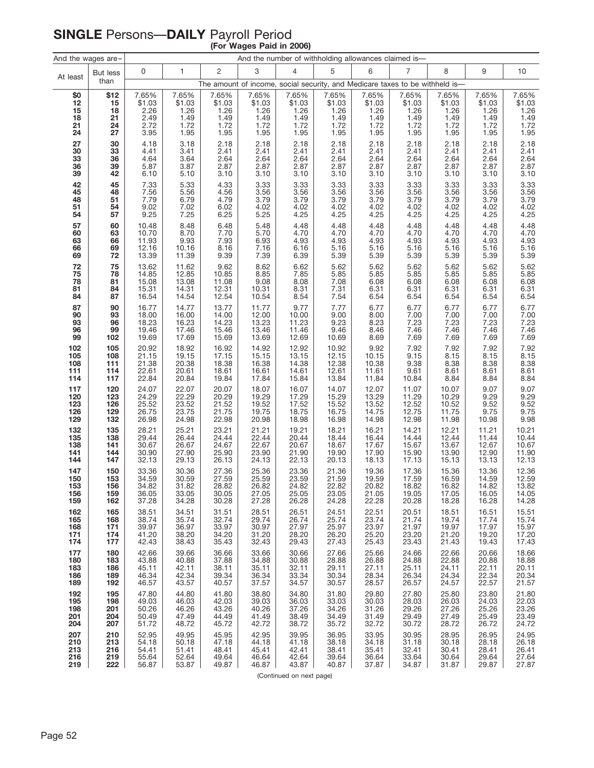## **SINGLE** Persons—**DAILY** Payroll Period **(For Wages Paid in 2006)**

| And the wages are-                      |                                    |                                                  |                                                  |                                                 | And the number of withholding allowances claimed is-                         |                                                                  |                                                     |                                                     |                                                     |                                                     |                                                 |                                                  |
|-----------------------------------------|------------------------------------|--------------------------------------------------|--------------------------------------------------|-------------------------------------------------|------------------------------------------------------------------------------|------------------------------------------------------------------|-----------------------------------------------------|-----------------------------------------------------|-----------------------------------------------------|-----------------------------------------------------|-------------------------------------------------|--------------------------------------------------|
| At least                                | But less                           | 0                                                | 1                                                | $\overline{c}$                                  | 3                                                                            | $\overline{4}$                                                   | 5                                                   | 6                                                   | $\overline{7}$                                      | 8                                                   | 9                                               | 10                                               |
|                                         | than                               |                                                  |                                                  |                                                 | The amount of income, social security, and Medicare taxes to be withheld is- |                                                                  |                                                     |                                                     |                                                     |                                                     |                                                 |                                                  |
| \$0<br>12<br>15<br>18<br>21<br>24       | \$12<br>15<br>18<br>21<br>24<br>27 | 7.65%<br>\$1.03<br>2.26<br>2.49<br>2.72<br>3.95  | 7.65%<br>\$1.03<br>1.26<br>1.49<br>1.72<br>1.95  | 7.65%<br>\$1.03<br>1.26<br>1.49<br>1.72<br>1.95 | 7.65%<br>\$1.03<br>1.26<br>1.49<br>1.72<br>1.95                              | 7.65%<br>\$1.03<br>1.26<br>1.49<br>1.72<br>1.95                  | 7.65%<br>\$1.03<br>1.26<br>$1.49$<br>$1.72$<br>1.95 | 7.65%<br>\$1.03<br>1.26<br>$1.49$<br>$1.72$<br>1.95 | 7.65%<br>\$1.03<br>1.26<br>$1.49$<br>$1.72$<br>1.95 | 7.65%<br>\$1.03<br>1.26<br>$1.49$<br>$1.72$<br>1.95 | 7.65%<br>\$1.03<br>1.26<br>1.49<br>1.72<br>1.95 | 7.65%<br>\$1.03<br>1.26<br>1.49<br>1.72<br>1.95  |
| 27<br>30<br>33<br>36<br>39              | 30<br>33<br>36<br>39<br>42         | 4.18<br>4.41<br>4.64<br>5.87<br>6.10             | 3.18<br>3.41<br>3.64<br>3.87<br>5.10             | 2.18<br>2.41<br>2.64<br>2.87<br>3.10            | 2.18<br>$2.41$<br>2.64<br>2.87<br>3.10                                       | 2.18<br>$2.41$<br>$2.64$<br>2.87<br>3.10                         | 2.18<br>$2.41$<br>2.64<br>$2.87$<br>3.10            | 2.18<br>$2.41$<br>$2.64$<br>$2.87$<br>3.10          | 2.18<br>$2.41$<br>2.64<br>$2.87$<br>3.10            | 2.18<br>2.41<br>2.64<br>2.64<br>2.87<br>3.10        | 2.18<br>$2.41$<br>2.64<br>$2.87$<br>3.10        | 2.18<br>2.41<br>2.64<br>2.87<br>3.10             |
| 42<br>45<br>48<br>51<br>54              | 45<br>48<br>51<br>54<br>57         | 7.33<br>7.56<br>$7.79$<br>$9.02$<br>$9.25$       | 5.33<br>5.56<br>6.79<br>7.02<br>7.25             | 4.33<br>4.56<br>4.79<br>6.02<br>6.25            | 3.33<br>3.56<br>3.79<br>4.02<br>5.25                                         | $3.33$<br>$3.56$<br>$3.79$<br>$4.02$<br>4.25                     | 3.33<br>3.56<br>3.79<br>4.02<br>4.25                | 3.33<br>3.56<br>3.79<br>4.02<br>4.25                | 3.33<br>3.56<br>3.79<br>4.02<br>4.25                | 3.33<br>3.56<br>3.79<br>4.02<br>4.25                | 3.33<br>3.56<br>3.79<br>4.02<br>4.25            | 3.33<br>3.56<br>3.79<br>4.02<br>4.25             |
| 57<br>60<br>63<br>66<br>69              | 60<br>63<br>66<br>69<br>72         | 10.48<br>10.70<br>11.93<br>12.16<br>13.39        | 8.48<br>8.70<br>9.93<br>10.16<br>11.39           | 6.48<br>7.70<br>7.93<br>8.16<br>9.39            | 5.48<br>5.70<br>5.70<br>6.93<br>7.16<br>7.39                                 | 4.48<br>4.70<br>$4.93$<br>6.16<br>6.39                           | 4.48<br>4.70<br>$4.93$<br>$5.16$<br>$5.39$          | 4.48<br>4.70<br>4.93<br>$\frac{1.08}{5.16}$         | 4.48<br>4.70<br>$4.93$<br>$5.16$<br>$5.39$          | 4.48<br>4.70<br>4.93<br>5.16<br>5.39                | 4.48<br>4.70<br>4.93<br>5.16<br>5.39            | 4.48<br>4.70<br>4.93<br>5.16<br>5.39             |
| 72<br>75<br>78<br>$\overline{81}$<br>84 | 75<br>78<br>81<br>84<br>87         | 13.62<br>14.85<br>15.08<br>15.31<br>16.54        | 11.62<br>12.85<br>$\frac{13.08}{14.31}$<br>14.54 | 9.62<br>10.85<br>$11.08$<br>$12.31$<br>12.54    | $8.62$<br>$8.85$<br>$9.08$<br>10.31<br>10.54                                 | 6.62<br>7.85<br>8.08<br>8.31<br>8.54                             | 5.62<br>5.85<br>7.08<br>7.31<br>7.54                | 5.62<br>5.85<br>6.08<br>6.31<br>6.54                | 5.62<br>5.85<br>6.08<br>6.31<br>6.54                | 5.62<br>5.85<br>6.08<br>6.31<br>6.54                | 5.62<br>5.85<br>6.08<br>6.31<br>6.54            | 5.62<br>5.85<br>6.08<br>6.31<br>6.54             |
| 87<br>90<br>$\overline{93}$<br>96<br>99 | 90<br>93<br>96<br>99<br>102        | 16.77<br>$\frac{18.00}{18.23}$<br>19.46<br>19.69 | 14.77<br>16.00<br>16.23<br>17.46<br>17.69        | 13.77<br>14.00<br>14.23<br>15.46<br>15.69       | 11.77<br>12.00<br>13.23<br>13.46<br>13.69                                    | 9.77<br>$10.00$<br>11.23<br>11.46<br>12.69                       | 7.77<br>$9.00$<br>$9.23$<br>$9.46$<br>10.69         | 6.77<br>$8.00$<br>$8.23$<br>$8.46$<br>8.69          | 6.77<br>$7.00$<br>$7.23$<br>$7.46$<br>7.69          | 6.77<br>$7.00$<br>$7.23$<br>$7.46$<br>7.69          | 6.77<br>$7.00$<br>$7.23$<br>$7.46$<br>7.69      | 6.77<br>7.00<br>7.23<br>7.46<br>7.69             |
| 102<br>105<br>108<br>111<br>114         | 105<br>108<br>$111$<br>114<br>117  | $20.92$<br>$21.15$<br>21.38<br>22.61<br>22.84    | 18.92<br>19.15<br>20.38<br>20.61<br>20.84        | 16.92<br>17.15<br>18.38<br>18.61<br>19.84       | 14.92<br>15.15<br>16.38<br>16.61<br>17.84                                    | 12.92<br>13.15<br>14.38<br>14.61<br>15.84                        | 10.92<br>12.15<br>12.38<br>12.61<br>13.84           | 9.92<br>10.15<br>10.38<br>11.61<br>11.84            | 7.92<br>9.15<br>9.38<br>9.61<br>10.84               | 7.92<br>8.15<br>8.38<br>8.61<br>8.84                | 7.92<br>8.15<br>8.38<br>8.61<br>8.84            | 7.92<br>8.15<br>8.38<br>8.61<br>8.64             |
| 117<br>120<br>123<br>126<br>129         | 120<br>123<br>126<br>129<br>132    | 24.07<br>$24.29$<br>$25.52$<br>26.75<br>26.98    | 22.07<br>22.29<br>23.52<br>23.75<br>24.98        | 20.07<br>20.29<br>21.52<br>21.75<br>22.98       | 18.07<br>$19.29$<br>$19.52$<br>$19.75$<br>20.98                              | 16.07<br>$\frac{17.29}{17.52}$<br>$\frac{18.75}{18.75}$<br>18.98 | 14.07<br>$15.29$<br>$15.52$<br>16.75<br>16.98       | 12.07<br>$13.29$<br>$13.52$<br>$14.75$<br>14.98     | 11.07<br>11.29<br>12.52<br>12.75<br>12.98           | 10.07<br>10.29<br>10.52<br>11.75<br>11.98           | 9.07<br>$9.29$<br>$9.52$<br>$9.75$<br>10.98     | 9.07<br>9.29<br>9.52<br>9.75<br>9.98             |
| 132<br>135<br>138<br>141<br>144         | 135<br>138<br>141<br>144<br>147    | 28.21<br>29.44<br>30.67<br>30.90<br>32.13        | 25.21<br>26.44<br>26.67<br>27.90<br>29.13        | 23.21<br>24.44<br>24.67<br>25.90<br>26.13       | 21.21<br>22.44<br>22.67<br>23.90<br>24.13                                    | 19.21<br>20.44<br>20.67<br>21.90<br>22.13                        | 18.21<br>18.44<br>$\frac{18.67}{19.90}$<br>20.13    | 16.21<br>16.44<br>17.67<br>17.90<br>18.13           | 14.21<br>14.44<br>15.67<br>15.90<br>17.13           | 12.21<br>12.44<br>13.67<br>13.90<br>15.13           | 11.21<br>11.44<br>12.67<br>12.90<br>13.13       | 10.21<br>10.44<br>$\frac{10.67}{11.90}$<br>12.13 |
| 147<br>150<br>153<br>156<br>159         | 150<br>153<br>156<br>159<br>162    | 33.36<br>34.59<br>34.82<br>36.05<br>37.28        | 30.36<br>30.59<br>31.82<br>33.05<br>34.28        | 27.36<br>27.59<br>28.82<br>30.05<br>30.28       | 25.36<br>25.59<br>26.82<br>27.05<br>27.28                                    | 23.36<br>23.59<br>24.82<br>25.05<br>26.28                        | 21.36<br>21.59<br>22.82<br>23.05<br>24.28           | 19.36<br>19.59<br>20.82<br>21.05<br>22.28           | 17.36<br>17.59<br>18.82<br>19.05<br>20.28           | 15.36<br>16.59<br>16.82<br>17.05<br>18.28           | 13.36<br>14.59<br>14.82<br>16.05<br>16.28       | 12.36<br>12.59<br>13.82<br>14.05<br>14.28        |
| 162<br>165<br>168<br>171<br>174         | 165<br>168<br>171<br>174<br>177    | 38.51<br>38.74<br>39.97<br>41.20<br>42.43        | 34.51<br>35.74<br>36.97<br>38.20<br>38.43        | 31.51<br>32.74<br>33.97<br>34.20<br>35.43       | 28.51<br>29.74<br>30.97<br>31.20<br>32.43                                    | 26.51<br>26.74<br>27.97<br>28.20<br>29.43                        | 24.51<br>25.74<br>25.97<br>26.20<br>27.43           | 22.51<br>23.74<br>23.97<br>25.20<br>25.43           | 20.51<br>21.74<br>21.97<br>23.20<br>23.43           | 18.51<br>19.74<br>19.97<br>21.20<br>21.43           | 16.51<br>17.74<br>17.97<br>19.20<br>19.43       | 15.51<br>15.74<br>15.97<br>17.20<br>17.43        |
| 177<br>180<br>183<br>186<br>189         | 180<br>183<br>186<br>189<br>192    | 42.66<br>43.88<br>45.11<br>46.34<br>46.57        | 39.66<br>40.88<br>42.11<br>42.34<br>43.57        | 36.66<br>37.88<br>38.11<br>39.34<br>40.57       | 33.66<br>34.88<br>35.11<br>36.34<br>37.57                                    | 30.66<br>30.88<br>32.11<br>33.34<br>34.57                        | 27.66<br>28.88<br>29.11<br>30.34<br>30.57           | 25.66<br>26.88<br>27.11<br>28.34<br>28.57           | 24.66<br>24.88<br>25.11<br>26.34<br>26.57           | 22.66<br>22.88<br>24.11<br>24.34<br>24.57           | 20.66<br>20.88<br>22.11<br>22.34<br>22.57       | 18.66<br>18.88<br>20.11<br>20.34<br>21.57        |
| 192<br>195<br>198<br>201<br>204         | 195<br>198<br>201<br>204<br>207    | 47.80<br>49.03<br>50.26<br>50.49<br>51.72        | 44.80<br>46.03<br>46.26<br>47.49<br>48.72        | 41.80<br>42.03<br>43.26<br>44.49<br>45.72       | 38.80<br>39.03<br>40.26<br>41.49<br>42.72                                    | 34.80<br>36.03<br>37.26<br>38.49<br>38.72                        | 31.80<br>33.03<br>34.26<br>34.49<br>35.72           | 29.80<br>30.03<br>31.26<br>31.49<br>32.72           | 27.80<br>28.03<br>29.26<br>29.49<br>30.72           | 25.80<br>26.03<br>27.26<br>27.49<br>28.72           | 23.80<br>24.03<br>25.26<br>25.49<br>26.72       | 21.80<br>22.03<br>23.26<br>23.49<br>24.72        |
| 207<br>210<br>213<br>216<br>219         | 210<br>213<br>216<br>219<br>222    | 52.95<br>54.18<br>54.41<br>55.64<br>56.87        | 49.95<br>50.18<br>51.41<br>52.64<br>53.87        | 45.95<br>47.18<br>48.41<br>49.64<br>49.87       | 42.95<br>44.18<br>45.41<br>46.64<br>46.87                                    | 39.95<br>41.18<br>42.41<br>42.64<br>43.87                        | 36.95<br>38.18<br>38.41<br>39.64<br>40.87           | 33.95<br>34.18<br>35.41<br>36.64<br>37.87           | 30.95<br>31.18<br>32.41<br>33.64<br>34.87           | 28.95<br>30.18<br>30.41<br>30.64<br>31.87           | 26.95<br>28.18<br>28.41<br>29.64<br>29.87       | 24.95<br>26.18<br>26.41<br>27.64<br>27.87        |

(Continued on next page)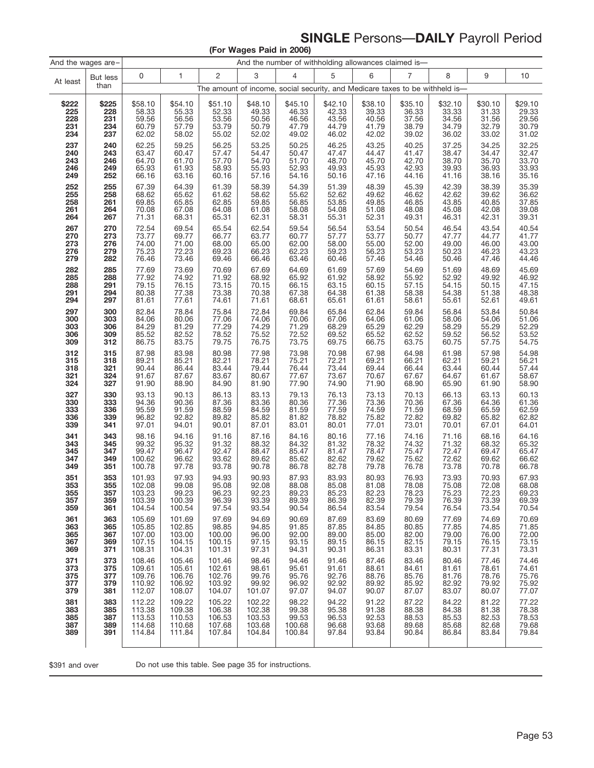## **SINGLE** Persons—**DAILY** Payroll Period

| And the wages are-                           |                                   |                                                |                                                | And the number of withholding allowances claimed is- |                                                                              |                                                  |                                               |                                               |                                             |                                                  |                                               |                                                 |  |  |  |  |
|----------------------------------------------|-----------------------------------|------------------------------------------------|------------------------------------------------|------------------------------------------------------|------------------------------------------------------------------------------|--------------------------------------------------|-----------------------------------------------|-----------------------------------------------|---------------------------------------------|--------------------------------------------------|-----------------------------------------------|-------------------------------------------------|--|--|--|--|
| At least                                     | <b>But less</b>                   | 0                                              | 1                                              | $\overline{c}$                                       | 3                                                                            | $\overline{4}$                                   | 5                                             | 6                                             | $\overline{7}$                              | 8                                                | 9                                             | 10                                              |  |  |  |  |
|                                              | than                              |                                                |                                                |                                                      | The amount of income, social security, and Medicare taxes to be withheld is- |                                                  |                                               |                                               |                                             |                                                  |                                               |                                                 |  |  |  |  |
| \$222<br>225<br>228<br>231<br>234            | \$225<br>228<br>231<br>234<br>237 | \$58.10<br>58.33<br>59.56<br>60.79<br>62.02    | \$54.10<br>55.33<br>56.56<br>57.79<br>58.02    | \$51.10<br>52.33<br>53.56<br>53.79<br>55.02          | \$48.10<br>49.33<br>50.56<br>50.79<br>52.02                                  | \$45.10<br>$46.33$<br>$46.56$<br>47.79<br>49.02  | \$42.10<br>42.33<br>43.56<br>44.79<br>46.02   | \$38.10<br>39.33<br>40.56<br>41.79<br>42.02   | \$35.10<br>36.33<br>37.56<br>38.79<br>39.02 | \$32.10<br>33.33<br>34.56<br>34.79<br>36.02      | \$30.10<br>31.33<br>31.56<br>32.79<br>33.02   | \$29.10<br>29.33<br>29.56<br>30.79<br>31.02     |  |  |  |  |
| 237<br>240<br>243<br>246<br>249              | 240<br>243<br>246<br>249<br>252   | 62.25<br>63.47<br>64.70<br>65.93<br>66.16      | 59.25<br>60.47<br>61.70<br>61.93<br>63.16      | 56.25<br>57.47<br>57.70<br>58.93<br>60.16            | 53.25<br>54.47<br>54.70<br>55.93<br>57.16                                    | 50.25<br>$\frac{50.47}{51.70}$<br>52.93<br>54.16 | 46.25<br>$47.47$<br>$48.70$<br>49.93<br>50.16 | 43.25<br>$44.47$<br>$45.70$<br>45.93<br>47.16 | 40.25<br>41.47<br>42.70<br>42.93<br>44.16   | 37.25<br>$\frac{38.47}{38.70}$<br>39.93<br>41.16 | 34.25<br>$34.47$<br>$35.70$<br>36.93<br>38.16 | 32.25<br>32.47<br>33.70<br>33.93<br>35.16       |  |  |  |  |
| 252<br>255<br>258<br>261<br>264              | 255<br>258<br>261<br>264<br>267   | 67.39<br>68.62<br>70.08<br>71.31               | 64.39<br>65.62<br>65.85<br>67.08<br>68.31      | 61.39<br>61.62<br>62.85<br>64.08<br>65.31            | 58.39<br>58.62<br>61.08<br>62.31                                             | 54.39<br>55.62<br>56.85<br>58.08<br>58.31        | 51.39<br>52.62<br>53.85<br>54.08<br>55.31     | 48.39<br>49.62<br>49.85<br>51.08<br>52.31     | 45.39<br>46.62<br>46.85<br>48.08<br>49.31   | 42.39<br>42.62<br>43.85<br>45.08<br>46.31        | 38.39<br>39.62<br>40.85<br>42.08<br>42.31     | 35.39<br>36.62<br>37.85<br>39.08<br>39.31       |  |  |  |  |
| 267<br>270<br>273<br>276<br>279              | 270<br>273<br>276<br>279<br>282   | 72.54<br>73.77<br>74.00<br>75.23<br>76.46      | 69.54<br>69.77<br>71.00<br>72.23<br>73.46      | 65.54<br>66.77<br>68.00<br>69.23<br>69.46            | 62.54<br>63.77<br>65.00<br>66.23<br>66.46                                    | 59.54<br>60.77<br>62.00<br>62.23<br>63.46        | 56.54<br>57.77<br>58.00<br>59.23<br>60.46     | 53.54<br>53.77<br>55.00<br>56.23<br>57.46     | 50.54<br>50.77<br>52.00<br>53.23<br>54.46   | 46.54<br>47.77<br>$49.00$<br>$50.23$<br>$50.46$  | 43.54<br>44.77<br>46.00<br>46.23<br>47.46     | 40.54<br>41.77<br>$43.00$<br>$43.23$<br>$44.46$ |  |  |  |  |
| 282<br>285<br>288<br>291<br>294              | 285<br>288<br>291<br>294<br>297   | 77.69<br>77.92<br>79.15<br>80.38<br>81.61      | 73.69<br>74.92<br>76.15<br>77.38<br>77.61      | 70.69<br>71.92<br>73.15<br>73.38<br>74.61            | 67.69<br>68.92<br>70.15<br>70.38<br>71.61                                    | 64.69<br>$65.92$<br>$66.15$<br>67.38<br>68.61    | 61.69<br>$61.92$<br>$63.15$<br>64.38          | 57.69<br>58.92<br>60.15<br>$61.38$<br>$61.61$ | 54.69<br>55.92<br>57.15<br>58.38<br>58.61   | 51.69<br>52.92<br>54.15<br>$54.38$<br>$55.61$    | 48.69<br>49.92<br>50.15<br>51.38<br>52.61     | 45.69<br>46.92<br>47.15<br>48.38<br>49.61       |  |  |  |  |
| 297<br>$\overline{300}$<br>303<br>306<br>309 | 300<br>303<br>306<br>309<br>312   | 82.84<br>84.06<br>84.29<br>85.52<br>86.75      | 78.84<br>80.06<br>81.29<br>82.52<br>83.75      | 75.84<br>77.06<br>77.29<br>78.52<br>79.75            | 72.84<br>74.06<br>74.29<br>75.52<br>76.75                                    | 69.84<br>70.06<br>$71.29$<br>$72.52$<br>73.75    | 65.84<br>67.06<br>68.29<br>69.52<br>69.75     | 62.84<br>64.06<br>$65.29$<br>$65.52$<br>66.75 | 59.84<br>61.06<br>62.29<br>62.52<br>63.75   | 56.84<br>58.06<br>58.29<br>59.52<br>60.75        | 53.84<br>54.06<br>55.29<br>57.75              | 50.84<br>51.06<br>52.29<br>53.52<br>54.75       |  |  |  |  |
| 312<br>$\frac{315}{318}$<br>321<br>324       | 315<br>318<br>321<br>324<br>327   | 87.98<br>89.21<br>90.44<br>91.67<br>91.90      | 83.98<br>85.21<br>86.44<br>87.67<br>88.90      | 80.98<br>82.21<br>83.44<br>83.67<br>84.90            | 77.98<br>78.21<br>79.44<br>80.67<br>81.90                                    | 73.98<br>75.21<br>76.44<br>77.67<br>77.90        | 70.98<br>72.21<br>73.44<br>73.67<br>74.90     | 67.98<br>69.21<br>69.44<br>70.67<br>71.90     | 64.98<br>66.21<br>66.44<br>67.67<br>68.90   | 61.98<br>62.21<br>63.44<br>64.67<br>65.90        | 57.98<br>59.21<br>60.44<br>61.67<br>61.90     | 54.98<br>56.21<br>57.44<br>58.67<br>58.90       |  |  |  |  |
| 327<br>330<br>333<br>336<br>336<br>339       | 330<br>333<br>336<br>339<br>341   | 93.13<br>94.36<br>95.59<br>96.82<br>97.01      | 90.13<br>90.36<br>91.59<br>92.82<br>94.01      | 86.13<br>87.36<br>88.59<br>89.82<br>90.01            | 83.13<br>83.36<br>84.59<br>85.82<br>87.01                                    | 79.13<br>80.36<br>81.59<br>81.82<br>83.01        | 76.13<br>77.36<br>77.59<br>78.82<br>80.01     | 73.13<br>73.36<br>74.59<br>75.82<br>77.01     | 70.13<br>70.36<br>71.59<br>72.82<br>73.01   | 66.13<br>67.36<br>68.59<br>69.82<br>70.01        | 63.13<br>64.36<br>65.82<br>67.01              | 60.13<br>61.36<br>62.59<br>62.82<br>64.01       |  |  |  |  |
| 341<br>343<br>345<br>347<br>349              | 343<br>345<br>347<br>349<br>351   | 98.16<br>99.32<br>99.47<br>100.62<br>100.78    | 94.16<br>95.32<br>96.47<br>96.62<br>97.78      | 91.16<br>91.32<br>92.47<br>93.62<br>93.78            | 87.16<br>88.32<br>88.47<br>89.62<br>90.78                                    | 84.16<br>84.32<br>85.47<br>85.62<br>86.78        | 80.16<br>81.32<br>81.47<br>82.62<br>82.78     | 77.16<br>78.32<br>78.47<br>79.62<br>79.78     | 74.16<br>74.32<br>75.47<br>75.62<br>76.78   | 71.16<br>71.32<br>72.47<br>72.62<br>73.78        | 68.16<br>68.32<br>69.47<br>69.62<br>70.78     | 64.16<br>65.32<br>65.47<br>66.62<br>66.78       |  |  |  |  |
| 351<br>353<br>355<br>357<br>359              | 353<br>355<br>357<br>359<br>361   | 101.93<br>102.08<br>103.23<br>103.39<br>104.54 | 97.93<br>99.08<br>99.23<br>100.39<br>100.54    | 94.93<br>95.08<br>96.23<br>96.39<br>97.54            | 90.93<br>92.08<br>92.23<br>93.39<br>93.54                                    | 87.93<br>88.08<br>89.23<br>89.39<br>90.54        | 83.93<br>85.08<br>85.23<br>86.39<br>86.54     | 80.93<br>81.08<br>82.23<br>82.39<br>83.54     | 76.93<br>78.08<br>78.23<br>79.39<br>79.54   | 73.93<br>75.08<br>75.23<br>76.39<br>76.54        | 70.93<br>72.08<br>72.23<br>73.39<br>73.54     | 67.93<br>68.08<br>69.23<br>69.39<br>70.54       |  |  |  |  |
| 361<br>363<br>365<br>367<br>369              | 363<br>365<br>367<br>369<br>371   | 105.69<br>105.85<br>107.00<br>107.15<br>108.31 | 101.69<br>102.85<br>103.00<br>104.15<br>104.31 | 97.69<br>98.85<br>100.00<br>100.15<br>101.31         | 94.69<br>94.85<br>96.00<br>97.15<br>97.31                                    | 90.69<br>91.85<br>92.00<br>93.15<br>94.31        | 87.69<br>87.85<br>89.00<br>89.15<br>90.31     | 83.69<br>84.85<br>85.00<br>86.15<br>86.31     | 80.69<br>80.85<br>82.00<br>82.15<br>83.31   | 77.69<br>77.85<br>79.00<br>79.15<br>80.31        | 74.69<br>74.85<br>76.00<br>76.15<br>77.31     | 70.69<br>71.85<br>72.00<br>73.15<br>73.31       |  |  |  |  |
| 371<br>373<br>375<br>377<br>379              | 373<br>375<br>377<br>379<br>381   | 108.46<br>109.61<br>109.76<br>110.92<br>112.07 | 105.46<br>105.61<br>106.76<br>106.92<br>108.07 | 101.46<br>102.61<br>102.76<br>103.92<br>104.07       | 98.46<br>98.61<br>99.76<br>99.92<br>101.07                                   | 94.46<br>95.61<br>95.76<br>96.92<br>97.07        | 91.46<br>91.61<br>92.76<br>92.92<br>94.07     | 87.46<br>88.61<br>88.76<br>89.92<br>90.07     | 83.46<br>84.61<br>85.76<br>85.92<br>87.07   | 80.46<br>81.61<br>81.76<br>82.92<br>83.07        | 77.46<br>78.61<br>78.76<br>79.92<br>80.07     | 74.46<br>74.61<br>75.76<br>75.92<br>77.07       |  |  |  |  |
| 381<br>383<br>385<br>387<br>389              | 383<br>385<br>387<br>389<br>391   | 112.22<br>113.38<br>113.53<br>114.68<br>114.84 | 109.22<br>109.38<br>110.53<br>110.68<br>111.84 | 105.22<br>106.38<br>106.53<br>107.68<br>107.84       | 102.22<br>102.38<br>103.53<br>103.68<br>104.84                               | 98.22<br>99.38<br>99.53<br>100.68<br>100.84      | 94.22<br>95.38<br>96.53<br>96.68<br>97.84     | 91.22<br>91.38<br>92.53<br>93.68<br>93.84     | 87.22<br>88.38<br>88.53<br>89.68<br>90.84   | 84.22<br>84.38<br>85.53<br>85.68<br>86.84        | 81.22<br>81.38<br>82.53<br>82.68<br>83.84     | 77.22<br>78.38<br>78.53<br>79.68<br>79.84       |  |  |  |  |

\$391 and over Do not use this table. See page 35 for instructions.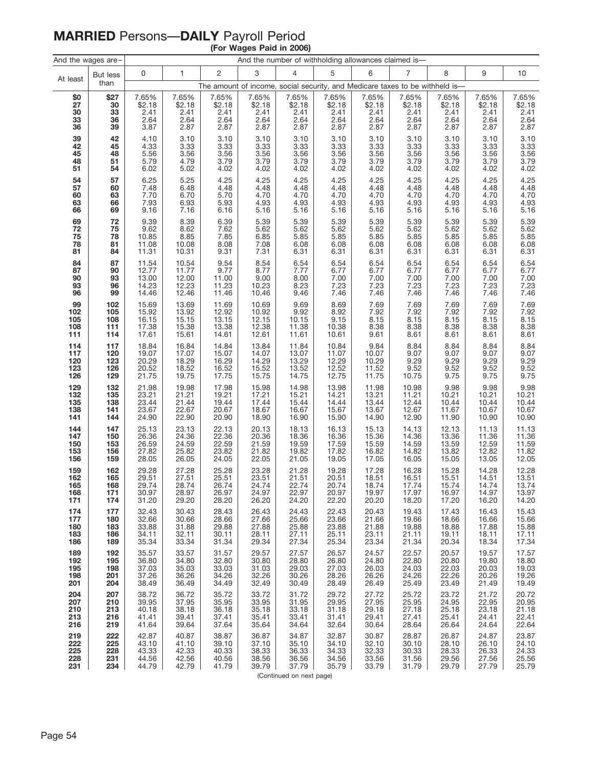## **MARRIED** Persons—**DAILY** Payroll Period **(For Wages Paid in 2006)**

| And the wages are-               |                                 |                                             |                                             |                                                                                   |                                           |                                               |                                                      | And the number of withholding allowances claimed is-                                                     |                                                 |                                              |                                              |                                                     |
|----------------------------------|---------------------------------|---------------------------------------------|---------------------------------------------|-----------------------------------------------------------------------------------|-------------------------------------------|-----------------------------------------------|------------------------------------------------------|----------------------------------------------------------------------------------------------------------|-------------------------------------------------|----------------------------------------------|----------------------------------------------|-----------------------------------------------------|
| At least                         | But less<br>than                | 0                                           | $\mathbf{1}$                                | 2                                                                                 | 3                                         | $\overline{4}$                                | 5                                                    | 6                                                                                                        | $\overline{7}$                                  | 8                                            | 9                                            | 10                                                  |
| \$0<br>27<br>30                  | \$27<br>$\frac{30}{33}$         | 7.65%<br>$$2.18$<br>$2.41$                  | 7.65%<br>\$2.18<br>2.41                     | 7.65%<br>$$2.18$<br>2.41                                                          | 7.65%<br>$$2.18$<br>2.41                  | 7.65%<br>\$2.18<br>2.41                       | $7.65\%$<br>$$2.18$<br>$2.41$                        | The amount of income, social security, and Medicare taxes to be withheld is-<br>7.65%<br>$$2.18$<br>2.41 | 7.65%<br>$$2.18$<br>2.41                        | 7.65%<br>$$2.18$<br>2.41                     | 7.65%<br>\$2.18<br>2.41                      | 7.65%<br>$$2.18$ $2.41$ $2.64$ $2.87$               |
| 33<br>36                         | 36<br>39                        | 2.64<br>3.87                                | 2.64<br>2.87                                | 2.64<br>2.87                                                                      | 2.64<br>2.87                              | 2.64<br>2.87                                  | $2.64$<br>2.87                                       | 2.64<br>2.87                                                                                             | $2.64$<br>2.87                                  | 2.64<br>2.87                                 | 2.64<br>2.87                                 |                                                     |
| 39<br>42<br>45<br>48<br>51       | 42<br>45<br>48<br>51<br>54      | 4.10<br>4.33<br>5.56<br>$5.79$<br>$6.02$    | 3.10<br>3.33<br>3.56<br>$4.79$<br>$5.02$    | 3.10<br>3.33<br>3.56<br>3.79<br>4.02                                              | 3.10<br>3.33<br>3.56<br>3.79<br>4.02      | 3.10<br>3.33<br>3.33<br>3.56<br>3.79<br>4.02  | 3.10<br>3.33<br>3.33<br>3.56<br>3.79<br>4.02         | 3.10<br>3.33<br>3.56<br>3.79<br>4.02                                                                     | 3.10<br>$3.33$<br>$3.56$<br>$3.79$<br>$4.02$    | 3.10<br>3.33<br>3.56<br>3.79<br>4.02         | 3.10<br>$3.33$<br>$3.56$<br>$3.79$<br>4.02   | 3.10<br>3.33<br>3.56<br>3.79<br>4.02                |
| 54<br>57<br>60<br>63<br>66       | 57<br>60<br>63<br>66<br>69      | 6.25<br>$7.48$<br>$7.70$<br>7.93<br>9.16    | 5.25<br>6.48<br>6.70<br>6.93<br>7.16        | 4.25<br>4.48<br>5.70<br>5.93<br>6.16                                              | 4.25<br>4.48<br>4.70<br>4.93<br>5.16      | 4.25<br>$4.48$<br>$4.70$<br>4.93<br>5.16      | 4.25<br>4.48<br>4.70<br>4.93<br>5.16                 | 4.25<br>$4.48$<br>$4.70$<br>4.93<br>5.16                                                                 | 4.25<br>$4.48$<br>$4.70$<br>4.93<br>5.16        | 4.25<br>4.48<br>4.70<br>4.93<br>5.16         | 4.25<br>$4.48$<br>$4.70$<br>4.93<br>5.16     | 4.25<br>4.48<br>4.70<br>4.93<br>5.16                |
| 69<br>72<br>75<br>78<br>81       | 72<br>75<br>78<br>81<br>84      | 9.39<br>9.62<br>10.85<br>11.08<br>11.31     | 8.39<br>8.62<br>8.85<br>10.08<br>10.31      | 6.39<br>7.62<br>7.85<br>8.08<br>9.31                                              | 5.39<br>$5.62$<br>$6.85$<br>7.08<br>7.31  | 5.39<br>5.62<br>5.85<br>6.08<br>6.31          | 5.39<br>5.62<br>5.85<br>6.08<br>6.31                 | 5.39<br>5.62<br>5.85<br>6.08<br>6.31                                                                     | 5.39<br>$\frac{5.62}{5.85}$<br>$6.08$<br>$6.31$ | 5.39<br>5.62<br>5.85<br>6.08<br>6.31         | 5.39<br>5.62<br>5.62<br>5.85<br>6.08<br>6.31 | 5.39<br>5.62<br>5.85<br>6.08<br>6.31                |
| 84<br>87<br>90<br>93<br>96       | 87<br>90<br>93<br>96<br>99      | 11.54<br>12.77<br>13.00<br>14.23<br>14.46   | 10.54<br>$11.77$<br>12.00<br>12.23<br>12.46 | 9.54<br>9.77<br>11.00<br>11.23<br>11.46                                           | 8.54<br>8.77<br>9.00<br>10.23<br>10.46    | 6.54<br>$7.77$<br>$8.00$<br>8.23<br>9.46      | 6.54<br>6.77<br>7.00<br>7.23<br>7.46                 | 6.54<br>$6.77$<br>$7.00$<br>7.23<br>7.46                                                                 | 6.54<br>$6.77$<br>$7.00$<br>7.23<br>7.46        | 6.54<br>$6.77$<br>$7.00$<br>$7.23$<br>$7.46$ | 6.54<br>$6.77$<br>$7.00$<br>7.23<br>7.46     | 6.54<br>6.77<br>7.00<br>7.23<br>7.46                |
| 99<br>$102$<br>105<br>108<br>111 | 102<br>105<br>108<br>111<br>114 | 15.69<br>$15.92$<br>16.15<br>17.38<br>17.61 | 13.69<br>13.92<br>15.15<br>15.38<br>15.61   | 11.69<br>$\begin{array}{c} 11.88 \\ 12.92 \\ 13.15 \\ 13.38 \end{array}$<br>14.61 | 10.69<br>10.92<br>12.15<br>12.38<br>12.61 | 9.69<br>$9.92$<br>10.15<br>11.38<br>11.61     | 8.69<br>8.92<br>9.15<br>10.38<br>10.61               | 7.69<br>7.92<br>8.15<br>8.38<br>9.61                                                                     | 7.69<br>$7.92$<br>8.15<br>$8.38$<br>$8.61$      | 7.69<br>$7.92$<br>8.15<br>$8.38$<br>$8.61$   | 7.69<br>$7.92$<br>8.15<br>$8.38$<br>$8.61$   | 7.69<br>7.92<br>8.15<br>8.38<br>8.61                |
| 114<br>117<br>120<br>123<br>126  | 117<br>120<br>123<br>126<br>129 | 18.84<br>19.07<br>20.29<br>$20.52$<br>21.75 | 16.84<br>18.29<br>18.52<br>19.75            | 14.84<br>$15.07$<br>16.29<br>16.52<br>17.75                                       | 13.84<br>14.07<br>14.29<br>15.52<br>15.75 | 11.84<br>13.07<br>13.29<br>13.52<br>14.75     | 10.84<br>$11.07$<br>$12.29$<br>$\frac{12.52}{12.75}$ | 9.84<br>$10.07$<br>10.29<br>11.52<br>11.75                                                               | 8.84<br>$9.07$<br>$9.29$<br>9.52<br>10.75       | 8.84<br>9.07<br>9.29<br>9.52<br>9.75         | 8.84<br>9.07<br>9.29<br>$9.52$<br>$9.75$     | 8.84<br>9.07<br>9.29<br>9.52<br>9.75                |
| 129<br>132<br>135<br>138<br>141  | 132<br>135<br>138<br>141<br>144 | 21.98<br>23.21<br>23.44<br>23.67<br>24.90   | 19.98<br>21.21<br>21.44<br>22.67<br>22.90   | 17.98<br>19.21<br>19.44<br>20.67<br>20.90                                         | 15.98<br>17.21<br>17.44<br>18.67<br>18.90 | 14.98<br>$15.21$<br>15.44<br>$16.67$<br>16.90 | 13.98<br>14.21<br>14.44<br>$15.67$<br>15.90          | 11.98<br>$13.21$<br>$13.44$<br>13.67<br>14.90                                                            | 10.98<br>$11.21$<br>$12.44$<br>12.67<br>12.90   | 9.98<br>$10.21$<br>$10.44$<br>11.67<br>11.90 | 9.98<br>10.21<br>10.44<br>10.67<br>10.90     | 9.98<br>$\frac{10.21}{10.44}$<br>$10.67$<br>$10.90$ |
| 144<br>147<br>150<br>153<br>156  | 147<br>150<br>153<br>156<br>159 | 25.13<br>26.36<br>26.59<br>27.82<br>28.05   | 23.13<br>24.36<br>24.59<br>25.82<br>26.05   | 22.13<br>22.36<br>22.59<br>23.82<br>24.05                                         | 20.13<br>20.36<br>21.59<br>21.82<br>22.05 | 18.13<br>18.36<br>19.59<br>19.82<br>21.05     | 16.13<br>16.36<br>17.59<br>17.82<br>19.05            | 15.13<br>15.36<br>15.59<br>16.82<br>17.05                                                                | 14.13<br>14.36<br>14.59<br>14.82<br>16.05       | 12.13<br>13.36<br>13.82<br>15.05             | 11.13<br>11.36<br>12.59<br>12.82<br>13.05    | 11.13<br>11.36<br>11.59<br>11.82<br>12.05           |
| 159<br>162<br>165<br>168<br>171  | 162<br>165<br>168<br>171<br>174 | 29.28<br>29.51<br>29.74<br>30.97<br>31.20   | 27.28<br>27.51<br>28.74<br>28.97<br>29.20   | 25.28<br>25.51<br>26.74<br>26.97<br>28.20                                         | 23.28<br>23.51<br>24.74<br>24.97<br>26.20 | 21.28<br>21.51<br>22.74<br>22.97<br>24.20     | 19.28<br>20.51<br>20.74<br>20.97<br>22.20            | 17.28<br>18.51<br>18.74<br>19.97<br>20.20                                                                | 16.28<br>16.51<br>17.74<br>17.97<br>18.20       | 15.28<br>15.51<br>15.74<br>16.97<br>17.20    | 14.28<br>14.51<br>14.74<br>14.97<br>16.20    | 12.28<br>13.51<br>13.74<br>13.97<br>14.20           |
| 174<br>177<br>180<br>183<br>186  | 177<br>180<br>183<br>186<br>189 | 32.43<br>32.66<br>33.88<br>34.11<br>35.34   | 30.43<br>30.66<br>31.88<br>32.11<br>33.34   | 28.43<br>28.66<br>29.88<br>30.11<br>31.34                                         | 26.43<br>27.66<br>27.88<br>28.11<br>29.34 | 24.43<br>25.66<br>25.88<br>27.11<br>27.34     | 22.43<br>23.66<br>23.88<br>25.11<br>25.34            | 20.43<br>21.66<br>21.88<br>23.11<br>23.34                                                                | 19.43<br>19.66<br>19.88<br>21.11<br>21.34       | 17.43<br>18.66<br>18.88<br>19.11<br>20.34    | 16.43<br>16.66<br>17.88<br>18.11<br>18.34    | 15.43<br>15.66<br>15.88<br>17.11<br>17.34           |
| 189<br>192<br>195<br>198<br>201  | 192<br>195<br>198<br>201<br>204 | 35.57<br>36.80<br>37.03<br>37.26<br>38.49   | 33.57<br>34.80<br>35.03<br>36.26<br>36.49   | 31.57<br>32.80<br>33.03<br>34.26<br>34.49                                         | 29.57<br>30.80<br>31.03<br>32.26<br>32.49 | 27.57<br>28.80<br>29.03<br>30.26<br>30.49     | 26.57<br>26.80<br>27.03<br>28.26<br>28.49            | 24.57<br>24.80<br>26.03<br>26.26<br>26.49                                                                | 22.57<br>22.80<br>24.03<br>24.26<br>25.49       | 20.57<br>20.80<br>22.03<br>22.26<br>23.49    | 19.57<br>19.80<br>20.03<br>20.26<br>21.49    | 17.57<br>18.80<br>19.03<br>19.26<br>19.49           |
| 204<br>207<br>210<br>213<br>216  | 207<br>210<br>213<br>216<br>219 | 38.72<br>39.95<br>40.18<br>41.41<br>41.64   | 36.72<br>37.95<br>38.18<br>39.41<br>39.64   | 35.72<br>35.95<br>36.18<br>37.41<br>37.64                                         | 33.72<br>33.95<br>35.18<br>35.41<br>35.64 | 31.72<br>31.95<br>33.18<br>33.41<br>34.64     | 29.72<br>29.95<br>31.18<br>31.41<br>32.64            | 27.72<br>27.95<br>29.18<br>29.41<br>30.64                                                                | 25.72<br>25.95<br>27.18<br>27.41<br>28.64       | 23.72<br>24.95<br>25.18<br>25.41<br>26.64    | 21.72<br>22.95<br>23.18<br>24.41<br>24.64    | 20.72<br>20.95<br>21.18<br>22.41<br>22.64           |
| 219<br>222<br>225<br>228<br>231  | 222<br>225<br>228<br>231<br>234 | 42.87<br>43.10<br>43.33<br>44.56<br>44.79   | 40.87<br>41.10<br>42.33<br>42.56<br>42.79   | 38.87<br>39.10<br>40.33<br>40.56<br>41.79                                         | 36.87<br>37.10<br>38.33<br>38.56<br>39.79 | 34.87<br>35.10<br>36.33<br>36.56<br>37.79     | 32.87<br>34.10<br>34.33<br>34.56<br>35.79            | 30.87<br>32.10<br>32.33<br>33.56<br>33.79                                                                | 28.87<br>30.10<br>30.33<br>31.56<br>31.79       | 26.87<br>28.10<br>28.33<br>29.56<br>29.79    | 24.87<br>26.10<br>26.33<br>27.56<br>27.79    | 23.87<br>24.10<br>24.33<br>25.56<br>25.79           |

(Continued on next page)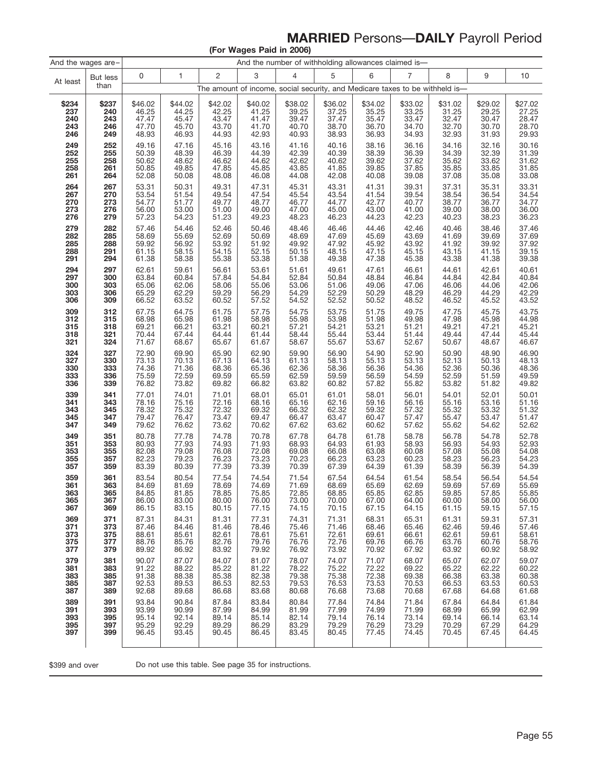## **MARRIED** Persons—**DAILY** Payroll Period

**(For Wages Paid in 2006)**

| And the wages are-                |                                   | And the number of withholding allowances claimed is- |                                             |                                             |                                                 |                                               |                                                    |                                                                              |                                                  |                                               |                                                  |                                               |  |
|-----------------------------------|-----------------------------------|------------------------------------------------------|---------------------------------------------|---------------------------------------------|-------------------------------------------------|-----------------------------------------------|----------------------------------------------------|------------------------------------------------------------------------------|--------------------------------------------------|-----------------------------------------------|--------------------------------------------------|-----------------------------------------------|--|
| At least                          | But less<br>than                  | 0                                                    | $\mathbf{1}$                                | $\overline{2}$                              | 3                                               | $\overline{4}$                                | 5                                                  | 6                                                                            | $\overline{7}$                                   | 8                                             | 9                                                | 10                                            |  |
|                                   |                                   |                                                      |                                             |                                             |                                                 |                                               |                                                    | The amount of income, social security, and Medicare taxes to be withheld is- |                                                  |                                               |                                                  |                                               |  |
| \$234<br>237<br>240<br>243<br>246 | \$237<br>240<br>243<br>246<br>249 | \$46.02<br>46.25<br>47.47<br>47.70<br>48.93          | \$44.02<br>44.25<br>45.47<br>45.70<br>46.93 | \$42.02<br>42.25<br>43.47<br>43.70<br>44.93 | \$40.02<br>41.25<br>41.47<br>41.70<br>42.93     | \$38.02<br>39.25<br>39.47<br>40.70<br>40.93   | \$36.02<br>37.25<br>$\frac{37.47}{38.70}$<br>38.93 | \$34.02<br>35.25<br>35.47<br>36.70<br>36.93                                  | \$33.02<br>33.25<br>33.47<br>34.70<br>34.93      | \$31.02<br>31.25<br>32.47<br>32.70<br>32.93   | \$29.02<br>29.25<br>30.47<br>30.70<br>31.93      | \$27.02<br>27.25<br>28.47<br>28.70<br>29.93   |  |
| 249<br>252<br>255<br>258<br>261   | 252<br>255<br>258<br>261<br>264   | 49.16<br>50.39<br>50.62<br>50.85<br>52.08            | 47.16<br>48.39<br>48.62<br>49.85<br>50.08   | 45.16<br>46.39<br>46.62<br>47.85<br>48.08   | 43.16<br>44.39<br>44.62<br>45.85<br>46.08       | 41.16<br>$42.39$<br>$42.62$<br>43.85<br>44.08 | 40.16<br>$40.39$<br>$40.62$<br>41.85<br>42.08      | 38.16<br>38.39<br>39.62<br>39.85<br>40.08                                    | 36.16<br>36.39<br>37.62<br>37.85<br>39.08        | 34.16<br>34.39<br>35.62<br>35.85<br>37.08     | 32.16<br>32.39<br>33.62<br>33.85<br>35.08        | 30.16<br>31.39<br>31.62<br>$31.85$<br>$33.08$ |  |
| 264<br>267<br>270<br>273<br>276   | 267<br>270<br>273<br>276<br>279   | 53.31<br>53.54<br>54.77<br>56.00<br>57.23            | 50.31<br>51.54<br>51.77<br>53.00<br>54.23   | 49.31<br>49.54<br>49.77<br>51.00<br>51.23   | 47.31<br>47.54<br>48.77<br>49.00<br>49.23       | 45.31<br>45.54<br>46.77<br>47.00<br>48.23     | 43.31<br>43.54<br>44.77<br>45.00<br>46.23          | 41.31<br>$41.54$<br>$42.77$<br>43.00<br>44.23                                | 39.31<br>39.54<br>40.77<br>41.00<br>42.23        | 37.31<br>38.54<br>38.77<br>39.00<br>40.23     | 35.31<br>36.54<br>36.77<br>38.00<br>38.23        | 33.31<br>34.54<br>34.77<br>36.00<br>36.23     |  |
| 279<br>282<br>285<br>288<br>291   | 282<br>285<br>288<br>291<br>294   | 57.46<br>58.69<br>59.92<br>61.15<br>61.38            | 54.46<br>55.69<br>56.92<br>58.15<br>58.38   | 52.46<br>52.69<br>53.92<br>54.15<br>55.38   | 50.46<br>$50.69$<br>$51.92$<br>$52.15$<br>53.38 | 48.46<br>48.69<br>49.92<br>50.15<br>51.38     | 46.46<br>47.69<br>$47.92$<br>$48.15$<br>49.38      | 44.46<br>45.69<br>45.92<br>47.15<br>47.38                                    | 42.46<br>$43.69$<br>$43.92$<br>45.15<br>45.38    | 40.46<br>41.69<br>$41.92$<br>$43.15$<br>43.38 | 38.46<br>39.69<br>39.92<br>41.15<br>41.38        | 37.46<br>37.69<br>37.92<br>39.15<br>39.38     |  |
| 294<br>297<br>300<br>303<br>306   | 297<br>300<br>303<br>306<br>309   | 62.61<br>63.84<br>65.06<br>65.29<br>66.52            | 59.61<br>60.84<br>62.06<br>62.29<br>63.52   | 56.61<br>57.84<br>58.06<br>59.29<br>60.52   | 53.61<br>54.84<br>55.06<br>56.29<br>57.52       | 51.61<br>52.84<br>53.06<br>54.29<br>54.52     | 49.61<br>50.84<br>51.06<br>$\frac{52.29}{52.52}$   | 47.61<br>48.84<br>49.06<br>50.29<br>50.52                                    | 46.61<br>46.84<br>47.06<br>48.29<br>48.52        | 44.61<br>44.84<br>46.06<br>46.29<br>46.52     | 42.61<br>42.84<br>44.06<br>44.29<br>45.52        | 40.61<br>40.84<br>42.06<br>42.29<br>43.52     |  |
| 309<br>312<br>315<br>318<br>321   | 312<br>315<br>318<br>321<br>324   | 67.75<br>68.98<br>69.21<br>70.44<br>71.67            | 64.75<br>65.98<br>66.21<br>67.44<br>68.67   | 61.75<br>61.98<br>63.21<br>64.44<br>65.67   | 57.75<br>58.98<br>60.21<br>61.44<br>61.67       | 54.75<br>55.98<br>57.21<br>58.44<br>58.67     | 53.75<br>53.98<br>54.21<br>55.44<br>55.67          | 51.75<br>51.98<br>53.21<br>53.44<br>53.67                                    | 49.75<br>49.98<br>$51.21$<br>$51.44$<br>52.67    | 47.75<br>47.98<br>49.21<br>49.44<br>50.67     | 45.75<br>45.98<br>47.21<br>47.44<br>48.67        | 43.75<br>44.98<br>45.21<br>45.44<br>46.67     |  |
| 324<br>327<br>330<br>333<br>336   | 327<br>330<br>333<br>336<br>339   | 72.90<br>73.13<br>74.36<br>75.59<br>76.82            | 69.90<br>70.13<br>71.36<br>72.59<br>73.82   | 65.90<br>67.13<br>68.36<br>69.59<br>69.82   | 62.90<br>64.13<br>65.36<br>65.59<br>66.82       | 59.90<br>$61.13$<br>$62.36$<br>62.59<br>63.82 | 56.90<br>58.13<br>58.36<br>59.59<br>60.82          | 54.90<br>$\frac{51.55}{56.36}$<br>56.59<br>57.82                             | 52.90<br>$\frac{53.13}{54.36}$<br>54.59<br>55.82 | 50.90<br>52.13<br>52.36<br>52.59<br>53.82     | 48.90<br>50.13<br>$\frac{50.36}{51.59}$<br>51.82 | 46.90<br>48.13<br>48.36<br>49.59<br>49.82     |  |
| 339<br>341<br>343<br>345<br>347   | 341<br>343<br>345<br>347<br>349   | 77.01<br>78.16<br>78.32<br>79.47<br>79.62            | 74.01<br>75.16<br>75.32<br>76.47<br>76.62   | 71.01<br>72.16<br>72.32<br>73.47<br>73.62   | 68.01<br>68.16<br>69.32<br>69.47<br>70.62       | 65.01<br>65.16<br>66.32<br>66.47<br>67.62     | 61.01<br>62.16<br>$62.32$<br>$63.47$<br>63.62      | 58.01<br>59.16<br>59.32<br>60.47<br>60.62                                    | 56.01<br>56.16<br>$\frac{57.32}{57.47}$<br>57.62 | 54.01<br>55.16<br>55.32<br>55.47<br>55.62     | 52.01<br>53.16<br>$\frac{53.32}{53.47}$<br>54.62 | 50.01<br>51.16<br>51.32<br>51.47<br>52.62     |  |
| 349<br>351<br>353<br>355<br>357   | 351<br>353<br>355<br>357<br>359   | 80.78<br>80.93<br>82.08<br>82.23<br>83.39            | 77.78<br>77.93<br>79.08<br>79.23<br>80.39   | 74.78<br>74.93<br>76.08<br>76.23<br>77.39   | 70.78<br>71.93<br>72.08<br>73.23<br>73.39       | 67.78<br>68.93<br>69.08<br>70.23<br>70.39     | 64.78<br>$64.93$<br>$66.08$<br>66.23<br>67.39      | 61.78<br>61.93<br>63.08<br>63.23<br>64.39                                    | 58.78<br>58.93<br>60.08<br>60.23<br>61.39        | 56.78<br>56.93<br>57.08<br>58.23<br>58.39     | 54.78<br>54.93<br>55.08<br>56.23<br>56.39        | 52.78<br>52.93<br>54.08<br>54.23<br>54.39     |  |
| 359<br>361<br>363<br>365<br>367   | 361<br>363<br>365<br>367<br>369   | 83.54<br>84.69<br>84.85<br>86.00<br>86.15            | 80.54<br>81.69<br>81.85<br>83.00<br>83.15   | 77.54<br>78.69<br>78.85<br>80.00<br>80.15   | 74.54<br>74.69<br>75.85<br>76.00<br>77.15       | 71.54<br>71.69<br>72.85<br>73.00<br>74.15     | 67.54<br>68.69<br>68.85<br>70.00<br>70.15          | 64.54<br>65.69<br>65.85<br>67.00<br>67.15                                    | 61.54<br>62.69<br>62.85<br>64.00<br>64.15        | 58.54<br>59.69<br>59.85<br>60.00<br>61.15     | 56.54<br>57.69<br>57.85<br>58.00<br>59.15        | 54.54<br>55.69<br>55.85<br>56.00<br>57.15     |  |
| 369<br>371<br>373<br>375<br>377   | 371<br>373<br>375<br>377<br>379   | 87.31<br>87.46<br>88.61<br>88.76<br>89.92            | 84.31<br>84.46<br>85.61<br>85.76<br>86.92   | 81.31<br>81.46<br>82.61<br>82.76<br>83.92   | 77.31<br>78.46<br>78.61<br>79.76<br>79.92       | 74.31<br>75.46<br>75.61<br>76.76<br>76.92     | 71.31<br>71.46<br>72.61<br>72.76<br>73.92          | 68.31<br>68.46<br>69.61<br>69.76<br>70.92                                    | 65.31<br>65.46<br>66.61<br>66.76<br>67.92        | 61.31<br>62.46<br>62.61<br>63.76<br>63.92     | 59.31<br>59.46<br>59.61<br>60.76<br>60.92        | 57.31<br>57.46<br>58.61<br>58.76<br>58.92     |  |
| 379<br>381<br>383<br>385<br>387   | 381<br>383<br>385<br>387<br>389   | 90.07<br>91.22<br>91.38<br>92.53<br>92.68            | 87.07<br>88.22<br>88.38<br>89.53<br>89.68   | 84.07<br>85.22<br>85.38<br>86.53<br>86.68   | 81.07<br>81.22<br>82.38<br>82.53<br>83.68       | 78.07<br>78.22<br>79.38<br>79.53<br>80.68     | 74.07<br>75.22<br>75.38<br>76.53<br>76.68          | 71.07<br>72.22<br>72.38<br>73.53<br>73.68                                    | 68.07<br>69.22<br>69.38<br>70.53<br>70.68        | 65.07<br>65.22<br>66.38<br>66.53<br>67.68     | 62.07<br>62.22<br>63.38<br>63.53<br>64.68        | 59.07<br>60.22<br>60.38<br>60.53<br>61.68     |  |
| 389<br>391<br>393<br>395<br>397   | 391<br>393<br>395<br>397<br>399   | 93.84<br>93.99<br>95.14<br>95.29<br>96.45            | 90.84<br>90.99<br>92.14<br>92.29<br>93.45   | 87.84<br>87.99<br>89.14<br>89.29<br>90.45   | 83.84<br>84.99<br>85.14<br>86.29<br>86.45       | 80.84<br>81.99<br>82.14<br>83.29<br>83.45     | 77.84<br>77.99<br>79.14<br>79.29<br>80.45          | 74.84<br>74.99<br>76.14<br>76.29<br>77.45                                    | 71.84<br>71.99<br>73.14<br>73.29<br>74.45        | 67.84<br>68.99<br>69.14<br>70.29<br>70.45     | 64.84<br>65.99<br>66.14<br>67.29<br>67.45        | 61.84<br>62.99<br>63.14<br>64.29<br>64.45     |  |

\$399 and over Do not use this table. See page 35 for instructions.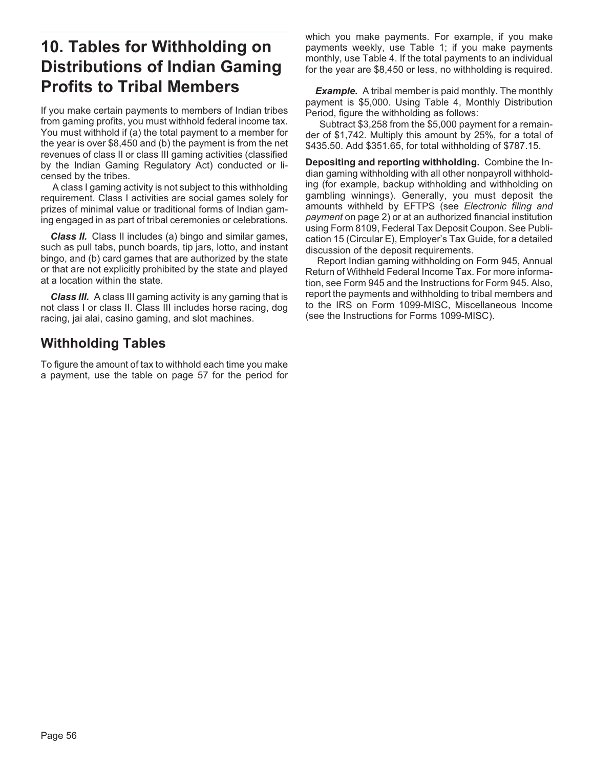# **Profits to Tribal Members** *Example.* A tribal member is paid monthly. The monthly

If you make certain payments to members of Indian tribes<br>from gaming profits, you must withhold federal income tax.<br>You must withhold if (a) the total payment to a member for<br>the year is over \$8,450 and (b) the payment is

not class I or class II. Class III includes horse racing, dog to the IRS on Form 1099-MISC, Miscellane racing, jai alai, casino gaming, and slot machines. (see the Instructions for Forms 1099-MISC).

## **Withholding Tables**

To figure the amount of tax to withhold each time you make a payment, use the table on page 57 for the period for

which you make payments. For example, if you make **10. Tables for Withholding on** payments weekly, use Table 1; if you make payments payments **Distributions of Indian Gaming** for the year are \$8,450 or less, no withholding is required.

-censed by the tribes.<br>- A class I gaming activity is not subject to this withholding ing (for example, backup withholding and withholding on<br>- A class I gaming activities are social games solely for gambling winnings). Ge requirement. Class I activities are social games solely for<br>prizes of minimal value or traditional forms of Indian gam-<br>ing engaged in as part of tribal ceremonies or celebrations.<br>**Class II**. Class II includes (a) bingo a

or that are not explicitly prohibited by the state and played<br>at a location within the state.<br>tion, see Form 945 and the Instructions for Form 945. Also, **Class III.** A class III gaming activity is any gaming that is report the payments and withholding to tribal members and to the IRS on Form 1099-MISC, Miscellaneous Income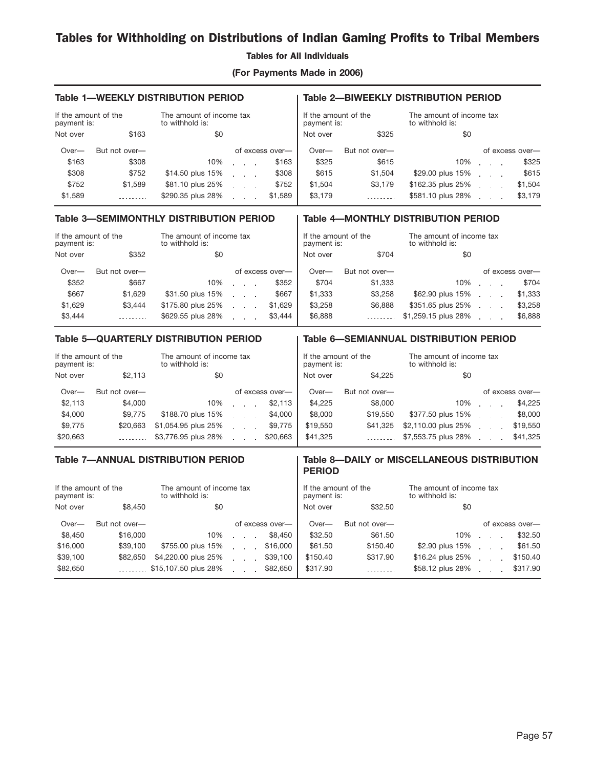## Tables for Withholding on Distributions of Indian Gaming Profits to Tribal Members

## Tables for All Individuals

**(For Payments Made in 2006)**

|                                                                                    |               | <b>Table 1-WEEKLY DISTRIBUTION PERIOD</b> |                      | Table 2-BIWEEKLY DISTRIBUTION PERIOD |                                                                                    |                 |          |               |                   |  |                          |  |                 |
|------------------------------------------------------------------------------------|---------------|-------------------------------------------|----------------------|--------------------------------------|------------------------------------------------------------------------------------|-----------------|----------|---------------|-------------------|--|--------------------------|--|-----------------|
| The amount of income tax<br>If the amount of the<br>to withhold is:<br>payment is: |               |                                           |                      |                                      | If the amount of the<br>The amount of income tax<br>to withhold is:<br>payment is: |                 |          |               |                   |  |                          |  |                 |
| Not over                                                                           | \$163         | \$0                                       |                      |                                      |                                                                                    |                 | Not over | \$325         | \$0               |  |                          |  |                 |
| $Over-$                                                                            | But not over- |                                           |                      |                                      |                                                                                    | of excess over- | $Over-$  | But not over- |                   |  |                          |  | of excess over- |
| \$163                                                                              | \$308         | 10%                                       |                      |                                      |                                                                                    | \$163           | \$325    | \$615         | 10%               |  |                          |  | \$325           |
| \$308                                                                              | \$752         | \$14.50 plus 15%                          |                      |                                      |                                                                                    | \$308           | \$615    | \$1,504       | \$29.00 plus 15%  |  | and a control            |  | \$615           |
| \$752                                                                              | \$1,589       | \$81.10 plus 25%                          | $\sim$ $\sim$ $\sim$ |                                      |                                                                                    | \$752           | \$1,504  | \$3,179       | \$162.35 plus 25% |  | <b>Contract Contract</b> |  | \$1,504         |
| \$1,589                                                                            |               | \$290.35 plus 28%                         |                      |                                      |                                                                                    | \$1,589         | \$3,179  |               | \$581.10 plus 28% |  |                          |  | \$3,179         |

## **Table 3—SEMIMONTHLY DISTRIBUTION PERIOD**

## **Table 4—MONTHLY DISTRIBUTION PERIOD**

| payment is: | The amount of income tax<br>If the amount of the<br>to withhold is: |                   |  | The amount of income tax<br>If the amount of the<br>to withhold is:<br>payment is: |                 |          |               |                     |  |                 |
|-------------|---------------------------------------------------------------------|-------------------|--|------------------------------------------------------------------------------------|-----------------|----------|---------------|---------------------|--|-----------------|
| Not over    | \$352                                                               | \$0               |  |                                                                                    |                 | Not over | \$704         | \$0                 |  |                 |
| Over—       | But not over-                                                       |                   |  |                                                                                    | of excess over- | $Over-$  | But not over- |                     |  | of excess over- |
| \$352       | \$667                                                               | 10%               |  |                                                                                    | \$352           | \$704    | \$1,333       | 10%                 |  | \$704           |
| \$667       | \$1,629                                                             | \$31.50 plus 15%  |  |                                                                                    | \$667           | \$1,333  | \$3,258       | \$62.90 plus 15%    |  | \$1,333         |
| \$1,629     | \$3.444                                                             | \$175,80 plus 25% |  |                                                                                    | \$1,629         | \$3,258  | \$6,888       | \$351.65 plus 25%   |  | \$3,258         |
| \$3,444     |                                                                     | \$629.55 plus 28% |  |                                                                                    | \$3,444         | \$6,888  |               | \$1,259.15 plus 28% |  | \$6,888         |

## **Table 5—QUARTERLY DISTRIBUTION PERIOD**

## **Table 6—SEMIANNUAL DISTRIBUTION PERIOD**

| payment is: | If the amount of the<br>The amount of income tax<br>to withhold is: |                     |  | If the amount of the<br>payment is: |                 | The amount of income tax<br>to withhold is: |               |                     |  |  |  |                 |
|-------------|---------------------------------------------------------------------|---------------------|--|-------------------------------------|-----------------|---------------------------------------------|---------------|---------------------|--|--|--|-----------------|
| Not over    | \$2.113                                                             | \$0                 |  |                                     |                 | Not over                                    | \$4.225       | \$0                 |  |  |  |                 |
| Over-       | But not over-                                                       |                     |  |                                     | of excess over- | Over- $-$                                   | But not over- |                     |  |  |  | of excess over- |
| \$2,113     | \$4,000                                                             | 10%                 |  |                                     | \$2,113         | \$4.225                                     | \$8,000       | 10%                 |  |  |  | \$4.225         |
| \$4,000     | \$9.775                                                             | \$188.70 plus 15%   |  |                                     | \$4,000         | \$8,000                                     | \$19,550      | \$377.50 plus 15%   |  |  |  | \$8,000         |
| \$9,775     | \$20,663                                                            | \$1,054.95 plus 25% |  |                                     | \$9,775         | \$19,550                                    | \$41.325      | \$2,110.00 plus 25% |  |  |  | \$19,550        |
| \$20,663    |                                                                     | \$3,776.95 plus 28% |  |                                     | \$20,663        | \$41,325                                    |               | \$7,553.75 plus 28% |  |  |  | \$41.325        |

## **Table 7—ANNUAL DISTRIBUTION PERIOD**

| Table 8-DAILY or MISCELLANEOUS DISTRIBUTION |
|---------------------------------------------|
| <b>PERIOD</b>                               |

|          | The amount of income tax<br>If the amount of the<br>to withhold is:<br>payment is: |                         |  | If the amount of the<br>payment is: |                 | The amount of income tax<br>to withhold is: |               |                      |  |  |  |                 |
|----------|------------------------------------------------------------------------------------|-------------------------|--|-------------------------------------|-----------------|---------------------------------------------|---------------|----------------------|--|--|--|-----------------|
| Not over | \$8.450                                                                            | \$0                     |  |                                     |                 | Not over                                    | \$32.50       | \$0                  |  |  |  |                 |
| Over-    | But not over-                                                                      |                         |  |                                     | of excess over- | $Over-$                                     | But not over- |                      |  |  |  | of excess over- |
| \$8,450  | \$16,000                                                                           | 10%                     |  |                                     | \$8.450         | \$32.50                                     | \$61.50       | 10%                  |  |  |  | \$32.50         |
| \$16,000 | \$39,100                                                                           | \$755.00 plus 15%       |  |                                     | \$16,000        | \$61.50                                     | \$150.40      | \$2.90 plus 15%      |  |  |  | \$61.50         |
| \$39,100 | \$82,650                                                                           | $$4,220.00$ plus $25\%$ |  |                                     | \$39,100        | \$150.40                                    | \$317.90      | $$16.24$ plus $25\%$ |  |  |  | \$150.40        |
| \$82,650 |                                                                                    | $$15,107.50$ plus 28%   |  |                                     | \$82,650        | \$317.90                                    |               | $$58.12$ plus $28\%$ |  |  |  | \$317.90        |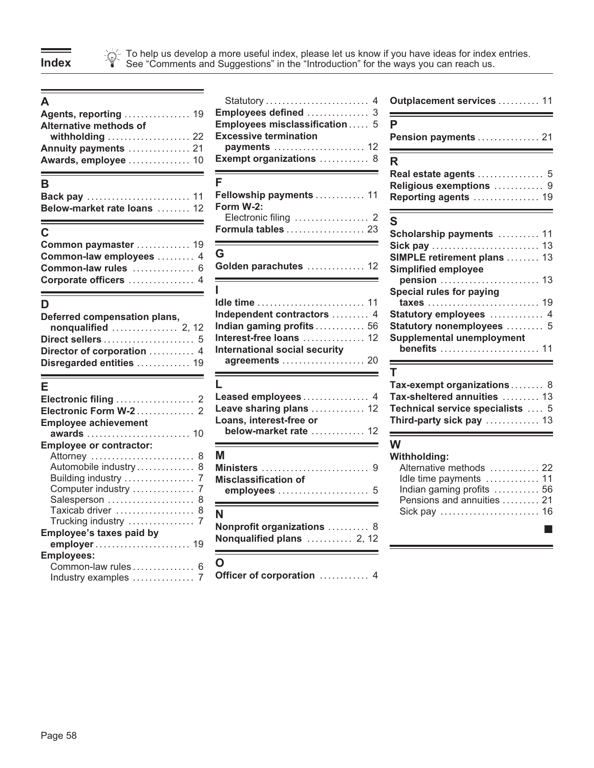To help us develop a more useful index, please let us know if you have ideas for index entries. Index **W** See "Comments and Suggestions" in the "Introduction" for the ways you can reach us.

| Agents, reporting  19<br>Alternative methods of |  |
|-------------------------------------------------|--|
|                                                 |  |
| Annuity payments  21                            |  |
| Awards, employee  10                            |  |

| D                                     |  |
|---------------------------------------|--|
| Back pay  11 Fellowship               |  |
| Below-market rate loans  12 Form W-2: |  |
|                                       |  |

| U                       |  |
|-------------------------|--|
| Common paymaster  19    |  |
| Common-law employees  4 |  |
| Common-law rules  6     |  |
| Corporate officers  4   |  |

| Deferred compensation plans, | Independent contractors  4 Statutory employees   |                 |
|------------------------------|--------------------------------------------------|-----------------|
|                              | Indian gaming profits  56 Statutory nonemployees |                 |
|                              |                                                  |                 |
| Director of corporation  4   | International social security                    | <b>benefits</b> |
| Disregarded entities  19     |                                                  |                 |
|                              |                                                  |                 |

|                                | Le |
|--------------------------------|----|
|                                | Lε |
| <b>Employee achievement</b>    | L٥ |
| awards  10                     |    |
| <b>Employee or contractor:</b> | ÷  |
| Attorney  8                    | Μ  |
| Automobile industry 8          | М  |
| Building industry  7           | М  |
| Computer industry  7           |    |
| Salesperson  8                 |    |
| Taxicab driver  8              | N  |
| Trucking industry  7           | N٥ |
| Employee's taxes paid by       | N٥ |
| employer  19                   |    |
| <b>Employees:</b>              |    |
| Common-law rules 6             | O  |
| Industry examples  7           | Di |

| A                                                                                                           | Employees defined  3                                                                                                                        | <b>Outplacement Services</b>                                                                                     |
|-------------------------------------------------------------------------------------------------------------|---------------------------------------------------------------------------------------------------------------------------------------------|------------------------------------------------------------------------------------------------------------------|
| <b>Agents, reporting</b> 19<br>Alternative methods of<br>withholding  22<br>Annuity payments  21            | Employees misclassification 5<br><b>Excessive termination</b><br>payments  12                                                               | P<br>Pension payments                                                                                            |
| Awards, employee  10                                                                                        | <b>Exempt organizations</b> 8                                                                                                               | R                                                                                                                |
| В<br>Below-market rate loans  12                                                                            | Fellowship payments  11<br>Form W-2:<br>Electronic filing  2                                                                                | Real estate agents<br><b>Religious exemptions</b> .<br>Reporting agents                                          |
| C<br>Common paymaster  19                                                                                   | Formula tables  23                                                                                                                          | S<br><b>Scholarship payments</b><br>Sick pay                                                                     |
| Common-law employees  4<br>Common-law rules  6<br>Corporate officers  4                                     | G<br>Golden parachutes  12                                                                                                                  | <b>SIMPLE retirement plan</b><br><b>Simplified employee</b><br>pension<br><b>Special rules for paying</b>        |
| D<br>Deferred compensation plans,<br>nonqualified  2, 12<br>Direct sellers  5<br>Director of corporation  4 | Independent contractors  4<br>Indian gaming profits 56<br>Interest-free loans  12<br><b>International social security</b><br>agreements  20 | taxes<br><b>Statutory employees</b><br><b>Statutory nonemployee:</b><br><b>Supplemental unemploy</b><br>benefits |
| Disregarded entities  19                                                                                    |                                                                                                                                             | Tax-exempt organizatio                                                                                           |
| Е<br>Electronic Form W-2 2<br><b>Employee achievement</b>                                                   | Leased employees 4<br>Leave sharing plans  12<br>Loans, interest-free or<br>below-market rate  12                                           | <b>Tax-sheltered annuities</b><br><b>Technical service speci</b><br>Third-party sick pay                         |
| <b>Employee or contractor:</b><br>Attorney  8<br>Automobile industry 8<br>Building industry  7              | М<br><b>Misclassification of</b><br>employees  5                                                                                            | W<br>Withholding:<br>Alternative methods<br>Idle time payments<br>Indian gaming profits.                         |

## Taxicab driver ................... 8 **N** Sick pay . . . . . . . . . . . . . . . . . . . . . . . . 16

**Employee's taxes paid by Nonprofit organizations** .......... 8 ■ **Nonqualified plans** ........... 2, 12

Officer of corporation ............. 4

| Α                                                                                                                                       | $\overline{4}$<br>Statutory                                                                                                                 | Outplacement services  11                                                                                                                  |
|-----------------------------------------------------------------------------------------------------------------------------------------|---------------------------------------------------------------------------------------------------------------------------------------------|--------------------------------------------------------------------------------------------------------------------------------------------|
| <b>Agents, reporting</b> 19<br>Alternative methods of<br>Annuity payments  21                                                           | Employees defined  3<br>Employees misclassification 5<br><b>Excessive termination</b><br>payments  12                                       | P<br>Pension payments  21                                                                                                                  |
| Awards, employee  10                                                                                                                    | Exempt organizations  8                                                                                                                     | $\mathsf{R}$                                                                                                                               |
| В<br>Back pay  11<br>Below-market rate loans  12                                                                                        | Fellowship payments  11<br>Form W-2:                                                                                                        | Religious exemptions  9<br>Reporting agents  19                                                                                            |
| С                                                                                                                                       | Formula tables  23                                                                                                                          | S<br>Scholarship payments  11                                                                                                              |
| Common paymaster  19<br>Common-law employees  4<br>Common-law rules  6<br>Corporate officers  4                                         | G<br>Golden parachutes  12                                                                                                                  | <b>SIMPLE retirement plans  13</b><br><b>Simplified employee</b>                                                                           |
| D<br>Deferred compensation plans,<br>nonqualified  2, 12<br>Direct sellers  5<br>Director of corporation  4<br>Disregarded entities  19 | Independent contractors  4<br>Indian gaming profits 56<br>Interest-free loans  12<br><b>International social security</b><br>agreements  20 | <b>Special rules for paying</b><br>Statutory employees  4<br>Statutory nonemployees  5<br><b>Supplemental unemployment</b><br>benefits  11 |
| Electronic Form W-2 2<br><b>Employee achievement</b>                                                                                    | Leased employees 4<br>Leave sharing plans  12<br>Loans, interest-free or<br>below-market rate  12                                           | Tax-exempt organizations 8<br>Tax-sheltered annuities  13<br>Technical service specialists  5<br>Third-party sick pay  13                  |
| <b>Employee or contractor:</b><br>Automobile industry 8<br>Salesperson  8                                                               | M<br><b>Misclassification of</b><br>employees  5                                                                                            | W<br>Withholding:<br>Alternative methods  22<br>Idle time payments  11<br>Indian gaming profits  56<br>Pensions and annuities  21          |